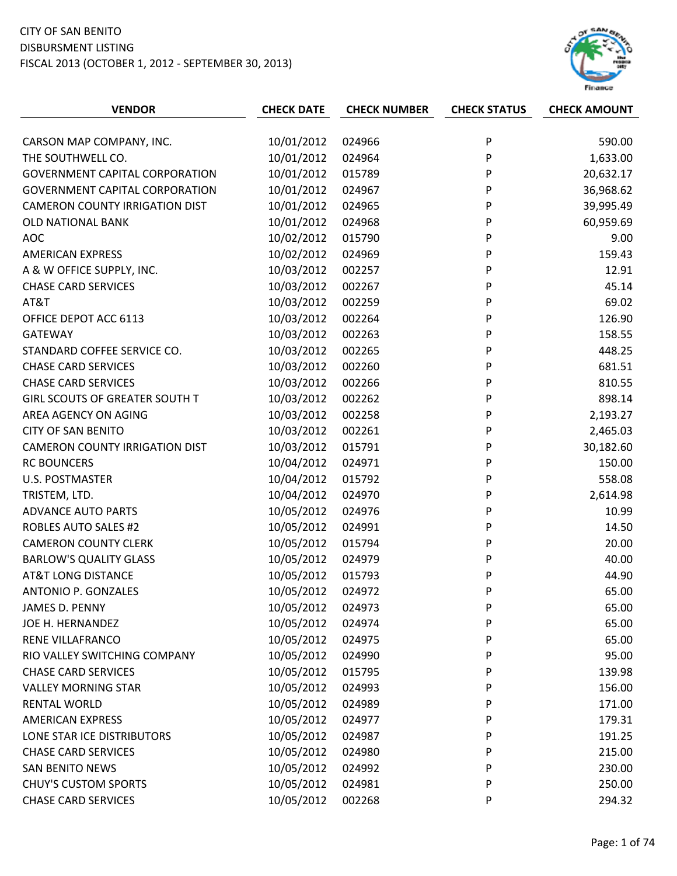

| <b>VENDOR</b>                         | <b>CHECK DATE</b> | <b>CHECK NUMBER</b> | <b>CHECK STATUS</b> | <b>CHECK AMOUNT</b> |
|---------------------------------------|-------------------|---------------------|---------------------|---------------------|
|                                       |                   |                     |                     |                     |
| CARSON MAP COMPANY, INC.              | 10/01/2012        | 024966              | P                   | 590.00              |
| THE SOUTHWELL CO.                     | 10/01/2012        | 024964              | P                   | 1,633.00            |
| <b>GOVERNMENT CAPITAL CORPORATION</b> | 10/01/2012        | 015789              | P                   | 20,632.17           |
| <b>GOVERNMENT CAPITAL CORPORATION</b> | 10/01/2012        | 024967              | P                   | 36,968.62           |
| <b>CAMERON COUNTY IRRIGATION DIST</b> | 10/01/2012        | 024965              | P                   | 39,995.49           |
| <b>OLD NATIONAL BANK</b>              | 10/01/2012        | 024968              | P                   | 60,959.69           |
| <b>AOC</b>                            | 10/02/2012        | 015790              | P                   | 9.00                |
| <b>AMERICAN EXPRESS</b>               | 10/02/2012        | 024969              | P                   | 159.43              |
| A & W OFFICE SUPPLY, INC.             | 10/03/2012        | 002257              | P                   | 12.91               |
| <b>CHASE CARD SERVICES</b>            | 10/03/2012        | 002267              | P                   | 45.14               |
| AT&T                                  | 10/03/2012        | 002259              | P                   | 69.02               |
| OFFICE DEPOT ACC 6113                 | 10/03/2012        | 002264              | P                   | 126.90              |
| <b>GATEWAY</b>                        | 10/03/2012        | 002263              | P                   | 158.55              |
| STANDARD COFFEE SERVICE CO.           | 10/03/2012        | 002265              | P                   | 448.25              |
| <b>CHASE CARD SERVICES</b>            | 10/03/2012        | 002260              | P                   | 681.51              |
| <b>CHASE CARD SERVICES</b>            | 10/03/2012        | 002266              | P                   | 810.55              |
| <b>GIRL SCOUTS OF GREATER SOUTH T</b> | 10/03/2012        | 002262              | P                   | 898.14              |
| AREA AGENCY ON AGING                  | 10/03/2012        | 002258              | P                   | 2,193.27            |
| <b>CITY OF SAN BENITO</b>             | 10/03/2012        | 002261              | P                   | 2,465.03            |
| <b>CAMERON COUNTY IRRIGATION DIST</b> | 10/03/2012        | 015791              | P                   | 30,182.60           |
| <b>RC BOUNCERS</b>                    | 10/04/2012        | 024971              | P                   | 150.00              |
| <b>U.S. POSTMASTER</b>                | 10/04/2012        | 015792              | P                   | 558.08              |
| TRISTEM, LTD.                         | 10/04/2012        | 024970              | P                   | 2,614.98            |
| <b>ADVANCE AUTO PARTS</b>             | 10/05/2012        | 024976              | P                   | 10.99               |
| <b>ROBLES AUTO SALES #2</b>           | 10/05/2012        | 024991              | P                   | 14.50               |
| <b>CAMERON COUNTY CLERK</b>           | 10/05/2012        | 015794              | P                   | 20.00               |
| <b>BARLOW'S QUALITY GLASS</b>         | 10/05/2012        | 024979              | P                   | 40.00               |
| <b>AT&amp;T LONG DISTANCE</b>         | 10/05/2012        | 015793              | P                   | 44.90               |
| ANTONIO P. GONZALES                   | 10/05/2012        | 024972              | P                   | 65.00               |
| JAMES D. PENNY                        | 10/05/2012        | 024973              | P                   | 65.00               |
| JOE H. HERNANDEZ                      | 10/05/2012        | 024974              | P                   | 65.00               |
| RENE VILLAFRANCO                      | 10/05/2012        | 024975              | P                   | 65.00               |
| RIO VALLEY SWITCHING COMPANY          | 10/05/2012        | 024990              | P                   | 95.00               |
| <b>CHASE CARD SERVICES</b>            | 10/05/2012        | 015795              | P                   | 139.98              |
| <b>VALLEY MORNING STAR</b>            | 10/05/2012        | 024993              | P                   | 156.00              |
| <b>RENTAL WORLD</b>                   | 10/05/2012        | 024989              | P                   | 171.00              |
| <b>AMERICAN EXPRESS</b>               | 10/05/2012        | 024977              | P                   | 179.31              |
| LONE STAR ICE DISTRIBUTORS            | 10/05/2012        | 024987              | P                   | 191.25              |
| <b>CHASE CARD SERVICES</b>            | 10/05/2012        | 024980              | P                   | 215.00              |
| <b>SAN BENITO NEWS</b>                | 10/05/2012        | 024992              | P                   | 230.00              |
| <b>CHUY'S CUSTOM SPORTS</b>           | 10/05/2012        | 024981              | P                   | 250.00              |
| <b>CHASE CARD SERVICES</b>            | 10/05/2012        | 002268              | P                   | 294.32              |
|                                       |                   |                     |                     |                     |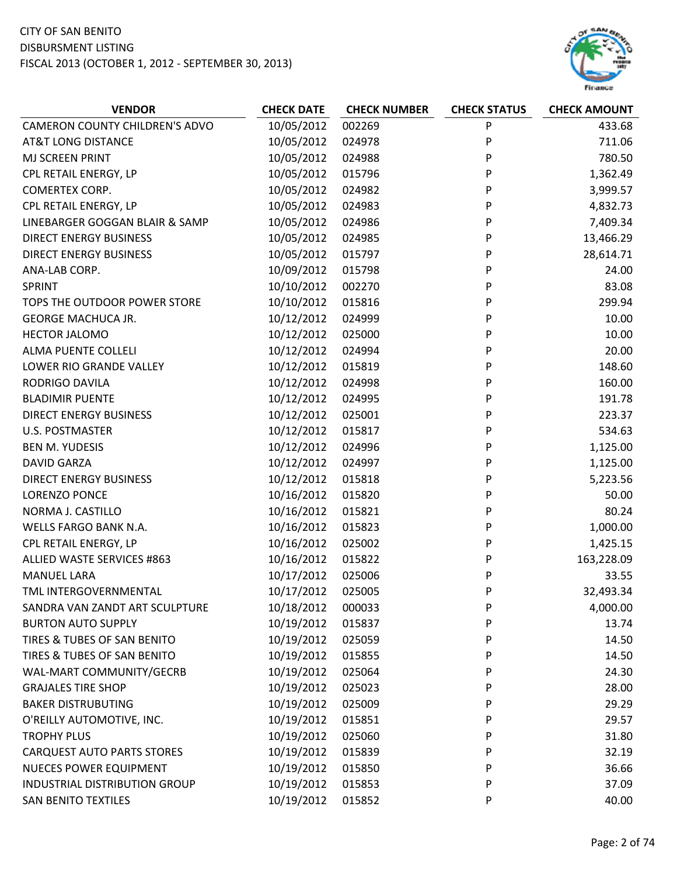

| <b>VENDOR</b>                         | <b>CHECK DATE</b> | <b>CHECK NUMBER</b> | <b>CHECK STATUS</b> | <b>CHECK AMOUNT</b> |
|---------------------------------------|-------------------|---------------------|---------------------|---------------------|
| <b>CAMERON COUNTY CHILDREN'S ADVO</b> | 10/05/2012        | 002269              | P                   | 433.68              |
| <b>AT&amp;T LONG DISTANCE</b>         | 10/05/2012        | 024978              | P                   | 711.06              |
| MJ SCREEN PRINT                       | 10/05/2012        | 024988              | P                   | 780.50              |
| CPL RETAIL ENERGY, LP                 | 10/05/2012        | 015796              | P                   | 1,362.49            |
| COMERTEX CORP.                        | 10/05/2012        | 024982              | P                   | 3,999.57            |
| CPL RETAIL ENERGY, LP                 | 10/05/2012        | 024983              | P                   | 4,832.73            |
| LINEBARGER GOGGAN BLAIR & SAMP        | 10/05/2012        | 024986              | P                   | 7,409.34            |
| <b>DIRECT ENERGY BUSINESS</b>         | 10/05/2012        | 024985              | P                   | 13,466.29           |
| <b>DIRECT ENERGY BUSINESS</b>         | 10/05/2012        | 015797              | P                   | 28,614.71           |
| ANA-LAB CORP.                         | 10/09/2012        | 015798              | P                   | 24.00               |
| SPRINT                                | 10/10/2012        | 002270              | P                   | 83.08               |
| TOPS THE OUTDOOR POWER STORE          | 10/10/2012        | 015816              | P                   | 299.94              |
| <b>GEORGE MACHUCA JR.</b>             | 10/12/2012        | 024999              | P                   | 10.00               |
| HECTOR JALOMO                         | 10/12/2012        | 025000              | P                   | 10.00               |
| ALMA PUENTE COLLELI                   | 10/12/2012        | 024994              | P                   | 20.00               |
| LOWER RIO GRANDE VALLEY               | 10/12/2012        | 015819              | P                   | 148.60              |
| RODRIGO DAVILA                        | 10/12/2012        | 024998              | P                   | 160.00              |
| <b>BLADIMIR PUENTE</b>                | 10/12/2012        | 024995              | P                   | 191.78              |
| <b>DIRECT ENERGY BUSINESS</b>         | 10/12/2012        | 025001              | P                   | 223.37              |
| <b>U.S. POSTMASTER</b>                | 10/12/2012        | 015817              | P                   | 534.63              |
| <b>BEN M. YUDESIS</b>                 | 10/12/2012        | 024996              | P                   | 1,125.00            |
| <b>DAVID GARZA</b>                    | 10/12/2012        | 024997              | P                   | 1,125.00            |
| <b>DIRECT ENERGY BUSINESS</b>         | 10/12/2012        | 015818              | P                   | 5,223.56            |
| <b>LORENZO PONCE</b>                  | 10/16/2012        | 015820              | P                   | 50.00               |
| NORMA J. CASTILLO                     | 10/16/2012        | 015821              | P                   | 80.24               |
| WELLS FARGO BANK N.A.                 | 10/16/2012        | 015823              | P                   | 1,000.00            |
| CPL RETAIL ENERGY, LP                 | 10/16/2012        | 025002              | P                   | 1,425.15            |
| ALLIED WASTE SERVICES #863            | 10/16/2012        | 015822              | P                   | 163,228.09          |
| <b>MANUEL LARA</b>                    | 10/17/2012        | 025006              | P                   | 33.55               |
| TML INTERGOVERNMENTAL                 | 10/17/2012        | 025005              | P                   | 32,493.34           |
| SANDRA VAN ZANDT ART SCULPTURE        | 10/18/2012        | 000033              | P                   | 4,000.00            |
| <b>BURTON AUTO SUPPLY</b>             | 10/19/2012        | 015837              | P                   | 13.74               |
| TIRES & TUBES OF SAN BENITO           | 10/19/2012        | 025059              | P                   | 14.50               |
| TIRES & TUBES OF SAN BENITO           | 10/19/2012        | 015855              | P                   | 14.50               |
| WAL-MART COMMUNITY/GECRB              | 10/19/2012        | 025064              | P                   | 24.30               |
| <b>GRAJALES TIRE SHOP</b>             | 10/19/2012        | 025023              | P                   | 28.00               |
| <b>BAKER DISTRUBUTING</b>             | 10/19/2012        | 025009              | P                   | 29.29               |
| O'REILLY AUTOMOTIVE, INC.             | 10/19/2012        | 015851              | P                   | 29.57               |
| <b>TROPHY PLUS</b>                    | 10/19/2012        | 025060              | P                   | 31.80               |
| <b>CARQUEST AUTO PARTS STORES</b>     | 10/19/2012        | 015839              | P                   | 32.19               |
| <b>NUECES POWER EQUIPMENT</b>         | 10/19/2012        | 015850              | P                   | 36.66               |
| <b>INDUSTRIAL DISTRIBUTION GROUP</b>  | 10/19/2012        | 015853              | P                   | 37.09               |
| <b>SAN BENITO TEXTILES</b>            | 10/19/2012        | 015852              | P                   | 40.00               |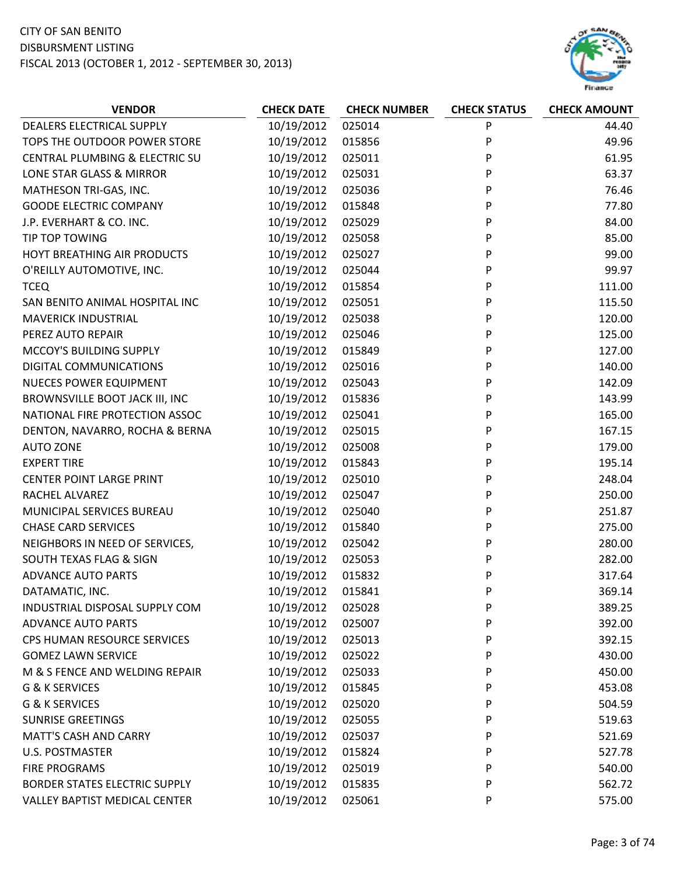

| DEALERS ELECTRICAL SUPPLY<br>10/19/2012<br>025014<br>P<br>44.40<br>10/19/2012<br>P<br>49.96<br>TOPS THE OUTDOOR POWER STORE<br>015856<br>10/19/2012<br>CENTRAL PLUMBING & ELECTRIC SU<br>025011<br>61.95<br>P<br>63.37<br>LONE STAR GLASS & MIRROR<br>10/19/2012<br>025031<br>P<br>10/19/2012<br>P<br>MATHESON TRI-GAS, INC.<br>025036<br>76.46<br>P<br><b>GOODE ELECTRIC COMPANY</b><br>10/19/2012<br>015848<br>77.80<br>10/19/2012<br>025029<br>P<br>84.00<br>J.P. EVERHART & CO. INC.<br>10/19/2012<br>85.00<br>TIP TOP TOWING<br>025058<br>P<br>10/19/2012<br>P<br>HOYT BREATHING AIR PRODUCTS<br>025027<br>99.00<br>10/19/2012<br>025044<br>P<br>99.97<br>O'REILLY AUTOMOTIVE, INC.<br>P<br>10/19/2012<br>111.00<br><b>TCEQ</b><br>015854<br>P<br>10/19/2012<br>025051<br>115.50<br>SAN BENITO ANIMAL HOSPITAL INC<br>10/19/2012<br>025038<br>P<br>120.00<br><b>MAVERICK INDUSTRIAL</b><br>10/19/2012<br>P<br>025046<br>125.00<br>PEREZ AUTO REPAIR<br>MCCOY'S BUILDING SUPPLY<br>10/19/2012<br>015849<br>P<br>127.00<br>P<br>10/19/2012<br>025016<br>140.00<br>DIGITAL COMMUNICATIONS<br>10/19/2012<br>P<br><b>NUECES POWER EQUIPMENT</b><br>025043<br>142.09<br>BROWNSVILLE BOOT JACK III, INC<br>10/19/2012<br>P<br>143.99<br>015836<br>10/19/2012<br>P<br>NATIONAL FIRE PROTECTION ASSOC<br>025041<br>165.00<br>DENTON, NAVARRO, ROCHA & BERNA<br>10/19/2012<br>025015<br>P<br>167.15<br>P<br>10/19/2012<br>025008<br><b>AUTO ZONE</b><br>179.00<br>10/19/2012<br>015843<br>195.14<br><b>EXPERT TIRE</b><br>P<br><b>CENTER POINT LARGE PRINT</b><br>10/19/2012<br>025010<br>P<br>248.04<br>10/19/2012<br>025047<br>P<br>250.00<br>RACHEL ALVAREZ<br>10/19/2012<br>025040<br>P<br>MUNICIPAL SERVICES BUREAU<br>251.87<br><b>CHASE CARD SERVICES</b><br>10/19/2012<br>015840<br>P<br>275.00<br>10/19/2012<br>NEIGHBORS IN NEED OF SERVICES,<br>025042<br>280.00<br>P<br>SOUTH TEXAS FLAG & SIGN<br>10/19/2012<br>P<br>282.00<br>025053<br>10/19/2012<br><b>ADVANCE AUTO PARTS</b><br>015832<br>317.64<br>P<br>10/19/2012<br>015841<br>P<br>369.14<br>DATAMATIC, INC.<br>10/19/2012<br>INDUSTRIAL DISPOSAL SUPPLY COM<br>025028<br>P<br>389.25<br>10/19/2012<br><b>ADVANCE AUTO PARTS</b><br>025007<br>392.00<br>P<br>10/19/2012<br>CPS HUMAN RESOURCE SERVICES<br>025013<br>P<br>392.15<br>10/19/2012<br><b>GOMEZ LAWN SERVICE</b><br>025022<br>430.00<br>P<br>M & S FENCE AND WELDING REPAIR<br>10/19/2012<br>450.00<br>025033<br>P<br>10/19/2012<br>453.08<br>G & K SERVICES<br>015845<br>P<br>10/19/2012<br>G & K SERVICES<br>025020<br>P<br>504.59<br>10/19/2012<br><b>SUNRISE GREETINGS</b><br>025055<br>P<br>519.63<br>10/19/2012<br><b>MATT'S CASH AND CARRY</b><br>025037<br>521.69<br>P<br><b>U.S. POSTMASTER</b><br>10/19/2012<br>015824<br>P<br>527.78<br>10/19/2012<br><b>FIRE PROGRAMS</b><br>025019<br>540.00<br>P | <b>VENDOR</b> | <b>CHECK DATE</b> | <b>CHECK NUMBER</b> | <b>CHECK STATUS</b> | <b>CHECK AMOUNT</b> |
|-----------------------------------------------------------------------------------------------------------------------------------------------------------------------------------------------------------------------------------------------------------------------------------------------------------------------------------------------------------------------------------------------------------------------------------------------------------------------------------------------------------------------------------------------------------------------------------------------------------------------------------------------------------------------------------------------------------------------------------------------------------------------------------------------------------------------------------------------------------------------------------------------------------------------------------------------------------------------------------------------------------------------------------------------------------------------------------------------------------------------------------------------------------------------------------------------------------------------------------------------------------------------------------------------------------------------------------------------------------------------------------------------------------------------------------------------------------------------------------------------------------------------------------------------------------------------------------------------------------------------------------------------------------------------------------------------------------------------------------------------------------------------------------------------------------------------------------------------------------------------------------------------------------------------------------------------------------------------------------------------------------------------------------------------------------------------------------------------------------------------------------------------------------------------------------------------------------------------------------------------------------------------------------------------------------------------------------------------------------------------------------------------------------------------------------------------------------------------------------------------------------------------------------------------------------------------------------------------------------------------------------------------------------------------------------------------------------------------------------------------------------------------------------------------------------------------------------------|---------------|-------------------|---------------------|---------------------|---------------------|
|                                                                                                                                                                                                                                                                                                                                                                                                                                                                                                                                                                                                                                                                                                                                                                                                                                                                                                                                                                                                                                                                                                                                                                                                                                                                                                                                                                                                                                                                                                                                                                                                                                                                                                                                                                                                                                                                                                                                                                                                                                                                                                                                                                                                                                                                                                                                                                                                                                                                                                                                                                                                                                                                                                                                                                                                                                         |               |                   |                     |                     |                     |
|                                                                                                                                                                                                                                                                                                                                                                                                                                                                                                                                                                                                                                                                                                                                                                                                                                                                                                                                                                                                                                                                                                                                                                                                                                                                                                                                                                                                                                                                                                                                                                                                                                                                                                                                                                                                                                                                                                                                                                                                                                                                                                                                                                                                                                                                                                                                                                                                                                                                                                                                                                                                                                                                                                                                                                                                                                         |               |                   |                     |                     |                     |
|                                                                                                                                                                                                                                                                                                                                                                                                                                                                                                                                                                                                                                                                                                                                                                                                                                                                                                                                                                                                                                                                                                                                                                                                                                                                                                                                                                                                                                                                                                                                                                                                                                                                                                                                                                                                                                                                                                                                                                                                                                                                                                                                                                                                                                                                                                                                                                                                                                                                                                                                                                                                                                                                                                                                                                                                                                         |               |                   |                     |                     |                     |
|                                                                                                                                                                                                                                                                                                                                                                                                                                                                                                                                                                                                                                                                                                                                                                                                                                                                                                                                                                                                                                                                                                                                                                                                                                                                                                                                                                                                                                                                                                                                                                                                                                                                                                                                                                                                                                                                                                                                                                                                                                                                                                                                                                                                                                                                                                                                                                                                                                                                                                                                                                                                                                                                                                                                                                                                                                         |               |                   |                     |                     |                     |
|                                                                                                                                                                                                                                                                                                                                                                                                                                                                                                                                                                                                                                                                                                                                                                                                                                                                                                                                                                                                                                                                                                                                                                                                                                                                                                                                                                                                                                                                                                                                                                                                                                                                                                                                                                                                                                                                                                                                                                                                                                                                                                                                                                                                                                                                                                                                                                                                                                                                                                                                                                                                                                                                                                                                                                                                                                         |               |                   |                     |                     |                     |
|                                                                                                                                                                                                                                                                                                                                                                                                                                                                                                                                                                                                                                                                                                                                                                                                                                                                                                                                                                                                                                                                                                                                                                                                                                                                                                                                                                                                                                                                                                                                                                                                                                                                                                                                                                                                                                                                                                                                                                                                                                                                                                                                                                                                                                                                                                                                                                                                                                                                                                                                                                                                                                                                                                                                                                                                                                         |               |                   |                     |                     |                     |
|                                                                                                                                                                                                                                                                                                                                                                                                                                                                                                                                                                                                                                                                                                                                                                                                                                                                                                                                                                                                                                                                                                                                                                                                                                                                                                                                                                                                                                                                                                                                                                                                                                                                                                                                                                                                                                                                                                                                                                                                                                                                                                                                                                                                                                                                                                                                                                                                                                                                                                                                                                                                                                                                                                                                                                                                                                         |               |                   |                     |                     |                     |
|                                                                                                                                                                                                                                                                                                                                                                                                                                                                                                                                                                                                                                                                                                                                                                                                                                                                                                                                                                                                                                                                                                                                                                                                                                                                                                                                                                                                                                                                                                                                                                                                                                                                                                                                                                                                                                                                                                                                                                                                                                                                                                                                                                                                                                                                                                                                                                                                                                                                                                                                                                                                                                                                                                                                                                                                                                         |               |                   |                     |                     |                     |
|                                                                                                                                                                                                                                                                                                                                                                                                                                                                                                                                                                                                                                                                                                                                                                                                                                                                                                                                                                                                                                                                                                                                                                                                                                                                                                                                                                                                                                                                                                                                                                                                                                                                                                                                                                                                                                                                                                                                                                                                                                                                                                                                                                                                                                                                                                                                                                                                                                                                                                                                                                                                                                                                                                                                                                                                                                         |               |                   |                     |                     |                     |
|                                                                                                                                                                                                                                                                                                                                                                                                                                                                                                                                                                                                                                                                                                                                                                                                                                                                                                                                                                                                                                                                                                                                                                                                                                                                                                                                                                                                                                                                                                                                                                                                                                                                                                                                                                                                                                                                                                                                                                                                                                                                                                                                                                                                                                                                                                                                                                                                                                                                                                                                                                                                                                                                                                                                                                                                                                         |               |                   |                     |                     |                     |
|                                                                                                                                                                                                                                                                                                                                                                                                                                                                                                                                                                                                                                                                                                                                                                                                                                                                                                                                                                                                                                                                                                                                                                                                                                                                                                                                                                                                                                                                                                                                                                                                                                                                                                                                                                                                                                                                                                                                                                                                                                                                                                                                                                                                                                                                                                                                                                                                                                                                                                                                                                                                                                                                                                                                                                                                                                         |               |                   |                     |                     |                     |
|                                                                                                                                                                                                                                                                                                                                                                                                                                                                                                                                                                                                                                                                                                                                                                                                                                                                                                                                                                                                                                                                                                                                                                                                                                                                                                                                                                                                                                                                                                                                                                                                                                                                                                                                                                                                                                                                                                                                                                                                                                                                                                                                                                                                                                                                                                                                                                                                                                                                                                                                                                                                                                                                                                                                                                                                                                         |               |                   |                     |                     |                     |
|                                                                                                                                                                                                                                                                                                                                                                                                                                                                                                                                                                                                                                                                                                                                                                                                                                                                                                                                                                                                                                                                                                                                                                                                                                                                                                                                                                                                                                                                                                                                                                                                                                                                                                                                                                                                                                                                                                                                                                                                                                                                                                                                                                                                                                                                                                                                                                                                                                                                                                                                                                                                                                                                                                                                                                                                                                         |               |                   |                     |                     |                     |
|                                                                                                                                                                                                                                                                                                                                                                                                                                                                                                                                                                                                                                                                                                                                                                                                                                                                                                                                                                                                                                                                                                                                                                                                                                                                                                                                                                                                                                                                                                                                                                                                                                                                                                                                                                                                                                                                                                                                                                                                                                                                                                                                                                                                                                                                                                                                                                                                                                                                                                                                                                                                                                                                                                                                                                                                                                         |               |                   |                     |                     |                     |
|                                                                                                                                                                                                                                                                                                                                                                                                                                                                                                                                                                                                                                                                                                                                                                                                                                                                                                                                                                                                                                                                                                                                                                                                                                                                                                                                                                                                                                                                                                                                                                                                                                                                                                                                                                                                                                                                                                                                                                                                                                                                                                                                                                                                                                                                                                                                                                                                                                                                                                                                                                                                                                                                                                                                                                                                                                         |               |                   |                     |                     |                     |
|                                                                                                                                                                                                                                                                                                                                                                                                                                                                                                                                                                                                                                                                                                                                                                                                                                                                                                                                                                                                                                                                                                                                                                                                                                                                                                                                                                                                                                                                                                                                                                                                                                                                                                                                                                                                                                                                                                                                                                                                                                                                                                                                                                                                                                                                                                                                                                                                                                                                                                                                                                                                                                                                                                                                                                                                                                         |               |                   |                     |                     |                     |
|                                                                                                                                                                                                                                                                                                                                                                                                                                                                                                                                                                                                                                                                                                                                                                                                                                                                                                                                                                                                                                                                                                                                                                                                                                                                                                                                                                                                                                                                                                                                                                                                                                                                                                                                                                                                                                                                                                                                                                                                                                                                                                                                                                                                                                                                                                                                                                                                                                                                                                                                                                                                                                                                                                                                                                                                                                         |               |                   |                     |                     |                     |
|                                                                                                                                                                                                                                                                                                                                                                                                                                                                                                                                                                                                                                                                                                                                                                                                                                                                                                                                                                                                                                                                                                                                                                                                                                                                                                                                                                                                                                                                                                                                                                                                                                                                                                                                                                                                                                                                                                                                                                                                                                                                                                                                                                                                                                                                                                                                                                                                                                                                                                                                                                                                                                                                                                                                                                                                                                         |               |                   |                     |                     |                     |
|                                                                                                                                                                                                                                                                                                                                                                                                                                                                                                                                                                                                                                                                                                                                                                                                                                                                                                                                                                                                                                                                                                                                                                                                                                                                                                                                                                                                                                                                                                                                                                                                                                                                                                                                                                                                                                                                                                                                                                                                                                                                                                                                                                                                                                                                                                                                                                                                                                                                                                                                                                                                                                                                                                                                                                                                                                         |               |                   |                     |                     |                     |
|                                                                                                                                                                                                                                                                                                                                                                                                                                                                                                                                                                                                                                                                                                                                                                                                                                                                                                                                                                                                                                                                                                                                                                                                                                                                                                                                                                                                                                                                                                                                                                                                                                                                                                                                                                                                                                                                                                                                                                                                                                                                                                                                                                                                                                                                                                                                                                                                                                                                                                                                                                                                                                                                                                                                                                                                                                         |               |                   |                     |                     |                     |
|                                                                                                                                                                                                                                                                                                                                                                                                                                                                                                                                                                                                                                                                                                                                                                                                                                                                                                                                                                                                                                                                                                                                                                                                                                                                                                                                                                                                                                                                                                                                                                                                                                                                                                                                                                                                                                                                                                                                                                                                                                                                                                                                                                                                                                                                                                                                                                                                                                                                                                                                                                                                                                                                                                                                                                                                                                         |               |                   |                     |                     |                     |
|                                                                                                                                                                                                                                                                                                                                                                                                                                                                                                                                                                                                                                                                                                                                                                                                                                                                                                                                                                                                                                                                                                                                                                                                                                                                                                                                                                                                                                                                                                                                                                                                                                                                                                                                                                                                                                                                                                                                                                                                                                                                                                                                                                                                                                                                                                                                                                                                                                                                                                                                                                                                                                                                                                                                                                                                                                         |               |                   |                     |                     |                     |
|                                                                                                                                                                                                                                                                                                                                                                                                                                                                                                                                                                                                                                                                                                                                                                                                                                                                                                                                                                                                                                                                                                                                                                                                                                                                                                                                                                                                                                                                                                                                                                                                                                                                                                                                                                                                                                                                                                                                                                                                                                                                                                                                                                                                                                                                                                                                                                                                                                                                                                                                                                                                                                                                                                                                                                                                                                         |               |                   |                     |                     |                     |
|                                                                                                                                                                                                                                                                                                                                                                                                                                                                                                                                                                                                                                                                                                                                                                                                                                                                                                                                                                                                                                                                                                                                                                                                                                                                                                                                                                                                                                                                                                                                                                                                                                                                                                                                                                                                                                                                                                                                                                                                                                                                                                                                                                                                                                                                                                                                                                                                                                                                                                                                                                                                                                                                                                                                                                                                                                         |               |                   |                     |                     |                     |
|                                                                                                                                                                                                                                                                                                                                                                                                                                                                                                                                                                                                                                                                                                                                                                                                                                                                                                                                                                                                                                                                                                                                                                                                                                                                                                                                                                                                                                                                                                                                                                                                                                                                                                                                                                                                                                                                                                                                                                                                                                                                                                                                                                                                                                                                                                                                                                                                                                                                                                                                                                                                                                                                                                                                                                                                                                         |               |                   |                     |                     |                     |
|                                                                                                                                                                                                                                                                                                                                                                                                                                                                                                                                                                                                                                                                                                                                                                                                                                                                                                                                                                                                                                                                                                                                                                                                                                                                                                                                                                                                                                                                                                                                                                                                                                                                                                                                                                                                                                                                                                                                                                                                                                                                                                                                                                                                                                                                                                                                                                                                                                                                                                                                                                                                                                                                                                                                                                                                                                         |               |                   |                     |                     |                     |
|                                                                                                                                                                                                                                                                                                                                                                                                                                                                                                                                                                                                                                                                                                                                                                                                                                                                                                                                                                                                                                                                                                                                                                                                                                                                                                                                                                                                                                                                                                                                                                                                                                                                                                                                                                                                                                                                                                                                                                                                                                                                                                                                                                                                                                                                                                                                                                                                                                                                                                                                                                                                                                                                                                                                                                                                                                         |               |                   |                     |                     |                     |
|                                                                                                                                                                                                                                                                                                                                                                                                                                                                                                                                                                                                                                                                                                                                                                                                                                                                                                                                                                                                                                                                                                                                                                                                                                                                                                                                                                                                                                                                                                                                                                                                                                                                                                                                                                                                                                                                                                                                                                                                                                                                                                                                                                                                                                                                                                                                                                                                                                                                                                                                                                                                                                                                                                                                                                                                                                         |               |                   |                     |                     |                     |
|                                                                                                                                                                                                                                                                                                                                                                                                                                                                                                                                                                                                                                                                                                                                                                                                                                                                                                                                                                                                                                                                                                                                                                                                                                                                                                                                                                                                                                                                                                                                                                                                                                                                                                                                                                                                                                                                                                                                                                                                                                                                                                                                                                                                                                                                                                                                                                                                                                                                                                                                                                                                                                                                                                                                                                                                                                         |               |                   |                     |                     |                     |
|                                                                                                                                                                                                                                                                                                                                                                                                                                                                                                                                                                                                                                                                                                                                                                                                                                                                                                                                                                                                                                                                                                                                                                                                                                                                                                                                                                                                                                                                                                                                                                                                                                                                                                                                                                                                                                                                                                                                                                                                                                                                                                                                                                                                                                                                                                                                                                                                                                                                                                                                                                                                                                                                                                                                                                                                                                         |               |                   |                     |                     |                     |
|                                                                                                                                                                                                                                                                                                                                                                                                                                                                                                                                                                                                                                                                                                                                                                                                                                                                                                                                                                                                                                                                                                                                                                                                                                                                                                                                                                                                                                                                                                                                                                                                                                                                                                                                                                                                                                                                                                                                                                                                                                                                                                                                                                                                                                                                                                                                                                                                                                                                                                                                                                                                                                                                                                                                                                                                                                         |               |                   |                     |                     |                     |
|                                                                                                                                                                                                                                                                                                                                                                                                                                                                                                                                                                                                                                                                                                                                                                                                                                                                                                                                                                                                                                                                                                                                                                                                                                                                                                                                                                                                                                                                                                                                                                                                                                                                                                                                                                                                                                                                                                                                                                                                                                                                                                                                                                                                                                                                                                                                                                                                                                                                                                                                                                                                                                                                                                                                                                                                                                         |               |                   |                     |                     |                     |
|                                                                                                                                                                                                                                                                                                                                                                                                                                                                                                                                                                                                                                                                                                                                                                                                                                                                                                                                                                                                                                                                                                                                                                                                                                                                                                                                                                                                                                                                                                                                                                                                                                                                                                                                                                                                                                                                                                                                                                                                                                                                                                                                                                                                                                                                                                                                                                                                                                                                                                                                                                                                                                                                                                                                                                                                                                         |               |                   |                     |                     |                     |
|                                                                                                                                                                                                                                                                                                                                                                                                                                                                                                                                                                                                                                                                                                                                                                                                                                                                                                                                                                                                                                                                                                                                                                                                                                                                                                                                                                                                                                                                                                                                                                                                                                                                                                                                                                                                                                                                                                                                                                                                                                                                                                                                                                                                                                                                                                                                                                                                                                                                                                                                                                                                                                                                                                                                                                                                                                         |               |                   |                     |                     |                     |
|                                                                                                                                                                                                                                                                                                                                                                                                                                                                                                                                                                                                                                                                                                                                                                                                                                                                                                                                                                                                                                                                                                                                                                                                                                                                                                                                                                                                                                                                                                                                                                                                                                                                                                                                                                                                                                                                                                                                                                                                                                                                                                                                                                                                                                                                                                                                                                                                                                                                                                                                                                                                                                                                                                                                                                                                                                         |               |                   |                     |                     |                     |
|                                                                                                                                                                                                                                                                                                                                                                                                                                                                                                                                                                                                                                                                                                                                                                                                                                                                                                                                                                                                                                                                                                                                                                                                                                                                                                                                                                                                                                                                                                                                                                                                                                                                                                                                                                                                                                                                                                                                                                                                                                                                                                                                                                                                                                                                                                                                                                                                                                                                                                                                                                                                                                                                                                                                                                                                                                         |               |                   |                     |                     |                     |
|                                                                                                                                                                                                                                                                                                                                                                                                                                                                                                                                                                                                                                                                                                                                                                                                                                                                                                                                                                                                                                                                                                                                                                                                                                                                                                                                                                                                                                                                                                                                                                                                                                                                                                                                                                                                                                                                                                                                                                                                                                                                                                                                                                                                                                                                                                                                                                                                                                                                                                                                                                                                                                                                                                                                                                                                                                         |               |                   |                     |                     |                     |
|                                                                                                                                                                                                                                                                                                                                                                                                                                                                                                                                                                                                                                                                                                                                                                                                                                                                                                                                                                                                                                                                                                                                                                                                                                                                                                                                                                                                                                                                                                                                                                                                                                                                                                                                                                                                                                                                                                                                                                                                                                                                                                                                                                                                                                                                                                                                                                                                                                                                                                                                                                                                                                                                                                                                                                                                                                         |               |                   |                     |                     |                     |
|                                                                                                                                                                                                                                                                                                                                                                                                                                                                                                                                                                                                                                                                                                                                                                                                                                                                                                                                                                                                                                                                                                                                                                                                                                                                                                                                                                                                                                                                                                                                                                                                                                                                                                                                                                                                                                                                                                                                                                                                                                                                                                                                                                                                                                                                                                                                                                                                                                                                                                                                                                                                                                                                                                                                                                                                                                         |               |                   |                     |                     |                     |
|                                                                                                                                                                                                                                                                                                                                                                                                                                                                                                                                                                                                                                                                                                                                                                                                                                                                                                                                                                                                                                                                                                                                                                                                                                                                                                                                                                                                                                                                                                                                                                                                                                                                                                                                                                                                                                                                                                                                                                                                                                                                                                                                                                                                                                                                                                                                                                                                                                                                                                                                                                                                                                                                                                                                                                                                                                         |               |                   |                     |                     |                     |
|                                                                                                                                                                                                                                                                                                                                                                                                                                                                                                                                                                                                                                                                                                                                                                                                                                                                                                                                                                                                                                                                                                                                                                                                                                                                                                                                                                                                                                                                                                                                                                                                                                                                                                                                                                                                                                                                                                                                                                                                                                                                                                                                                                                                                                                                                                                                                                                                                                                                                                                                                                                                                                                                                                                                                                                                                                         |               |                   |                     |                     |                     |
| 10/19/2012<br><b>BORDER STATES ELECTRIC SUPPLY</b><br>015835<br>P<br>562.72                                                                                                                                                                                                                                                                                                                                                                                                                                                                                                                                                                                                                                                                                                                                                                                                                                                                                                                                                                                                                                                                                                                                                                                                                                                                                                                                                                                                                                                                                                                                                                                                                                                                                                                                                                                                                                                                                                                                                                                                                                                                                                                                                                                                                                                                                                                                                                                                                                                                                                                                                                                                                                                                                                                                                             |               |                   |                     |                     |                     |
| 10/19/2012<br><b>VALLEY BAPTIST MEDICAL CENTER</b><br>025061<br>P<br>575.00                                                                                                                                                                                                                                                                                                                                                                                                                                                                                                                                                                                                                                                                                                                                                                                                                                                                                                                                                                                                                                                                                                                                                                                                                                                                                                                                                                                                                                                                                                                                                                                                                                                                                                                                                                                                                                                                                                                                                                                                                                                                                                                                                                                                                                                                                                                                                                                                                                                                                                                                                                                                                                                                                                                                                             |               |                   |                     |                     |                     |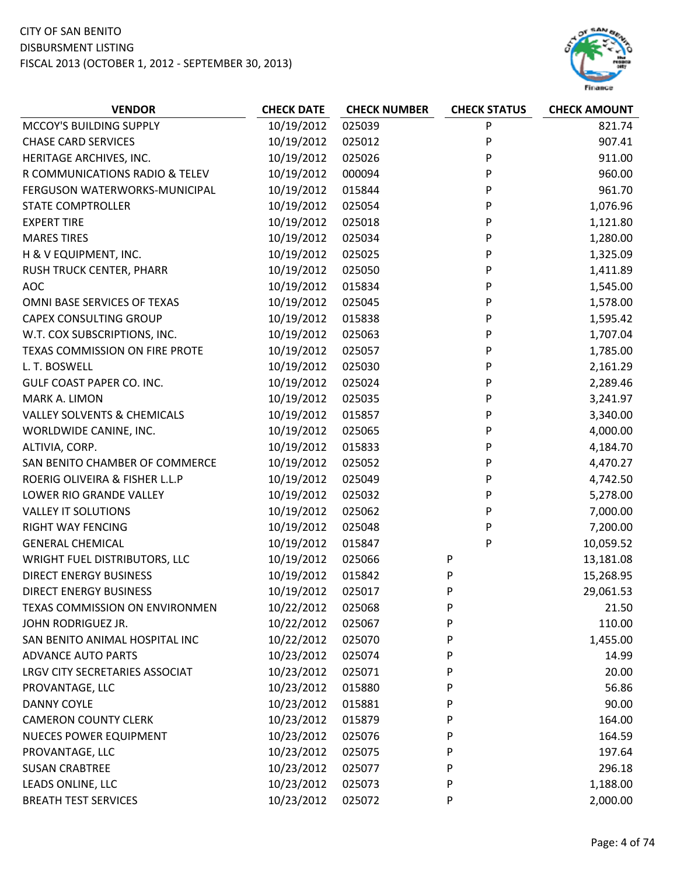

| 10/19/2012<br>025039<br>P<br>MCCOY'S BUILDING SUPPLY<br>821.74<br><b>CHASE CARD SERVICES</b><br>10/19/2012<br>P<br>025012<br>907.41<br>10/19/2012<br>025026<br>P<br>911.00<br>HERITAGE ARCHIVES, INC.<br>10/19/2012<br>P<br>960.00<br>R COMMUNICATIONS RADIO & TELEV<br>000094<br>10/19/2012<br>015844<br>P<br>961.70<br>FERGUSON WATERWORKS-MUNICIPAL<br>1,076.96<br>10/19/2012<br>025054<br>P<br><b>STATE COMPTROLLER</b><br>10/19/2012<br>025018<br>P<br><b>EXPERT TIRE</b><br>1,121.80<br><b>MARES TIRES</b><br>10/19/2012<br>025034<br>P<br>1,280.00<br>10/19/2012<br>H & V EQUIPMENT, INC.<br>025025<br>P<br>1,325.09<br>10/19/2012<br>025050<br>P<br>RUSH TRUCK CENTER, PHARR<br>1,411.89<br>AOC<br>10/19/2012<br>015834<br>P<br>1,545.00<br>10/19/2012<br>OMNI BASE SERVICES OF TEXAS<br>025045<br>1,578.00<br>P<br><b>CAPEX CONSULTING GROUP</b><br>10/19/2012<br>015838<br>P<br>1,595.42<br>W.T. COX SUBSCRIPTIONS, INC.<br>10/19/2012<br>025063<br>P<br>1,707.04<br>TEXAS COMMISSION ON FIRE PROTE<br>10/19/2012<br>025057<br>P<br>1,785.00<br>10/19/2012<br>025030<br>P<br>2,161.29<br>L. T. BOSWELL<br>GULF COAST PAPER CO. INC.<br>10/19/2012<br>025024<br>P<br>2,289.46<br>MARK A. LIMON<br>10/19/2012<br>P<br>3,241.97<br>025035<br><b>VALLEY SOLVENTS &amp; CHEMICALS</b><br>10/19/2012<br>P<br>3,340.00<br>015857<br>10/19/2012<br>025065<br>P<br>4,000.00<br>WORLDWIDE CANINE, INC.<br>10/19/2012<br>P<br>4,184.70<br>ALTIVIA, CORP.<br>015833<br>SAN BENITO CHAMBER OF COMMERCE<br>10/19/2012<br>025052<br>P<br>4,470.27<br>ROERIG OLIVEIRA & FISHER L.L.P<br>10/19/2012<br>P<br>4,742.50<br>025049<br>LOWER RIO GRANDE VALLEY<br>10/19/2012<br>025032<br>5,278.00<br>P<br>10/19/2012<br>025062<br>P<br>7,000.00<br><b>VALLEY IT SOLUTIONS</b><br>10/19/2012<br>025048<br>P<br>7,200.00<br>RIGHT WAY FENCING<br><b>GENERAL CHEMICAL</b><br>10/19/2012<br>015847<br>P<br>10,059.52<br>10/19/2012<br>WRIGHT FUEL DISTRIBUTORS, LLC<br>025066<br>P<br>13,181.08<br><b>DIRECT ENERGY BUSINESS</b><br>10/19/2012<br>15,268.95<br>015842<br>P<br>10/19/2012<br>025017<br>P<br>29,061.53<br><b>DIRECT ENERGY BUSINESS</b><br>TEXAS COMMISSION ON ENVIRONMEN<br>10/22/2012<br>025068<br>P<br>21.50<br>110.00<br>10/22/2012<br>P<br>JOHN RODRIGUEZ JR.<br>025067<br>10/22/2012<br>P<br>SAN BENITO ANIMAL HOSPITAL INC<br>025070<br>1,455.00<br><b>ADVANCE AUTO PARTS</b><br>10/23/2012<br>025074<br>P<br>14.99<br>10/23/2012<br>P<br>LRGV CITY SECRETARIES ASSOCIAT<br>025071<br>20.00<br>10/23/2012<br>56.86<br>PROVANTAGE, LLC<br>015880<br>P<br>10/23/2012<br>015881<br>P<br>90.00<br><b>DANNY COYLE</b><br><b>CAMERON COUNTY CLERK</b><br>10/23/2012<br>P<br>015879<br>164.00<br>10/23/2012<br><b>NUECES POWER EQUIPMENT</b><br>025076<br>P<br>164.59 | <b>VENDOR</b>   | <b>CHECK DATE</b> | <b>CHECK NUMBER</b> | <b>CHECK STATUS</b> | <b>CHECK AMOUNT</b> |
|----------------------------------------------------------------------------------------------------------------------------------------------------------------------------------------------------------------------------------------------------------------------------------------------------------------------------------------------------------------------------------------------------------------------------------------------------------------------------------------------------------------------------------------------------------------------------------------------------------------------------------------------------------------------------------------------------------------------------------------------------------------------------------------------------------------------------------------------------------------------------------------------------------------------------------------------------------------------------------------------------------------------------------------------------------------------------------------------------------------------------------------------------------------------------------------------------------------------------------------------------------------------------------------------------------------------------------------------------------------------------------------------------------------------------------------------------------------------------------------------------------------------------------------------------------------------------------------------------------------------------------------------------------------------------------------------------------------------------------------------------------------------------------------------------------------------------------------------------------------------------------------------------------------------------------------------------------------------------------------------------------------------------------------------------------------------------------------------------------------------------------------------------------------------------------------------------------------------------------------------------------------------------------------------------------------------------------------------------------------------------------------------------------------------------------------------------------------------------------------------------------------------------------------------------------------------------------------------------------------------------------------------------------------------------------------------------------------------------------------------------------------------|-----------------|-------------------|---------------------|---------------------|---------------------|
|                                                                                                                                                                                                                                                                                                                                                                                                                                                                                                                                                                                                                                                                                                                                                                                                                                                                                                                                                                                                                                                                                                                                                                                                                                                                                                                                                                                                                                                                                                                                                                                                                                                                                                                                                                                                                                                                                                                                                                                                                                                                                                                                                                                                                                                                                                                                                                                                                                                                                                                                                                                                                                                                                                                                                                      |                 |                   |                     |                     |                     |
|                                                                                                                                                                                                                                                                                                                                                                                                                                                                                                                                                                                                                                                                                                                                                                                                                                                                                                                                                                                                                                                                                                                                                                                                                                                                                                                                                                                                                                                                                                                                                                                                                                                                                                                                                                                                                                                                                                                                                                                                                                                                                                                                                                                                                                                                                                                                                                                                                                                                                                                                                                                                                                                                                                                                                                      |                 |                   |                     |                     |                     |
|                                                                                                                                                                                                                                                                                                                                                                                                                                                                                                                                                                                                                                                                                                                                                                                                                                                                                                                                                                                                                                                                                                                                                                                                                                                                                                                                                                                                                                                                                                                                                                                                                                                                                                                                                                                                                                                                                                                                                                                                                                                                                                                                                                                                                                                                                                                                                                                                                                                                                                                                                                                                                                                                                                                                                                      |                 |                   |                     |                     |                     |
|                                                                                                                                                                                                                                                                                                                                                                                                                                                                                                                                                                                                                                                                                                                                                                                                                                                                                                                                                                                                                                                                                                                                                                                                                                                                                                                                                                                                                                                                                                                                                                                                                                                                                                                                                                                                                                                                                                                                                                                                                                                                                                                                                                                                                                                                                                                                                                                                                                                                                                                                                                                                                                                                                                                                                                      |                 |                   |                     |                     |                     |
|                                                                                                                                                                                                                                                                                                                                                                                                                                                                                                                                                                                                                                                                                                                                                                                                                                                                                                                                                                                                                                                                                                                                                                                                                                                                                                                                                                                                                                                                                                                                                                                                                                                                                                                                                                                                                                                                                                                                                                                                                                                                                                                                                                                                                                                                                                                                                                                                                                                                                                                                                                                                                                                                                                                                                                      |                 |                   |                     |                     |                     |
|                                                                                                                                                                                                                                                                                                                                                                                                                                                                                                                                                                                                                                                                                                                                                                                                                                                                                                                                                                                                                                                                                                                                                                                                                                                                                                                                                                                                                                                                                                                                                                                                                                                                                                                                                                                                                                                                                                                                                                                                                                                                                                                                                                                                                                                                                                                                                                                                                                                                                                                                                                                                                                                                                                                                                                      |                 |                   |                     |                     |                     |
|                                                                                                                                                                                                                                                                                                                                                                                                                                                                                                                                                                                                                                                                                                                                                                                                                                                                                                                                                                                                                                                                                                                                                                                                                                                                                                                                                                                                                                                                                                                                                                                                                                                                                                                                                                                                                                                                                                                                                                                                                                                                                                                                                                                                                                                                                                                                                                                                                                                                                                                                                                                                                                                                                                                                                                      |                 |                   |                     |                     |                     |
|                                                                                                                                                                                                                                                                                                                                                                                                                                                                                                                                                                                                                                                                                                                                                                                                                                                                                                                                                                                                                                                                                                                                                                                                                                                                                                                                                                                                                                                                                                                                                                                                                                                                                                                                                                                                                                                                                                                                                                                                                                                                                                                                                                                                                                                                                                                                                                                                                                                                                                                                                                                                                                                                                                                                                                      |                 |                   |                     |                     |                     |
|                                                                                                                                                                                                                                                                                                                                                                                                                                                                                                                                                                                                                                                                                                                                                                                                                                                                                                                                                                                                                                                                                                                                                                                                                                                                                                                                                                                                                                                                                                                                                                                                                                                                                                                                                                                                                                                                                                                                                                                                                                                                                                                                                                                                                                                                                                                                                                                                                                                                                                                                                                                                                                                                                                                                                                      |                 |                   |                     |                     |                     |
|                                                                                                                                                                                                                                                                                                                                                                                                                                                                                                                                                                                                                                                                                                                                                                                                                                                                                                                                                                                                                                                                                                                                                                                                                                                                                                                                                                                                                                                                                                                                                                                                                                                                                                                                                                                                                                                                                                                                                                                                                                                                                                                                                                                                                                                                                                                                                                                                                                                                                                                                                                                                                                                                                                                                                                      |                 |                   |                     |                     |                     |
|                                                                                                                                                                                                                                                                                                                                                                                                                                                                                                                                                                                                                                                                                                                                                                                                                                                                                                                                                                                                                                                                                                                                                                                                                                                                                                                                                                                                                                                                                                                                                                                                                                                                                                                                                                                                                                                                                                                                                                                                                                                                                                                                                                                                                                                                                                                                                                                                                                                                                                                                                                                                                                                                                                                                                                      |                 |                   |                     |                     |                     |
|                                                                                                                                                                                                                                                                                                                                                                                                                                                                                                                                                                                                                                                                                                                                                                                                                                                                                                                                                                                                                                                                                                                                                                                                                                                                                                                                                                                                                                                                                                                                                                                                                                                                                                                                                                                                                                                                                                                                                                                                                                                                                                                                                                                                                                                                                                                                                                                                                                                                                                                                                                                                                                                                                                                                                                      |                 |                   |                     |                     |                     |
|                                                                                                                                                                                                                                                                                                                                                                                                                                                                                                                                                                                                                                                                                                                                                                                                                                                                                                                                                                                                                                                                                                                                                                                                                                                                                                                                                                                                                                                                                                                                                                                                                                                                                                                                                                                                                                                                                                                                                                                                                                                                                                                                                                                                                                                                                                                                                                                                                                                                                                                                                                                                                                                                                                                                                                      |                 |                   |                     |                     |                     |
|                                                                                                                                                                                                                                                                                                                                                                                                                                                                                                                                                                                                                                                                                                                                                                                                                                                                                                                                                                                                                                                                                                                                                                                                                                                                                                                                                                                                                                                                                                                                                                                                                                                                                                                                                                                                                                                                                                                                                                                                                                                                                                                                                                                                                                                                                                                                                                                                                                                                                                                                                                                                                                                                                                                                                                      |                 |                   |                     |                     |                     |
|                                                                                                                                                                                                                                                                                                                                                                                                                                                                                                                                                                                                                                                                                                                                                                                                                                                                                                                                                                                                                                                                                                                                                                                                                                                                                                                                                                                                                                                                                                                                                                                                                                                                                                                                                                                                                                                                                                                                                                                                                                                                                                                                                                                                                                                                                                                                                                                                                                                                                                                                                                                                                                                                                                                                                                      |                 |                   |                     |                     |                     |
|                                                                                                                                                                                                                                                                                                                                                                                                                                                                                                                                                                                                                                                                                                                                                                                                                                                                                                                                                                                                                                                                                                                                                                                                                                                                                                                                                                                                                                                                                                                                                                                                                                                                                                                                                                                                                                                                                                                                                                                                                                                                                                                                                                                                                                                                                                                                                                                                                                                                                                                                                                                                                                                                                                                                                                      |                 |                   |                     |                     |                     |
|                                                                                                                                                                                                                                                                                                                                                                                                                                                                                                                                                                                                                                                                                                                                                                                                                                                                                                                                                                                                                                                                                                                                                                                                                                                                                                                                                                                                                                                                                                                                                                                                                                                                                                                                                                                                                                                                                                                                                                                                                                                                                                                                                                                                                                                                                                                                                                                                                                                                                                                                                                                                                                                                                                                                                                      |                 |                   |                     |                     |                     |
|                                                                                                                                                                                                                                                                                                                                                                                                                                                                                                                                                                                                                                                                                                                                                                                                                                                                                                                                                                                                                                                                                                                                                                                                                                                                                                                                                                                                                                                                                                                                                                                                                                                                                                                                                                                                                                                                                                                                                                                                                                                                                                                                                                                                                                                                                                                                                                                                                                                                                                                                                                                                                                                                                                                                                                      |                 |                   |                     |                     |                     |
|                                                                                                                                                                                                                                                                                                                                                                                                                                                                                                                                                                                                                                                                                                                                                                                                                                                                                                                                                                                                                                                                                                                                                                                                                                                                                                                                                                                                                                                                                                                                                                                                                                                                                                                                                                                                                                                                                                                                                                                                                                                                                                                                                                                                                                                                                                                                                                                                                                                                                                                                                                                                                                                                                                                                                                      |                 |                   |                     |                     |                     |
|                                                                                                                                                                                                                                                                                                                                                                                                                                                                                                                                                                                                                                                                                                                                                                                                                                                                                                                                                                                                                                                                                                                                                                                                                                                                                                                                                                                                                                                                                                                                                                                                                                                                                                                                                                                                                                                                                                                                                                                                                                                                                                                                                                                                                                                                                                                                                                                                                                                                                                                                                                                                                                                                                                                                                                      |                 |                   |                     |                     |                     |
|                                                                                                                                                                                                                                                                                                                                                                                                                                                                                                                                                                                                                                                                                                                                                                                                                                                                                                                                                                                                                                                                                                                                                                                                                                                                                                                                                                                                                                                                                                                                                                                                                                                                                                                                                                                                                                                                                                                                                                                                                                                                                                                                                                                                                                                                                                                                                                                                                                                                                                                                                                                                                                                                                                                                                                      |                 |                   |                     |                     |                     |
|                                                                                                                                                                                                                                                                                                                                                                                                                                                                                                                                                                                                                                                                                                                                                                                                                                                                                                                                                                                                                                                                                                                                                                                                                                                                                                                                                                                                                                                                                                                                                                                                                                                                                                                                                                                                                                                                                                                                                                                                                                                                                                                                                                                                                                                                                                                                                                                                                                                                                                                                                                                                                                                                                                                                                                      |                 |                   |                     |                     |                     |
|                                                                                                                                                                                                                                                                                                                                                                                                                                                                                                                                                                                                                                                                                                                                                                                                                                                                                                                                                                                                                                                                                                                                                                                                                                                                                                                                                                                                                                                                                                                                                                                                                                                                                                                                                                                                                                                                                                                                                                                                                                                                                                                                                                                                                                                                                                                                                                                                                                                                                                                                                                                                                                                                                                                                                                      |                 |                   |                     |                     |                     |
|                                                                                                                                                                                                                                                                                                                                                                                                                                                                                                                                                                                                                                                                                                                                                                                                                                                                                                                                                                                                                                                                                                                                                                                                                                                                                                                                                                                                                                                                                                                                                                                                                                                                                                                                                                                                                                                                                                                                                                                                                                                                                                                                                                                                                                                                                                                                                                                                                                                                                                                                                                                                                                                                                                                                                                      |                 |                   |                     |                     |                     |
|                                                                                                                                                                                                                                                                                                                                                                                                                                                                                                                                                                                                                                                                                                                                                                                                                                                                                                                                                                                                                                                                                                                                                                                                                                                                                                                                                                                                                                                                                                                                                                                                                                                                                                                                                                                                                                                                                                                                                                                                                                                                                                                                                                                                                                                                                                                                                                                                                                                                                                                                                                                                                                                                                                                                                                      |                 |                   |                     |                     |                     |
|                                                                                                                                                                                                                                                                                                                                                                                                                                                                                                                                                                                                                                                                                                                                                                                                                                                                                                                                                                                                                                                                                                                                                                                                                                                                                                                                                                                                                                                                                                                                                                                                                                                                                                                                                                                                                                                                                                                                                                                                                                                                                                                                                                                                                                                                                                                                                                                                                                                                                                                                                                                                                                                                                                                                                                      |                 |                   |                     |                     |                     |
|                                                                                                                                                                                                                                                                                                                                                                                                                                                                                                                                                                                                                                                                                                                                                                                                                                                                                                                                                                                                                                                                                                                                                                                                                                                                                                                                                                                                                                                                                                                                                                                                                                                                                                                                                                                                                                                                                                                                                                                                                                                                                                                                                                                                                                                                                                                                                                                                                                                                                                                                                                                                                                                                                                                                                                      |                 |                   |                     |                     |                     |
|                                                                                                                                                                                                                                                                                                                                                                                                                                                                                                                                                                                                                                                                                                                                                                                                                                                                                                                                                                                                                                                                                                                                                                                                                                                                                                                                                                                                                                                                                                                                                                                                                                                                                                                                                                                                                                                                                                                                                                                                                                                                                                                                                                                                                                                                                                                                                                                                                                                                                                                                                                                                                                                                                                                                                                      |                 |                   |                     |                     |                     |
|                                                                                                                                                                                                                                                                                                                                                                                                                                                                                                                                                                                                                                                                                                                                                                                                                                                                                                                                                                                                                                                                                                                                                                                                                                                                                                                                                                                                                                                                                                                                                                                                                                                                                                                                                                                                                                                                                                                                                                                                                                                                                                                                                                                                                                                                                                                                                                                                                                                                                                                                                                                                                                                                                                                                                                      |                 |                   |                     |                     |                     |
|                                                                                                                                                                                                                                                                                                                                                                                                                                                                                                                                                                                                                                                                                                                                                                                                                                                                                                                                                                                                                                                                                                                                                                                                                                                                                                                                                                                                                                                                                                                                                                                                                                                                                                                                                                                                                                                                                                                                                                                                                                                                                                                                                                                                                                                                                                                                                                                                                                                                                                                                                                                                                                                                                                                                                                      |                 |                   |                     |                     |                     |
|                                                                                                                                                                                                                                                                                                                                                                                                                                                                                                                                                                                                                                                                                                                                                                                                                                                                                                                                                                                                                                                                                                                                                                                                                                                                                                                                                                                                                                                                                                                                                                                                                                                                                                                                                                                                                                                                                                                                                                                                                                                                                                                                                                                                                                                                                                                                                                                                                                                                                                                                                                                                                                                                                                                                                                      |                 |                   |                     |                     |                     |
|                                                                                                                                                                                                                                                                                                                                                                                                                                                                                                                                                                                                                                                                                                                                                                                                                                                                                                                                                                                                                                                                                                                                                                                                                                                                                                                                                                                                                                                                                                                                                                                                                                                                                                                                                                                                                                                                                                                                                                                                                                                                                                                                                                                                                                                                                                                                                                                                                                                                                                                                                                                                                                                                                                                                                                      |                 |                   |                     |                     |                     |
|                                                                                                                                                                                                                                                                                                                                                                                                                                                                                                                                                                                                                                                                                                                                                                                                                                                                                                                                                                                                                                                                                                                                                                                                                                                                                                                                                                                                                                                                                                                                                                                                                                                                                                                                                                                                                                                                                                                                                                                                                                                                                                                                                                                                                                                                                                                                                                                                                                                                                                                                                                                                                                                                                                                                                                      |                 |                   |                     |                     |                     |
|                                                                                                                                                                                                                                                                                                                                                                                                                                                                                                                                                                                                                                                                                                                                                                                                                                                                                                                                                                                                                                                                                                                                                                                                                                                                                                                                                                                                                                                                                                                                                                                                                                                                                                                                                                                                                                                                                                                                                                                                                                                                                                                                                                                                                                                                                                                                                                                                                                                                                                                                                                                                                                                                                                                                                                      |                 |                   |                     |                     |                     |
|                                                                                                                                                                                                                                                                                                                                                                                                                                                                                                                                                                                                                                                                                                                                                                                                                                                                                                                                                                                                                                                                                                                                                                                                                                                                                                                                                                                                                                                                                                                                                                                                                                                                                                                                                                                                                                                                                                                                                                                                                                                                                                                                                                                                                                                                                                                                                                                                                                                                                                                                                                                                                                                                                                                                                                      |                 |                   |                     |                     |                     |
|                                                                                                                                                                                                                                                                                                                                                                                                                                                                                                                                                                                                                                                                                                                                                                                                                                                                                                                                                                                                                                                                                                                                                                                                                                                                                                                                                                                                                                                                                                                                                                                                                                                                                                                                                                                                                                                                                                                                                                                                                                                                                                                                                                                                                                                                                                                                                                                                                                                                                                                                                                                                                                                                                                                                                                      |                 |                   |                     |                     |                     |
|                                                                                                                                                                                                                                                                                                                                                                                                                                                                                                                                                                                                                                                                                                                                                                                                                                                                                                                                                                                                                                                                                                                                                                                                                                                                                                                                                                                                                                                                                                                                                                                                                                                                                                                                                                                                                                                                                                                                                                                                                                                                                                                                                                                                                                                                                                                                                                                                                                                                                                                                                                                                                                                                                                                                                                      |                 |                   |                     |                     |                     |
|                                                                                                                                                                                                                                                                                                                                                                                                                                                                                                                                                                                                                                                                                                                                                                                                                                                                                                                                                                                                                                                                                                                                                                                                                                                                                                                                                                                                                                                                                                                                                                                                                                                                                                                                                                                                                                                                                                                                                                                                                                                                                                                                                                                                                                                                                                                                                                                                                                                                                                                                                                                                                                                                                                                                                                      |                 |                   |                     |                     |                     |
|                                                                                                                                                                                                                                                                                                                                                                                                                                                                                                                                                                                                                                                                                                                                                                                                                                                                                                                                                                                                                                                                                                                                                                                                                                                                                                                                                                                                                                                                                                                                                                                                                                                                                                                                                                                                                                                                                                                                                                                                                                                                                                                                                                                                                                                                                                                                                                                                                                                                                                                                                                                                                                                                                                                                                                      |                 |                   |                     |                     |                     |
|                                                                                                                                                                                                                                                                                                                                                                                                                                                                                                                                                                                                                                                                                                                                                                                                                                                                                                                                                                                                                                                                                                                                                                                                                                                                                                                                                                                                                                                                                                                                                                                                                                                                                                                                                                                                                                                                                                                                                                                                                                                                                                                                                                                                                                                                                                                                                                                                                                                                                                                                                                                                                                                                                                                                                                      | PROVANTAGE, LLC | 10/23/2012        | 025075              | P                   | 197.64              |
| <b>SUSAN CRABTREE</b><br>10/23/2012<br>296.18<br>025077<br>P                                                                                                                                                                                                                                                                                                                                                                                                                                                                                                                                                                                                                                                                                                                                                                                                                                                                                                                                                                                                                                                                                                                                                                                                                                                                                                                                                                                                                                                                                                                                                                                                                                                                                                                                                                                                                                                                                                                                                                                                                                                                                                                                                                                                                                                                                                                                                                                                                                                                                                                                                                                                                                                                                                         |                 |                   |                     |                     |                     |
| LEADS ONLINE, LLC<br>10/23/2012<br>P<br>1,188.00<br>025073                                                                                                                                                                                                                                                                                                                                                                                                                                                                                                                                                                                                                                                                                                                                                                                                                                                                                                                                                                                                                                                                                                                                                                                                                                                                                                                                                                                                                                                                                                                                                                                                                                                                                                                                                                                                                                                                                                                                                                                                                                                                                                                                                                                                                                                                                                                                                                                                                                                                                                                                                                                                                                                                                                           |                 |                   |                     |                     |                     |
| 10/23/2012<br><b>BREATH TEST SERVICES</b><br>025072<br>2,000.00<br>P                                                                                                                                                                                                                                                                                                                                                                                                                                                                                                                                                                                                                                                                                                                                                                                                                                                                                                                                                                                                                                                                                                                                                                                                                                                                                                                                                                                                                                                                                                                                                                                                                                                                                                                                                                                                                                                                                                                                                                                                                                                                                                                                                                                                                                                                                                                                                                                                                                                                                                                                                                                                                                                                                                 |                 |                   |                     |                     |                     |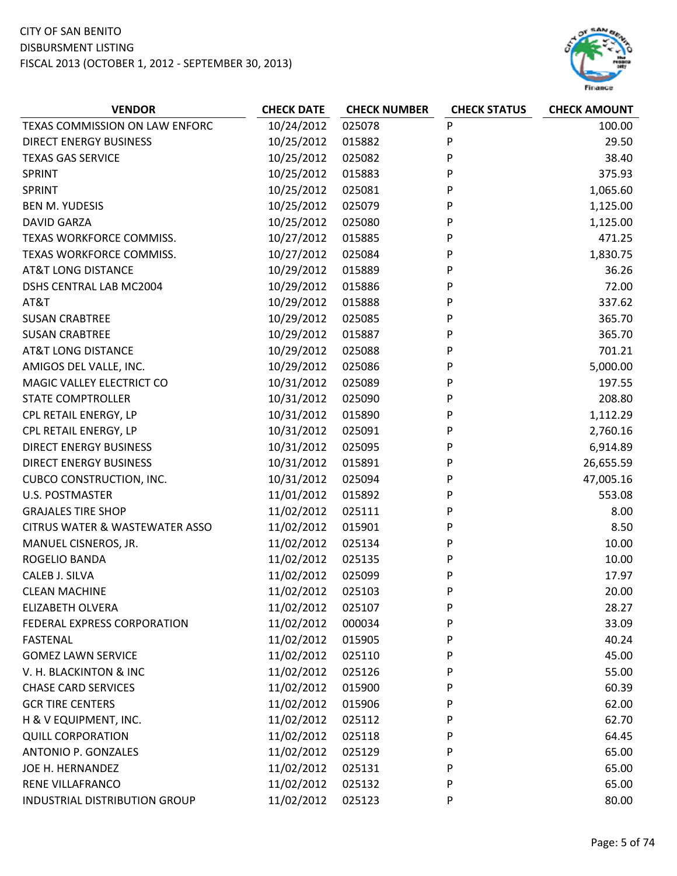

| <b>VENDOR</b>                             | <b>CHECK DATE</b> | <b>CHECK NUMBER</b> | <b>CHECK STATUS</b> | <b>CHECK AMOUNT</b> |
|-------------------------------------------|-------------------|---------------------|---------------------|---------------------|
| TEXAS COMMISSION ON LAW ENFORC            | 10/24/2012        | 025078              | P                   | 100.00              |
| <b>DIRECT ENERGY BUSINESS</b>             | 10/25/2012        | 015882              | P                   | 29.50               |
| <b>TEXAS GAS SERVICE</b>                  | 10/25/2012        | 025082              | P                   | 38.40               |
| SPRINT                                    | 10/25/2012        | 015883              | P                   | 375.93              |
| SPRINT                                    | 10/25/2012        | 025081              | P                   | 1,065.60            |
| <b>BEN M. YUDESIS</b>                     | 10/25/2012        | 025079              | P                   | 1,125.00            |
| <b>DAVID GARZA</b>                        | 10/25/2012        | 025080              | P                   | 1,125.00            |
| TEXAS WORKFORCE COMMISS.                  | 10/27/2012        | 015885              | P                   | 471.25              |
| TEXAS WORKFORCE COMMISS.                  | 10/27/2012        | 025084              | P                   | 1,830.75            |
| <b>AT&amp;T LONG DISTANCE</b>             | 10/29/2012        | 015889              | P                   | 36.26               |
| DSHS CENTRAL LAB MC2004                   | 10/29/2012        | 015886              | P                   | 72.00               |
| AT&T                                      | 10/29/2012        | 015888              | P                   | 337.62              |
| <b>SUSAN CRABTREE</b>                     | 10/29/2012        | 025085              | P                   | 365.70              |
| <b>SUSAN CRABTREE</b>                     | 10/29/2012        | 015887              | P                   | 365.70              |
| <b>AT&amp;T LONG DISTANCE</b>             | 10/29/2012        | 025088              | P                   | 701.21              |
| AMIGOS DEL VALLE, INC.                    | 10/29/2012        | 025086              | P                   | 5,000.00            |
| MAGIC VALLEY ELECTRICT CO                 | 10/31/2012        | 025089              | P                   | 197.55              |
| <b>STATE COMPTROLLER</b>                  | 10/31/2012        | 025090              | P                   | 208.80              |
| CPL RETAIL ENERGY, LP                     | 10/31/2012        | 015890              | P                   | 1,112.29            |
| CPL RETAIL ENERGY, LP                     | 10/31/2012        | 025091              | P                   | 2,760.16            |
| <b>DIRECT ENERGY BUSINESS</b>             | 10/31/2012        | 025095              | P                   | 6,914.89            |
| <b>DIRECT ENERGY BUSINESS</b>             | 10/31/2012        | 015891              | P                   | 26,655.59           |
| <b>CUBCO CONSTRUCTION, INC.</b>           | 10/31/2012        | 025094              | P                   | 47,005.16           |
| <b>U.S. POSTMASTER</b>                    | 11/01/2012        | 015892              | P                   | 553.08              |
| <b>GRAJALES TIRE SHOP</b>                 | 11/02/2012        | 025111              | P                   | 8.00                |
| <b>CITRUS WATER &amp; WASTEWATER ASSO</b> | 11/02/2012        | 015901              | P                   | 8.50                |
| MANUEL CISNEROS, JR.                      | 11/02/2012        | 025134              | P                   | 10.00               |
| ROGELIO BANDA                             | 11/02/2012        | 025135              | P                   | 10.00               |
| CALEB J. SILVA                            | 11/02/2012        | 025099              | P                   | 17.97               |
| <b>CLEAN MACHINE</b>                      | 11/02/2012        | 025103              | P                   | 20.00               |
| <b>ELIZABETH OLVERA</b>                   | 11/02/2012        | 025107              | P                   | 28.27               |
| FEDERAL EXPRESS CORPORATION               | 11/02/2012        | 000034              | P                   | 33.09               |
| FASTENAL                                  | 11/02/2012        | 015905              | P                   | 40.24               |
| <b>GOMEZ LAWN SERVICE</b>                 | 11/02/2012        | 025110              | P                   | 45.00               |
| V. H. BLACKINTON & INC                    | 11/02/2012        | 025126              | P                   | 55.00               |
| <b>CHASE CARD SERVICES</b>                | 11/02/2012        | 015900              | P                   | 60.39               |
| <b>GCR TIRE CENTERS</b>                   | 11/02/2012        | 015906              | P                   | 62.00               |
| H & V EQUIPMENT, INC.                     | 11/02/2012        | 025112              | P                   | 62.70               |
| <b>QUILL CORPORATION</b>                  | 11/02/2012        | 025118              | P                   | 64.45               |
| ANTONIO P. GONZALES                       | 11/02/2012        | 025129              | P                   | 65.00               |
| JOE H. HERNANDEZ                          | 11/02/2012        | 025131              | P                   | 65.00               |
| RENE VILLAFRANCO                          | 11/02/2012        | 025132              | P                   | 65.00               |
| INDUSTRIAL DISTRIBUTION GROUP             | 11/02/2012        | 025123              | P                   | 80.00               |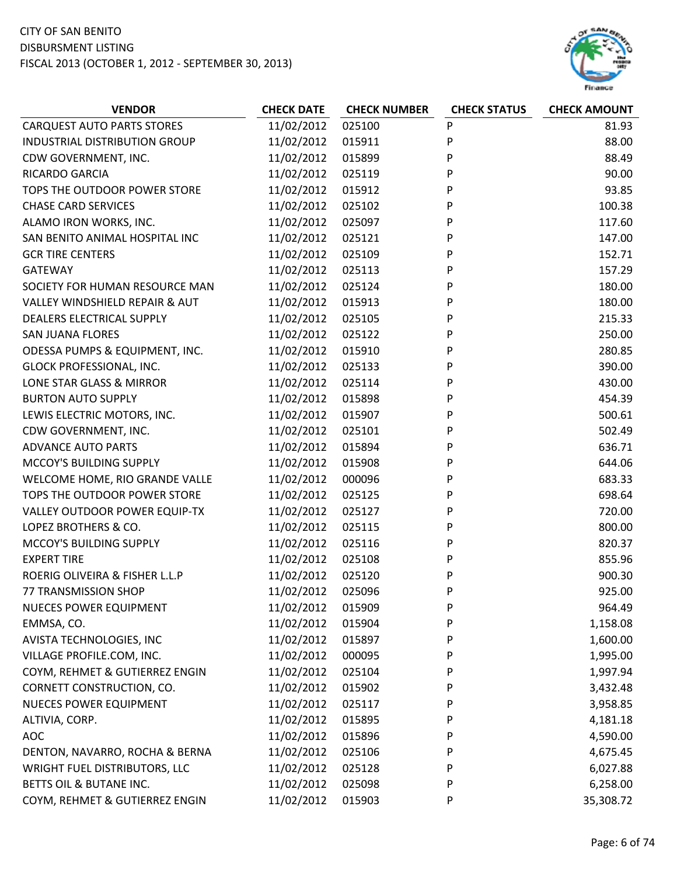

| <b>VENDOR</b>                        | <b>CHECK DATE</b> | <b>CHECK NUMBER</b> | <b>CHECK STATUS</b> | <b>CHECK AMOUNT</b> |
|--------------------------------------|-------------------|---------------------|---------------------|---------------------|
| <b>CARQUEST AUTO PARTS STORES</b>    | 11/02/2012        | 025100              | P                   | 81.93               |
| INDUSTRIAL DISTRIBUTION GROUP        | 11/02/2012        | 015911              | P                   | 88.00               |
| CDW GOVERNMENT, INC.                 | 11/02/2012        | 015899              | P                   | 88.49               |
| RICARDO GARCIA                       | 11/02/2012        | 025119              | P                   | 90.00               |
| TOPS THE OUTDOOR POWER STORE         | 11/02/2012        | 015912              | P                   | 93.85               |
| <b>CHASE CARD SERVICES</b>           | 11/02/2012        | 025102              | P                   | 100.38              |
| ALAMO IRON WORKS, INC.               | 11/02/2012        | 025097              | P                   | 117.60              |
| SAN BENITO ANIMAL HOSPITAL INC       | 11/02/2012        | 025121              | P                   | 147.00              |
| <b>GCR TIRE CENTERS</b>              | 11/02/2012        | 025109              | P                   | 152.71              |
| <b>GATEWAY</b>                       | 11/02/2012        | 025113              | P                   | 157.29              |
| SOCIETY FOR HUMAN RESOURCE MAN       | 11/02/2012        | 025124              | P                   | 180.00              |
| VALLEY WINDSHIELD REPAIR & AUT       | 11/02/2012        | 015913              | P                   | 180.00              |
| DEALERS ELECTRICAL SUPPLY            | 11/02/2012        | 025105              | P                   | 215.33              |
| <b>SAN JUANA FLORES</b>              | 11/02/2012        | 025122              | P                   | 250.00              |
| ODESSA PUMPS & EQUIPMENT, INC.       | 11/02/2012        | 015910              | P                   | 280.85              |
| GLOCK PROFESSIONAL, INC.             | 11/02/2012        | 025133              | P                   | 390.00              |
| LONE STAR GLASS & MIRROR             | 11/02/2012        | 025114              | P                   | 430.00              |
| <b>BURTON AUTO SUPPLY</b>            | 11/02/2012        | 015898              | P                   | 454.39              |
| LEWIS ELECTRIC MOTORS, INC.          | 11/02/2012        | 015907              | P                   | 500.61              |
| CDW GOVERNMENT, INC.                 | 11/02/2012        | 025101              | P                   | 502.49              |
| <b>ADVANCE AUTO PARTS</b>            | 11/02/2012        | 015894              | P                   | 636.71              |
| MCCOY'S BUILDING SUPPLY              | 11/02/2012        | 015908              | P                   | 644.06              |
| WELCOME HOME, RIO GRANDE VALLE       | 11/02/2012        | 000096              | P                   | 683.33              |
| TOPS THE OUTDOOR POWER STORE         | 11/02/2012        | 025125              | P                   | 698.64              |
| VALLEY OUTDOOR POWER EQUIP-TX        | 11/02/2012        | 025127              | P                   | 720.00              |
| LOPEZ BROTHERS & CO.                 | 11/02/2012        | 025115              | P                   | 800.00              |
| MCCOY'S BUILDING SUPPLY              | 11/02/2012        | 025116              | P                   | 820.37              |
| <b>EXPERT TIRE</b>                   | 11/02/2012        | 025108              | P                   | 855.96              |
| ROERIG OLIVEIRA & FISHER L.L.P       | 11/02/2012        | 025120              | P                   | 900.30              |
| 77 TRANSMISSION SHOP                 | 11/02/2012        | 025096              | P                   | 925.00              |
| <b>NUECES POWER EQUIPMENT</b>        | 11/02/2012        | 015909              | P                   | 964.49              |
| EMMSA, CO.                           | 11/02/2012        | 015904              | P                   | 1,158.08            |
| AVISTA TECHNOLOGIES, INC             | 11/02/2012        | 015897              | P                   | 1,600.00            |
| VILLAGE PROFILE.COM, INC.            | 11/02/2012        | 000095              | P                   | 1,995.00            |
| COYM, REHMET & GUTIERREZ ENGIN       | 11/02/2012        | 025104              | P                   | 1,997.94            |
| CORNETT CONSTRUCTION, CO.            | 11/02/2012        | 015902              | P                   | 3,432.48            |
| <b>NUECES POWER EQUIPMENT</b>        | 11/02/2012        | 025117              | P                   | 3,958.85            |
| ALTIVIA, CORP.                       | 11/02/2012        | 015895              | P                   | 4,181.18            |
| <b>AOC</b>                           | 11/02/2012        | 015896              | P                   | 4,590.00            |
| DENTON, NAVARRO, ROCHA & BERNA       | 11/02/2012        | 025106              | P                   | 4,675.45            |
| <b>WRIGHT FUEL DISTRIBUTORS, LLC</b> | 11/02/2012        | 025128              | P                   | 6,027.88            |
| BETTS OIL & BUTANE INC.              | 11/02/2012        | 025098              | P                   | 6,258.00            |
| COYM, REHMET & GUTIERREZ ENGIN       | 11/02/2012        | 015903              | P                   | 35,308.72           |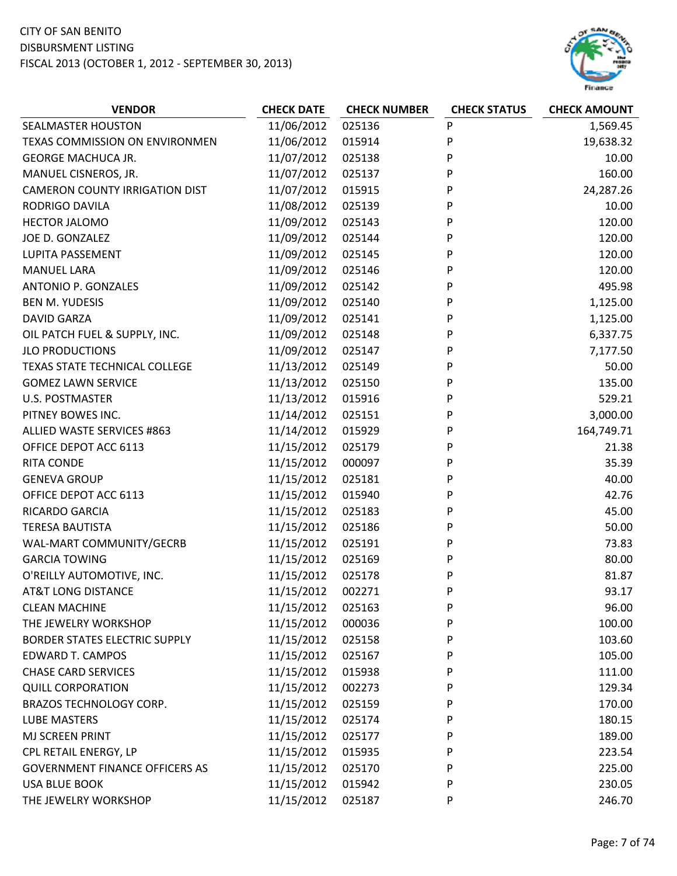

| <b>VENDOR</b>                         | <b>CHECK DATE</b> | <b>CHECK NUMBER</b> | <b>CHECK STATUS</b> | <b>CHECK AMOUNT</b> |
|---------------------------------------|-------------------|---------------------|---------------------|---------------------|
| SEALMASTER HOUSTON                    | 11/06/2012        | 025136              | ${\sf P}$           | 1,569.45            |
| TEXAS COMMISSION ON ENVIRONMEN        | 11/06/2012        | 015914              | P                   | 19,638.32           |
| <b>GEORGE MACHUCA JR.</b>             | 11/07/2012        | 025138              | P                   | 10.00               |
| MANUEL CISNEROS, JR.                  | 11/07/2012        | 025137              | P                   | 160.00              |
| <b>CAMERON COUNTY IRRIGATION DIST</b> | 11/07/2012        | 015915              | P                   | 24,287.26           |
| <b>RODRIGO DAVILA</b>                 | 11/08/2012        | 025139              | P                   | 10.00               |
| HECTOR JALOMO                         | 11/09/2012        | 025143              | P                   | 120.00              |
| JOE D. GONZALEZ                       | 11/09/2012        | 025144              | P                   | 120.00              |
| LUPITA PASSEMENT                      | 11/09/2012        | 025145              | P                   | 120.00              |
| <b>MANUEL LARA</b>                    | 11/09/2012        | 025146              | P                   | 120.00              |
| ANTONIO P. GONZALES                   | 11/09/2012        | 025142              | P                   | 495.98              |
| <b>BEN M. YUDESIS</b>                 | 11/09/2012        | 025140              | P                   | 1,125.00            |
| <b>DAVID GARZA</b>                    | 11/09/2012        | 025141              | P                   | 1,125.00            |
| OIL PATCH FUEL & SUPPLY, INC.         | 11/09/2012        | 025148              | P                   | 6,337.75            |
| <b>JLO PRODUCTIONS</b>                | 11/09/2012        | 025147              | P                   | 7,177.50            |
| <b>TEXAS STATE TECHNICAL COLLEGE</b>  | 11/13/2012        | 025149              | P                   | 50.00               |
| <b>GOMEZ LAWN SERVICE</b>             | 11/13/2012        | 025150              | P                   | 135.00              |
| <b>U.S. POSTMASTER</b>                | 11/13/2012        | 015916              | P                   | 529.21              |
| PITNEY BOWES INC.                     | 11/14/2012        | 025151              | P                   | 3,000.00            |
| ALLIED WASTE SERVICES #863            | 11/14/2012        | 015929              | P                   | 164,749.71          |
| OFFICE DEPOT ACC 6113                 | 11/15/2012        | 025179              | P                   | 21.38               |
| <b>RITA CONDE</b>                     | 11/15/2012        | 000097              | P                   | 35.39               |
| <b>GENEVA GROUP</b>                   | 11/15/2012        | 025181              | P                   | 40.00               |
| OFFICE DEPOT ACC 6113                 | 11/15/2012        | 015940              | P                   | 42.76               |
| RICARDO GARCIA                        | 11/15/2012        | 025183              | P                   | 45.00               |
| <b>TERESA BAUTISTA</b>                | 11/15/2012        | 025186              | P                   | 50.00               |
| WAL-MART COMMUNITY/GECRB              | 11/15/2012        | 025191              | P                   | 73.83               |
| <b>GARCIA TOWING</b>                  | 11/15/2012        | 025169              | P                   | 80.00               |
| O'REILLY AUTOMOTIVE, INC.             | 11/15/2012        | 025178              | P                   | 81.87               |
| <b>AT&amp;T LONG DISTANCE</b>         | 11/15/2012        | 002271              | P                   | 93.17               |
| <b>CLEAN MACHINE</b>                  | 11/15/2012        | 025163              | P                   | 96.00               |
| THE JEWELRY WORKSHOP                  | 11/15/2012        | 000036              | P                   | 100.00              |
| <b>BORDER STATES ELECTRIC SUPPLY</b>  | 11/15/2012        | 025158              | P                   | 103.60              |
| <b>EDWARD T. CAMPOS</b>               | 11/15/2012        | 025167              | P                   | 105.00              |
| <b>CHASE CARD SERVICES</b>            | 11/15/2012        | 015938              | P                   | 111.00              |
| <b>QUILL CORPORATION</b>              | 11/15/2012        | 002273              | P                   | 129.34              |
| BRAZOS TECHNOLOGY CORP.               | 11/15/2012        | 025159              | P                   | 170.00              |
| <b>LUBE MASTERS</b>                   | 11/15/2012        | 025174              | P                   | 180.15              |
| MJ SCREEN PRINT                       | 11/15/2012        | 025177              | P                   | 189.00              |
| CPL RETAIL ENERGY, LP                 | 11/15/2012        | 015935              | P                   | 223.54              |
| <b>GOVERNMENT FINANCE OFFICERS AS</b> | 11/15/2012        | 025170              | P                   | 225.00              |
| <b>USA BLUE BOOK</b>                  | 11/15/2012        | 015942              | P                   | 230.05              |
| THE JEWELRY WORKSHOP                  | 11/15/2012        | 025187              | P                   | 246.70              |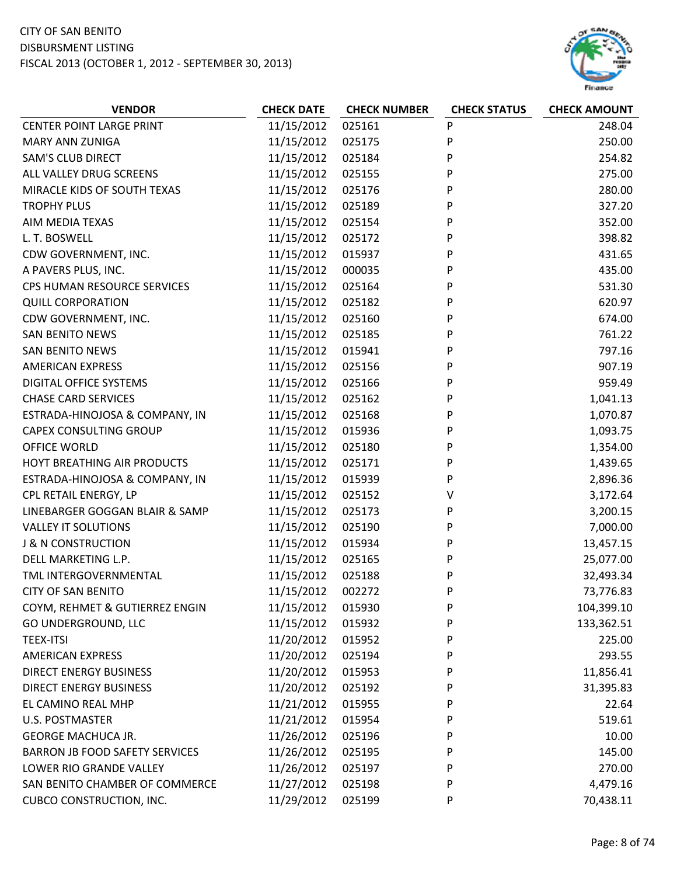

| <b>CENTER POINT LARGE PRINT</b><br>11/15/2012<br>025161<br>P<br>248.04<br>11/15/2012<br>P<br><b>MARY ANN ZUNIGA</b><br>025175<br>250.00<br><b>SAM'S CLUB DIRECT</b><br>11/15/2012<br>P<br>025184<br>254.82<br>ALL VALLEY DRUG SCREENS<br>11/15/2012<br>P<br>275.00<br>025155<br>MIRACLE KIDS OF SOUTH TEXAS<br>11/15/2012<br>025176<br>P<br>280.00<br>P<br><b>TROPHY PLUS</b><br>11/15/2012<br>025189<br>327.20<br>11/15/2012<br>P<br>AIM MEDIA TEXAS<br>025154<br>352.00<br>L. T. BOSWELL<br>11/15/2012<br>025172<br>P<br>398.82<br>11/15/2012<br>CDW GOVERNMENT, INC.<br>015937<br>P<br>431.65<br>A PAVERS PLUS, INC.<br>11/15/2012<br>P<br>000035<br>435.00 |
|----------------------------------------------------------------------------------------------------------------------------------------------------------------------------------------------------------------------------------------------------------------------------------------------------------------------------------------------------------------------------------------------------------------------------------------------------------------------------------------------------------------------------------------------------------------------------------------------------------------------------------------------------------------|
|                                                                                                                                                                                                                                                                                                                                                                                                                                                                                                                                                                                                                                                                |
|                                                                                                                                                                                                                                                                                                                                                                                                                                                                                                                                                                                                                                                                |
|                                                                                                                                                                                                                                                                                                                                                                                                                                                                                                                                                                                                                                                                |
|                                                                                                                                                                                                                                                                                                                                                                                                                                                                                                                                                                                                                                                                |
|                                                                                                                                                                                                                                                                                                                                                                                                                                                                                                                                                                                                                                                                |
|                                                                                                                                                                                                                                                                                                                                                                                                                                                                                                                                                                                                                                                                |
|                                                                                                                                                                                                                                                                                                                                                                                                                                                                                                                                                                                                                                                                |
|                                                                                                                                                                                                                                                                                                                                                                                                                                                                                                                                                                                                                                                                |
|                                                                                                                                                                                                                                                                                                                                                                                                                                                                                                                                                                                                                                                                |
|                                                                                                                                                                                                                                                                                                                                                                                                                                                                                                                                                                                                                                                                |
| 11/15/2012<br>P<br>CPS HUMAN RESOURCE SERVICES<br>025164<br>531.30                                                                                                                                                                                                                                                                                                                                                                                                                                                                                                                                                                                             |
| <b>QUILL CORPORATION</b><br>11/15/2012<br>025182<br>P<br>620.97                                                                                                                                                                                                                                                                                                                                                                                                                                                                                                                                                                                                |
| P<br>CDW GOVERNMENT, INC.<br>11/15/2012<br>025160<br>674.00                                                                                                                                                                                                                                                                                                                                                                                                                                                                                                                                                                                                    |
| <b>SAN BENITO NEWS</b><br>11/15/2012<br>P<br>761.22<br>025185                                                                                                                                                                                                                                                                                                                                                                                                                                                                                                                                                                                                  |
| 11/15/2012<br>015941<br>P<br>797.16<br><b>SAN BENITO NEWS</b>                                                                                                                                                                                                                                                                                                                                                                                                                                                                                                                                                                                                  |
| 11/15/2012<br>025156<br>P<br>907.19<br><b>AMERICAN EXPRESS</b>                                                                                                                                                                                                                                                                                                                                                                                                                                                                                                                                                                                                 |
| DIGITAL OFFICE SYSTEMS<br>11/15/2012<br>P<br>959.49<br>025166                                                                                                                                                                                                                                                                                                                                                                                                                                                                                                                                                                                                  |
| P<br><b>CHASE CARD SERVICES</b><br>11/15/2012<br>025162<br>1,041.13                                                                                                                                                                                                                                                                                                                                                                                                                                                                                                                                                                                            |
| P<br>11/15/2012<br>1,070.87<br>ESTRADA-HINOJOSA & COMPANY, IN<br>025168                                                                                                                                                                                                                                                                                                                                                                                                                                                                                                                                                                                        |
| <b>CAPEX CONSULTING GROUP</b><br>11/15/2012<br>015936<br>P<br>1,093.75                                                                                                                                                                                                                                                                                                                                                                                                                                                                                                                                                                                         |
| 11/15/2012<br>P<br>OFFICE WORLD<br>025180<br>1,354.00                                                                                                                                                                                                                                                                                                                                                                                                                                                                                                                                                                                                          |
| 11/15/2012<br>P<br>HOYT BREATHING AIR PRODUCTS<br>025171<br>1,439.65                                                                                                                                                                                                                                                                                                                                                                                                                                                                                                                                                                                           |
| ESTRADA-HINOJOSA & COMPANY, IN<br>11/15/2012<br>P<br>2,896.36<br>015939                                                                                                                                                                                                                                                                                                                                                                                                                                                                                                                                                                                        |
| 11/15/2012<br>CPL RETAIL ENERGY, LP<br>025152<br>V<br>3,172.64                                                                                                                                                                                                                                                                                                                                                                                                                                                                                                                                                                                                 |
| 11/15/2012<br>P<br>LINEBARGER GOGGAN BLAIR & SAMP<br>025173<br>3,200.15                                                                                                                                                                                                                                                                                                                                                                                                                                                                                                                                                                                        |
| 11/15/2012<br>P<br><b>VALLEY IT SOLUTIONS</b><br>025190<br>7,000.00                                                                                                                                                                                                                                                                                                                                                                                                                                                                                                                                                                                            |
| <b>J &amp; N CONSTRUCTION</b><br>11/15/2012<br>015934<br>P<br>13,457.15                                                                                                                                                                                                                                                                                                                                                                                                                                                                                                                                                                                        |
| 11/15/2012<br>P<br>DELL MARKETING L.P.<br>025165<br>25,077.00                                                                                                                                                                                                                                                                                                                                                                                                                                                                                                                                                                                                  |
| 11/15/2012<br>TML INTERGOVERNMENTAL<br>025188<br>P<br>32,493.34                                                                                                                                                                                                                                                                                                                                                                                                                                                                                                                                                                                                |
| 11/15/2012<br>002272<br>P<br><b>CITY OF SAN BENITO</b><br>73,776.83                                                                                                                                                                                                                                                                                                                                                                                                                                                                                                                                                                                            |
| COYM, REHMET & GUTIERREZ ENGIN<br>11/15/2012<br>015930<br>P<br>104,399.10                                                                                                                                                                                                                                                                                                                                                                                                                                                                                                                                                                                      |
| 11/15/2012<br>GO UNDERGROUND, LLC<br>015932<br>P<br>133,362.51                                                                                                                                                                                                                                                                                                                                                                                                                                                                                                                                                                                                 |
| 11/20/2012<br>225.00<br><b>TEEX-ITSI</b><br>P<br>015952                                                                                                                                                                                                                                                                                                                                                                                                                                                                                                                                                                                                        |
| 11/20/2012<br><b>AMERICAN EXPRESS</b><br>293.55<br>025194<br>P                                                                                                                                                                                                                                                                                                                                                                                                                                                                                                                                                                                                 |
| 11/20/2012<br><b>DIRECT ENERGY BUSINESS</b><br>P<br>11,856.41<br>015953                                                                                                                                                                                                                                                                                                                                                                                                                                                                                                                                                                                        |
| 11/20/2012<br><b>DIRECT ENERGY BUSINESS</b><br>025192<br>31,395.83<br>P                                                                                                                                                                                                                                                                                                                                                                                                                                                                                                                                                                                        |
| 11/21/2012<br>P<br>22.64<br>EL CAMINO REAL MHP<br>015955                                                                                                                                                                                                                                                                                                                                                                                                                                                                                                                                                                                                       |
| 11/21/2012<br>P<br>U.S. POSTMASTER<br>015954<br>519.61                                                                                                                                                                                                                                                                                                                                                                                                                                                                                                                                                                                                         |
| 11/26/2012<br>GEORGE MACHUCA JR.<br>025196<br>P<br>10.00                                                                                                                                                                                                                                                                                                                                                                                                                                                                                                                                                                                                       |
| 11/26/2012<br><b>BARRON JB FOOD SAFETY SERVICES</b><br>025195<br>P<br>145.00                                                                                                                                                                                                                                                                                                                                                                                                                                                                                                                                                                                   |
| 11/26/2012<br>LOWER RIO GRANDE VALLEY<br>025197<br>P<br>270.00                                                                                                                                                                                                                                                                                                                                                                                                                                                                                                                                                                                                 |
| 11/27/2012<br>SAN BENITO CHAMBER OF COMMERCE<br>025198<br>P<br>4,479.16                                                                                                                                                                                                                                                                                                                                                                                                                                                                                                                                                                                        |
| 11/29/2012<br>70,438.11<br><b>CUBCO CONSTRUCTION, INC.</b><br>025199<br>P                                                                                                                                                                                                                                                                                                                                                                                                                                                                                                                                                                                      |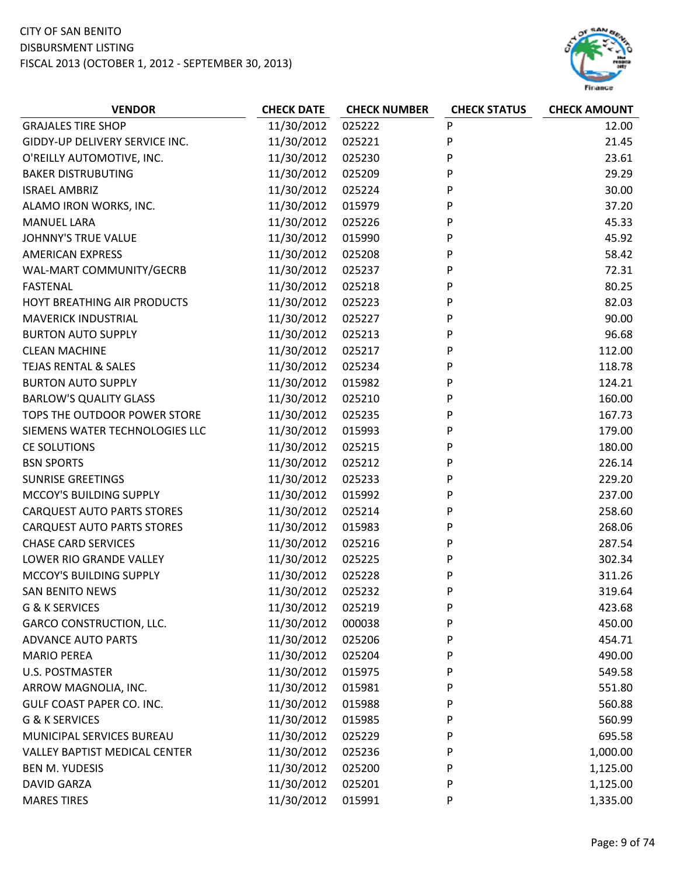

| 11/30/2012<br>025222<br>P<br><b>GRAJALES TIRE SHOP</b><br>12.00<br>P<br>GIDDY-UP DELIVERY SERVICE INC.<br>11/30/2012<br>025221<br>21.45<br>P<br>11/30/2012<br>025230<br>23.61<br>O'REILLY AUTOMOTIVE, INC.<br>P<br>11/30/2012<br>29.29<br><b>BAKER DISTRUBUTING</b><br>025209<br><b>ISRAEL AMBRIZ</b><br>11/30/2012<br>025224<br>P<br>30.00<br>P<br>ALAMO IRON WORKS, INC.<br>11/30/2012<br>015979<br>37.20<br>P<br>11/30/2012<br>025226<br>45.33<br><b>MANUEL LARA</b><br><b>JOHNNY'S TRUE VALUE</b><br>11/30/2012<br>015990<br>P<br>45.92<br>11/30/2012<br>P<br><b>AMERICAN EXPRESS</b><br>025208<br>58.42<br>11/30/2012<br>P<br>72.31<br>WAL-MART COMMUNITY/GECRB<br>025237<br>P<br>11/30/2012<br>80.25<br><b>FASTENAL</b><br>025218<br>11/30/2012<br>HOYT BREATHING AIR PRODUCTS<br>025223<br>P<br>82.03<br>P<br>90.00<br><b>MAVERICK INDUSTRIAL</b><br>11/30/2012<br>025227<br><b>BURTON AUTO SUPPLY</b><br>11/30/2012<br>P<br>96.68<br>025213<br>11/30/2012<br>025217<br>P<br>112.00<br><b>CLEAN MACHINE</b><br>P<br><b>TEJAS RENTAL &amp; SALES</b><br>11/30/2012<br>025234<br>118.78<br><b>BURTON AUTO SUPPLY</b><br>11/30/2012<br>P<br>124.21<br>015982<br>160.00<br><b>BARLOW'S QUALITY GLASS</b><br>11/30/2012<br>025210<br>P<br>P<br>TOPS THE OUTDOOR POWER STORE<br>11/30/2012<br>025235<br>167.73<br>P<br>SIEMENS WATER TECHNOLOGIES LLC<br>11/30/2012<br>015993<br>179.00<br>P<br>11/30/2012<br>180.00<br>CE SOLUTIONS<br>025215<br><b>BSN SPORTS</b><br>11/30/2012<br>025212<br>P<br>226.14<br>P<br><b>SUNRISE GREETINGS</b><br>11/30/2012<br>025233<br>229.20<br>MCCOY'S BUILDING SUPPLY<br>11/30/2012<br>015992<br>P<br>237.00<br>P<br>11/30/2012<br>025214<br>258.60<br><b>CARQUEST AUTO PARTS STORES</b><br>P<br>11/30/2012<br>268.06<br><b>CARQUEST AUTO PARTS STORES</b><br>015983<br><b>CHASE CARD SERVICES</b><br>11/30/2012<br>025216<br>P<br>287.54<br>LOWER RIO GRANDE VALLEY<br>11/30/2012<br>P<br>025225<br>302.34<br>MCCOY'S BUILDING SUPPLY<br>11/30/2012<br>P<br>311.26<br>025228<br>11/30/2012<br>P<br>025232<br>319.64<br><b>SAN BENITO NEWS</b><br>11/30/2012<br>G & K SERVICES<br>025219<br>P<br>423.68<br>11/30/2012<br>000038<br>P<br>450.00<br><b>GARCO CONSTRUCTION, LLC.</b><br>11/30/2012<br>P<br><b>ADVANCE AUTO PARTS</b><br>025206<br>454.71<br>11/30/2012<br>025204<br>490.00<br><b>MARIO PEREA</b><br>P<br>11/30/2012<br>P<br><b>U.S. POSTMASTER</b><br>015975<br>549.58<br>11/30/2012<br>ARROW MAGNOLIA, INC.<br>015981<br>P<br>551.80<br>GULF COAST PAPER CO. INC.<br>11/30/2012<br>015988<br>P<br>560.88<br><b>G &amp; K SERVICES</b><br>11/30/2012<br>P<br>560.99<br>015985<br>MUNICIPAL SERVICES BUREAU<br>11/30/2012<br>695.58<br>025229<br>P<br>11/30/2012<br><b>VALLEY BAPTIST MEDICAL CENTER</b><br>025236<br>P<br>1,000.00<br>11/30/2012<br><b>BEN M. YUDESIS</b><br>025200<br>P<br>1,125.00<br>11/30/2012<br>P<br><b>DAVID GARZA</b><br>025201<br>1,125.00<br><b>MARES TIRES</b><br>015991<br>P | <b>VENDOR</b> | <b>CHECK DATE</b> | <b>CHECK NUMBER</b> | <b>CHECK STATUS</b> | <b>CHECK AMOUNT</b> |
|-----------------------------------------------------------------------------------------------------------------------------------------------------------------------------------------------------------------------------------------------------------------------------------------------------------------------------------------------------------------------------------------------------------------------------------------------------------------------------------------------------------------------------------------------------------------------------------------------------------------------------------------------------------------------------------------------------------------------------------------------------------------------------------------------------------------------------------------------------------------------------------------------------------------------------------------------------------------------------------------------------------------------------------------------------------------------------------------------------------------------------------------------------------------------------------------------------------------------------------------------------------------------------------------------------------------------------------------------------------------------------------------------------------------------------------------------------------------------------------------------------------------------------------------------------------------------------------------------------------------------------------------------------------------------------------------------------------------------------------------------------------------------------------------------------------------------------------------------------------------------------------------------------------------------------------------------------------------------------------------------------------------------------------------------------------------------------------------------------------------------------------------------------------------------------------------------------------------------------------------------------------------------------------------------------------------------------------------------------------------------------------------------------------------------------------------------------------------------------------------------------------------------------------------------------------------------------------------------------------------------------------------------------------------------------------------------------------------------------------------------------------------------------------------------------------------------------------------------------------------------------------------------------------------------------------------------------------|---------------|-------------------|---------------------|---------------------|---------------------|
|                                                                                                                                                                                                                                                                                                                                                                                                                                                                                                                                                                                                                                                                                                                                                                                                                                                                                                                                                                                                                                                                                                                                                                                                                                                                                                                                                                                                                                                                                                                                                                                                                                                                                                                                                                                                                                                                                                                                                                                                                                                                                                                                                                                                                                                                                                                                                                                                                                                                                                                                                                                                                                                                                                                                                                                                                                                                                                                                                           |               |                   |                     |                     |                     |
|                                                                                                                                                                                                                                                                                                                                                                                                                                                                                                                                                                                                                                                                                                                                                                                                                                                                                                                                                                                                                                                                                                                                                                                                                                                                                                                                                                                                                                                                                                                                                                                                                                                                                                                                                                                                                                                                                                                                                                                                                                                                                                                                                                                                                                                                                                                                                                                                                                                                                                                                                                                                                                                                                                                                                                                                                                                                                                                                                           |               |                   |                     |                     |                     |
|                                                                                                                                                                                                                                                                                                                                                                                                                                                                                                                                                                                                                                                                                                                                                                                                                                                                                                                                                                                                                                                                                                                                                                                                                                                                                                                                                                                                                                                                                                                                                                                                                                                                                                                                                                                                                                                                                                                                                                                                                                                                                                                                                                                                                                                                                                                                                                                                                                                                                                                                                                                                                                                                                                                                                                                                                                                                                                                                                           |               |                   |                     |                     |                     |
|                                                                                                                                                                                                                                                                                                                                                                                                                                                                                                                                                                                                                                                                                                                                                                                                                                                                                                                                                                                                                                                                                                                                                                                                                                                                                                                                                                                                                                                                                                                                                                                                                                                                                                                                                                                                                                                                                                                                                                                                                                                                                                                                                                                                                                                                                                                                                                                                                                                                                                                                                                                                                                                                                                                                                                                                                                                                                                                                                           |               |                   |                     |                     |                     |
|                                                                                                                                                                                                                                                                                                                                                                                                                                                                                                                                                                                                                                                                                                                                                                                                                                                                                                                                                                                                                                                                                                                                                                                                                                                                                                                                                                                                                                                                                                                                                                                                                                                                                                                                                                                                                                                                                                                                                                                                                                                                                                                                                                                                                                                                                                                                                                                                                                                                                                                                                                                                                                                                                                                                                                                                                                                                                                                                                           |               |                   |                     |                     |                     |
|                                                                                                                                                                                                                                                                                                                                                                                                                                                                                                                                                                                                                                                                                                                                                                                                                                                                                                                                                                                                                                                                                                                                                                                                                                                                                                                                                                                                                                                                                                                                                                                                                                                                                                                                                                                                                                                                                                                                                                                                                                                                                                                                                                                                                                                                                                                                                                                                                                                                                                                                                                                                                                                                                                                                                                                                                                                                                                                                                           |               |                   |                     |                     |                     |
|                                                                                                                                                                                                                                                                                                                                                                                                                                                                                                                                                                                                                                                                                                                                                                                                                                                                                                                                                                                                                                                                                                                                                                                                                                                                                                                                                                                                                                                                                                                                                                                                                                                                                                                                                                                                                                                                                                                                                                                                                                                                                                                                                                                                                                                                                                                                                                                                                                                                                                                                                                                                                                                                                                                                                                                                                                                                                                                                                           |               |                   |                     |                     |                     |
|                                                                                                                                                                                                                                                                                                                                                                                                                                                                                                                                                                                                                                                                                                                                                                                                                                                                                                                                                                                                                                                                                                                                                                                                                                                                                                                                                                                                                                                                                                                                                                                                                                                                                                                                                                                                                                                                                                                                                                                                                                                                                                                                                                                                                                                                                                                                                                                                                                                                                                                                                                                                                                                                                                                                                                                                                                                                                                                                                           |               |                   |                     |                     |                     |
|                                                                                                                                                                                                                                                                                                                                                                                                                                                                                                                                                                                                                                                                                                                                                                                                                                                                                                                                                                                                                                                                                                                                                                                                                                                                                                                                                                                                                                                                                                                                                                                                                                                                                                                                                                                                                                                                                                                                                                                                                                                                                                                                                                                                                                                                                                                                                                                                                                                                                                                                                                                                                                                                                                                                                                                                                                                                                                                                                           |               |                   |                     |                     |                     |
|                                                                                                                                                                                                                                                                                                                                                                                                                                                                                                                                                                                                                                                                                                                                                                                                                                                                                                                                                                                                                                                                                                                                                                                                                                                                                                                                                                                                                                                                                                                                                                                                                                                                                                                                                                                                                                                                                                                                                                                                                                                                                                                                                                                                                                                                                                                                                                                                                                                                                                                                                                                                                                                                                                                                                                                                                                                                                                                                                           |               |                   |                     |                     |                     |
|                                                                                                                                                                                                                                                                                                                                                                                                                                                                                                                                                                                                                                                                                                                                                                                                                                                                                                                                                                                                                                                                                                                                                                                                                                                                                                                                                                                                                                                                                                                                                                                                                                                                                                                                                                                                                                                                                                                                                                                                                                                                                                                                                                                                                                                                                                                                                                                                                                                                                                                                                                                                                                                                                                                                                                                                                                                                                                                                                           |               |                   |                     |                     |                     |
|                                                                                                                                                                                                                                                                                                                                                                                                                                                                                                                                                                                                                                                                                                                                                                                                                                                                                                                                                                                                                                                                                                                                                                                                                                                                                                                                                                                                                                                                                                                                                                                                                                                                                                                                                                                                                                                                                                                                                                                                                                                                                                                                                                                                                                                                                                                                                                                                                                                                                                                                                                                                                                                                                                                                                                                                                                                                                                                                                           |               |                   |                     |                     |                     |
|                                                                                                                                                                                                                                                                                                                                                                                                                                                                                                                                                                                                                                                                                                                                                                                                                                                                                                                                                                                                                                                                                                                                                                                                                                                                                                                                                                                                                                                                                                                                                                                                                                                                                                                                                                                                                                                                                                                                                                                                                                                                                                                                                                                                                                                                                                                                                                                                                                                                                                                                                                                                                                                                                                                                                                                                                                                                                                                                                           |               |                   |                     |                     |                     |
|                                                                                                                                                                                                                                                                                                                                                                                                                                                                                                                                                                                                                                                                                                                                                                                                                                                                                                                                                                                                                                                                                                                                                                                                                                                                                                                                                                                                                                                                                                                                                                                                                                                                                                                                                                                                                                                                                                                                                                                                                                                                                                                                                                                                                                                                                                                                                                                                                                                                                                                                                                                                                                                                                                                                                                                                                                                                                                                                                           |               |                   |                     |                     |                     |
|                                                                                                                                                                                                                                                                                                                                                                                                                                                                                                                                                                                                                                                                                                                                                                                                                                                                                                                                                                                                                                                                                                                                                                                                                                                                                                                                                                                                                                                                                                                                                                                                                                                                                                                                                                                                                                                                                                                                                                                                                                                                                                                                                                                                                                                                                                                                                                                                                                                                                                                                                                                                                                                                                                                                                                                                                                                                                                                                                           |               |                   |                     |                     |                     |
|                                                                                                                                                                                                                                                                                                                                                                                                                                                                                                                                                                                                                                                                                                                                                                                                                                                                                                                                                                                                                                                                                                                                                                                                                                                                                                                                                                                                                                                                                                                                                                                                                                                                                                                                                                                                                                                                                                                                                                                                                                                                                                                                                                                                                                                                                                                                                                                                                                                                                                                                                                                                                                                                                                                                                                                                                                                                                                                                                           |               |                   |                     |                     |                     |
|                                                                                                                                                                                                                                                                                                                                                                                                                                                                                                                                                                                                                                                                                                                                                                                                                                                                                                                                                                                                                                                                                                                                                                                                                                                                                                                                                                                                                                                                                                                                                                                                                                                                                                                                                                                                                                                                                                                                                                                                                                                                                                                                                                                                                                                                                                                                                                                                                                                                                                                                                                                                                                                                                                                                                                                                                                                                                                                                                           |               |                   |                     |                     |                     |
|                                                                                                                                                                                                                                                                                                                                                                                                                                                                                                                                                                                                                                                                                                                                                                                                                                                                                                                                                                                                                                                                                                                                                                                                                                                                                                                                                                                                                                                                                                                                                                                                                                                                                                                                                                                                                                                                                                                                                                                                                                                                                                                                                                                                                                                                                                                                                                                                                                                                                                                                                                                                                                                                                                                                                                                                                                                                                                                                                           |               |                   |                     |                     |                     |
|                                                                                                                                                                                                                                                                                                                                                                                                                                                                                                                                                                                                                                                                                                                                                                                                                                                                                                                                                                                                                                                                                                                                                                                                                                                                                                                                                                                                                                                                                                                                                                                                                                                                                                                                                                                                                                                                                                                                                                                                                                                                                                                                                                                                                                                                                                                                                                                                                                                                                                                                                                                                                                                                                                                                                                                                                                                                                                                                                           |               |                   |                     |                     |                     |
|                                                                                                                                                                                                                                                                                                                                                                                                                                                                                                                                                                                                                                                                                                                                                                                                                                                                                                                                                                                                                                                                                                                                                                                                                                                                                                                                                                                                                                                                                                                                                                                                                                                                                                                                                                                                                                                                                                                                                                                                                                                                                                                                                                                                                                                                                                                                                                                                                                                                                                                                                                                                                                                                                                                                                                                                                                                                                                                                                           |               |                   |                     |                     |                     |
|                                                                                                                                                                                                                                                                                                                                                                                                                                                                                                                                                                                                                                                                                                                                                                                                                                                                                                                                                                                                                                                                                                                                                                                                                                                                                                                                                                                                                                                                                                                                                                                                                                                                                                                                                                                                                                                                                                                                                                                                                                                                                                                                                                                                                                                                                                                                                                                                                                                                                                                                                                                                                                                                                                                                                                                                                                                                                                                                                           |               |                   |                     |                     |                     |
|                                                                                                                                                                                                                                                                                                                                                                                                                                                                                                                                                                                                                                                                                                                                                                                                                                                                                                                                                                                                                                                                                                                                                                                                                                                                                                                                                                                                                                                                                                                                                                                                                                                                                                                                                                                                                                                                                                                                                                                                                                                                                                                                                                                                                                                                                                                                                                                                                                                                                                                                                                                                                                                                                                                                                                                                                                                                                                                                                           |               |                   |                     |                     |                     |
|                                                                                                                                                                                                                                                                                                                                                                                                                                                                                                                                                                                                                                                                                                                                                                                                                                                                                                                                                                                                                                                                                                                                                                                                                                                                                                                                                                                                                                                                                                                                                                                                                                                                                                                                                                                                                                                                                                                                                                                                                                                                                                                                                                                                                                                                                                                                                                                                                                                                                                                                                                                                                                                                                                                                                                                                                                                                                                                                                           |               |                   |                     |                     |                     |
|                                                                                                                                                                                                                                                                                                                                                                                                                                                                                                                                                                                                                                                                                                                                                                                                                                                                                                                                                                                                                                                                                                                                                                                                                                                                                                                                                                                                                                                                                                                                                                                                                                                                                                                                                                                                                                                                                                                                                                                                                                                                                                                                                                                                                                                                                                                                                                                                                                                                                                                                                                                                                                                                                                                                                                                                                                                                                                                                                           |               |                   |                     |                     |                     |
|                                                                                                                                                                                                                                                                                                                                                                                                                                                                                                                                                                                                                                                                                                                                                                                                                                                                                                                                                                                                                                                                                                                                                                                                                                                                                                                                                                                                                                                                                                                                                                                                                                                                                                                                                                                                                                                                                                                                                                                                                                                                                                                                                                                                                                                                                                                                                                                                                                                                                                                                                                                                                                                                                                                                                                                                                                                                                                                                                           |               |                   |                     |                     |                     |
|                                                                                                                                                                                                                                                                                                                                                                                                                                                                                                                                                                                                                                                                                                                                                                                                                                                                                                                                                                                                                                                                                                                                                                                                                                                                                                                                                                                                                                                                                                                                                                                                                                                                                                                                                                                                                                                                                                                                                                                                                                                                                                                                                                                                                                                                                                                                                                                                                                                                                                                                                                                                                                                                                                                                                                                                                                                                                                                                                           |               |                   |                     |                     |                     |
|                                                                                                                                                                                                                                                                                                                                                                                                                                                                                                                                                                                                                                                                                                                                                                                                                                                                                                                                                                                                                                                                                                                                                                                                                                                                                                                                                                                                                                                                                                                                                                                                                                                                                                                                                                                                                                                                                                                                                                                                                                                                                                                                                                                                                                                                                                                                                                                                                                                                                                                                                                                                                                                                                                                                                                                                                                                                                                                                                           |               |                   |                     |                     |                     |
|                                                                                                                                                                                                                                                                                                                                                                                                                                                                                                                                                                                                                                                                                                                                                                                                                                                                                                                                                                                                                                                                                                                                                                                                                                                                                                                                                                                                                                                                                                                                                                                                                                                                                                                                                                                                                                                                                                                                                                                                                                                                                                                                                                                                                                                                                                                                                                                                                                                                                                                                                                                                                                                                                                                                                                                                                                                                                                                                                           |               |                   |                     |                     |                     |
|                                                                                                                                                                                                                                                                                                                                                                                                                                                                                                                                                                                                                                                                                                                                                                                                                                                                                                                                                                                                                                                                                                                                                                                                                                                                                                                                                                                                                                                                                                                                                                                                                                                                                                                                                                                                                                                                                                                                                                                                                                                                                                                                                                                                                                                                                                                                                                                                                                                                                                                                                                                                                                                                                                                                                                                                                                                                                                                                                           |               |                   |                     |                     |                     |
|                                                                                                                                                                                                                                                                                                                                                                                                                                                                                                                                                                                                                                                                                                                                                                                                                                                                                                                                                                                                                                                                                                                                                                                                                                                                                                                                                                                                                                                                                                                                                                                                                                                                                                                                                                                                                                                                                                                                                                                                                                                                                                                                                                                                                                                                                                                                                                                                                                                                                                                                                                                                                                                                                                                                                                                                                                                                                                                                                           |               |                   |                     |                     |                     |
|                                                                                                                                                                                                                                                                                                                                                                                                                                                                                                                                                                                                                                                                                                                                                                                                                                                                                                                                                                                                                                                                                                                                                                                                                                                                                                                                                                                                                                                                                                                                                                                                                                                                                                                                                                                                                                                                                                                                                                                                                                                                                                                                                                                                                                                                                                                                                                                                                                                                                                                                                                                                                                                                                                                                                                                                                                                                                                                                                           |               |                   |                     |                     |                     |
|                                                                                                                                                                                                                                                                                                                                                                                                                                                                                                                                                                                                                                                                                                                                                                                                                                                                                                                                                                                                                                                                                                                                                                                                                                                                                                                                                                                                                                                                                                                                                                                                                                                                                                                                                                                                                                                                                                                                                                                                                                                                                                                                                                                                                                                                                                                                                                                                                                                                                                                                                                                                                                                                                                                                                                                                                                                                                                                                                           |               |                   |                     |                     |                     |
|                                                                                                                                                                                                                                                                                                                                                                                                                                                                                                                                                                                                                                                                                                                                                                                                                                                                                                                                                                                                                                                                                                                                                                                                                                                                                                                                                                                                                                                                                                                                                                                                                                                                                                                                                                                                                                                                                                                                                                                                                                                                                                                                                                                                                                                                                                                                                                                                                                                                                                                                                                                                                                                                                                                                                                                                                                                                                                                                                           |               |                   |                     |                     |                     |
|                                                                                                                                                                                                                                                                                                                                                                                                                                                                                                                                                                                                                                                                                                                                                                                                                                                                                                                                                                                                                                                                                                                                                                                                                                                                                                                                                                                                                                                                                                                                                                                                                                                                                                                                                                                                                                                                                                                                                                                                                                                                                                                                                                                                                                                                                                                                                                                                                                                                                                                                                                                                                                                                                                                                                                                                                                                                                                                                                           |               |                   |                     |                     |                     |
|                                                                                                                                                                                                                                                                                                                                                                                                                                                                                                                                                                                                                                                                                                                                                                                                                                                                                                                                                                                                                                                                                                                                                                                                                                                                                                                                                                                                                                                                                                                                                                                                                                                                                                                                                                                                                                                                                                                                                                                                                                                                                                                                                                                                                                                                                                                                                                                                                                                                                                                                                                                                                                                                                                                                                                                                                                                                                                                                                           |               |                   |                     |                     |                     |
|                                                                                                                                                                                                                                                                                                                                                                                                                                                                                                                                                                                                                                                                                                                                                                                                                                                                                                                                                                                                                                                                                                                                                                                                                                                                                                                                                                                                                                                                                                                                                                                                                                                                                                                                                                                                                                                                                                                                                                                                                                                                                                                                                                                                                                                                                                                                                                                                                                                                                                                                                                                                                                                                                                                                                                                                                                                                                                                                                           |               |                   |                     |                     |                     |
|                                                                                                                                                                                                                                                                                                                                                                                                                                                                                                                                                                                                                                                                                                                                                                                                                                                                                                                                                                                                                                                                                                                                                                                                                                                                                                                                                                                                                                                                                                                                                                                                                                                                                                                                                                                                                                                                                                                                                                                                                                                                                                                                                                                                                                                                                                                                                                                                                                                                                                                                                                                                                                                                                                                                                                                                                                                                                                                                                           |               |                   |                     |                     |                     |
|                                                                                                                                                                                                                                                                                                                                                                                                                                                                                                                                                                                                                                                                                                                                                                                                                                                                                                                                                                                                                                                                                                                                                                                                                                                                                                                                                                                                                                                                                                                                                                                                                                                                                                                                                                                                                                                                                                                                                                                                                                                                                                                                                                                                                                                                                                                                                                                                                                                                                                                                                                                                                                                                                                                                                                                                                                                                                                                                                           |               |                   |                     |                     |                     |
|                                                                                                                                                                                                                                                                                                                                                                                                                                                                                                                                                                                                                                                                                                                                                                                                                                                                                                                                                                                                                                                                                                                                                                                                                                                                                                                                                                                                                                                                                                                                                                                                                                                                                                                                                                                                                                                                                                                                                                                                                                                                                                                                                                                                                                                                                                                                                                                                                                                                                                                                                                                                                                                                                                                                                                                                                                                                                                                                                           |               |                   |                     |                     |                     |
|                                                                                                                                                                                                                                                                                                                                                                                                                                                                                                                                                                                                                                                                                                                                                                                                                                                                                                                                                                                                                                                                                                                                                                                                                                                                                                                                                                                                                                                                                                                                                                                                                                                                                                                                                                                                                                                                                                                                                                                                                                                                                                                                                                                                                                                                                                                                                                                                                                                                                                                                                                                                                                                                                                                                                                                                                                                                                                                                                           |               |                   |                     |                     |                     |
|                                                                                                                                                                                                                                                                                                                                                                                                                                                                                                                                                                                                                                                                                                                                                                                                                                                                                                                                                                                                                                                                                                                                                                                                                                                                                                                                                                                                                                                                                                                                                                                                                                                                                                                                                                                                                                                                                                                                                                                                                                                                                                                                                                                                                                                                                                                                                                                                                                                                                                                                                                                                                                                                                                                                                                                                                                                                                                                                                           |               |                   |                     |                     |                     |
|                                                                                                                                                                                                                                                                                                                                                                                                                                                                                                                                                                                                                                                                                                                                                                                                                                                                                                                                                                                                                                                                                                                                                                                                                                                                                                                                                                                                                                                                                                                                                                                                                                                                                                                                                                                                                                                                                                                                                                                                                                                                                                                                                                                                                                                                                                                                                                                                                                                                                                                                                                                                                                                                                                                                                                                                                                                                                                                                                           |               |                   |                     |                     |                     |
|                                                                                                                                                                                                                                                                                                                                                                                                                                                                                                                                                                                                                                                                                                                                                                                                                                                                                                                                                                                                                                                                                                                                                                                                                                                                                                                                                                                                                                                                                                                                                                                                                                                                                                                                                                                                                                                                                                                                                                                                                                                                                                                                                                                                                                                                                                                                                                                                                                                                                                                                                                                                                                                                                                                                                                                                                                                                                                                                                           |               | 11/30/2012        |                     |                     | 1,335.00            |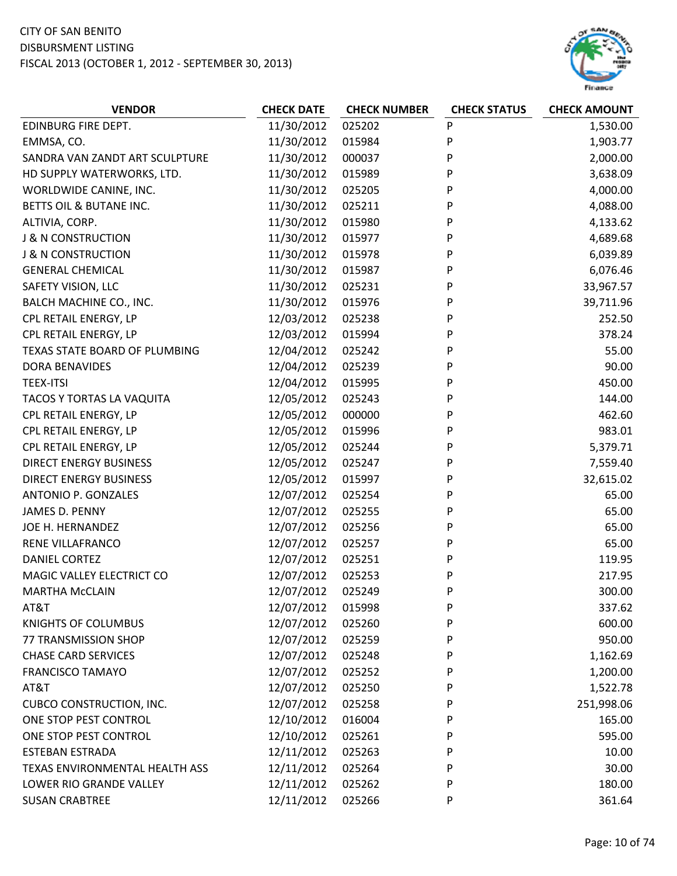

| 11/30/2012<br>025202<br>P<br><b>EDINBURG FIRE DEPT.</b><br>1,530.00<br>P<br>11/30/2012<br>EMMSA, CO.<br>015984<br>1,903.77<br>11/30/2012<br>P<br>SANDRA VAN ZANDT ART SCULPTURE<br>000037<br>2,000.00<br>P<br>HD SUPPLY WATERWORKS, LTD.<br>11/30/2012<br>015989<br>3,638.09<br>WORLDWIDE CANINE, INC.<br>11/30/2012<br>P<br>4,000.00<br>025205<br>P<br>BETTS OIL & BUTANE INC.<br>11/30/2012<br>025211<br>4,088.00<br>11/30/2012<br>015980<br>P<br>ALTIVIA, CORP.<br>4,133.62<br>11/30/2012<br>P<br><b>J &amp; N CONSTRUCTION</b><br>015977<br>4,689.68<br>11/30/2012<br>P<br>6,039.89<br><b>J &amp; N CONSTRUCTION</b><br>015978<br>11/30/2012<br>P<br>6,076.46<br><b>GENERAL CHEMICAL</b><br>015987<br>P<br>SAFETY VISION, LLC<br>11/30/2012<br>025231<br>33,967.57<br>P<br>11/30/2012<br>BALCH MACHINE CO., INC.<br>015976<br>39,711.96<br>CPL RETAIL ENERGY, LP<br>12/03/2012<br>025238<br>P<br>252.50<br>CPL RETAIL ENERGY, LP<br>12/03/2012<br>P<br>378.24<br>015994<br>12/04/2012<br>P<br>55.00<br>TEXAS STATE BOARD OF PLUMBING<br>025242<br>12/04/2012<br>025239<br>P<br>90.00<br><b>DORA BENAVIDES</b><br>12/04/2012<br>P<br>450.00<br><b>TEEX-ITSI</b><br>015995<br>12/05/2012<br>P<br>144.00<br>TACOS Y TORTAS LA VAQUITA<br>025243<br>CPL RETAIL ENERGY, LP<br>12/05/2012<br>000000<br>P<br>462.60<br>CPL RETAIL ENERGY, LP<br>12/05/2012<br>015996<br>P<br>983.01<br>12/05/2012<br>P<br>CPL RETAIL ENERGY, LP<br>025244<br>5,379.71<br>12/05/2012<br>P<br><b>DIRECT ENERGY BUSINESS</b><br>025247<br>7,559.40<br><b>DIRECT ENERGY BUSINESS</b><br>12/05/2012<br>P<br>32,615.02<br>015997<br>ANTONIO P. GONZALES<br>12/07/2012<br>P<br>65.00<br>025254<br>65.00<br>12/07/2012<br>025255<br>P<br>JAMES D. PENNY<br>12/07/2012<br>P<br>65.00<br>JOE H. HERNANDEZ<br>025256<br>RENE VILLAFRANCO<br>12/07/2012<br>025257<br>65.00<br>P<br>12/07/2012<br>P<br>DANIEL CORTEZ<br>025251<br>119.95<br>12/07/2012<br>MAGIC VALLEY ELECTRICT CO<br>025253<br>P<br>217.95<br>12/07/2012<br>025249<br>P<br>300.00<br><b>MARTHA McCLAIN</b> |
|----------------------------------------------------------------------------------------------------------------------------------------------------------------------------------------------------------------------------------------------------------------------------------------------------------------------------------------------------------------------------------------------------------------------------------------------------------------------------------------------------------------------------------------------------------------------------------------------------------------------------------------------------------------------------------------------------------------------------------------------------------------------------------------------------------------------------------------------------------------------------------------------------------------------------------------------------------------------------------------------------------------------------------------------------------------------------------------------------------------------------------------------------------------------------------------------------------------------------------------------------------------------------------------------------------------------------------------------------------------------------------------------------------------------------------------------------------------------------------------------------------------------------------------------------------------------------------------------------------------------------------------------------------------------------------------------------------------------------------------------------------------------------------------------------------------------------------------------------------------------------------------------------------------------------------------------------------------------------------------------------------------------------------------------|
|                                                                                                                                                                                                                                                                                                                                                                                                                                                                                                                                                                                                                                                                                                                                                                                                                                                                                                                                                                                                                                                                                                                                                                                                                                                                                                                                                                                                                                                                                                                                                                                                                                                                                                                                                                                                                                                                                                                                                                                                                                              |
|                                                                                                                                                                                                                                                                                                                                                                                                                                                                                                                                                                                                                                                                                                                                                                                                                                                                                                                                                                                                                                                                                                                                                                                                                                                                                                                                                                                                                                                                                                                                                                                                                                                                                                                                                                                                                                                                                                                                                                                                                                              |
|                                                                                                                                                                                                                                                                                                                                                                                                                                                                                                                                                                                                                                                                                                                                                                                                                                                                                                                                                                                                                                                                                                                                                                                                                                                                                                                                                                                                                                                                                                                                                                                                                                                                                                                                                                                                                                                                                                                                                                                                                                              |
|                                                                                                                                                                                                                                                                                                                                                                                                                                                                                                                                                                                                                                                                                                                                                                                                                                                                                                                                                                                                                                                                                                                                                                                                                                                                                                                                                                                                                                                                                                                                                                                                                                                                                                                                                                                                                                                                                                                                                                                                                                              |
|                                                                                                                                                                                                                                                                                                                                                                                                                                                                                                                                                                                                                                                                                                                                                                                                                                                                                                                                                                                                                                                                                                                                                                                                                                                                                                                                                                                                                                                                                                                                                                                                                                                                                                                                                                                                                                                                                                                                                                                                                                              |
|                                                                                                                                                                                                                                                                                                                                                                                                                                                                                                                                                                                                                                                                                                                                                                                                                                                                                                                                                                                                                                                                                                                                                                                                                                                                                                                                                                                                                                                                                                                                                                                                                                                                                                                                                                                                                                                                                                                                                                                                                                              |
|                                                                                                                                                                                                                                                                                                                                                                                                                                                                                                                                                                                                                                                                                                                                                                                                                                                                                                                                                                                                                                                                                                                                                                                                                                                                                                                                                                                                                                                                                                                                                                                                                                                                                                                                                                                                                                                                                                                                                                                                                                              |
|                                                                                                                                                                                                                                                                                                                                                                                                                                                                                                                                                                                                                                                                                                                                                                                                                                                                                                                                                                                                                                                                                                                                                                                                                                                                                                                                                                                                                                                                                                                                                                                                                                                                                                                                                                                                                                                                                                                                                                                                                                              |
|                                                                                                                                                                                                                                                                                                                                                                                                                                                                                                                                                                                                                                                                                                                                                                                                                                                                                                                                                                                                                                                                                                                                                                                                                                                                                                                                                                                                                                                                                                                                                                                                                                                                                                                                                                                                                                                                                                                                                                                                                                              |
|                                                                                                                                                                                                                                                                                                                                                                                                                                                                                                                                                                                                                                                                                                                                                                                                                                                                                                                                                                                                                                                                                                                                                                                                                                                                                                                                                                                                                                                                                                                                                                                                                                                                                                                                                                                                                                                                                                                                                                                                                                              |
|                                                                                                                                                                                                                                                                                                                                                                                                                                                                                                                                                                                                                                                                                                                                                                                                                                                                                                                                                                                                                                                                                                                                                                                                                                                                                                                                                                                                                                                                                                                                                                                                                                                                                                                                                                                                                                                                                                                                                                                                                                              |
|                                                                                                                                                                                                                                                                                                                                                                                                                                                                                                                                                                                                                                                                                                                                                                                                                                                                                                                                                                                                                                                                                                                                                                                                                                                                                                                                                                                                                                                                                                                                                                                                                                                                                                                                                                                                                                                                                                                                                                                                                                              |
|                                                                                                                                                                                                                                                                                                                                                                                                                                                                                                                                                                                                                                                                                                                                                                                                                                                                                                                                                                                                                                                                                                                                                                                                                                                                                                                                                                                                                                                                                                                                                                                                                                                                                                                                                                                                                                                                                                                                                                                                                                              |
|                                                                                                                                                                                                                                                                                                                                                                                                                                                                                                                                                                                                                                                                                                                                                                                                                                                                                                                                                                                                                                                                                                                                                                                                                                                                                                                                                                                                                                                                                                                                                                                                                                                                                                                                                                                                                                                                                                                                                                                                                                              |
|                                                                                                                                                                                                                                                                                                                                                                                                                                                                                                                                                                                                                                                                                                                                                                                                                                                                                                                                                                                                                                                                                                                                                                                                                                                                                                                                                                                                                                                                                                                                                                                                                                                                                                                                                                                                                                                                                                                                                                                                                                              |
|                                                                                                                                                                                                                                                                                                                                                                                                                                                                                                                                                                                                                                                                                                                                                                                                                                                                                                                                                                                                                                                                                                                                                                                                                                                                                                                                                                                                                                                                                                                                                                                                                                                                                                                                                                                                                                                                                                                                                                                                                                              |
|                                                                                                                                                                                                                                                                                                                                                                                                                                                                                                                                                                                                                                                                                                                                                                                                                                                                                                                                                                                                                                                                                                                                                                                                                                                                                                                                                                                                                                                                                                                                                                                                                                                                                                                                                                                                                                                                                                                                                                                                                                              |
|                                                                                                                                                                                                                                                                                                                                                                                                                                                                                                                                                                                                                                                                                                                                                                                                                                                                                                                                                                                                                                                                                                                                                                                                                                                                                                                                                                                                                                                                                                                                                                                                                                                                                                                                                                                                                                                                                                                                                                                                                                              |
|                                                                                                                                                                                                                                                                                                                                                                                                                                                                                                                                                                                                                                                                                                                                                                                                                                                                                                                                                                                                                                                                                                                                                                                                                                                                                                                                                                                                                                                                                                                                                                                                                                                                                                                                                                                                                                                                                                                                                                                                                                              |
|                                                                                                                                                                                                                                                                                                                                                                                                                                                                                                                                                                                                                                                                                                                                                                                                                                                                                                                                                                                                                                                                                                                                                                                                                                                                                                                                                                                                                                                                                                                                                                                                                                                                                                                                                                                                                                                                                                                                                                                                                                              |
|                                                                                                                                                                                                                                                                                                                                                                                                                                                                                                                                                                                                                                                                                                                                                                                                                                                                                                                                                                                                                                                                                                                                                                                                                                                                                                                                                                                                                                                                                                                                                                                                                                                                                                                                                                                                                                                                                                                                                                                                                                              |
|                                                                                                                                                                                                                                                                                                                                                                                                                                                                                                                                                                                                                                                                                                                                                                                                                                                                                                                                                                                                                                                                                                                                                                                                                                                                                                                                                                                                                                                                                                                                                                                                                                                                                                                                                                                                                                                                                                                                                                                                                                              |
|                                                                                                                                                                                                                                                                                                                                                                                                                                                                                                                                                                                                                                                                                                                                                                                                                                                                                                                                                                                                                                                                                                                                                                                                                                                                                                                                                                                                                                                                                                                                                                                                                                                                                                                                                                                                                                                                                                                                                                                                                                              |
|                                                                                                                                                                                                                                                                                                                                                                                                                                                                                                                                                                                                                                                                                                                                                                                                                                                                                                                                                                                                                                                                                                                                                                                                                                                                                                                                                                                                                                                                                                                                                                                                                                                                                                                                                                                                                                                                                                                                                                                                                                              |
|                                                                                                                                                                                                                                                                                                                                                                                                                                                                                                                                                                                                                                                                                                                                                                                                                                                                                                                                                                                                                                                                                                                                                                                                                                                                                                                                                                                                                                                                                                                                                                                                                                                                                                                                                                                                                                                                                                                                                                                                                                              |
|                                                                                                                                                                                                                                                                                                                                                                                                                                                                                                                                                                                                                                                                                                                                                                                                                                                                                                                                                                                                                                                                                                                                                                                                                                                                                                                                                                                                                                                                                                                                                                                                                                                                                                                                                                                                                                                                                                                                                                                                                                              |
|                                                                                                                                                                                                                                                                                                                                                                                                                                                                                                                                                                                                                                                                                                                                                                                                                                                                                                                                                                                                                                                                                                                                                                                                                                                                                                                                                                                                                                                                                                                                                                                                                                                                                                                                                                                                                                                                                                                                                                                                                                              |
|                                                                                                                                                                                                                                                                                                                                                                                                                                                                                                                                                                                                                                                                                                                                                                                                                                                                                                                                                                                                                                                                                                                                                                                                                                                                                                                                                                                                                                                                                                                                                                                                                                                                                                                                                                                                                                                                                                                                                                                                                                              |
|                                                                                                                                                                                                                                                                                                                                                                                                                                                                                                                                                                                                                                                                                                                                                                                                                                                                                                                                                                                                                                                                                                                                                                                                                                                                                                                                                                                                                                                                                                                                                                                                                                                                                                                                                                                                                                                                                                                                                                                                                                              |
|                                                                                                                                                                                                                                                                                                                                                                                                                                                                                                                                                                                                                                                                                                                                                                                                                                                                                                                                                                                                                                                                                                                                                                                                                                                                                                                                                                                                                                                                                                                                                                                                                                                                                                                                                                                                                                                                                                                                                                                                                                              |
| AT&T<br>12/07/2012<br>P<br>015998<br>337.62                                                                                                                                                                                                                                                                                                                                                                                                                                                                                                                                                                                                                                                                                                                                                                                                                                                                                                                                                                                                                                                                                                                                                                                                                                                                                                                                                                                                                                                                                                                                                                                                                                                                                                                                                                                                                                                                                                                                                                                                  |
| 12/07/2012<br>600.00<br><b>KNIGHTS OF COLUMBUS</b><br>025260<br>P                                                                                                                                                                                                                                                                                                                                                                                                                                                                                                                                                                                                                                                                                                                                                                                                                                                                                                                                                                                                                                                                                                                                                                                                                                                                                                                                                                                                                                                                                                                                                                                                                                                                                                                                                                                                                                                                                                                                                                            |
| 12/07/2012<br>P<br>77 TRANSMISSION SHOP<br>025259<br>950.00                                                                                                                                                                                                                                                                                                                                                                                                                                                                                                                                                                                                                                                                                                                                                                                                                                                                                                                                                                                                                                                                                                                                                                                                                                                                                                                                                                                                                                                                                                                                                                                                                                                                                                                                                                                                                                                                                                                                                                                  |
| 12/07/2012<br><b>CHASE CARD SERVICES</b><br>025248<br>P<br>1,162.69                                                                                                                                                                                                                                                                                                                                                                                                                                                                                                                                                                                                                                                                                                                                                                                                                                                                                                                                                                                                                                                                                                                                                                                                                                                                                                                                                                                                                                                                                                                                                                                                                                                                                                                                                                                                                                                                                                                                                                          |
| 12/07/2012<br><b>FRANCISCO TAMAYO</b><br>025252<br>P<br>1,200.00                                                                                                                                                                                                                                                                                                                                                                                                                                                                                                                                                                                                                                                                                                                                                                                                                                                                                                                                                                                                                                                                                                                                                                                                                                                                                                                                                                                                                                                                                                                                                                                                                                                                                                                                                                                                                                                                                                                                                                             |
| AT&T<br>12/07/2012<br>025250<br>P<br>1,522.78                                                                                                                                                                                                                                                                                                                                                                                                                                                                                                                                                                                                                                                                                                                                                                                                                                                                                                                                                                                                                                                                                                                                                                                                                                                                                                                                                                                                                                                                                                                                                                                                                                                                                                                                                                                                                                                                                                                                                                                                |
| 12/07/2012<br>P<br><b>CUBCO CONSTRUCTION, INC.</b><br>025258<br>251,998.06                                                                                                                                                                                                                                                                                                                                                                                                                                                                                                                                                                                                                                                                                                                                                                                                                                                                                                                                                                                                                                                                                                                                                                                                                                                                                                                                                                                                                                                                                                                                                                                                                                                                                                                                                                                                                                                                                                                                                                   |
| 12/10/2012<br>P<br>ONE STOP PEST CONTROL<br>016004<br>165.00                                                                                                                                                                                                                                                                                                                                                                                                                                                                                                                                                                                                                                                                                                                                                                                                                                                                                                                                                                                                                                                                                                                                                                                                                                                                                                                                                                                                                                                                                                                                                                                                                                                                                                                                                                                                                                                                                                                                                                                 |
| 12/10/2012<br>ONE STOP PEST CONTROL<br>025261<br>P<br>595.00                                                                                                                                                                                                                                                                                                                                                                                                                                                                                                                                                                                                                                                                                                                                                                                                                                                                                                                                                                                                                                                                                                                                                                                                                                                                                                                                                                                                                                                                                                                                                                                                                                                                                                                                                                                                                                                                                                                                                                                 |
| 12/11/2012<br><b>ESTEBAN ESTRADA</b><br>025263<br>P<br>10.00                                                                                                                                                                                                                                                                                                                                                                                                                                                                                                                                                                                                                                                                                                                                                                                                                                                                                                                                                                                                                                                                                                                                                                                                                                                                                                                                                                                                                                                                                                                                                                                                                                                                                                                                                                                                                                                                                                                                                                                 |
| 12/11/2012<br>TEXAS ENVIRONMENTAL HEALTH ASS<br>025264<br>30.00<br>P                                                                                                                                                                                                                                                                                                                                                                                                                                                                                                                                                                                                                                                                                                                                                                                                                                                                                                                                                                                                                                                                                                                                                                                                                                                                                                                                                                                                                                                                                                                                                                                                                                                                                                                                                                                                                                                                                                                                                                         |
| 12/11/2012<br>P<br>180.00<br>LOWER RIO GRANDE VALLEY<br>025262                                                                                                                                                                                                                                                                                                                                                                                                                                                                                                                                                                                                                                                                                                                                                                                                                                                                                                                                                                                                                                                                                                                                                                                                                                                                                                                                                                                                                                                                                                                                                                                                                                                                                                                                                                                                                                                                                                                                                                               |
| 12/11/2012<br><b>SUSAN CRABTREE</b><br>025266<br>P<br>361.64                                                                                                                                                                                                                                                                                                                                                                                                                                                                                                                                                                                                                                                                                                                                                                                                                                                                                                                                                                                                                                                                                                                                                                                                                                                                                                                                                                                                                                                                                                                                                                                                                                                                                                                                                                                                                                                                                                                                                                                 |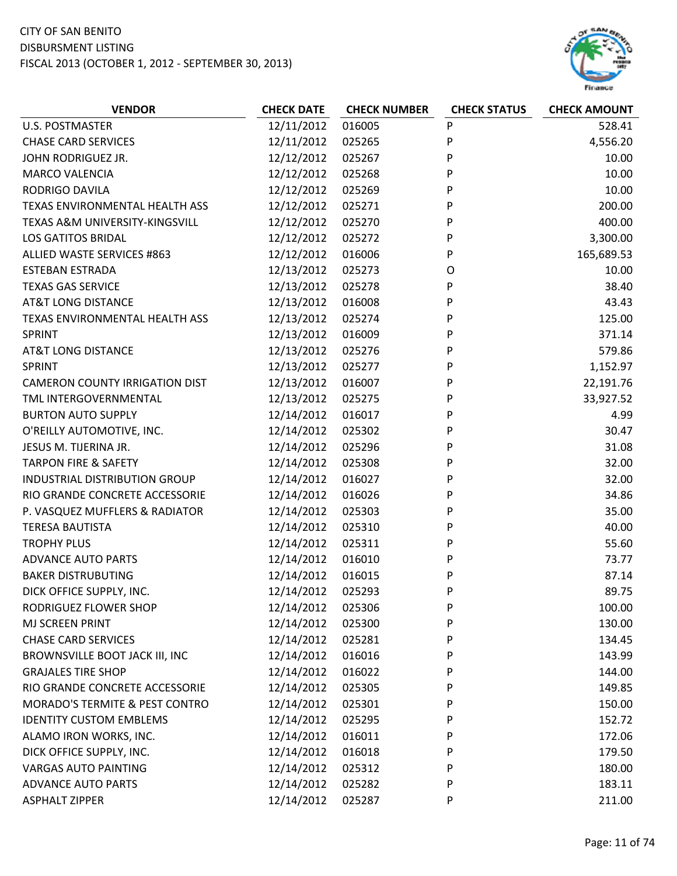

| <b>U.S. POSTMASTER</b><br>12/11/2012<br>016005<br>P<br>528.41<br><b>CHASE CARD SERVICES</b><br>12/11/2012<br>P<br>4,556.20<br>025265<br>12/12/2012<br>P<br>JOHN RODRIGUEZ JR.<br>025267<br>10.00<br>12/12/2012<br>P<br>10.00<br><b>MARCO VALENCIA</b><br>025268<br>RODRIGO DAVILA<br>12/12/2012<br>025269<br>P<br>10.00<br>P<br>TEXAS ENVIRONMENTAL HEALTH ASS<br>12/12/2012<br>025271<br>200.00<br>12/12/2012<br>P<br>400.00<br>TEXAS A&M UNIVERSITY-KINGSVILL<br>025270<br><b>LOS GATITOS BRIDAL</b><br>12/12/2012<br>025272<br>P<br>3,300.00<br>12/12/2012<br>016006<br>P<br>165,689.53<br><b>ALLIED WASTE SERVICES #863</b><br>12/13/2012<br><b>ESTEBAN ESTRADA</b><br>025273<br>O<br>10.00<br>12/13/2012<br>P<br>38.40<br><b>TEXAS GAS SERVICE</b><br>025278<br>12/13/2012<br><b>AT&amp;T LONG DISTANCE</b><br>016008<br>P<br>43.43<br>P<br>12/13/2012<br>025274<br>125.00<br>TEXAS ENVIRONMENTAL HEALTH ASS<br><b>SPRINT</b><br>12/13/2012<br>P<br>371.14<br>016009<br>12/13/2012<br>P<br><b>AT&amp;T LONG DISTANCE</b><br>025276<br>579.86<br>12/13/2012<br>P<br><b>SPRINT</b><br>025277<br>1,152.97<br>12/13/2012<br>016007<br>P<br><b>CAMERON COUNTY IRRIGATION DIST</b><br>22,191.76<br>TML INTERGOVERNMENTAL<br>P<br>12/13/2012<br>025275<br>33,927.52<br>P<br><b>BURTON AUTO SUPPLY</b><br>12/14/2012<br>4.99<br>016017<br>O'REILLY AUTOMOTIVE, INC.<br>12/14/2012<br>025302<br>P<br>30.47<br>12/14/2012<br>P<br>31.08<br>JESUS M. TIJERINA JR.<br>025296<br><b>TARPON FIRE &amp; SAFETY</b><br>12/14/2012<br>P<br>32.00<br>025308<br>INDUSTRIAL DISTRIBUTION GROUP<br>12/14/2012<br>P<br>32.00<br>016027<br>RIO GRANDE CONCRETE ACCESSORIE<br>12/14/2012<br>016026<br>P<br>34.86<br>P<br>35.00<br>P. VASQUEZ MUFFLERS & RADIATOR<br>12/14/2012<br>025303<br>12/14/2012<br>P<br>40.00<br><b>TERESA BAUTISTA</b><br>025310<br><b>TROPHY PLUS</b><br>12/14/2012<br>025311<br>P<br>55.60<br>12/14/2012<br>P<br><b>ADVANCE AUTO PARTS</b><br>016010<br>73.77<br>12/14/2012<br>87.14<br><b>BAKER DISTRUBUTING</b><br>016015<br>P<br>DICK OFFICE SUPPLY, INC.<br>12/14/2012<br>025293<br>P<br>89.75<br>12/14/2012<br>RODRIGUEZ FLOWER SHOP<br>025306<br>P<br>100.00<br>12/14/2012<br>P<br>MJ SCREEN PRINT<br>025300<br>130.00<br>12/14/2012<br><b>CHASE CARD SERVICES</b><br>025281<br>P<br>134.45<br>BROWNSVILLE BOOT JACK III, INC<br>12/14/2012<br>016016<br>P<br>143.99<br>12/14/2012<br><b>GRAJALES TIRE SHOP</b><br>016022<br>P<br>144.00<br>12/14/2012<br>RIO GRANDE CONCRETE ACCESSORIE<br>025305<br>P<br>149.85<br><b>MORADO'S TERMITE &amp; PEST CONTRO</b><br>12/14/2012<br>P<br>025301<br>150.00<br>12/14/2012<br>P<br><b>IDENTITY CUSTOM EMBLEMS</b><br>025295<br>152.72<br>12/14/2012<br>ALAMO IRON WORKS, INC.<br>016011<br>P<br>172.06 | <b>VENDOR</b> | <b>CHECK DATE</b> | <b>CHECK NUMBER</b> | <b>CHECK STATUS</b> | <b>CHECK AMOUNT</b> |
|--------------------------------------------------------------------------------------------------------------------------------------------------------------------------------------------------------------------------------------------------------------------------------------------------------------------------------------------------------------------------------------------------------------------------------------------------------------------------------------------------------------------------------------------------------------------------------------------------------------------------------------------------------------------------------------------------------------------------------------------------------------------------------------------------------------------------------------------------------------------------------------------------------------------------------------------------------------------------------------------------------------------------------------------------------------------------------------------------------------------------------------------------------------------------------------------------------------------------------------------------------------------------------------------------------------------------------------------------------------------------------------------------------------------------------------------------------------------------------------------------------------------------------------------------------------------------------------------------------------------------------------------------------------------------------------------------------------------------------------------------------------------------------------------------------------------------------------------------------------------------------------------------------------------------------------------------------------------------------------------------------------------------------------------------------------------------------------------------------------------------------------------------------------------------------------------------------------------------------------------------------------------------------------------------------------------------------------------------------------------------------------------------------------------------------------------------------------------------------------------------------------------------------------------------------------------------------------------------------------------------------------------------------------------------------------------------------------------------------------------------------------|---------------|-------------------|---------------------|---------------------|---------------------|
|                                                                                                                                                                                                                                                                                                                                                                                                                                                                                                                                                                                                                                                                                                                                                                                                                                                                                                                                                                                                                                                                                                                                                                                                                                                                                                                                                                                                                                                                                                                                                                                                                                                                                                                                                                                                                                                                                                                                                                                                                                                                                                                                                                                                                                                                                                                                                                                                                                                                                                                                                                                                                                                                                                                                                              |               |                   |                     |                     |                     |
|                                                                                                                                                                                                                                                                                                                                                                                                                                                                                                                                                                                                                                                                                                                                                                                                                                                                                                                                                                                                                                                                                                                                                                                                                                                                                                                                                                                                                                                                                                                                                                                                                                                                                                                                                                                                                                                                                                                                                                                                                                                                                                                                                                                                                                                                                                                                                                                                                                                                                                                                                                                                                                                                                                                                                              |               |                   |                     |                     |                     |
|                                                                                                                                                                                                                                                                                                                                                                                                                                                                                                                                                                                                                                                                                                                                                                                                                                                                                                                                                                                                                                                                                                                                                                                                                                                                                                                                                                                                                                                                                                                                                                                                                                                                                                                                                                                                                                                                                                                                                                                                                                                                                                                                                                                                                                                                                                                                                                                                                                                                                                                                                                                                                                                                                                                                                              |               |                   |                     |                     |                     |
|                                                                                                                                                                                                                                                                                                                                                                                                                                                                                                                                                                                                                                                                                                                                                                                                                                                                                                                                                                                                                                                                                                                                                                                                                                                                                                                                                                                                                                                                                                                                                                                                                                                                                                                                                                                                                                                                                                                                                                                                                                                                                                                                                                                                                                                                                                                                                                                                                                                                                                                                                                                                                                                                                                                                                              |               |                   |                     |                     |                     |
|                                                                                                                                                                                                                                                                                                                                                                                                                                                                                                                                                                                                                                                                                                                                                                                                                                                                                                                                                                                                                                                                                                                                                                                                                                                                                                                                                                                                                                                                                                                                                                                                                                                                                                                                                                                                                                                                                                                                                                                                                                                                                                                                                                                                                                                                                                                                                                                                                                                                                                                                                                                                                                                                                                                                                              |               |                   |                     |                     |                     |
|                                                                                                                                                                                                                                                                                                                                                                                                                                                                                                                                                                                                                                                                                                                                                                                                                                                                                                                                                                                                                                                                                                                                                                                                                                                                                                                                                                                                                                                                                                                                                                                                                                                                                                                                                                                                                                                                                                                                                                                                                                                                                                                                                                                                                                                                                                                                                                                                                                                                                                                                                                                                                                                                                                                                                              |               |                   |                     |                     |                     |
|                                                                                                                                                                                                                                                                                                                                                                                                                                                                                                                                                                                                                                                                                                                                                                                                                                                                                                                                                                                                                                                                                                                                                                                                                                                                                                                                                                                                                                                                                                                                                                                                                                                                                                                                                                                                                                                                                                                                                                                                                                                                                                                                                                                                                                                                                                                                                                                                                                                                                                                                                                                                                                                                                                                                                              |               |                   |                     |                     |                     |
|                                                                                                                                                                                                                                                                                                                                                                                                                                                                                                                                                                                                                                                                                                                                                                                                                                                                                                                                                                                                                                                                                                                                                                                                                                                                                                                                                                                                                                                                                                                                                                                                                                                                                                                                                                                                                                                                                                                                                                                                                                                                                                                                                                                                                                                                                                                                                                                                                                                                                                                                                                                                                                                                                                                                                              |               |                   |                     |                     |                     |
|                                                                                                                                                                                                                                                                                                                                                                                                                                                                                                                                                                                                                                                                                                                                                                                                                                                                                                                                                                                                                                                                                                                                                                                                                                                                                                                                                                                                                                                                                                                                                                                                                                                                                                                                                                                                                                                                                                                                                                                                                                                                                                                                                                                                                                                                                                                                                                                                                                                                                                                                                                                                                                                                                                                                                              |               |                   |                     |                     |                     |
|                                                                                                                                                                                                                                                                                                                                                                                                                                                                                                                                                                                                                                                                                                                                                                                                                                                                                                                                                                                                                                                                                                                                                                                                                                                                                                                                                                                                                                                                                                                                                                                                                                                                                                                                                                                                                                                                                                                                                                                                                                                                                                                                                                                                                                                                                                                                                                                                                                                                                                                                                                                                                                                                                                                                                              |               |                   |                     |                     |                     |
|                                                                                                                                                                                                                                                                                                                                                                                                                                                                                                                                                                                                                                                                                                                                                                                                                                                                                                                                                                                                                                                                                                                                                                                                                                                                                                                                                                                                                                                                                                                                                                                                                                                                                                                                                                                                                                                                                                                                                                                                                                                                                                                                                                                                                                                                                                                                                                                                                                                                                                                                                                                                                                                                                                                                                              |               |                   |                     |                     |                     |
|                                                                                                                                                                                                                                                                                                                                                                                                                                                                                                                                                                                                                                                                                                                                                                                                                                                                                                                                                                                                                                                                                                                                                                                                                                                                                                                                                                                                                                                                                                                                                                                                                                                                                                                                                                                                                                                                                                                                                                                                                                                                                                                                                                                                                                                                                                                                                                                                                                                                                                                                                                                                                                                                                                                                                              |               |                   |                     |                     |                     |
|                                                                                                                                                                                                                                                                                                                                                                                                                                                                                                                                                                                                                                                                                                                                                                                                                                                                                                                                                                                                                                                                                                                                                                                                                                                                                                                                                                                                                                                                                                                                                                                                                                                                                                                                                                                                                                                                                                                                                                                                                                                                                                                                                                                                                                                                                                                                                                                                                                                                                                                                                                                                                                                                                                                                                              |               |                   |                     |                     |                     |
|                                                                                                                                                                                                                                                                                                                                                                                                                                                                                                                                                                                                                                                                                                                                                                                                                                                                                                                                                                                                                                                                                                                                                                                                                                                                                                                                                                                                                                                                                                                                                                                                                                                                                                                                                                                                                                                                                                                                                                                                                                                                                                                                                                                                                                                                                                                                                                                                                                                                                                                                                                                                                                                                                                                                                              |               |                   |                     |                     |                     |
|                                                                                                                                                                                                                                                                                                                                                                                                                                                                                                                                                                                                                                                                                                                                                                                                                                                                                                                                                                                                                                                                                                                                                                                                                                                                                                                                                                                                                                                                                                                                                                                                                                                                                                                                                                                                                                                                                                                                                                                                                                                                                                                                                                                                                                                                                                                                                                                                                                                                                                                                                                                                                                                                                                                                                              |               |                   |                     |                     |                     |
|                                                                                                                                                                                                                                                                                                                                                                                                                                                                                                                                                                                                                                                                                                                                                                                                                                                                                                                                                                                                                                                                                                                                                                                                                                                                                                                                                                                                                                                                                                                                                                                                                                                                                                                                                                                                                                                                                                                                                                                                                                                                                                                                                                                                                                                                                                                                                                                                                                                                                                                                                                                                                                                                                                                                                              |               |                   |                     |                     |                     |
|                                                                                                                                                                                                                                                                                                                                                                                                                                                                                                                                                                                                                                                                                                                                                                                                                                                                                                                                                                                                                                                                                                                                                                                                                                                                                                                                                                                                                                                                                                                                                                                                                                                                                                                                                                                                                                                                                                                                                                                                                                                                                                                                                                                                                                                                                                                                                                                                                                                                                                                                                                                                                                                                                                                                                              |               |                   |                     |                     |                     |
|                                                                                                                                                                                                                                                                                                                                                                                                                                                                                                                                                                                                                                                                                                                                                                                                                                                                                                                                                                                                                                                                                                                                                                                                                                                                                                                                                                                                                                                                                                                                                                                                                                                                                                                                                                                                                                                                                                                                                                                                                                                                                                                                                                                                                                                                                                                                                                                                                                                                                                                                                                                                                                                                                                                                                              |               |                   |                     |                     |                     |
|                                                                                                                                                                                                                                                                                                                                                                                                                                                                                                                                                                                                                                                                                                                                                                                                                                                                                                                                                                                                                                                                                                                                                                                                                                                                                                                                                                                                                                                                                                                                                                                                                                                                                                                                                                                                                                                                                                                                                                                                                                                                                                                                                                                                                                                                                                                                                                                                                                                                                                                                                                                                                                                                                                                                                              |               |                   |                     |                     |                     |
|                                                                                                                                                                                                                                                                                                                                                                                                                                                                                                                                                                                                                                                                                                                                                                                                                                                                                                                                                                                                                                                                                                                                                                                                                                                                                                                                                                                                                                                                                                                                                                                                                                                                                                                                                                                                                                                                                                                                                                                                                                                                                                                                                                                                                                                                                                                                                                                                                                                                                                                                                                                                                                                                                                                                                              |               |                   |                     |                     |                     |
|                                                                                                                                                                                                                                                                                                                                                                                                                                                                                                                                                                                                                                                                                                                                                                                                                                                                                                                                                                                                                                                                                                                                                                                                                                                                                                                                                                                                                                                                                                                                                                                                                                                                                                                                                                                                                                                                                                                                                                                                                                                                                                                                                                                                                                                                                                                                                                                                                                                                                                                                                                                                                                                                                                                                                              |               |                   |                     |                     |                     |
|                                                                                                                                                                                                                                                                                                                                                                                                                                                                                                                                                                                                                                                                                                                                                                                                                                                                                                                                                                                                                                                                                                                                                                                                                                                                                                                                                                                                                                                                                                                                                                                                                                                                                                                                                                                                                                                                                                                                                                                                                                                                                                                                                                                                                                                                                                                                                                                                                                                                                                                                                                                                                                                                                                                                                              |               |                   |                     |                     |                     |
|                                                                                                                                                                                                                                                                                                                                                                                                                                                                                                                                                                                                                                                                                                                                                                                                                                                                                                                                                                                                                                                                                                                                                                                                                                                                                                                                                                                                                                                                                                                                                                                                                                                                                                                                                                                                                                                                                                                                                                                                                                                                                                                                                                                                                                                                                                                                                                                                                                                                                                                                                                                                                                                                                                                                                              |               |                   |                     |                     |                     |
|                                                                                                                                                                                                                                                                                                                                                                                                                                                                                                                                                                                                                                                                                                                                                                                                                                                                                                                                                                                                                                                                                                                                                                                                                                                                                                                                                                                                                                                                                                                                                                                                                                                                                                                                                                                                                                                                                                                                                                                                                                                                                                                                                                                                                                                                                                                                                                                                                                                                                                                                                                                                                                                                                                                                                              |               |                   |                     |                     |                     |
|                                                                                                                                                                                                                                                                                                                                                                                                                                                                                                                                                                                                                                                                                                                                                                                                                                                                                                                                                                                                                                                                                                                                                                                                                                                                                                                                                                                                                                                                                                                                                                                                                                                                                                                                                                                                                                                                                                                                                                                                                                                                                                                                                                                                                                                                                                                                                                                                                                                                                                                                                                                                                                                                                                                                                              |               |                   |                     |                     |                     |
|                                                                                                                                                                                                                                                                                                                                                                                                                                                                                                                                                                                                                                                                                                                                                                                                                                                                                                                                                                                                                                                                                                                                                                                                                                                                                                                                                                                                                                                                                                                                                                                                                                                                                                                                                                                                                                                                                                                                                                                                                                                                                                                                                                                                                                                                                                                                                                                                                                                                                                                                                                                                                                                                                                                                                              |               |                   |                     |                     |                     |
|                                                                                                                                                                                                                                                                                                                                                                                                                                                                                                                                                                                                                                                                                                                                                                                                                                                                                                                                                                                                                                                                                                                                                                                                                                                                                                                                                                                                                                                                                                                                                                                                                                                                                                                                                                                                                                                                                                                                                                                                                                                                                                                                                                                                                                                                                                                                                                                                                                                                                                                                                                                                                                                                                                                                                              |               |                   |                     |                     |                     |
|                                                                                                                                                                                                                                                                                                                                                                                                                                                                                                                                                                                                                                                                                                                                                                                                                                                                                                                                                                                                                                                                                                                                                                                                                                                                                                                                                                                                                                                                                                                                                                                                                                                                                                                                                                                                                                                                                                                                                                                                                                                                                                                                                                                                                                                                                                                                                                                                                                                                                                                                                                                                                                                                                                                                                              |               |                   |                     |                     |                     |
|                                                                                                                                                                                                                                                                                                                                                                                                                                                                                                                                                                                                                                                                                                                                                                                                                                                                                                                                                                                                                                                                                                                                                                                                                                                                                                                                                                                                                                                                                                                                                                                                                                                                                                                                                                                                                                                                                                                                                                                                                                                                                                                                                                                                                                                                                                                                                                                                                                                                                                                                                                                                                                                                                                                                                              |               |                   |                     |                     |                     |
|                                                                                                                                                                                                                                                                                                                                                                                                                                                                                                                                                                                                                                                                                                                                                                                                                                                                                                                                                                                                                                                                                                                                                                                                                                                                                                                                                                                                                                                                                                                                                                                                                                                                                                                                                                                                                                                                                                                                                                                                                                                                                                                                                                                                                                                                                                                                                                                                                                                                                                                                                                                                                                                                                                                                                              |               |                   |                     |                     |                     |
|                                                                                                                                                                                                                                                                                                                                                                                                                                                                                                                                                                                                                                                                                                                                                                                                                                                                                                                                                                                                                                                                                                                                                                                                                                                                                                                                                                                                                                                                                                                                                                                                                                                                                                                                                                                                                                                                                                                                                                                                                                                                                                                                                                                                                                                                                                                                                                                                                                                                                                                                                                                                                                                                                                                                                              |               |                   |                     |                     |                     |
|                                                                                                                                                                                                                                                                                                                                                                                                                                                                                                                                                                                                                                                                                                                                                                                                                                                                                                                                                                                                                                                                                                                                                                                                                                                                                                                                                                                                                                                                                                                                                                                                                                                                                                                                                                                                                                                                                                                                                                                                                                                                                                                                                                                                                                                                                                                                                                                                                                                                                                                                                                                                                                                                                                                                                              |               |                   |                     |                     |                     |
|                                                                                                                                                                                                                                                                                                                                                                                                                                                                                                                                                                                                                                                                                                                                                                                                                                                                                                                                                                                                                                                                                                                                                                                                                                                                                                                                                                                                                                                                                                                                                                                                                                                                                                                                                                                                                                                                                                                                                                                                                                                                                                                                                                                                                                                                                                                                                                                                                                                                                                                                                                                                                                                                                                                                                              |               |                   |                     |                     |                     |
|                                                                                                                                                                                                                                                                                                                                                                                                                                                                                                                                                                                                                                                                                                                                                                                                                                                                                                                                                                                                                                                                                                                                                                                                                                                                                                                                                                                                                                                                                                                                                                                                                                                                                                                                                                                                                                                                                                                                                                                                                                                                                                                                                                                                                                                                                                                                                                                                                                                                                                                                                                                                                                                                                                                                                              |               |                   |                     |                     |                     |
|                                                                                                                                                                                                                                                                                                                                                                                                                                                                                                                                                                                                                                                                                                                                                                                                                                                                                                                                                                                                                                                                                                                                                                                                                                                                                                                                                                                                                                                                                                                                                                                                                                                                                                                                                                                                                                                                                                                                                                                                                                                                                                                                                                                                                                                                                                                                                                                                                                                                                                                                                                                                                                                                                                                                                              |               |                   |                     |                     |                     |
|                                                                                                                                                                                                                                                                                                                                                                                                                                                                                                                                                                                                                                                                                                                                                                                                                                                                                                                                                                                                                                                                                                                                                                                                                                                                                                                                                                                                                                                                                                                                                                                                                                                                                                                                                                                                                                                                                                                                                                                                                                                                                                                                                                                                                                                                                                                                                                                                                                                                                                                                                                                                                                                                                                                                                              |               |                   |                     |                     |                     |
|                                                                                                                                                                                                                                                                                                                                                                                                                                                                                                                                                                                                                                                                                                                                                                                                                                                                                                                                                                                                                                                                                                                                                                                                                                                                                                                                                                                                                                                                                                                                                                                                                                                                                                                                                                                                                                                                                                                                                                                                                                                                                                                                                                                                                                                                                                                                                                                                                                                                                                                                                                                                                                                                                                                                                              |               |                   |                     |                     |                     |
|                                                                                                                                                                                                                                                                                                                                                                                                                                                                                                                                                                                                                                                                                                                                                                                                                                                                                                                                                                                                                                                                                                                                                                                                                                                                                                                                                                                                                                                                                                                                                                                                                                                                                                                                                                                                                                                                                                                                                                                                                                                                                                                                                                                                                                                                                                                                                                                                                                                                                                                                                                                                                                                                                                                                                              |               |                   |                     |                     |                     |
|                                                                                                                                                                                                                                                                                                                                                                                                                                                                                                                                                                                                                                                                                                                                                                                                                                                                                                                                                                                                                                                                                                                                                                                                                                                                                                                                                                                                                                                                                                                                                                                                                                                                                                                                                                                                                                                                                                                                                                                                                                                                                                                                                                                                                                                                                                                                                                                                                                                                                                                                                                                                                                                                                                                                                              |               |                   |                     |                     |                     |
| 12/14/2012<br>DICK OFFICE SUPPLY, INC.<br>016018<br>P<br>179.50                                                                                                                                                                                                                                                                                                                                                                                                                                                                                                                                                                                                                                                                                                                                                                                                                                                                                                                                                                                                                                                                                                                                                                                                                                                                                                                                                                                                                                                                                                                                                                                                                                                                                                                                                                                                                                                                                                                                                                                                                                                                                                                                                                                                                                                                                                                                                                                                                                                                                                                                                                                                                                                                                              |               |                   |                     |                     |                     |
| 12/14/2012<br><b>VARGAS AUTO PAINTING</b><br>025312<br>P<br>180.00                                                                                                                                                                                                                                                                                                                                                                                                                                                                                                                                                                                                                                                                                                                                                                                                                                                                                                                                                                                                                                                                                                                                                                                                                                                                                                                                                                                                                                                                                                                                                                                                                                                                                                                                                                                                                                                                                                                                                                                                                                                                                                                                                                                                                                                                                                                                                                                                                                                                                                                                                                                                                                                                                           |               |                   |                     |                     |                     |
| 12/14/2012<br>P<br><b>ADVANCE AUTO PARTS</b><br>025282<br>183.11                                                                                                                                                                                                                                                                                                                                                                                                                                                                                                                                                                                                                                                                                                                                                                                                                                                                                                                                                                                                                                                                                                                                                                                                                                                                                                                                                                                                                                                                                                                                                                                                                                                                                                                                                                                                                                                                                                                                                                                                                                                                                                                                                                                                                                                                                                                                                                                                                                                                                                                                                                                                                                                                                             |               |                   |                     |                     |                     |
| 12/14/2012<br><b>ASPHALT ZIPPER</b><br>025287<br>P<br>211.00                                                                                                                                                                                                                                                                                                                                                                                                                                                                                                                                                                                                                                                                                                                                                                                                                                                                                                                                                                                                                                                                                                                                                                                                                                                                                                                                                                                                                                                                                                                                                                                                                                                                                                                                                                                                                                                                                                                                                                                                                                                                                                                                                                                                                                                                                                                                                                                                                                                                                                                                                                                                                                                                                                 |               |                   |                     |                     |                     |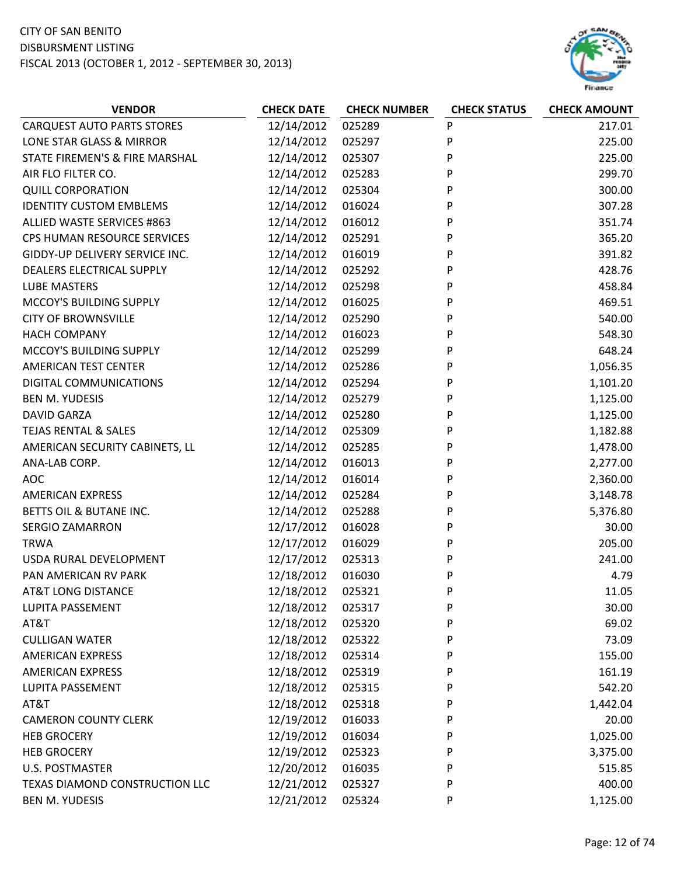

| <b>VENDOR</b>                     | <b>CHECK DATE</b> | <b>CHECK NUMBER</b> | <b>CHECK STATUS</b> | <b>CHECK AMOUNT</b> |
|-----------------------------------|-------------------|---------------------|---------------------|---------------------|
| <b>CARQUEST AUTO PARTS STORES</b> | 12/14/2012        | 025289              | P                   | 217.01              |
| LONE STAR GLASS & MIRROR          | 12/14/2012        | 025297              | P                   | 225.00              |
| STATE FIREMEN'S & FIRE MARSHAL    | 12/14/2012        | 025307              | P                   | 225.00              |
| AIR FLO FILTER CO.                | 12/14/2012        | 025283              | P                   | 299.70              |
| <b>QUILL CORPORATION</b>          | 12/14/2012        | 025304              | P                   | 300.00              |
| <b>IDENTITY CUSTOM EMBLEMS</b>    | 12/14/2012        | 016024              | P                   | 307.28              |
| ALLIED WASTE SERVICES #863        | 12/14/2012        | 016012              | P                   | 351.74              |
| CPS HUMAN RESOURCE SERVICES       | 12/14/2012        | 025291              | P                   | 365.20              |
| GIDDY-UP DELIVERY SERVICE INC.    | 12/14/2012        | 016019              | P                   | 391.82              |
| DEALERS ELECTRICAL SUPPLY         | 12/14/2012        | 025292              | P                   | 428.76              |
| <b>LUBE MASTERS</b>               | 12/14/2012        | 025298              | P                   | 458.84              |
| MCCOY'S BUILDING SUPPLY           | 12/14/2012        | 016025              | P                   | 469.51              |
| <b>CITY OF BROWNSVILLE</b>        | 12/14/2012        | 025290              | P                   | 540.00              |
| <b>HACH COMPANY</b>               | 12/14/2012        | 016023              | P                   | 548.30              |
| MCCOY'S BUILDING SUPPLY           | 12/14/2012        | 025299              | P                   | 648.24              |
| <b>AMERICAN TEST CENTER</b>       | 12/14/2012        | 025286              | P                   | 1,056.35            |
| DIGITAL COMMUNICATIONS            | 12/14/2012        | 025294              | P                   | 1,101.20            |
| <b>BEN M. YUDESIS</b>             | 12/14/2012        | 025279              | P                   | 1,125.00            |
| <b>DAVID GARZA</b>                | 12/14/2012        | 025280              | P                   | 1,125.00            |
| <b>TEJAS RENTAL &amp; SALES</b>   | 12/14/2012        | 025309              | P                   | 1,182.88            |
| AMERICAN SECURITY CABINETS, LL    | 12/14/2012        | 025285              | P                   | 1,478.00            |
| ANA-LAB CORP.                     | 12/14/2012        | 016013              | P                   | 2,277.00            |
| <b>AOC</b>                        | 12/14/2012        | 016014              | P                   | 2,360.00            |
| <b>AMERICAN EXPRESS</b>           | 12/14/2012        | 025284              | P                   | 3,148.78            |
| BETTS OIL & BUTANE INC.           | 12/14/2012        | 025288              | P                   | 5,376.80            |
| <b>SERGIO ZAMARRON</b>            | 12/17/2012        | 016028              | P                   | 30.00               |
| <b>TRWA</b>                       | 12/17/2012        | 016029              | P                   | 205.00              |
| USDA RURAL DEVELOPMENT            | 12/17/2012        | 025313              | P                   | 241.00              |
| PAN AMERICAN RV PARK              | 12/18/2012        | 016030              | P                   | 4.79                |
| <b>AT&amp;T LONG DISTANCE</b>     | 12/18/2012        | 025321              | P                   | 11.05               |
| <b>LUPITA PASSEMENT</b>           | 12/18/2012        | 025317              | P                   | 30.00               |
| AT&T                              | 12/18/2012        | 025320              | P                   | 69.02               |
| <b>CULLIGAN WATER</b>             | 12/18/2012        | 025322              | P                   | 73.09               |
| <b>AMERICAN EXPRESS</b>           | 12/18/2012        | 025314              | P                   | 155.00              |
| <b>AMERICAN EXPRESS</b>           | 12/18/2012        | 025319              | P                   | 161.19              |
| LUPITA PASSEMENT                  | 12/18/2012        | 025315              | P                   | 542.20              |
| AT&T                              | 12/18/2012        | 025318              | P                   | 1,442.04            |
| <b>CAMERON COUNTY CLERK</b>       | 12/19/2012        | 016033              | P                   | 20.00               |
| <b>HEB GROCERY</b>                | 12/19/2012        | 016034              | P                   | 1,025.00            |
| <b>HEB GROCERY</b>                | 12/19/2012        | 025323              | P                   | 3,375.00            |
| <b>U.S. POSTMASTER</b>            | 12/20/2012        | 016035              | P                   | 515.85              |
| TEXAS DIAMOND CONSTRUCTION LLC    | 12/21/2012        | 025327              | P                   | 400.00              |
| <b>BEN M. YUDESIS</b>             | 12/21/2012        | 025324              | P                   | 1,125.00            |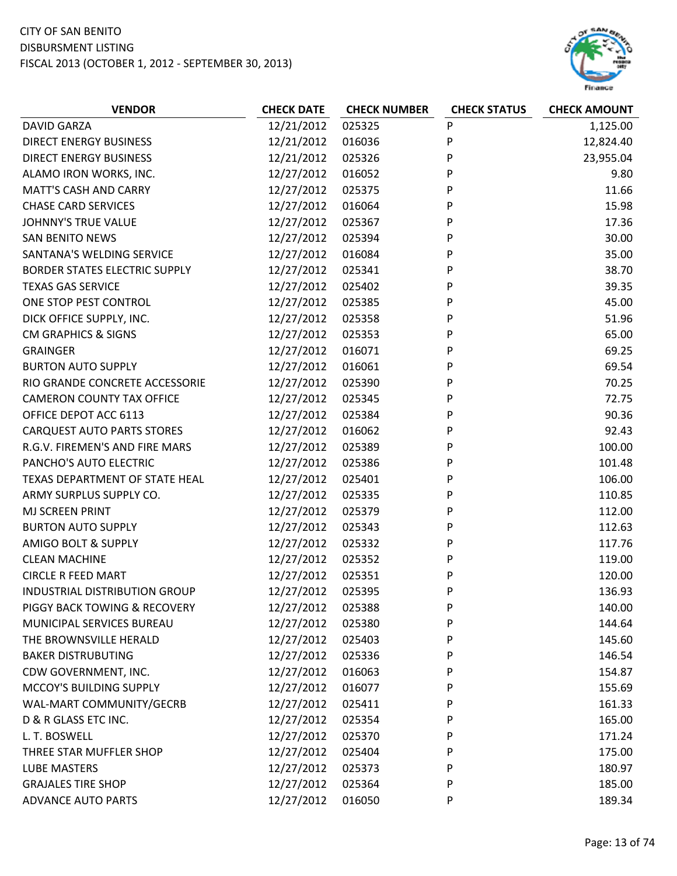

| <b>VENDOR</b>                        | <b>CHECK DATE</b> | <b>CHECK NUMBER</b> | <b>CHECK STATUS</b> | <b>CHECK AMOUNT</b> |
|--------------------------------------|-------------------|---------------------|---------------------|---------------------|
| <b>DAVID GARZA</b>                   | 12/21/2012        | 025325              | P                   | 1,125.00            |
| <b>DIRECT ENERGY BUSINESS</b>        | 12/21/2012        | 016036              | P                   | 12,824.40           |
| <b>DIRECT ENERGY BUSINESS</b>        | 12/21/2012        | 025326              | P                   | 23,955.04           |
| ALAMO IRON WORKS, INC.               | 12/27/2012        | 016052              | P                   | 9.80                |
| <b>MATT'S CASH AND CARRY</b>         | 12/27/2012        | 025375              | P                   | 11.66               |
| <b>CHASE CARD SERVICES</b>           | 12/27/2012        | 016064              | P                   | 15.98               |
| <b>JOHNNY'S TRUE VALUE</b>           | 12/27/2012        | 025367              | P                   | 17.36               |
| <b>SAN BENITO NEWS</b>               | 12/27/2012        | 025394              | P                   | 30.00               |
| SANTANA'S WELDING SERVICE            | 12/27/2012        | 016084              | P                   | 35.00               |
| BORDER STATES ELECTRIC SUPPLY        | 12/27/2012        | 025341              | P                   | 38.70               |
| <b>TEXAS GAS SERVICE</b>             | 12/27/2012        | 025402              | P                   | 39.35               |
| ONE STOP PEST CONTROL                | 12/27/2012        | 025385              | P                   | 45.00               |
| DICK OFFICE SUPPLY, INC.             | 12/27/2012        | 025358              | P                   | 51.96               |
| <b>CM GRAPHICS &amp; SIGNS</b>       | 12/27/2012        | 025353              | P                   | 65.00               |
| <b>GRAINGER</b>                      | 12/27/2012        | 016071              | P                   | 69.25               |
| <b>BURTON AUTO SUPPLY</b>            | 12/27/2012        | 016061              | P                   | 69.54               |
| RIO GRANDE CONCRETE ACCESSORIE       | 12/27/2012        | 025390              | P                   | 70.25               |
| <b>CAMERON COUNTY TAX OFFICE</b>     | 12/27/2012        | 025345              | P                   | 72.75               |
| OFFICE DEPOT ACC 6113                | 12/27/2012        | 025384              | P                   | 90.36               |
| <b>CARQUEST AUTO PARTS STORES</b>    | 12/27/2012        | 016062              | P                   | 92.43               |
| R.G.V. FIREMEN'S AND FIRE MARS       | 12/27/2012        | 025389              | P                   | 100.00              |
| PANCHO'S AUTO ELECTRIC               | 12/27/2012        | 025386              | P                   | 101.48              |
| TEXAS DEPARTMENT OF STATE HEAL       | 12/27/2012        | 025401              | P                   | 106.00              |
| ARMY SURPLUS SUPPLY CO.              | 12/27/2012        | 025335              | P                   | 110.85              |
| MJ SCREEN PRINT                      | 12/27/2012        | 025379              | P                   | 112.00              |
| <b>BURTON AUTO SUPPLY</b>            | 12/27/2012        | 025343              | P                   | 112.63              |
| <b>AMIGO BOLT &amp; SUPPLY</b>       | 12/27/2012        | 025332              | P                   | 117.76              |
| <b>CLEAN MACHINE</b>                 | 12/27/2012        | 025352              | P                   | 119.00              |
| <b>CIRCLE R FEED MART</b>            | 12/27/2012        | 025351              | P                   | 120.00              |
| <b>INDUSTRIAL DISTRIBUTION GROUP</b> | 12/27/2012        | 025395              | P                   | 136.93              |
| PIGGY BACK TOWING & RECOVERY         | 12/27/2012        | 025388              | P                   | 140.00              |
| MUNICIPAL SERVICES BUREAU            | 12/27/2012        | 025380              | P                   | 144.64              |
| THE BROWNSVILLE HERALD               | 12/27/2012        | 025403              | P                   | 145.60              |
| <b>BAKER DISTRUBUTING</b>            | 12/27/2012        | 025336              | P                   | 146.54              |
| CDW GOVERNMENT, INC.                 | 12/27/2012        | 016063              | P                   | 154.87              |
| MCCOY'S BUILDING SUPPLY              | 12/27/2012        | 016077              | P                   | 155.69              |
| WAL-MART COMMUNITY/GECRB             | 12/27/2012        | 025411              | P                   | 161.33              |
| D & R GLASS ETC INC.                 | 12/27/2012        | 025354              | P                   | 165.00              |
| L. T. BOSWELL                        | 12/27/2012        | 025370              | P                   | 171.24              |
| THREE STAR MUFFLER SHOP              | 12/27/2012        | 025404              | P                   | 175.00              |
| <b>LUBE MASTERS</b>                  | 12/27/2012        | 025373              | P                   | 180.97              |
| <b>GRAJALES TIRE SHOP</b>            | 12/27/2012        | 025364              | P                   | 185.00              |
| <b>ADVANCE AUTO PARTS</b>            | 12/27/2012        | 016050              | P                   | 189.34              |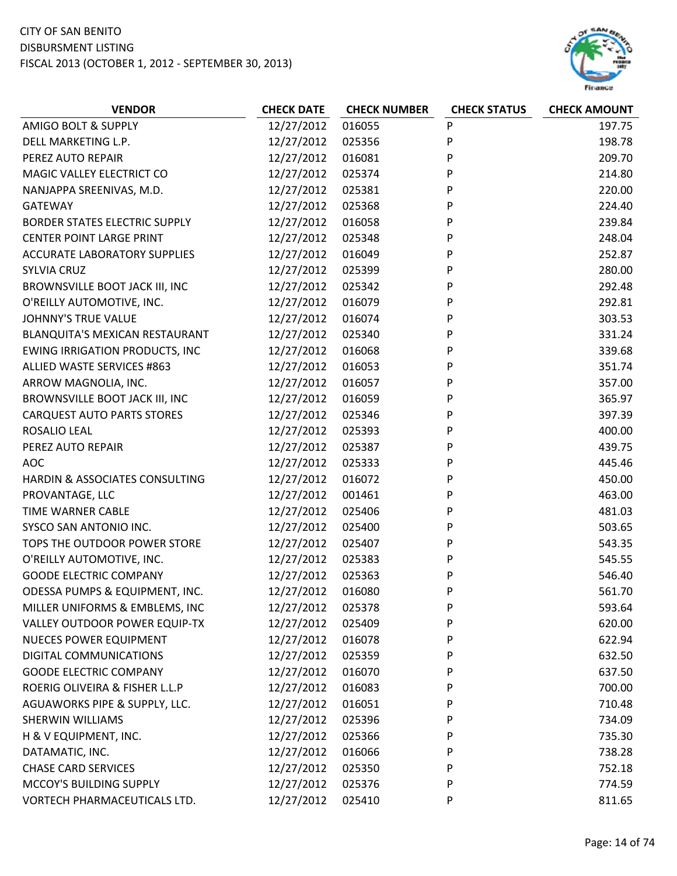

| <b>VENDOR</b>                         | <b>CHECK DATE</b> | <b>CHECK NUMBER</b> | <b>CHECK STATUS</b> | <b>CHECK AMOUNT</b> |
|---------------------------------------|-------------------|---------------------|---------------------|---------------------|
| AMIGO BOLT & SUPPLY                   | 12/27/2012        | 016055              | P                   | 197.75              |
| DELL MARKETING L.P.                   | 12/27/2012        | 025356              | P                   | 198.78              |
| PEREZ AUTO REPAIR                     | 12/27/2012        | 016081              | P                   | 209.70              |
| MAGIC VALLEY ELECTRICT CO             | 12/27/2012        | 025374              | P                   | 214.80              |
| NANJAPPA SREENIVAS, M.D.              | 12/27/2012        | 025381              | P                   | 220.00              |
| <b>GATEWAY</b>                        | 12/27/2012        | 025368              | P                   | 224.40              |
| <b>BORDER STATES ELECTRIC SUPPLY</b>  | 12/27/2012        | 016058              | P                   | 239.84              |
| <b>CENTER POINT LARGE PRINT</b>       | 12/27/2012        | 025348              | P                   | 248.04              |
| <b>ACCURATE LABORATORY SUPPLIES</b>   | 12/27/2012        | 016049              | P                   | 252.87              |
| <b>SYLVIA CRUZ</b>                    | 12/27/2012        | 025399              | P                   | 280.00              |
| BROWNSVILLE BOOT JACK III, INC        | 12/27/2012        | 025342              | P                   | 292.48              |
| O'REILLY AUTOMOTIVE, INC.             | 12/27/2012        | 016079              | P                   | 292.81              |
| <b>JOHNNY'S TRUE VALUE</b>            | 12/27/2012        | 016074              | P                   | 303.53              |
| BLANQUITA'S MEXICAN RESTAURANT        | 12/27/2012        | 025340              | P                   | 331.24              |
| <b>EWING IRRIGATION PRODUCTS, INC</b> | 12/27/2012        | 016068              | P                   | 339.68              |
| ALLIED WASTE SERVICES #863            | 12/27/2012        | 016053              | P                   | 351.74              |
| ARROW MAGNOLIA, INC.                  | 12/27/2012        | 016057              | P                   | 357.00              |
| BROWNSVILLE BOOT JACK III, INC        | 12/27/2012        | 016059              | P                   | 365.97              |
| <b>CARQUEST AUTO PARTS STORES</b>     | 12/27/2012        | 025346              | P                   | 397.39              |
| ROSALIO LEAL                          | 12/27/2012        | 025393              | P                   | 400.00              |
| PEREZ AUTO REPAIR                     | 12/27/2012        | 025387              | P                   | 439.75              |
| <b>AOC</b>                            | 12/27/2012        | 025333              | P                   | 445.46              |
| HARDIN & ASSOCIATES CONSULTING        | 12/27/2012        | 016072              | P                   | 450.00              |
| PROVANTAGE, LLC                       | 12/27/2012        | 001461              | P                   | 463.00              |
| TIME WARNER CABLE                     | 12/27/2012        | 025406              | P                   | 481.03              |
| SYSCO SAN ANTONIO INC.                | 12/27/2012        | 025400              | P                   | 503.65              |
| TOPS THE OUTDOOR POWER STORE          | 12/27/2012        | 025407              | P                   | 543.35              |
| O'REILLY AUTOMOTIVE, INC.             | 12/27/2012        | 025383              | P                   | 545.55              |
| <b>GOODE ELECTRIC COMPANY</b>         | 12/27/2012        | 025363              | P                   | 546.40              |
| ODESSA PUMPS & EQUIPMENT, INC.        | 12/27/2012        | 016080              | P                   | 561.70              |
| MILLER UNIFORMS & EMBLEMS, INC        | 12/27/2012        | 025378              | P                   | 593.64              |
| VALLEY OUTDOOR POWER EQUIP-TX         | 12/27/2012        | 025409              | P                   | 620.00              |
| <b>NUECES POWER EQUIPMENT</b>         | 12/27/2012        | 016078              | P                   | 622.94              |
| DIGITAL COMMUNICATIONS                | 12/27/2012        | 025359              | P                   | 632.50              |
| <b>GOODE ELECTRIC COMPANY</b>         | 12/27/2012        | 016070              | P                   | 637.50              |
| ROERIG OLIVEIRA & FISHER L.L.P        | 12/27/2012        | 016083              | P                   | 700.00              |
| AGUAWORKS PIPE & SUPPLY, LLC.         | 12/27/2012        | 016051              | P                   | 710.48              |
| SHERWIN WILLIAMS                      | 12/27/2012        | 025396              | P                   | 734.09              |
| H & V EQUIPMENT, INC.                 | 12/27/2012        | 025366              | P                   | 735.30              |
| DATAMATIC, INC.                       | 12/27/2012        | 016066              | P                   | 738.28              |
| <b>CHASE CARD SERVICES</b>            | 12/27/2012        | 025350              | P                   | 752.18              |
| MCCOY'S BUILDING SUPPLY               | 12/27/2012        | 025376              | P                   | 774.59              |
| VORTECH PHARMACEUTICALS LTD.          | 12/27/2012        | 025410              | P                   | 811.65              |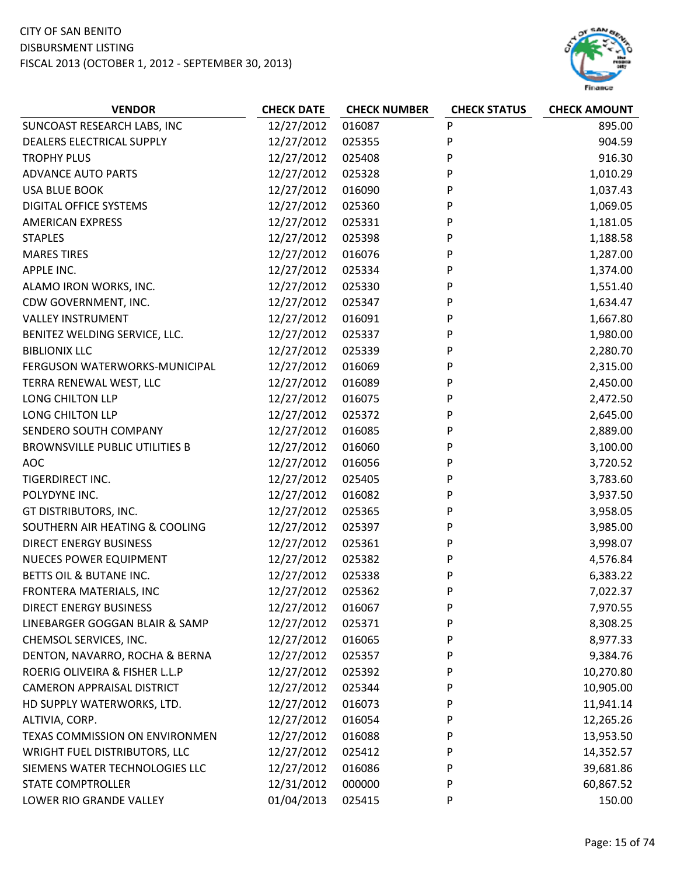

| <b>VENDOR</b>                         | <b>CHECK DATE</b> | <b>CHECK NUMBER</b> | <b>CHECK STATUS</b> | <b>CHECK AMOUNT</b> |
|---------------------------------------|-------------------|---------------------|---------------------|---------------------|
| SUNCOAST RESEARCH LABS, INC           | 12/27/2012        | 016087              | P                   | 895.00              |
| DEALERS ELECTRICAL SUPPLY             | 12/27/2012        | 025355              | P                   | 904.59              |
| <b>TROPHY PLUS</b>                    | 12/27/2012        | 025408              | P                   | 916.30              |
| <b>ADVANCE AUTO PARTS</b>             | 12/27/2012        | 025328              | P                   | 1,010.29            |
| <b>USA BLUE BOOK</b>                  | 12/27/2012        | 016090              | P                   | 1,037.43            |
| <b>DIGITAL OFFICE SYSTEMS</b>         | 12/27/2012        | 025360              | P                   | 1,069.05            |
| <b>AMERICAN EXPRESS</b>               | 12/27/2012        | 025331              | P                   | 1,181.05            |
| <b>STAPLES</b>                        | 12/27/2012        | 025398              | P                   | 1,188.58            |
| <b>MARES TIRES</b>                    | 12/27/2012        | 016076              | P                   | 1,287.00            |
| APPLE INC.                            | 12/27/2012        | 025334              | P                   | 1,374.00            |
| ALAMO IRON WORKS, INC.                | 12/27/2012        | 025330              | P                   | 1,551.40            |
| CDW GOVERNMENT, INC.                  | 12/27/2012        | 025347              | P                   | 1,634.47            |
| <b>VALLEY INSTRUMENT</b>              | 12/27/2012        | 016091              | P                   | 1,667.80            |
| BENITEZ WELDING SERVICE, LLC.         | 12/27/2012        | 025337              | P                   | 1,980.00            |
| <b>BIBLIONIX LLC</b>                  | 12/27/2012        | 025339              | P                   | 2,280.70            |
| FERGUSON WATERWORKS-MUNICIPAL         | 12/27/2012        | 016069              | P                   | 2,315.00            |
| TERRA RENEWAL WEST, LLC               | 12/27/2012        | 016089              | P                   | 2,450.00            |
| LONG CHILTON LLP                      | 12/27/2012        | 016075              | P                   | 2,472.50            |
| LONG CHILTON LLP                      | 12/27/2012        | 025372              | P                   | 2,645.00            |
| SENDERO SOUTH COMPANY                 | 12/27/2012        | 016085              | P                   | 2,889.00            |
| <b>BROWNSVILLE PUBLIC UTILITIES B</b> | 12/27/2012        | 016060              | P                   | 3,100.00            |
| <b>AOC</b>                            | 12/27/2012        | 016056              | P                   | 3,720.52            |
| TIGERDIRECT INC.                      | 12/27/2012        | 025405              | P                   | 3,783.60            |
| POLYDYNE INC.                         | 12/27/2012        | 016082              | P                   | 3,937.50            |
| GT DISTRIBUTORS, INC.                 | 12/27/2012        | 025365              | P                   | 3,958.05            |
| SOUTHERN AIR HEATING & COOLING        | 12/27/2012        | 025397              | P                   | 3,985.00            |
| <b>DIRECT ENERGY BUSINESS</b>         | 12/27/2012        | 025361              | P                   | 3,998.07            |
| <b>NUECES POWER EQUIPMENT</b>         | 12/27/2012        | 025382              | P                   | 4,576.84            |
| BETTS OIL & BUTANE INC.               | 12/27/2012        | 025338              | P                   | 6,383.22            |
| FRONTERA MATERIALS, INC               | 12/27/2012        | 025362              | P                   | 7,022.37            |
| <b>DIRECT ENERGY BUSINESS</b>         | 12/27/2012        | 016067              | P                   | 7,970.55            |
| LINEBARGER GOGGAN BLAIR & SAMP        | 12/27/2012        | 025371              | P                   | 8,308.25            |
| CHEMSOL SERVICES, INC.                | 12/27/2012        | 016065              | P                   | 8,977.33            |
| DENTON, NAVARRO, ROCHA & BERNA        | 12/27/2012        | 025357              | P                   | 9,384.76            |
| ROERIG OLIVEIRA & FISHER L.L.P        | 12/27/2012        | 025392              | P                   | 10,270.80           |
| <b>CAMERON APPRAISAL DISTRICT</b>     | 12/27/2012        | 025344              | P                   | 10,905.00           |
| HD SUPPLY WATERWORKS, LTD.            | 12/27/2012        | 016073              | P                   | 11,941.14           |
| ALTIVIA, CORP.                        | 12/27/2012        | 016054              | P                   | 12,265.26           |
| TEXAS COMMISSION ON ENVIRONMEN        | 12/27/2012        | 016088              | P                   | 13,953.50           |
| WRIGHT FUEL DISTRIBUTORS, LLC         | 12/27/2012        | 025412              | P                   | 14,352.57           |
| SIEMENS WATER TECHNOLOGIES LLC        | 12/27/2012        | 016086              | P                   | 39,681.86           |
| <b>STATE COMPTROLLER</b>              | 12/31/2012        | 000000              | P                   | 60,867.52           |
| LOWER RIO GRANDE VALLEY               | 01/04/2013        | 025415              | P                   | 150.00              |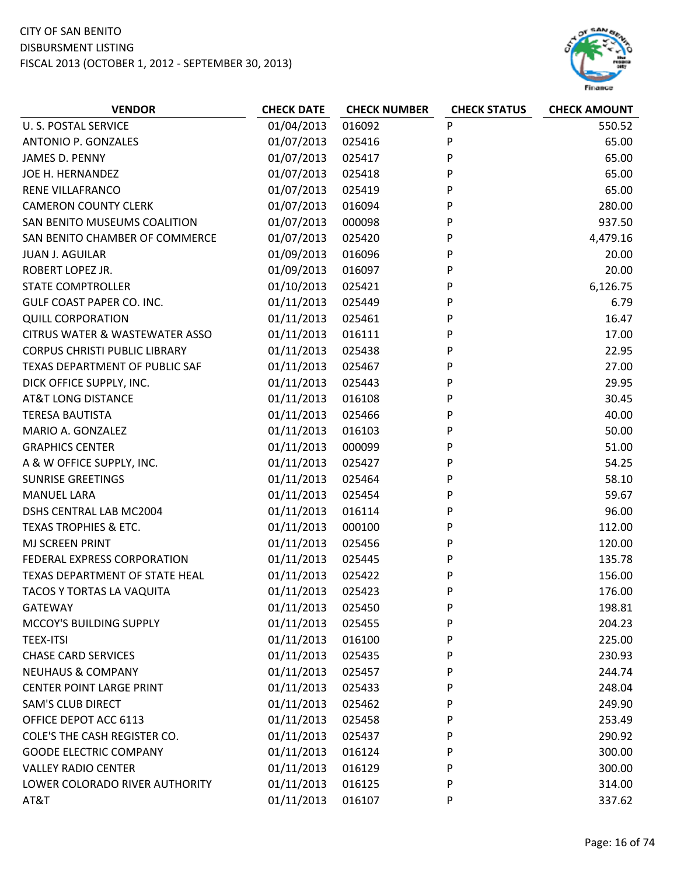

| <b>VENDOR</b>                             | <b>CHECK DATE</b> | <b>CHECK NUMBER</b> | <b>CHECK STATUS</b> | <b>CHECK AMOUNT</b> |
|-------------------------------------------|-------------------|---------------------|---------------------|---------------------|
| <b>U. S. POSTAL SERVICE</b>               | 01/04/2013        | 016092              | P                   | 550.52              |
| ANTONIO P. GONZALES                       | 01/07/2013        | 025416              | P                   | 65.00               |
| JAMES D. PENNY                            | 01/07/2013        | 025417              | P                   | 65.00               |
| JOE H. HERNANDEZ                          | 01/07/2013        | 025418              | P                   | 65.00               |
| RENE VILLAFRANCO                          | 01/07/2013        | 025419              | P                   | 65.00               |
| <b>CAMERON COUNTY CLERK</b>               | 01/07/2013        | 016094              | P                   | 280.00              |
| SAN BENITO MUSEUMS COALITION              | 01/07/2013        | 000098              | P                   | 937.50              |
| SAN BENITO CHAMBER OF COMMERCE            | 01/07/2013        | 025420              | P                   | 4,479.16            |
| <b>JUAN J. AGUILAR</b>                    | 01/09/2013        | 016096              | P                   | 20.00               |
| ROBERT LOPEZ JR.                          | 01/09/2013        | 016097              | P                   | 20.00               |
| <b>STATE COMPTROLLER</b>                  | 01/10/2013        | 025421              | P                   | 6,126.75            |
| GULF COAST PAPER CO. INC.                 | 01/11/2013        | 025449              | P                   | 6.79                |
| <b>QUILL CORPORATION</b>                  | 01/11/2013        | 025461              | P                   | 16.47               |
| <b>CITRUS WATER &amp; WASTEWATER ASSO</b> | 01/11/2013        | 016111              | P                   | 17.00               |
| <b>CORPUS CHRISTI PUBLIC LIBRARY</b>      | 01/11/2013        | 025438              | P                   | 22.95               |
| TEXAS DEPARTMENT OF PUBLIC SAF            | 01/11/2013        | 025467              | P                   | 27.00               |
| DICK OFFICE SUPPLY, INC.                  | 01/11/2013        | 025443              | P                   | 29.95               |
| <b>AT&amp;T LONG DISTANCE</b>             | 01/11/2013        | 016108              | P                   | 30.45               |
| <b>TERESA BAUTISTA</b>                    | 01/11/2013        | 025466              | P                   | 40.00               |
| MARIO A. GONZALEZ                         | 01/11/2013        | 016103              | P                   | 50.00               |
| <b>GRAPHICS CENTER</b>                    | 01/11/2013        | 000099              | P                   | 51.00               |
| A & W OFFICE SUPPLY, INC.                 | 01/11/2013        | 025427              | P                   | 54.25               |
| <b>SUNRISE GREETINGS</b>                  | 01/11/2013        | 025464              | P                   | 58.10               |
| <b>MANUEL LARA</b>                        | 01/11/2013        | 025454              | P                   | 59.67               |
| DSHS CENTRAL LAB MC2004                   | 01/11/2013        | 016114              | P                   | 96.00               |
| TEXAS TROPHIES & ETC.                     | 01/11/2013        | 000100              | P                   | 112.00              |
| MJ SCREEN PRINT                           | 01/11/2013        | 025456              | P                   | 120.00              |
| FEDERAL EXPRESS CORPORATION               | 01/11/2013        | 025445              | P                   | 135.78              |
| TEXAS DEPARTMENT OF STATE HEAL            | 01/11/2013        | 025422              | P                   | 156.00              |
| <b>TACOS Y TORTAS LA VAQUITA</b>          | 01/11/2013        | 025423              | P                   | 176.00              |
| <b>GATEWAY</b>                            | 01/11/2013        | 025450              | P                   | 198.81              |
| MCCOY'S BUILDING SUPPLY                   | 01/11/2013        | 025455              | P                   | 204.23              |
| <b>TEEX-ITSI</b>                          | 01/11/2013        | 016100              | P                   | 225.00              |
| <b>CHASE CARD SERVICES</b>                | 01/11/2013        | 025435              | P                   | 230.93              |
| <b>NEUHAUS &amp; COMPANY</b>              | 01/11/2013        | 025457              | P                   | 244.74              |
| <b>CENTER POINT LARGE PRINT</b>           | 01/11/2013        | 025433              | P                   | 248.04              |
| <b>SAM'S CLUB DIRECT</b>                  | 01/11/2013        | 025462              | P                   | 249.90              |
| OFFICE DEPOT ACC 6113                     | 01/11/2013        | 025458              | P                   | 253.49              |
| COLE'S THE CASH REGISTER CO.              | 01/11/2013        | 025437              | P                   | 290.92              |
| <b>GOODE ELECTRIC COMPANY</b>             | 01/11/2013        | 016124              | P                   | 300.00              |
| <b>VALLEY RADIO CENTER</b>                | 01/11/2013        | 016129              | P                   | 300.00              |
| LOWER COLORADO RIVER AUTHORITY            | 01/11/2013        | 016125              | P                   | 314.00              |
| AT&T                                      | 01/11/2013        | 016107              | P                   | 337.62              |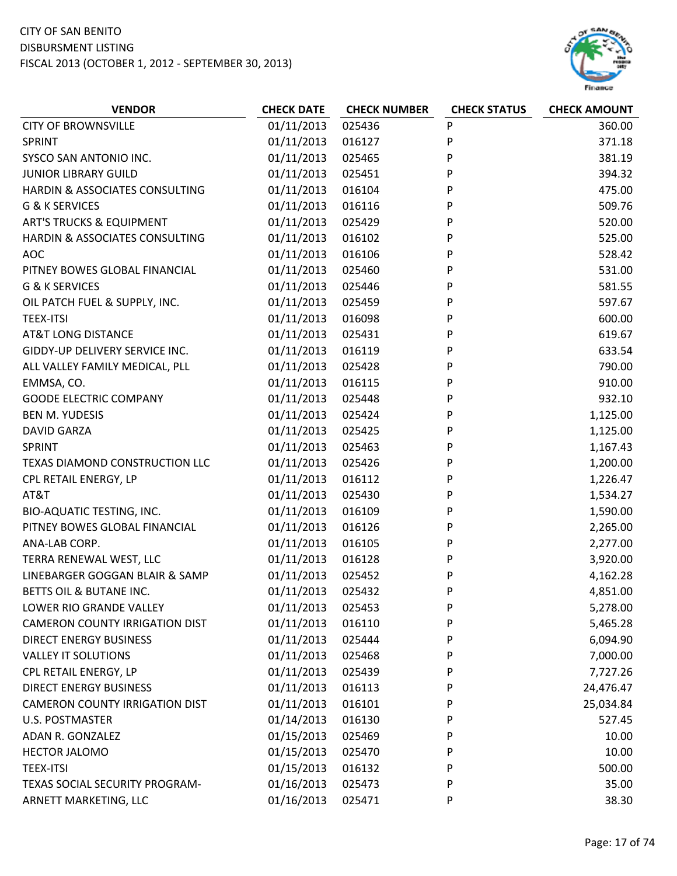

| P<br><b>CITY OF BROWNSVILLE</b><br>01/11/2013<br>025436<br>01/11/2013<br>P<br>016127<br><b>SPRINT</b> | 360.00<br>371.18 |
|-------------------------------------------------------------------------------------------------------|------------------|
|                                                                                                       |                  |
|                                                                                                       |                  |
| 01/11/2013<br>P<br>SYSCO SAN ANTONIO INC.<br>025465                                                   | 381.19           |
| P<br><b>JUNIOR LIBRARY GUILD</b><br>01/11/2013<br>025451                                              | 394.32           |
| 01/11/2013<br>HARDIN & ASSOCIATES CONSULTING<br>016104<br>P                                           | 475.00           |
| P<br>G & K SERVICES<br>01/11/2013<br>016116                                                           | 509.76           |
| <b>ART'S TRUCKS &amp; EQUIPMENT</b><br>01/11/2013<br>025429<br>P                                      | 520.00           |
| 01/11/2013<br>HARDIN & ASSOCIATES CONSULTING<br>016102<br>P                                           | 525.00           |
| <b>AOC</b><br>01/11/2013<br>016106<br>P                                                               | 528.42           |
| 01/11/2013<br>P<br>PITNEY BOWES GLOBAL FINANCIAL<br>025460                                            | 531.00           |
| G & K SERVICES<br>01/11/2013<br>025446<br>P                                                           | 581.55           |
| 01/11/2013<br>OIL PATCH FUEL & SUPPLY, INC.<br>025459<br>P                                            | 597.67           |
| P<br><b>TEEX-ITSI</b><br>01/11/2013<br>016098                                                         | 600.00           |
| 01/11/2013<br>P<br><b>AT&amp;T LONG DISTANCE</b><br>025431                                            | 619.67           |
| 01/11/2013<br>GIDDY-UP DELIVERY SERVICE INC.<br>016119<br>P                                           | 633.54           |
| P<br>01/11/2013<br>025428<br>ALL VALLEY FAMILY MEDICAL, PLL                                           | 790.00           |
| EMMSA, CO.<br>01/11/2013<br>016115<br>P                                                               | 910.00           |
| P<br><b>GOODE ELECTRIC COMPANY</b><br>01/11/2013<br>025448                                            | 932.10           |
| P<br><b>BEN M. YUDESIS</b><br>01/11/2013<br>025424                                                    | 1,125.00         |
| 01/11/2013<br>025425<br>P<br><b>DAVID GARZA</b><br>1,125.00                                           |                  |
| 01/11/2013<br>025463<br>P<br>SPRINT<br>1,167.43                                                       |                  |
| 01/11/2013<br>025426<br>P<br>TEXAS DIAMOND CONSTRUCTION LLC                                           | 1,200.00         |
| 01/11/2013<br>016112<br>P<br>1,226.47<br>CPL RETAIL ENERGY, LP                                        |                  |
| 01/11/2013<br>AT&T<br>025430<br>P<br>1,534.27                                                         |                  |
| P<br>01/11/2013<br>016109<br>BIO-AQUATIC TESTING, INC.<br>1,590.00                                    |                  |
| 01/11/2013<br>P<br>PITNEY BOWES GLOBAL FINANCIAL<br>016126<br>2,265.00                                |                  |
| 01/11/2013<br>ANA-LAB CORP.<br>016105<br>P                                                            | 2,277.00         |
| TERRA RENEWAL WEST, LLC<br>01/11/2013<br>P<br>3,920.00<br>016128                                      |                  |
| LINEBARGER GOGGAN BLAIR & SAMP<br>01/11/2013<br>025452<br>P                                           | 4,162.28         |
| BETTS OIL & BUTANE INC.<br>01/11/2013<br>025432<br>P<br>4,851.00                                      |                  |
| 01/11/2013<br>LOWER RIO GRANDE VALLEY<br>025453<br>P                                                  | 5,278.00         |
| <b>CAMERON COUNTY IRRIGATION DIST</b><br>01/11/2013<br>016110<br>P                                    | 5,465.28         |
| 01/11/2013<br><b>DIRECT ENERGY BUSINESS</b><br>025444<br>P<br>6,094.90                                |                  |
| 01/11/2013<br><b>VALLEY IT SOLUTIONS</b><br>025468<br>P                                               | 7,000.00         |
| 01/11/2013<br>CPL RETAIL ENERGY, LP<br>025439<br>P<br>7,727.26                                        |                  |
| <b>DIRECT ENERGY BUSINESS</b><br>01/11/2013<br>016113<br>24,476.47<br>P                               |                  |
| <b>CAMERON COUNTY IRRIGATION DIST</b><br>01/11/2013<br>016101<br>P<br>25,034.84                       |                  |
| 01/14/2013<br><b>U.S. POSTMASTER</b><br>016130<br>P                                                   | 527.45           |
| 01/15/2013<br>ADAN R. GONZALEZ<br>025469<br>P                                                         | 10.00            |
| 01/15/2013<br>HECTOR JALOMO<br>P<br>025470                                                            | 10.00            |
| 01/15/2013<br><b>TEEX-ITSI</b><br>016132<br>P                                                         | 500.00           |
| 01/16/2013<br>TEXAS SOCIAL SECURITY PROGRAM-<br>025473<br>P                                           | 35.00            |
| 01/16/2013<br>025471<br>ARNETT MARKETING, LLC<br>P                                                    | 38.30            |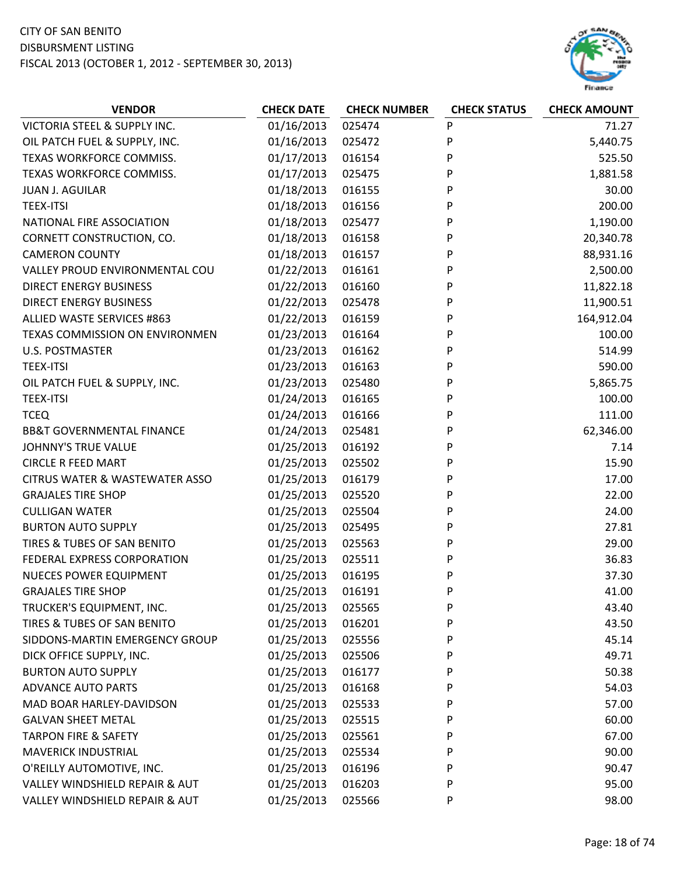

| <b>VENDOR</b>                             | <b>CHECK DATE</b> | <b>CHECK NUMBER</b> | <b>CHECK STATUS</b> | <b>CHECK AMOUNT</b> |
|-------------------------------------------|-------------------|---------------------|---------------------|---------------------|
| VICTORIA STEEL & SUPPLY INC.              | 01/16/2013        | 025474              | P                   | 71.27               |
| OIL PATCH FUEL & SUPPLY, INC.             | 01/16/2013        | 025472              | P                   | 5,440.75            |
| TEXAS WORKFORCE COMMISS.                  | 01/17/2013        | 016154              | P                   | 525.50              |
| TEXAS WORKFORCE COMMISS.                  | 01/17/2013        | 025475              | P                   | 1,881.58            |
| <b>JUAN J. AGUILAR</b>                    | 01/18/2013        | 016155              | P                   | 30.00               |
| <b>TEEX-ITSI</b>                          | 01/18/2013        | 016156              | P                   | 200.00              |
| NATIONAL FIRE ASSOCIATION                 | 01/18/2013        | 025477              | P                   | 1,190.00            |
| CORNETT CONSTRUCTION, CO.                 | 01/18/2013        | 016158              | P                   | 20,340.78           |
| <b>CAMERON COUNTY</b>                     | 01/18/2013        | 016157              | P                   | 88,931.16           |
| VALLEY PROUD ENVIRONMENTAL COU            | 01/22/2013        | 016161              | P                   | 2,500.00            |
| <b>DIRECT ENERGY BUSINESS</b>             | 01/22/2013        | 016160              | P                   | 11,822.18           |
| <b>DIRECT ENERGY BUSINESS</b>             | 01/22/2013        | 025478              | P                   | 11,900.51           |
| ALLIED WASTE SERVICES #863                | 01/22/2013        | 016159              | P                   | 164,912.04          |
| TEXAS COMMISSION ON ENVIRONMEN            | 01/23/2013        | 016164              | P                   | 100.00              |
| <b>U.S. POSTMASTER</b>                    | 01/23/2013        | 016162              | P                   | 514.99              |
| <b>TEEX-ITSI</b>                          | 01/23/2013        | 016163              | P                   | 590.00              |
| OIL PATCH FUEL & SUPPLY, INC.             | 01/23/2013        | 025480              | P                   | 5,865.75            |
| <b>TEEX-ITSI</b>                          | 01/24/2013        | 016165              | P                   | 100.00              |
| <b>TCEQ</b>                               | 01/24/2013        | 016166              | P                   | 111.00              |
| <b>BB&amp;T GOVERNMENTAL FINANCE</b>      | 01/24/2013        | 025481              | P                   | 62,346.00           |
| JOHNNY'S TRUE VALUE                       | 01/25/2013        | 016192              | P                   | 7.14                |
| <b>CIRCLE R FEED MART</b>                 | 01/25/2013        | 025502              | P                   | 15.90               |
| <b>CITRUS WATER &amp; WASTEWATER ASSO</b> | 01/25/2013        | 016179              | P                   | 17.00               |
| <b>GRAJALES TIRE SHOP</b>                 | 01/25/2013        | 025520              | P                   | 22.00               |
| <b>CULLIGAN WATER</b>                     | 01/25/2013        | 025504              | P                   | 24.00               |
| <b>BURTON AUTO SUPPLY</b>                 | 01/25/2013        | 025495              | P                   | 27.81               |
| TIRES & TUBES OF SAN BENITO               | 01/25/2013        | 025563              | P                   | 29.00               |
| FEDERAL EXPRESS CORPORATION               | 01/25/2013        | 025511              | P                   | 36.83               |
| <b>NUECES POWER EQUIPMENT</b>             | 01/25/2013        | 016195              | P                   | 37.30               |
| <b>GRAJALES TIRE SHOP</b>                 | 01/25/2013        | 016191              | P                   | 41.00               |
| TRUCKER'S EQUIPMENT, INC.                 | 01/25/2013        | 025565              | P                   | 43.40               |
| TIRES & TUBES OF SAN BENITO               | 01/25/2013        | 016201              | P                   | 43.50               |
| SIDDONS-MARTIN EMERGENCY GROUP            | 01/25/2013        | 025556              | P                   | 45.14               |
| DICK OFFICE SUPPLY, INC.                  | 01/25/2013        | 025506              | P                   | 49.71               |
| <b>BURTON AUTO SUPPLY</b>                 | 01/25/2013        | 016177              | P                   | 50.38               |
| <b>ADVANCE AUTO PARTS</b>                 | 01/25/2013        | 016168              | P                   | 54.03               |
| MAD BOAR HARLEY-DAVIDSON                  | 01/25/2013        | 025533              | P                   | 57.00               |
| <b>GALVAN SHEET METAL</b>                 | 01/25/2013        | 025515              | P                   | 60.00               |
| <b>TARPON FIRE &amp; SAFETY</b>           | 01/25/2013        | 025561              | P                   | 67.00               |
| <b>MAVERICK INDUSTRIAL</b>                | 01/25/2013        | 025534              | P                   | 90.00               |
| O'REILLY AUTOMOTIVE, INC.                 | 01/25/2013        | 016196              | P                   | 90.47               |
| VALLEY WINDSHIELD REPAIR & AUT            | 01/25/2013        | 016203              | P                   | 95.00               |
| VALLEY WINDSHIELD REPAIR & AUT            | 01/25/2013        | 025566              | P                   | 98.00               |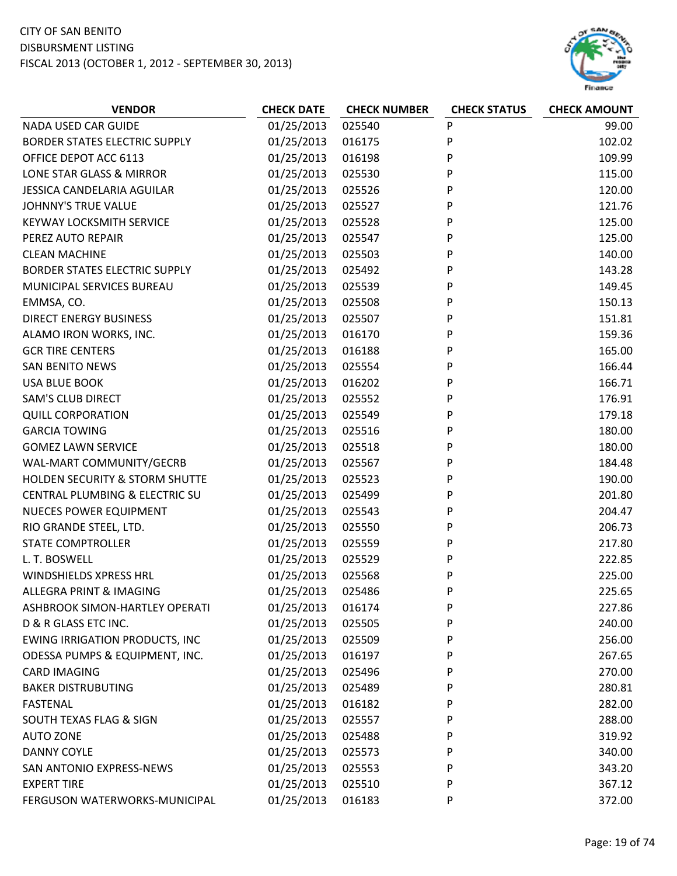

| <b>VENDOR</b>                         | <b>CHECK DATE</b> | <b>CHECK NUMBER</b> | <b>CHECK STATUS</b> | <b>CHECK AMOUNT</b> |
|---------------------------------------|-------------------|---------------------|---------------------|---------------------|
| NADA USED CAR GUIDE                   | 01/25/2013        | 025540              | P                   | 99.00               |
| <b>BORDER STATES ELECTRIC SUPPLY</b>  | 01/25/2013        | 016175              | P                   | 102.02              |
| OFFICE DEPOT ACC 6113                 | 01/25/2013        | 016198              | P                   | 109.99              |
| LONE STAR GLASS & MIRROR              | 01/25/2013        | 025530              | P                   | 115.00              |
| JESSICA CANDELARIA AGUILAR            | 01/25/2013        | 025526              | P                   | 120.00              |
| <b>JOHNNY'S TRUE VALUE</b>            | 01/25/2013        | 025527              | P                   | 121.76              |
| <b>KEYWAY LOCKSMITH SERVICE</b>       | 01/25/2013        | 025528              | P                   | 125.00              |
| PEREZ AUTO REPAIR                     | 01/25/2013        | 025547              | P                   | 125.00              |
| <b>CLEAN MACHINE</b>                  | 01/25/2013        | 025503              | P                   | 140.00              |
| <b>BORDER STATES ELECTRIC SUPPLY</b>  | 01/25/2013        | 025492              | P                   | 143.28              |
| MUNICIPAL SERVICES BUREAU             | 01/25/2013        | 025539              | P                   | 149.45              |
| EMMSA, CO.                            | 01/25/2013        | 025508              | P                   | 150.13              |
| <b>DIRECT ENERGY BUSINESS</b>         | 01/25/2013        | 025507              | P                   | 151.81              |
| ALAMO IRON WORKS, INC.                | 01/25/2013        | 016170              | P                   | 159.36              |
| <b>GCR TIRE CENTERS</b>               | 01/25/2013        | 016188              | P                   | 165.00              |
| <b>SAN BENITO NEWS</b>                | 01/25/2013        | 025554              | P                   | 166.44              |
| <b>USA BLUE BOOK</b>                  | 01/25/2013        | 016202              | P                   | 166.71              |
| <b>SAM'S CLUB DIRECT</b>              | 01/25/2013        | 025552              | P                   | 176.91              |
| <b>QUILL CORPORATION</b>              | 01/25/2013        | 025549              | P                   | 179.18              |
| <b>GARCIA TOWING</b>                  | 01/25/2013        | 025516              | P                   | 180.00              |
| <b>GOMEZ LAWN SERVICE</b>             | 01/25/2013        | 025518              | P                   | 180.00              |
| WAL-MART COMMUNITY/GECRB              | 01/25/2013        | 025567              | P                   | 184.48              |
| HOLDEN SECURITY & STORM SHUTTE        | 01/25/2013        | 025523              | P                   | 190.00              |
| CENTRAL PLUMBING & ELECTRIC SU        | 01/25/2013        | 025499              | P                   | 201.80              |
| <b>NUECES POWER EQUIPMENT</b>         | 01/25/2013        | 025543              | P                   | 204.47              |
| RIO GRANDE STEEL, LTD.                | 01/25/2013        | 025550              | P                   | 206.73              |
| <b>STATE COMPTROLLER</b>              | 01/25/2013        | 025559              | P                   | 217.80              |
| L. T. BOSWELL                         | 01/25/2013        | 025529              | P                   | 222.85              |
| <b>WINDSHIELDS XPRESS HRL</b>         | 01/25/2013        | 025568              | P                   | 225.00              |
| ALLEGRA PRINT & IMAGING               | 01/25/2013        | 025486              | P                   | 225.65              |
| ASHBROOK SIMON-HARTLEY OPERATI        | 01/25/2013        | 016174              | P                   | 227.86              |
| D & R GLASS ETC INC.                  | 01/25/2013        | 025505              | P                   | 240.00              |
| <b>EWING IRRIGATION PRODUCTS, INC</b> | 01/25/2013        | 025509              | P                   | 256.00              |
| ODESSA PUMPS & EQUIPMENT, INC.        | 01/25/2013        | 016197              | P                   | 267.65              |
| <b>CARD IMAGING</b>                   | 01/25/2013        | 025496              | P                   | 270.00              |
| <b>BAKER DISTRUBUTING</b>             | 01/25/2013        | 025489              | P                   | 280.81              |
| <b>FASTENAL</b>                       | 01/25/2013        | 016182              | P                   | 282.00              |
| SOUTH TEXAS FLAG & SIGN               | 01/25/2013        | 025557              | P                   | 288.00              |
| <b>AUTO ZONE</b>                      | 01/25/2013        | 025488              | P                   | 319.92              |
| <b>DANNY COYLE</b>                    | 01/25/2013        | 025573              | P                   | 340.00              |
| SAN ANTONIO EXPRESS-NEWS              | 01/25/2013        | 025553              | P                   | 343.20              |
| <b>EXPERT TIRE</b>                    | 01/25/2013        | 025510              | P                   | 367.12              |
| FERGUSON WATERWORKS-MUNICIPAL         | 01/25/2013        | 016183              | P                   | 372.00              |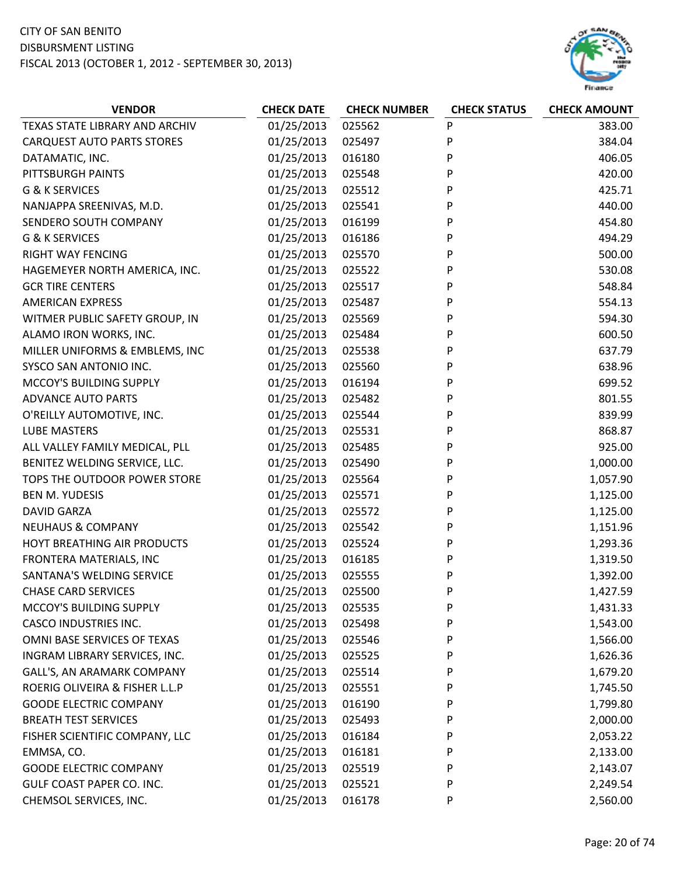

| <b>VENDOR</b>                     | <b>CHECK DATE</b> | <b>CHECK NUMBER</b> | <b>CHECK STATUS</b> | <b>CHECK AMOUNT</b> |
|-----------------------------------|-------------------|---------------------|---------------------|---------------------|
| TEXAS STATE LIBRARY AND ARCHIV    | 01/25/2013        | 025562              | P                   | 383.00              |
| <b>CARQUEST AUTO PARTS STORES</b> | 01/25/2013        | 025497              | P                   | 384.04              |
| DATAMATIC, INC.                   | 01/25/2013        | 016180              | P                   | 406.05              |
| PITTSBURGH PAINTS                 | 01/25/2013        | 025548              | P                   | 420.00              |
| G & K SERVICES                    | 01/25/2013        | 025512              | P                   | 425.71              |
| NANJAPPA SREENIVAS, M.D.          | 01/25/2013        | 025541              | P                   | 440.00              |
| SENDERO SOUTH COMPANY             | 01/25/2013        | 016199              | P                   | 454.80              |
| <b>G &amp; K SERVICES</b>         | 01/25/2013        | 016186              | P                   | 494.29              |
| <b>RIGHT WAY FENCING</b>          | 01/25/2013        | 025570              | P                   | 500.00              |
| HAGEMEYER NORTH AMERICA, INC.     | 01/25/2013        | 025522              | P                   | 530.08              |
| <b>GCR TIRE CENTERS</b>           | 01/25/2013        | 025517              | P                   | 548.84              |
| <b>AMERICAN EXPRESS</b>           | 01/25/2013        | 025487              | P                   | 554.13              |
| WITMER PUBLIC SAFETY GROUP, IN    | 01/25/2013        | 025569              | P                   | 594.30              |
| ALAMO IRON WORKS, INC.            | 01/25/2013        | 025484              | P                   | 600.50              |
| MILLER UNIFORMS & EMBLEMS, INC    | 01/25/2013        | 025538              | P                   | 637.79              |
| SYSCO SAN ANTONIO INC.            | 01/25/2013        | 025560              | P                   | 638.96              |
| MCCOY'S BUILDING SUPPLY           | 01/25/2013        | 016194              | P                   | 699.52              |
| <b>ADVANCE AUTO PARTS</b>         | 01/25/2013        | 025482              | P                   | 801.55              |
| O'REILLY AUTOMOTIVE, INC.         | 01/25/2013        | 025544              | P                   | 839.99              |
| <b>LUBE MASTERS</b>               | 01/25/2013        | 025531              | P                   | 868.87              |
| ALL VALLEY FAMILY MEDICAL, PLL    | 01/25/2013        | 025485              | P                   | 925.00              |
| BENITEZ WELDING SERVICE, LLC.     | 01/25/2013        | 025490              | P                   | 1,000.00            |
| TOPS THE OUTDOOR POWER STORE      | 01/25/2013        | 025564              | P                   | 1,057.90            |
| <b>BEN M. YUDESIS</b>             | 01/25/2013        | 025571              | P                   | 1,125.00            |
| <b>DAVID GARZA</b>                | 01/25/2013        | 025572              | P                   | 1,125.00            |
| <b>NEUHAUS &amp; COMPANY</b>      | 01/25/2013        | 025542              | P                   | 1,151.96            |
| HOYT BREATHING AIR PRODUCTS       | 01/25/2013        | 025524              | P                   | 1,293.36            |
| FRONTERA MATERIALS, INC           | 01/25/2013        | 016185              | P                   | 1,319.50            |
| SANTANA'S WELDING SERVICE         | 01/25/2013        | 025555              | P                   | 1,392.00            |
| <b>CHASE CARD SERVICES</b>        | 01/25/2013        | 025500              | P                   | 1,427.59            |
| MCCOY'S BUILDING SUPPLY           | 01/25/2013        | 025535              | P                   | 1,431.33            |
| <b>CASCO INDUSTRIES INC.</b>      | 01/25/2013        | 025498              | P                   | 1,543.00            |
| OMNI BASE SERVICES OF TEXAS       | 01/25/2013        | 025546              | P                   | 1,566.00            |
| INGRAM LIBRARY SERVICES, INC.     | 01/25/2013        | 025525              | P                   | 1,626.36            |
| GALL'S, AN ARAMARK COMPANY        | 01/25/2013        | 025514              | P                   | 1,679.20            |
| ROERIG OLIVEIRA & FISHER L.L.P    | 01/25/2013        | 025551              | P                   | 1,745.50            |
| <b>GOODE ELECTRIC COMPANY</b>     | 01/25/2013        | 016190              | P                   | 1,799.80            |
| <b>BREATH TEST SERVICES</b>       | 01/25/2013        | 025493              | P                   | 2,000.00            |
| FISHER SCIENTIFIC COMPANY, LLC    | 01/25/2013        | 016184              | P                   | 2,053.22            |
| EMMSA, CO.                        | 01/25/2013        | 016181              | P                   | 2,133.00            |
| <b>GOODE ELECTRIC COMPANY</b>     | 01/25/2013        | 025519              | P                   | 2,143.07            |
| GULF COAST PAPER CO. INC.         | 01/25/2013        | 025521              | P                   | 2,249.54            |
| CHEMSOL SERVICES, INC.            | 01/25/2013        | 016178              | P                   | 2,560.00            |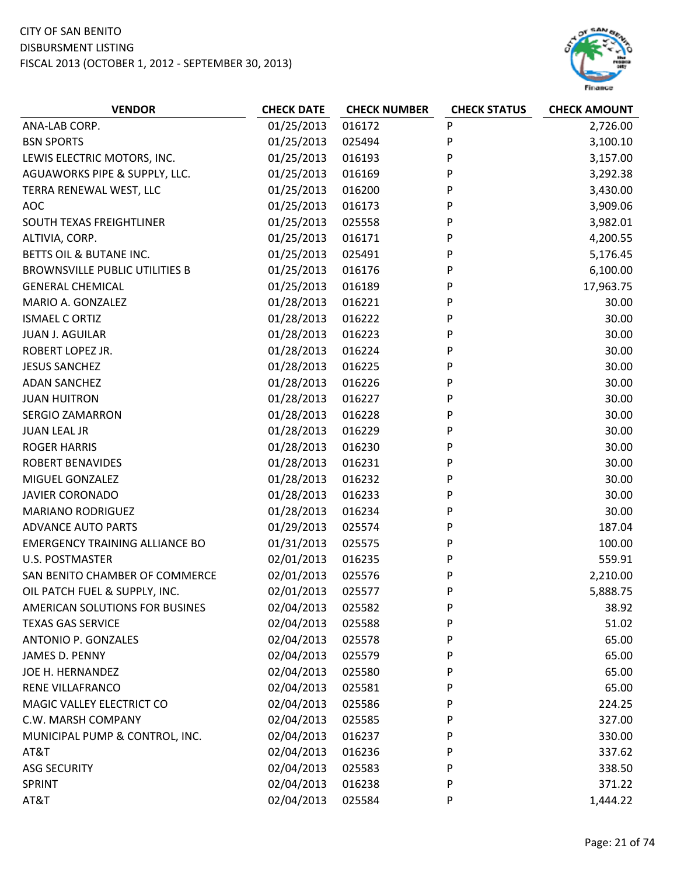

| <b>VENDOR</b>                         | <b>CHECK DATE</b> | <b>CHECK NUMBER</b> | <b>CHECK STATUS</b> | <b>CHECK AMOUNT</b> |
|---------------------------------------|-------------------|---------------------|---------------------|---------------------|
| ANA-LAB CORP.                         | 01/25/2013        | 016172              | P                   | 2,726.00            |
| <b>BSN SPORTS</b>                     | 01/25/2013        | 025494              | P                   | 3,100.10            |
| LEWIS ELECTRIC MOTORS, INC.           | 01/25/2013        | 016193              | P                   | 3,157.00            |
| AGUAWORKS PIPE & SUPPLY, LLC.         | 01/25/2013        | 016169              | P                   | 3,292.38            |
| TERRA RENEWAL WEST, LLC               | 01/25/2013        | 016200              | P                   | 3,430.00            |
| <b>AOC</b>                            | 01/25/2013        | 016173              | P                   | 3,909.06            |
| SOUTH TEXAS FREIGHTLINER              | 01/25/2013        | 025558              | P                   | 3,982.01            |
| ALTIVIA, CORP.                        | 01/25/2013        | 016171              | P                   | 4,200.55            |
| BETTS OIL & BUTANE INC.               | 01/25/2013        | 025491              | P                   | 5,176.45            |
| <b>BROWNSVILLE PUBLIC UTILITIES B</b> | 01/25/2013        | 016176              | P                   | 6,100.00            |
| <b>GENERAL CHEMICAL</b>               | 01/25/2013        | 016189              | P                   | 17,963.75           |
| MARIO A. GONZALEZ                     | 01/28/2013        | 016221              | P                   | 30.00               |
| <b>ISMAEL C ORTIZ</b>                 | 01/28/2013        | 016222              | P                   | 30.00               |
| <b>JUAN J. AGUILAR</b>                | 01/28/2013        | 016223              | P                   | 30.00               |
| ROBERT LOPEZ JR.                      | 01/28/2013        | 016224              | P                   | 30.00               |
| <b>JESUS SANCHEZ</b>                  | 01/28/2013        | 016225              | P                   | 30.00               |
| <b>ADAN SANCHEZ</b>                   | 01/28/2013        | 016226              | P                   | 30.00               |
| <b>JUAN HUITRON</b>                   | 01/28/2013        | 016227              | P                   | 30.00               |
| <b>SERGIO ZAMARRON</b>                | 01/28/2013        | 016228              | P                   | 30.00               |
| <b>JUAN LEAL JR</b>                   | 01/28/2013        | 016229              | P                   | 30.00               |
| <b>ROGER HARRIS</b>                   | 01/28/2013        | 016230              | P                   | 30.00               |
| <b>ROBERT BENAVIDES</b>               | 01/28/2013        | 016231              | P                   | 30.00               |
| MIGUEL GONZALEZ                       | 01/28/2013        | 016232              | P                   | 30.00               |
| <b>JAVIER CORONADO</b>                | 01/28/2013        | 016233              | P                   | 30.00               |
| <b>MARIANO RODRIGUEZ</b>              | 01/28/2013        | 016234              | P                   | 30.00               |
| <b>ADVANCE AUTO PARTS</b>             | 01/29/2013        | 025574              | P                   | 187.04              |
| <b>EMERGENCY TRAINING ALLIANCE BO</b> | 01/31/2013        | 025575              | P                   | 100.00              |
| <b>U.S. POSTMASTER</b>                | 02/01/2013        | 016235              | P                   | 559.91              |
| SAN BENITO CHAMBER OF COMMERCE        | 02/01/2013        | 025576              | P                   | 2,210.00            |
| OIL PATCH FUEL & SUPPLY, INC.         | 02/01/2013        | 025577              | P                   | 5,888.75            |
| AMERICAN SOLUTIONS FOR BUSINES        | 02/04/2013        | 025582              | P                   | 38.92               |
| <b>TEXAS GAS SERVICE</b>              | 02/04/2013        | 025588              | P                   | 51.02               |
| <b>ANTONIO P. GONZALES</b>            | 02/04/2013        | 025578              | P                   | 65.00               |
| <b>JAMES D. PENNY</b>                 | 02/04/2013        | 025579              | P                   | 65.00               |
| JOE H. HERNANDEZ                      | 02/04/2013        | 025580              | P                   | 65.00               |
| RENE VILLAFRANCO                      | 02/04/2013        | 025581              | P                   | 65.00               |
| MAGIC VALLEY ELECTRICT CO             | 02/04/2013        | 025586              | P                   | 224.25              |
| C.W. MARSH COMPANY                    | 02/04/2013        | 025585              | P                   | 327.00              |
| MUNICIPAL PUMP & CONTROL, INC.        | 02/04/2013        | 016237              | P                   | 330.00              |
| AT&T                                  | 02/04/2013        | 016236              | P                   | 337.62              |
| <b>ASG SECURITY</b>                   | 02/04/2013        | 025583              | P                   | 338.50              |
| SPRINT                                | 02/04/2013        | 016238              | P                   | 371.22              |
| AT&T                                  | 02/04/2013        | 025584              | P                   | 1,444.22            |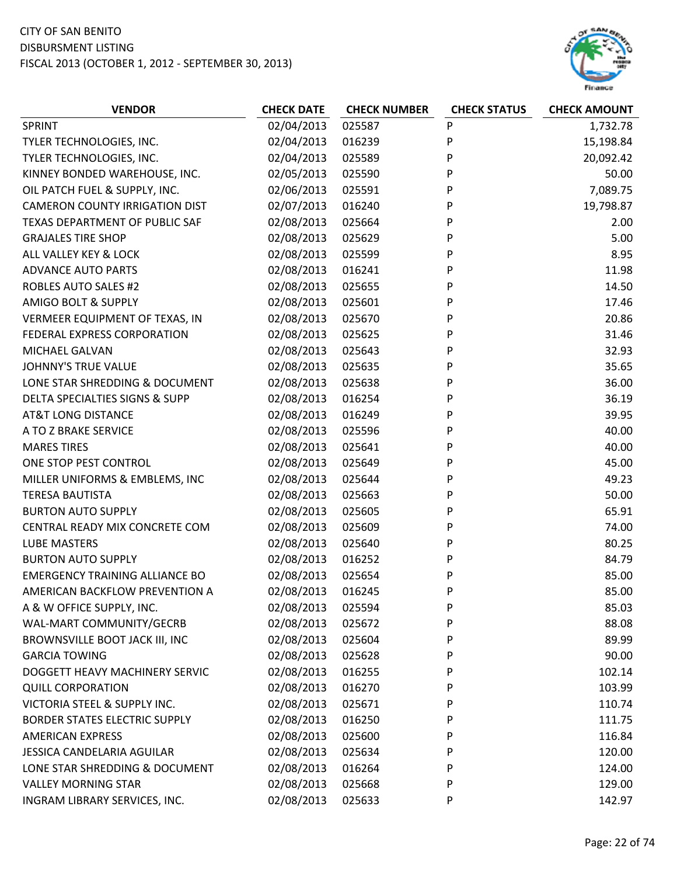

| <b>VENDOR</b>                         | <b>CHECK DATE</b> | <b>CHECK NUMBER</b> | <b>CHECK STATUS</b> | <b>CHECK AMOUNT</b> |
|---------------------------------------|-------------------|---------------------|---------------------|---------------------|
| SPRINT                                | 02/04/2013        | 025587              | ${\sf P}$           | 1,732.78            |
| TYLER TECHNOLOGIES, INC.              | 02/04/2013        | 016239              | P                   | 15,198.84           |
| TYLER TECHNOLOGIES, INC.              | 02/04/2013        | 025589              | P                   | 20,092.42           |
| KINNEY BONDED WAREHOUSE, INC.         | 02/05/2013        | 025590              | P                   | 50.00               |
| OIL PATCH FUEL & SUPPLY, INC.         | 02/06/2013        | 025591              | P                   | 7,089.75            |
| <b>CAMERON COUNTY IRRIGATION DIST</b> | 02/07/2013        | 016240              | P                   | 19,798.87           |
| TEXAS DEPARTMENT OF PUBLIC SAF        | 02/08/2013        | 025664              | P                   | 2.00                |
| <b>GRAJALES TIRE SHOP</b>             | 02/08/2013        | 025629              | P                   | 5.00                |
| ALL VALLEY KEY & LOCK                 | 02/08/2013        | 025599              | P                   | 8.95                |
| <b>ADVANCE AUTO PARTS</b>             | 02/08/2013        | 016241              | P                   | 11.98               |
| <b>ROBLES AUTO SALES #2</b>           | 02/08/2013        | 025655              | P                   | 14.50               |
| <b>AMIGO BOLT &amp; SUPPLY</b>        | 02/08/2013        | 025601              | P                   | 17.46               |
| VERMEER EQUIPMENT OF TEXAS, IN        | 02/08/2013        | 025670              | P                   | 20.86               |
| FEDERAL EXPRESS CORPORATION           | 02/08/2013        | 025625              | P                   | 31.46               |
| <b>MICHAEL GALVAN</b>                 | 02/08/2013        | 025643              | P                   | 32.93               |
| <b>JOHNNY'S TRUE VALUE</b>            | 02/08/2013        | 025635              | P                   | 35.65               |
| LONE STAR SHREDDING & DOCUMENT        | 02/08/2013        | 025638              | P                   | 36.00               |
| DELTA SPECIALTIES SIGNS & SUPP        | 02/08/2013        | 016254              | P                   | 36.19               |
| <b>AT&amp;T LONG DISTANCE</b>         | 02/08/2013        | 016249              | P                   | 39.95               |
| A TO Z BRAKE SERVICE                  | 02/08/2013        | 025596              | P                   | 40.00               |
| <b>MARES TIRES</b>                    | 02/08/2013        | 025641              | P                   | 40.00               |
| ONE STOP PEST CONTROL                 | 02/08/2013        | 025649              | P                   | 45.00               |
| MILLER UNIFORMS & EMBLEMS, INC        | 02/08/2013        | 025644              | P                   | 49.23               |
| <b>TERESA BAUTISTA</b>                | 02/08/2013        | 025663              | P                   | 50.00               |
| <b>BURTON AUTO SUPPLY</b>             | 02/08/2013        | 025605              | P                   | 65.91               |
| CENTRAL READY MIX CONCRETE COM        | 02/08/2013        | 025609              | P                   | 74.00               |
| <b>LUBE MASTERS</b>                   | 02/08/2013        | 025640              | P                   | 80.25               |
| <b>BURTON AUTO SUPPLY</b>             | 02/08/2013        | 016252              | P                   | 84.79               |
| <b>EMERGENCY TRAINING ALLIANCE BO</b> | 02/08/2013        | 025654              | P                   | 85.00               |
| AMERICAN BACKFLOW PREVENTION A        | 02/08/2013        | 016245              | P                   | 85.00               |
| A & W OFFICE SUPPLY, INC.             | 02/08/2013        | 025594              | P                   | 85.03               |
| WAL-MART COMMUNITY/GECRB              | 02/08/2013        | 025672              | P                   | 88.08               |
| BROWNSVILLE BOOT JACK III, INC        | 02/08/2013        | 025604              | P                   | 89.99               |
| <b>GARCIA TOWING</b>                  | 02/08/2013        | 025628              | P                   | 90.00               |
| DOGGETT HEAVY MACHINERY SERVIC        | 02/08/2013        | 016255              | P                   | 102.14              |
| <b>QUILL CORPORATION</b>              | 02/08/2013        | 016270              | P                   | 103.99              |
| VICTORIA STEEL & SUPPLY INC.          | 02/08/2013        | 025671              | P                   | 110.74              |
| <b>BORDER STATES ELECTRIC SUPPLY</b>  | 02/08/2013        | 016250              | P                   | 111.75              |
| <b>AMERICAN EXPRESS</b>               | 02/08/2013        | 025600              | P                   | 116.84              |
| JESSICA CANDELARIA AGUILAR            | 02/08/2013        | 025634              | P                   | 120.00              |
| LONE STAR SHREDDING & DOCUMENT        | 02/08/2013        | 016264              | P                   | 124.00              |
| <b>VALLEY MORNING STAR</b>            | 02/08/2013        | 025668              | P                   | 129.00              |
| INGRAM LIBRARY SERVICES, INC.         | 02/08/2013        | 025633              | P                   | 142.97              |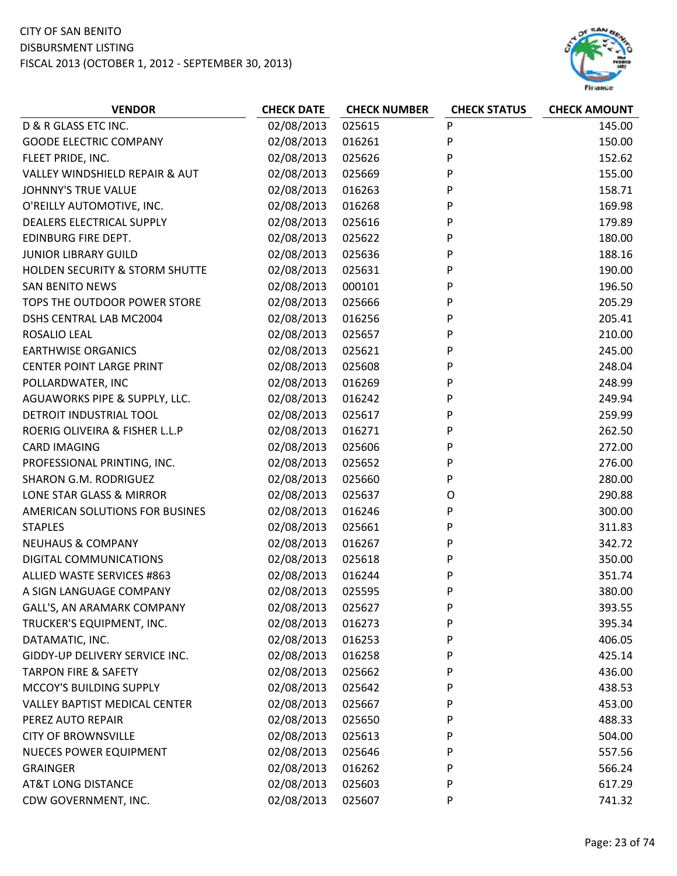

| 02/08/2013<br>P<br>D & R GLASS ETC INC.<br>025615<br>145.00<br>P<br><b>GOODE ELECTRIC COMPANY</b><br>02/08/2013<br>016261<br>150.00<br>02/08/2013<br>025626<br>P<br>152.62<br>FLEET PRIDE, INC.<br>02/08/2013<br>P<br>VALLEY WINDSHIELD REPAIR & AUT<br>025669<br>155.00<br>02/08/2013<br>016263<br>P<br>158.71<br><b>JOHNNY'S TRUE VALUE</b><br>O'REILLY AUTOMOTIVE, INC.<br>02/08/2013<br>016268<br>P<br>169.98<br>DEALERS ELECTRICAL SUPPLY<br>02/08/2013<br>P<br>025616<br>179.89<br>P<br>EDINBURG FIRE DEPT.<br>02/08/2013<br>180.00<br>025622<br><b>JUNIOR LIBRARY GUILD</b><br>02/08/2013<br>P<br>188.16<br>025636<br>HOLDEN SECURITY & STORM SHUTTE<br>02/08/2013<br>P<br>190.00<br>025631<br>02/08/2013<br>P<br><b>SAN BENITO NEWS</b><br>000101<br>196.50<br>02/08/2013<br>TOPS THE OUTDOOR POWER STORE<br>025666<br>P<br>205.29<br>DSHS CENTRAL LAB MC2004<br>02/08/2013<br>016256<br>P<br>205.41<br>P<br>02/08/2013<br>ROSALIO LEAL<br>025657<br>210.00<br>02/08/2013<br>P<br>245.00<br><b>EARTHWISE ORGANICS</b><br>025621<br><b>CENTER POINT LARGE PRINT</b><br>02/08/2013<br>025608<br>P<br>248.04<br>POLLARDWATER, INC<br>02/08/2013<br>P<br>248.99<br>016269<br>AGUAWORKS PIPE & SUPPLY, LLC.<br>02/08/2013<br>P<br>016242<br>249.94<br>DETROIT INDUSTRIAL TOOL<br>02/08/2013<br>025617<br>P<br>259.99<br>P<br>ROERIG OLIVEIRA & FISHER L.L.P<br>02/08/2013<br>016271<br>262.50<br>02/08/2013<br>P<br><b>CARD IMAGING</b><br>025606<br>272.00<br>PROFESSIONAL PRINTING, INC.<br>02/08/2013<br>P<br>276.00<br>025652<br><b>SHARON G.M. RODRIGUEZ</b><br>02/08/2013<br>P<br>280.00<br>025660<br>LONE STAR GLASS & MIRROR<br>02/08/2013<br>025637<br>290.88<br>$\circ$<br>P<br>02/08/2013<br>300.00<br>AMERICAN SOLUTIONS FOR BUSINES<br>016246<br>02/08/2013<br>025661<br>P<br><b>STAPLES</b><br>311.83<br>02/08/2013<br>P<br>342.72<br><b>NEUHAUS &amp; COMPANY</b><br>016267<br>02/08/2013<br>P<br>DIGITAL COMMUNICATIONS<br>025618<br>350.00<br>02/08/2013<br>P<br>ALLIED WASTE SERVICES #863<br>016244<br>351.74<br>02/08/2013<br>P<br>380.00<br>A SIGN LANGUAGE COMPANY<br>025595<br>02/08/2013<br>GALL'S, AN ARAMARK COMPANY<br>025627<br>P<br>393.55<br>02/08/2013<br>P<br>TRUCKER'S EQUIPMENT, INC.<br>016273<br>395.34<br>02/08/2013<br>P<br>DATAMATIC, INC.<br>016253<br>406.05<br>GIDDY-UP DELIVERY SERVICE INC.<br>02/08/2013<br>P<br>016258<br>425.14<br><b>TARPON FIRE &amp; SAFETY</b><br>02/08/2013<br>025662<br>P<br>436.00<br>02/08/2013<br>MCCOY'S BUILDING SUPPLY<br>025642<br>P<br>438.53<br>02/08/2013<br><b>VALLEY BAPTIST MEDICAL CENTER</b><br>025667<br>P<br>453.00<br>PEREZ AUTO REPAIR<br>02/08/2013<br>025650<br>P<br>488.33<br>02/08/2013<br>P<br><b>CITY OF BROWNSVILLE</b><br>025613<br>504.00<br>02/08/2013<br><b>NUECES POWER EQUIPMENT</b><br>P<br>025646<br>557.56 | <b>VENDOR</b>   | <b>CHECK DATE</b> | <b>CHECK NUMBER</b> | <b>CHECK STATUS</b> | <b>CHECK AMOUNT</b> |
|-----------------------------------------------------------------------------------------------------------------------------------------------------------------------------------------------------------------------------------------------------------------------------------------------------------------------------------------------------------------------------------------------------------------------------------------------------------------------------------------------------------------------------------------------------------------------------------------------------------------------------------------------------------------------------------------------------------------------------------------------------------------------------------------------------------------------------------------------------------------------------------------------------------------------------------------------------------------------------------------------------------------------------------------------------------------------------------------------------------------------------------------------------------------------------------------------------------------------------------------------------------------------------------------------------------------------------------------------------------------------------------------------------------------------------------------------------------------------------------------------------------------------------------------------------------------------------------------------------------------------------------------------------------------------------------------------------------------------------------------------------------------------------------------------------------------------------------------------------------------------------------------------------------------------------------------------------------------------------------------------------------------------------------------------------------------------------------------------------------------------------------------------------------------------------------------------------------------------------------------------------------------------------------------------------------------------------------------------------------------------------------------------------------------------------------------------------------------------------------------------------------------------------------------------------------------------------------------------------------------------------------------------------------------------------------------------------------------------------------------------------------------------------------------------------------------------|-----------------|-------------------|---------------------|---------------------|---------------------|
|                                                                                                                                                                                                                                                                                                                                                                                                                                                                                                                                                                                                                                                                                                                                                                                                                                                                                                                                                                                                                                                                                                                                                                                                                                                                                                                                                                                                                                                                                                                                                                                                                                                                                                                                                                                                                                                                                                                                                                                                                                                                                                                                                                                                                                                                                                                                                                                                                                                                                                                                                                                                                                                                                                                                                                                                                       |                 |                   |                     |                     |                     |
|                                                                                                                                                                                                                                                                                                                                                                                                                                                                                                                                                                                                                                                                                                                                                                                                                                                                                                                                                                                                                                                                                                                                                                                                                                                                                                                                                                                                                                                                                                                                                                                                                                                                                                                                                                                                                                                                                                                                                                                                                                                                                                                                                                                                                                                                                                                                                                                                                                                                                                                                                                                                                                                                                                                                                                                                                       |                 |                   |                     |                     |                     |
|                                                                                                                                                                                                                                                                                                                                                                                                                                                                                                                                                                                                                                                                                                                                                                                                                                                                                                                                                                                                                                                                                                                                                                                                                                                                                                                                                                                                                                                                                                                                                                                                                                                                                                                                                                                                                                                                                                                                                                                                                                                                                                                                                                                                                                                                                                                                                                                                                                                                                                                                                                                                                                                                                                                                                                                                                       |                 |                   |                     |                     |                     |
|                                                                                                                                                                                                                                                                                                                                                                                                                                                                                                                                                                                                                                                                                                                                                                                                                                                                                                                                                                                                                                                                                                                                                                                                                                                                                                                                                                                                                                                                                                                                                                                                                                                                                                                                                                                                                                                                                                                                                                                                                                                                                                                                                                                                                                                                                                                                                                                                                                                                                                                                                                                                                                                                                                                                                                                                                       |                 |                   |                     |                     |                     |
|                                                                                                                                                                                                                                                                                                                                                                                                                                                                                                                                                                                                                                                                                                                                                                                                                                                                                                                                                                                                                                                                                                                                                                                                                                                                                                                                                                                                                                                                                                                                                                                                                                                                                                                                                                                                                                                                                                                                                                                                                                                                                                                                                                                                                                                                                                                                                                                                                                                                                                                                                                                                                                                                                                                                                                                                                       |                 |                   |                     |                     |                     |
|                                                                                                                                                                                                                                                                                                                                                                                                                                                                                                                                                                                                                                                                                                                                                                                                                                                                                                                                                                                                                                                                                                                                                                                                                                                                                                                                                                                                                                                                                                                                                                                                                                                                                                                                                                                                                                                                                                                                                                                                                                                                                                                                                                                                                                                                                                                                                                                                                                                                                                                                                                                                                                                                                                                                                                                                                       |                 |                   |                     |                     |                     |
|                                                                                                                                                                                                                                                                                                                                                                                                                                                                                                                                                                                                                                                                                                                                                                                                                                                                                                                                                                                                                                                                                                                                                                                                                                                                                                                                                                                                                                                                                                                                                                                                                                                                                                                                                                                                                                                                                                                                                                                                                                                                                                                                                                                                                                                                                                                                                                                                                                                                                                                                                                                                                                                                                                                                                                                                                       |                 |                   |                     |                     |                     |
|                                                                                                                                                                                                                                                                                                                                                                                                                                                                                                                                                                                                                                                                                                                                                                                                                                                                                                                                                                                                                                                                                                                                                                                                                                                                                                                                                                                                                                                                                                                                                                                                                                                                                                                                                                                                                                                                                                                                                                                                                                                                                                                                                                                                                                                                                                                                                                                                                                                                                                                                                                                                                                                                                                                                                                                                                       |                 |                   |                     |                     |                     |
|                                                                                                                                                                                                                                                                                                                                                                                                                                                                                                                                                                                                                                                                                                                                                                                                                                                                                                                                                                                                                                                                                                                                                                                                                                                                                                                                                                                                                                                                                                                                                                                                                                                                                                                                                                                                                                                                                                                                                                                                                                                                                                                                                                                                                                                                                                                                                                                                                                                                                                                                                                                                                                                                                                                                                                                                                       |                 |                   |                     |                     |                     |
|                                                                                                                                                                                                                                                                                                                                                                                                                                                                                                                                                                                                                                                                                                                                                                                                                                                                                                                                                                                                                                                                                                                                                                                                                                                                                                                                                                                                                                                                                                                                                                                                                                                                                                                                                                                                                                                                                                                                                                                                                                                                                                                                                                                                                                                                                                                                                                                                                                                                                                                                                                                                                                                                                                                                                                                                                       |                 |                   |                     |                     |                     |
|                                                                                                                                                                                                                                                                                                                                                                                                                                                                                                                                                                                                                                                                                                                                                                                                                                                                                                                                                                                                                                                                                                                                                                                                                                                                                                                                                                                                                                                                                                                                                                                                                                                                                                                                                                                                                                                                                                                                                                                                                                                                                                                                                                                                                                                                                                                                                                                                                                                                                                                                                                                                                                                                                                                                                                                                                       |                 |                   |                     |                     |                     |
|                                                                                                                                                                                                                                                                                                                                                                                                                                                                                                                                                                                                                                                                                                                                                                                                                                                                                                                                                                                                                                                                                                                                                                                                                                                                                                                                                                                                                                                                                                                                                                                                                                                                                                                                                                                                                                                                                                                                                                                                                                                                                                                                                                                                                                                                                                                                                                                                                                                                                                                                                                                                                                                                                                                                                                                                                       |                 |                   |                     |                     |                     |
|                                                                                                                                                                                                                                                                                                                                                                                                                                                                                                                                                                                                                                                                                                                                                                                                                                                                                                                                                                                                                                                                                                                                                                                                                                                                                                                                                                                                                                                                                                                                                                                                                                                                                                                                                                                                                                                                                                                                                                                                                                                                                                                                                                                                                                                                                                                                                                                                                                                                                                                                                                                                                                                                                                                                                                                                                       |                 |                   |                     |                     |                     |
|                                                                                                                                                                                                                                                                                                                                                                                                                                                                                                                                                                                                                                                                                                                                                                                                                                                                                                                                                                                                                                                                                                                                                                                                                                                                                                                                                                                                                                                                                                                                                                                                                                                                                                                                                                                                                                                                                                                                                                                                                                                                                                                                                                                                                                                                                                                                                                                                                                                                                                                                                                                                                                                                                                                                                                                                                       |                 |                   |                     |                     |                     |
|                                                                                                                                                                                                                                                                                                                                                                                                                                                                                                                                                                                                                                                                                                                                                                                                                                                                                                                                                                                                                                                                                                                                                                                                                                                                                                                                                                                                                                                                                                                                                                                                                                                                                                                                                                                                                                                                                                                                                                                                                                                                                                                                                                                                                                                                                                                                                                                                                                                                                                                                                                                                                                                                                                                                                                                                                       |                 |                   |                     |                     |                     |
|                                                                                                                                                                                                                                                                                                                                                                                                                                                                                                                                                                                                                                                                                                                                                                                                                                                                                                                                                                                                                                                                                                                                                                                                                                                                                                                                                                                                                                                                                                                                                                                                                                                                                                                                                                                                                                                                                                                                                                                                                                                                                                                                                                                                                                                                                                                                                                                                                                                                                                                                                                                                                                                                                                                                                                                                                       |                 |                   |                     |                     |                     |
|                                                                                                                                                                                                                                                                                                                                                                                                                                                                                                                                                                                                                                                                                                                                                                                                                                                                                                                                                                                                                                                                                                                                                                                                                                                                                                                                                                                                                                                                                                                                                                                                                                                                                                                                                                                                                                                                                                                                                                                                                                                                                                                                                                                                                                                                                                                                                                                                                                                                                                                                                                                                                                                                                                                                                                                                                       |                 |                   |                     |                     |                     |
|                                                                                                                                                                                                                                                                                                                                                                                                                                                                                                                                                                                                                                                                                                                                                                                                                                                                                                                                                                                                                                                                                                                                                                                                                                                                                                                                                                                                                                                                                                                                                                                                                                                                                                                                                                                                                                                                                                                                                                                                                                                                                                                                                                                                                                                                                                                                                                                                                                                                                                                                                                                                                                                                                                                                                                                                                       |                 |                   |                     |                     |                     |
|                                                                                                                                                                                                                                                                                                                                                                                                                                                                                                                                                                                                                                                                                                                                                                                                                                                                                                                                                                                                                                                                                                                                                                                                                                                                                                                                                                                                                                                                                                                                                                                                                                                                                                                                                                                                                                                                                                                                                                                                                                                                                                                                                                                                                                                                                                                                                                                                                                                                                                                                                                                                                                                                                                                                                                                                                       |                 |                   |                     |                     |                     |
|                                                                                                                                                                                                                                                                                                                                                                                                                                                                                                                                                                                                                                                                                                                                                                                                                                                                                                                                                                                                                                                                                                                                                                                                                                                                                                                                                                                                                                                                                                                                                                                                                                                                                                                                                                                                                                                                                                                                                                                                                                                                                                                                                                                                                                                                                                                                                                                                                                                                                                                                                                                                                                                                                                                                                                                                                       |                 |                   |                     |                     |                     |
|                                                                                                                                                                                                                                                                                                                                                                                                                                                                                                                                                                                                                                                                                                                                                                                                                                                                                                                                                                                                                                                                                                                                                                                                                                                                                                                                                                                                                                                                                                                                                                                                                                                                                                                                                                                                                                                                                                                                                                                                                                                                                                                                                                                                                                                                                                                                                                                                                                                                                                                                                                                                                                                                                                                                                                                                                       |                 |                   |                     |                     |                     |
|                                                                                                                                                                                                                                                                                                                                                                                                                                                                                                                                                                                                                                                                                                                                                                                                                                                                                                                                                                                                                                                                                                                                                                                                                                                                                                                                                                                                                                                                                                                                                                                                                                                                                                                                                                                                                                                                                                                                                                                                                                                                                                                                                                                                                                                                                                                                                                                                                                                                                                                                                                                                                                                                                                                                                                                                                       |                 |                   |                     |                     |                     |
|                                                                                                                                                                                                                                                                                                                                                                                                                                                                                                                                                                                                                                                                                                                                                                                                                                                                                                                                                                                                                                                                                                                                                                                                                                                                                                                                                                                                                                                                                                                                                                                                                                                                                                                                                                                                                                                                                                                                                                                                                                                                                                                                                                                                                                                                                                                                                                                                                                                                                                                                                                                                                                                                                                                                                                                                                       |                 |                   |                     |                     |                     |
|                                                                                                                                                                                                                                                                                                                                                                                                                                                                                                                                                                                                                                                                                                                                                                                                                                                                                                                                                                                                                                                                                                                                                                                                                                                                                                                                                                                                                                                                                                                                                                                                                                                                                                                                                                                                                                                                                                                                                                                                                                                                                                                                                                                                                                                                                                                                                                                                                                                                                                                                                                                                                                                                                                                                                                                                                       |                 |                   |                     |                     |                     |
|                                                                                                                                                                                                                                                                                                                                                                                                                                                                                                                                                                                                                                                                                                                                                                                                                                                                                                                                                                                                                                                                                                                                                                                                                                                                                                                                                                                                                                                                                                                                                                                                                                                                                                                                                                                                                                                                                                                                                                                                                                                                                                                                                                                                                                                                                                                                                                                                                                                                                                                                                                                                                                                                                                                                                                                                                       |                 |                   |                     |                     |                     |
|                                                                                                                                                                                                                                                                                                                                                                                                                                                                                                                                                                                                                                                                                                                                                                                                                                                                                                                                                                                                                                                                                                                                                                                                                                                                                                                                                                                                                                                                                                                                                                                                                                                                                                                                                                                                                                                                                                                                                                                                                                                                                                                                                                                                                                                                                                                                                                                                                                                                                                                                                                                                                                                                                                                                                                                                                       |                 |                   |                     |                     |                     |
|                                                                                                                                                                                                                                                                                                                                                                                                                                                                                                                                                                                                                                                                                                                                                                                                                                                                                                                                                                                                                                                                                                                                                                                                                                                                                                                                                                                                                                                                                                                                                                                                                                                                                                                                                                                                                                                                                                                                                                                                                                                                                                                                                                                                                                                                                                                                                                                                                                                                                                                                                                                                                                                                                                                                                                                                                       |                 |                   |                     |                     |                     |
|                                                                                                                                                                                                                                                                                                                                                                                                                                                                                                                                                                                                                                                                                                                                                                                                                                                                                                                                                                                                                                                                                                                                                                                                                                                                                                                                                                                                                                                                                                                                                                                                                                                                                                                                                                                                                                                                                                                                                                                                                                                                                                                                                                                                                                                                                                                                                                                                                                                                                                                                                                                                                                                                                                                                                                                                                       |                 |                   |                     |                     |                     |
|                                                                                                                                                                                                                                                                                                                                                                                                                                                                                                                                                                                                                                                                                                                                                                                                                                                                                                                                                                                                                                                                                                                                                                                                                                                                                                                                                                                                                                                                                                                                                                                                                                                                                                                                                                                                                                                                                                                                                                                                                                                                                                                                                                                                                                                                                                                                                                                                                                                                                                                                                                                                                                                                                                                                                                                                                       |                 |                   |                     |                     |                     |
|                                                                                                                                                                                                                                                                                                                                                                                                                                                                                                                                                                                                                                                                                                                                                                                                                                                                                                                                                                                                                                                                                                                                                                                                                                                                                                                                                                                                                                                                                                                                                                                                                                                                                                                                                                                                                                                                                                                                                                                                                                                                                                                                                                                                                                                                                                                                                                                                                                                                                                                                                                                                                                                                                                                                                                                                                       |                 |                   |                     |                     |                     |
|                                                                                                                                                                                                                                                                                                                                                                                                                                                                                                                                                                                                                                                                                                                                                                                                                                                                                                                                                                                                                                                                                                                                                                                                                                                                                                                                                                                                                                                                                                                                                                                                                                                                                                                                                                                                                                                                                                                                                                                                                                                                                                                                                                                                                                                                                                                                                                                                                                                                                                                                                                                                                                                                                                                                                                                                                       |                 |                   |                     |                     |                     |
|                                                                                                                                                                                                                                                                                                                                                                                                                                                                                                                                                                                                                                                                                                                                                                                                                                                                                                                                                                                                                                                                                                                                                                                                                                                                                                                                                                                                                                                                                                                                                                                                                                                                                                                                                                                                                                                                                                                                                                                                                                                                                                                                                                                                                                                                                                                                                                                                                                                                                                                                                                                                                                                                                                                                                                                                                       |                 |                   |                     |                     |                     |
|                                                                                                                                                                                                                                                                                                                                                                                                                                                                                                                                                                                                                                                                                                                                                                                                                                                                                                                                                                                                                                                                                                                                                                                                                                                                                                                                                                                                                                                                                                                                                                                                                                                                                                                                                                                                                                                                                                                                                                                                                                                                                                                                                                                                                                                                                                                                                                                                                                                                                                                                                                                                                                                                                                                                                                                                                       |                 |                   |                     |                     |                     |
|                                                                                                                                                                                                                                                                                                                                                                                                                                                                                                                                                                                                                                                                                                                                                                                                                                                                                                                                                                                                                                                                                                                                                                                                                                                                                                                                                                                                                                                                                                                                                                                                                                                                                                                                                                                                                                                                                                                                                                                                                                                                                                                                                                                                                                                                                                                                                                                                                                                                                                                                                                                                                                                                                                                                                                                                                       |                 |                   |                     |                     |                     |
|                                                                                                                                                                                                                                                                                                                                                                                                                                                                                                                                                                                                                                                                                                                                                                                                                                                                                                                                                                                                                                                                                                                                                                                                                                                                                                                                                                                                                                                                                                                                                                                                                                                                                                                                                                                                                                                                                                                                                                                                                                                                                                                                                                                                                                                                                                                                                                                                                                                                                                                                                                                                                                                                                                                                                                                                                       |                 |                   |                     |                     |                     |
|                                                                                                                                                                                                                                                                                                                                                                                                                                                                                                                                                                                                                                                                                                                                                                                                                                                                                                                                                                                                                                                                                                                                                                                                                                                                                                                                                                                                                                                                                                                                                                                                                                                                                                                                                                                                                                                                                                                                                                                                                                                                                                                                                                                                                                                                                                                                                                                                                                                                                                                                                                                                                                                                                                                                                                                                                       |                 |                   |                     |                     |                     |
|                                                                                                                                                                                                                                                                                                                                                                                                                                                                                                                                                                                                                                                                                                                                                                                                                                                                                                                                                                                                                                                                                                                                                                                                                                                                                                                                                                                                                                                                                                                                                                                                                                                                                                                                                                                                                                                                                                                                                                                                                                                                                                                                                                                                                                                                                                                                                                                                                                                                                                                                                                                                                                                                                                                                                                                                                       |                 |                   |                     |                     |                     |
|                                                                                                                                                                                                                                                                                                                                                                                                                                                                                                                                                                                                                                                                                                                                                                                                                                                                                                                                                                                                                                                                                                                                                                                                                                                                                                                                                                                                                                                                                                                                                                                                                                                                                                                                                                                                                                                                                                                                                                                                                                                                                                                                                                                                                                                                                                                                                                                                                                                                                                                                                                                                                                                                                                                                                                                                                       |                 |                   |                     |                     |                     |
|                                                                                                                                                                                                                                                                                                                                                                                                                                                                                                                                                                                                                                                                                                                                                                                                                                                                                                                                                                                                                                                                                                                                                                                                                                                                                                                                                                                                                                                                                                                                                                                                                                                                                                                                                                                                                                                                                                                                                                                                                                                                                                                                                                                                                                                                                                                                                                                                                                                                                                                                                                                                                                                                                                                                                                                                                       |                 |                   |                     |                     |                     |
|                                                                                                                                                                                                                                                                                                                                                                                                                                                                                                                                                                                                                                                                                                                                                                                                                                                                                                                                                                                                                                                                                                                                                                                                                                                                                                                                                                                                                                                                                                                                                                                                                                                                                                                                                                                                                                                                                                                                                                                                                                                                                                                                                                                                                                                                                                                                                                                                                                                                                                                                                                                                                                                                                                                                                                                                                       |                 |                   |                     |                     |                     |
|                                                                                                                                                                                                                                                                                                                                                                                                                                                                                                                                                                                                                                                                                                                                                                                                                                                                                                                                                                                                                                                                                                                                                                                                                                                                                                                                                                                                                                                                                                                                                                                                                                                                                                                                                                                                                                                                                                                                                                                                                                                                                                                                                                                                                                                                                                                                                                                                                                                                                                                                                                                                                                                                                                                                                                                                                       | <b>GRAINGER</b> | 02/08/2013        | 016262              | P                   | 566.24              |
| 02/08/2013<br>P<br><b>AT&amp;T LONG DISTANCE</b><br>025603<br>617.29                                                                                                                                                                                                                                                                                                                                                                                                                                                                                                                                                                                                                                                                                                                                                                                                                                                                                                                                                                                                                                                                                                                                                                                                                                                                                                                                                                                                                                                                                                                                                                                                                                                                                                                                                                                                                                                                                                                                                                                                                                                                                                                                                                                                                                                                                                                                                                                                                                                                                                                                                                                                                                                                                                                                                  |                 |                   |                     |                     |                     |
| 02/08/2013<br>CDW GOVERNMENT, INC.<br>025607<br>P<br>741.32                                                                                                                                                                                                                                                                                                                                                                                                                                                                                                                                                                                                                                                                                                                                                                                                                                                                                                                                                                                                                                                                                                                                                                                                                                                                                                                                                                                                                                                                                                                                                                                                                                                                                                                                                                                                                                                                                                                                                                                                                                                                                                                                                                                                                                                                                                                                                                                                                                                                                                                                                                                                                                                                                                                                                           |                 |                   |                     |                     |                     |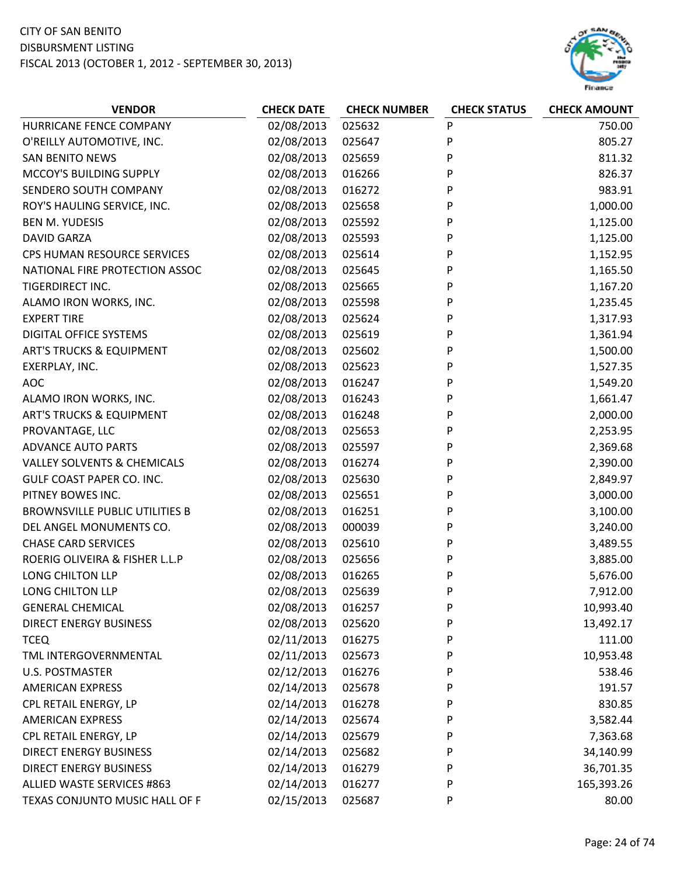

| <b>VENDOR</b>                          | <b>CHECK DATE</b> | <b>CHECK NUMBER</b> | <b>CHECK STATUS</b> | <b>CHECK AMOUNT</b> |
|----------------------------------------|-------------------|---------------------|---------------------|---------------------|
| HURRICANE FENCE COMPANY                | 02/08/2013        | 025632              | P                   | 750.00              |
| O'REILLY AUTOMOTIVE, INC.              | 02/08/2013        | 025647              | P                   | 805.27              |
| <b>SAN BENITO NEWS</b>                 | 02/08/2013        | 025659              | P                   | 811.32              |
| MCCOY'S BUILDING SUPPLY                | 02/08/2013        | 016266              | P                   | 826.37              |
| SENDERO SOUTH COMPANY                  | 02/08/2013        | 016272              | P                   | 983.91              |
| ROY'S HAULING SERVICE, INC.            | 02/08/2013        | 025658              | P                   | 1,000.00            |
| <b>BEN M. YUDESIS</b>                  | 02/08/2013        | 025592              | P                   | 1,125.00            |
| <b>DAVID GARZA</b>                     | 02/08/2013        | 025593              | P                   | 1,125.00            |
| CPS HUMAN RESOURCE SERVICES            | 02/08/2013        | 025614              | P                   | 1,152.95            |
| NATIONAL FIRE PROTECTION ASSOC         | 02/08/2013        | 025645              | P                   | 1,165.50            |
| TIGERDIRECT INC.                       | 02/08/2013        | 025665              | P                   | 1,167.20            |
| ALAMO IRON WORKS, INC.                 | 02/08/2013        | 025598              | P                   | 1,235.45            |
| <b>EXPERT TIRE</b>                     | 02/08/2013        | 025624              | P                   | 1,317.93            |
| <b>DIGITAL OFFICE SYSTEMS</b>          | 02/08/2013        | 025619              | P                   | 1,361.94            |
| <b>ART'S TRUCKS &amp; EQUIPMENT</b>    | 02/08/2013        | 025602              | P                   | 1,500.00            |
| EXERPLAY, INC.                         | 02/08/2013        | 025623              | P                   | 1,527.35            |
| <b>AOC</b>                             | 02/08/2013        | 016247              | P                   | 1,549.20            |
| ALAMO IRON WORKS, INC.                 | 02/08/2013        | 016243              | P                   | 1,661.47            |
| <b>ART'S TRUCKS &amp; EQUIPMENT</b>    | 02/08/2013        | 016248              | P                   | 2,000.00            |
| PROVANTAGE, LLC                        | 02/08/2013        | 025653              | P                   | 2,253.95            |
| <b>ADVANCE AUTO PARTS</b>              | 02/08/2013        | 025597              | P                   | 2,369.68            |
| <b>VALLEY SOLVENTS &amp; CHEMICALS</b> | 02/08/2013        | 016274              | P                   | 2,390.00            |
| GULF COAST PAPER CO. INC.              | 02/08/2013        | 025630              | P                   | 2,849.97            |
| PITNEY BOWES INC.                      | 02/08/2013        | 025651              | P                   | 3,000.00            |
| <b>BROWNSVILLE PUBLIC UTILITIES B</b>  | 02/08/2013        | 016251              | P                   | 3,100.00            |
| DEL ANGEL MONUMENTS CO.                | 02/08/2013        | 000039              | P                   | 3,240.00            |
| <b>CHASE CARD SERVICES</b>             | 02/08/2013        | 025610              | P                   | 3,489.55            |
| ROERIG OLIVEIRA & FISHER L.L.P         | 02/08/2013        | 025656              | P                   | 3,885.00            |
| LONG CHILTON LLP                       | 02/08/2013        | 016265              | P                   | 5,676.00            |
| LONG CHILTON LLP                       | 02/08/2013        | 025639              | P                   | 7,912.00            |
| <b>GENERAL CHEMICAL</b>                | 02/08/2013        | 016257              | P                   | 10,993.40           |
| <b>DIRECT ENERGY BUSINESS</b>          | 02/08/2013        | 025620              | P                   | 13,492.17           |
| <b>TCEQ</b>                            | 02/11/2013        | 016275              | P                   | 111.00              |
| TML INTERGOVERNMENTAL                  | 02/11/2013        | 025673              | P                   | 10,953.48           |
| <b>U.S. POSTMASTER</b>                 | 02/12/2013        | 016276              | P                   | 538.46              |
| <b>AMERICAN EXPRESS</b>                | 02/14/2013        | 025678              | P                   | 191.57              |
| CPL RETAIL ENERGY, LP                  | 02/14/2013        | 016278              | P                   | 830.85              |
| <b>AMERICAN EXPRESS</b>                | 02/14/2013        | 025674              | P                   | 3,582.44            |
| CPL RETAIL ENERGY, LP                  | 02/14/2013        | 025679              | P                   | 7,363.68            |
| <b>DIRECT ENERGY BUSINESS</b>          | 02/14/2013        | 025682              | P                   | 34,140.99           |
| <b>DIRECT ENERGY BUSINESS</b>          | 02/14/2013        | 016279              | P                   | 36,701.35           |
| ALLIED WASTE SERVICES #863             | 02/14/2013        | 016277              | P                   | 165,393.26          |
| TEXAS CONJUNTO MUSIC HALL OF F         | 02/15/2013        | 025687              | P                   | 80.00               |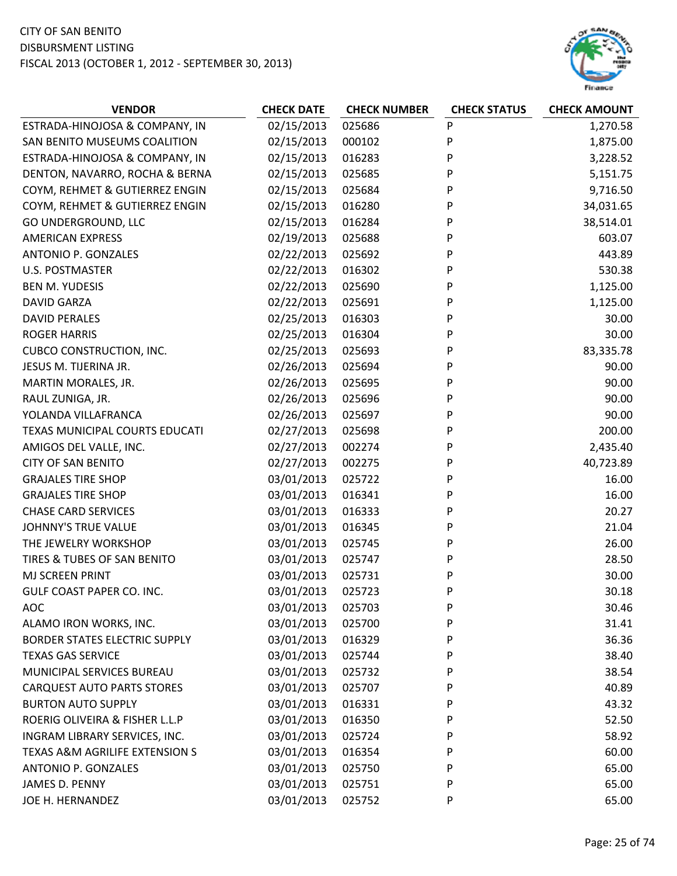

| <b>VENDOR</b>                             | <b>CHECK DATE</b> | <b>CHECK NUMBER</b> | <b>CHECK STATUS</b> | <b>CHECK AMOUNT</b> |
|-------------------------------------------|-------------------|---------------------|---------------------|---------------------|
| ESTRADA-HINOJOSA & COMPANY, IN            | 02/15/2013        | 025686              | P                   | 1,270.58            |
| SAN BENITO MUSEUMS COALITION              | 02/15/2013        | 000102              | P                   | 1,875.00            |
| ESTRADA-HINOJOSA & COMPANY, IN            | 02/15/2013        | 016283              | P                   | 3,228.52            |
| DENTON, NAVARRO, ROCHA & BERNA            | 02/15/2013        | 025685              | P                   | 5,151.75            |
| COYM, REHMET & GUTIERREZ ENGIN            | 02/15/2013        | 025684              | P                   | 9,716.50            |
| COYM, REHMET & GUTIERREZ ENGIN            | 02/15/2013        | 016280              | P                   | 34,031.65           |
| GO UNDERGROUND, LLC                       | 02/15/2013        | 016284              | P                   | 38,514.01           |
| <b>AMERICAN EXPRESS</b>                   | 02/19/2013        | 025688              | P                   | 603.07              |
| ANTONIO P. GONZALES                       | 02/22/2013        | 025692              | P                   | 443.89              |
| <b>U.S. POSTMASTER</b>                    | 02/22/2013        | 016302              | P                   | 530.38              |
| <b>BEN M. YUDESIS</b>                     | 02/22/2013        | 025690              | P                   | 1,125.00            |
| <b>DAVID GARZA</b>                        | 02/22/2013        | 025691              | P                   | 1,125.00            |
| <b>DAVID PERALES</b>                      | 02/25/2013        | 016303              | P                   | 30.00               |
| <b>ROGER HARRIS</b>                       | 02/25/2013        | 016304              | P                   | 30.00               |
| <b>CUBCO CONSTRUCTION, INC.</b>           | 02/25/2013        | 025693              | P                   | 83,335.78           |
| JESUS M. TIJERINA JR.                     | 02/26/2013        | 025694              | P                   | 90.00               |
| MARTIN MORALES, JR.                       | 02/26/2013        | 025695              | P                   | 90.00               |
| RAUL ZUNIGA, JR.                          | 02/26/2013        | 025696              | P                   | 90.00               |
| YOLANDA VILLAFRANCA                       | 02/26/2013        | 025697              | P                   | 90.00               |
| TEXAS MUNICIPAL COURTS EDUCATI            | 02/27/2013        | 025698              | P                   | 200.00              |
| AMIGOS DEL VALLE, INC.                    | 02/27/2013        | 002274              | P                   | 2,435.40            |
| <b>CITY OF SAN BENITO</b>                 | 02/27/2013        | 002275              | P                   | 40,723.89           |
| <b>GRAJALES TIRE SHOP</b>                 | 03/01/2013        | 025722              | P                   | 16.00               |
| <b>GRAJALES TIRE SHOP</b>                 | 03/01/2013        | 016341              | P                   | 16.00               |
| <b>CHASE CARD SERVICES</b>                | 03/01/2013        | 016333              | P                   | 20.27               |
| <b>JOHNNY'S TRUE VALUE</b>                | 03/01/2013        | 016345              | P                   | 21.04               |
| THE JEWELRY WORKSHOP                      | 03/01/2013        | 025745              | P                   | 26.00               |
| TIRES & TUBES OF SAN BENITO               | 03/01/2013        | 025747              | P                   | 28.50               |
| MJ SCREEN PRINT                           | 03/01/2013        | 025731              | P                   | 30.00               |
| GULF COAST PAPER CO. INC.                 | 03/01/2013        | 025723              | P                   | 30.18               |
| <b>AOC</b>                                | 03/01/2013        | 025703              | P                   | 30.46               |
| ALAMO IRON WORKS, INC.                    | 03/01/2013        | 025700              | P                   | 31.41               |
| <b>BORDER STATES ELECTRIC SUPPLY</b>      | 03/01/2013        | 016329              | P                   | 36.36               |
| <b>TEXAS GAS SERVICE</b>                  | 03/01/2013        | 025744              | P                   | 38.40               |
| MUNICIPAL SERVICES BUREAU                 | 03/01/2013        | 025732              | P                   | 38.54               |
| <b>CARQUEST AUTO PARTS STORES</b>         | 03/01/2013        | 025707              | P                   | 40.89               |
| <b>BURTON AUTO SUPPLY</b>                 | 03/01/2013        | 016331              | P                   | 43.32               |
| ROERIG OLIVEIRA & FISHER L.L.P            | 03/01/2013        | 016350              | P                   | 52.50               |
| INGRAM LIBRARY SERVICES, INC.             | 03/01/2013        | 025724              | P                   | 58.92               |
| <b>TEXAS A&amp;M AGRILIFE EXTENSION S</b> | 03/01/2013        | 016354              | P                   | 60.00               |
| ANTONIO P. GONZALES                       | 03/01/2013        | 025750              | P                   | 65.00               |
| JAMES D. PENNY                            | 03/01/2013        | 025751              | P                   | 65.00               |
| JOE H. HERNANDEZ                          | 03/01/2013        | 025752              | P                   | 65.00               |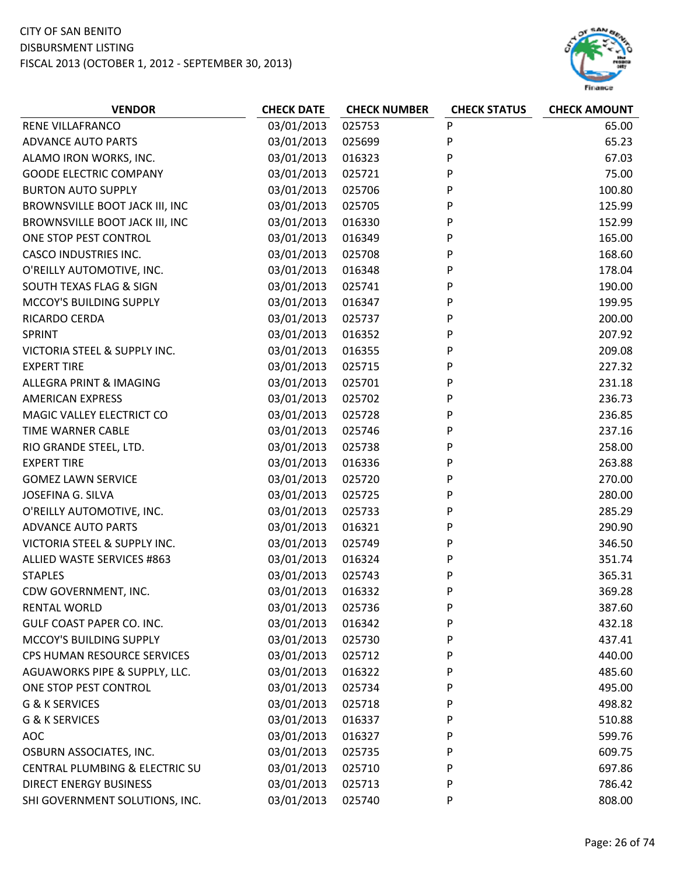

| <b>VENDOR</b>                    | <b>CHECK DATE</b> | <b>CHECK NUMBER</b> | <b>CHECK STATUS</b> | <b>CHECK AMOUNT</b> |
|----------------------------------|-------------------|---------------------|---------------------|---------------------|
| RENE VILLAFRANCO                 | 03/01/2013        | 025753              | P                   | 65.00               |
| <b>ADVANCE AUTO PARTS</b>        | 03/01/2013        | 025699              | P                   | 65.23               |
| ALAMO IRON WORKS, INC.           | 03/01/2013        | 016323              | P                   | 67.03               |
| <b>GOODE ELECTRIC COMPANY</b>    | 03/01/2013        | 025721              | P                   | 75.00               |
| <b>BURTON AUTO SUPPLY</b>        | 03/01/2013        | 025706              | P                   | 100.80              |
| BROWNSVILLE BOOT JACK III, INC   | 03/01/2013        | 025705              | P                   | 125.99              |
| BROWNSVILLE BOOT JACK III, INC   | 03/01/2013        | 016330              | P                   | 152.99              |
| ONE STOP PEST CONTROL            | 03/01/2013        | 016349              | P                   | 165.00              |
| <b>CASCO INDUSTRIES INC.</b>     | 03/01/2013        | 025708              | P                   | 168.60              |
| O'REILLY AUTOMOTIVE, INC.        | 03/01/2013        | 016348              | P                   | 178.04              |
| SOUTH TEXAS FLAG & SIGN          | 03/01/2013        | 025741              | P                   | 190.00              |
| MCCOY'S BUILDING SUPPLY          | 03/01/2013        | 016347              | P                   | 199.95              |
| RICARDO CERDA                    | 03/01/2013        | 025737              | P                   | 200.00              |
| SPRINT                           | 03/01/2013        | 016352              | P                   | 207.92              |
| VICTORIA STEEL & SUPPLY INC.     | 03/01/2013        | 016355              | P                   | 209.08              |
| <b>EXPERT TIRE</b>               | 03/01/2013        | 025715              | P                   | 227.32              |
| ALLEGRA PRINT & IMAGING          | 03/01/2013        | 025701              | P                   | 231.18              |
| <b>AMERICAN EXPRESS</b>          | 03/01/2013        | 025702              | P                   | 236.73              |
| MAGIC VALLEY ELECTRICT CO        | 03/01/2013        | 025728              | P                   | 236.85              |
| TIME WARNER CABLE                | 03/01/2013        | 025746              | P                   | 237.16              |
| RIO GRANDE STEEL, LTD.           | 03/01/2013        | 025738              | P                   | 258.00              |
| <b>EXPERT TIRE</b>               | 03/01/2013        | 016336              | P                   | 263.88              |
| <b>GOMEZ LAWN SERVICE</b>        | 03/01/2013        | 025720              | P                   | 270.00              |
| JOSEFINA G. SILVA                | 03/01/2013        | 025725              | P                   | 280.00              |
| O'REILLY AUTOMOTIVE, INC.        | 03/01/2013        | 025733              | P                   | 285.29              |
| <b>ADVANCE AUTO PARTS</b>        | 03/01/2013        | 016321              | P                   | 290.90              |
| VICTORIA STEEL & SUPPLY INC.     | 03/01/2013        | 025749              | P                   | 346.50              |
| ALLIED WASTE SERVICES #863       | 03/01/2013        | 016324              | P                   | 351.74              |
| <b>STAPLES</b>                   | 03/01/2013        | 025743              | P                   | 365.31              |
| CDW GOVERNMENT, INC.             | 03/01/2013        | 016332              | P                   | 369.28              |
| <b>RENTAL WORLD</b>              | 03/01/2013        | 025736              | P                   | 387.60              |
| <b>GULF COAST PAPER CO. INC.</b> | 03/01/2013        | 016342              | P                   | 432.18              |
| MCCOY'S BUILDING SUPPLY          | 03/01/2013        | 025730              | P                   | 437.41              |
| CPS HUMAN RESOURCE SERVICES      | 03/01/2013        | 025712              | P                   | 440.00              |
| AGUAWORKS PIPE & SUPPLY, LLC.    | 03/01/2013        | 016322              | P                   | 485.60              |
| ONE STOP PEST CONTROL            | 03/01/2013        | 025734              | P                   | 495.00              |
| <b>G &amp; K SERVICES</b>        | 03/01/2013        | 025718              | P                   | 498.82              |
| <b>G &amp; K SERVICES</b>        | 03/01/2013        | 016337              | P                   | 510.88              |
| <b>AOC</b>                       | 03/01/2013        | 016327              | P                   | 599.76              |
| OSBURN ASSOCIATES, INC.          | 03/01/2013        | 025735              | P                   | 609.75              |
| CENTRAL PLUMBING & ELECTRIC SU   | 03/01/2013        | 025710              | P                   | 697.86              |
| <b>DIRECT ENERGY BUSINESS</b>    | 03/01/2013        | 025713              | P                   | 786.42              |
| SHI GOVERNMENT SOLUTIONS, INC.   | 03/01/2013        | 025740              | P                   | 808.00              |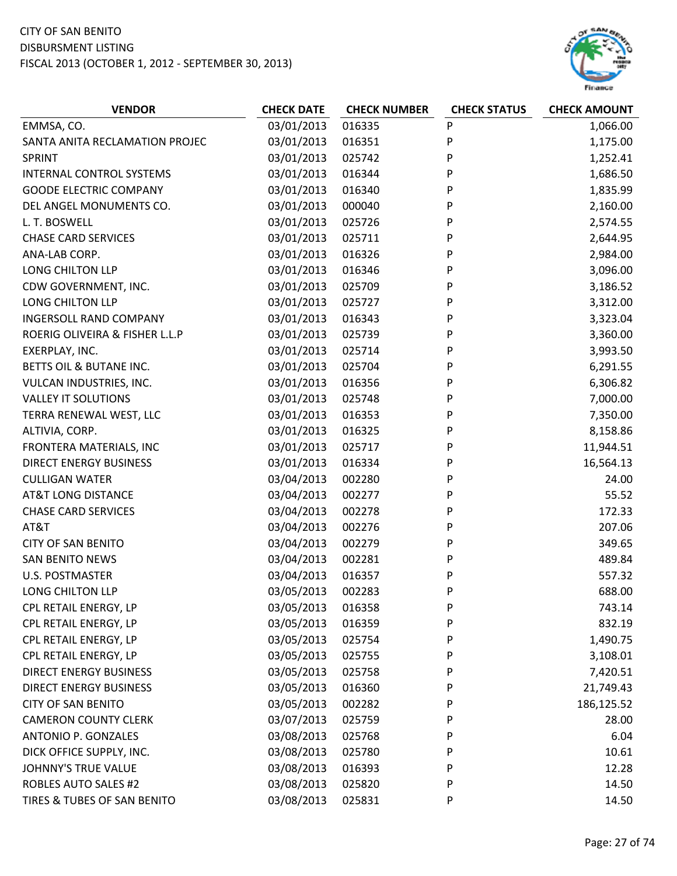

| <b>VENDOR</b>                   | <b>CHECK DATE</b> | <b>CHECK NUMBER</b> | <b>CHECK STATUS</b> | <b>CHECK AMOUNT</b> |
|---------------------------------|-------------------|---------------------|---------------------|---------------------|
| EMMSA, CO.                      | 03/01/2013        | 016335              | P                   | 1,066.00            |
| SANTA ANITA RECLAMATION PROJEC  | 03/01/2013        | 016351              | P                   | 1,175.00            |
| SPRINT                          | 03/01/2013        | 025742              | P                   | 1,252.41            |
| <b>INTERNAL CONTROL SYSTEMS</b> | 03/01/2013        | 016344              | P                   | 1,686.50            |
| <b>GOODE ELECTRIC COMPANY</b>   | 03/01/2013        | 016340              | P                   | 1,835.99            |
| DEL ANGEL MONUMENTS CO.         | 03/01/2013        | 000040              | P                   | 2,160.00            |
| L. T. BOSWELL                   | 03/01/2013        | 025726              | P                   | 2,574.55            |
| <b>CHASE CARD SERVICES</b>      | 03/01/2013        | 025711              | P                   | 2,644.95            |
| ANA-LAB CORP.                   | 03/01/2013        | 016326              | P                   | 2,984.00            |
| LONG CHILTON LLP                | 03/01/2013        | 016346              | P                   | 3,096.00            |
| CDW GOVERNMENT, INC.            | 03/01/2013        | 025709              | P                   | 3,186.52            |
| LONG CHILTON LLP                | 03/01/2013        | 025727              | P                   | 3,312.00            |
| <b>INGERSOLL RAND COMPANY</b>   | 03/01/2013        | 016343              | P                   | 3,323.04            |
| ROERIG OLIVEIRA & FISHER L.L.P  | 03/01/2013        | 025739              | P                   | 3,360.00            |
| EXERPLAY, INC.                  | 03/01/2013        | 025714              | P                   | 3,993.50            |
| BETTS OIL & BUTANE INC.         | 03/01/2013        | 025704              | P                   | 6,291.55            |
| VULCAN INDUSTRIES, INC.         | 03/01/2013        | 016356              | P                   | 6,306.82            |
| <b>VALLEY IT SOLUTIONS</b>      | 03/01/2013        | 025748              | P                   | 7,000.00            |
| TERRA RENEWAL WEST, LLC         | 03/01/2013        | 016353              | P                   | 7,350.00            |
| ALTIVIA, CORP.                  | 03/01/2013        | 016325              | P                   | 8,158.86            |
| FRONTERA MATERIALS, INC         | 03/01/2013        | 025717              | P                   | 11,944.51           |
| <b>DIRECT ENERGY BUSINESS</b>   | 03/01/2013        | 016334              | P                   | 16,564.13           |
| <b>CULLIGAN WATER</b>           | 03/04/2013        | 002280              | P                   | 24.00               |
| <b>AT&amp;T LONG DISTANCE</b>   | 03/04/2013        | 002277              | P                   | 55.52               |
| <b>CHASE CARD SERVICES</b>      | 03/04/2013        | 002278              | P                   | 172.33              |
| AT&T                            | 03/04/2013        | 002276              | P                   | 207.06              |
| <b>CITY OF SAN BENITO</b>       | 03/04/2013        | 002279              | P                   | 349.65              |
| <b>SAN BENITO NEWS</b>          | 03/04/2013        | 002281              | P                   | 489.84              |
| <b>U.S. POSTMASTER</b>          | 03/04/2013        | 016357              | P                   | 557.32              |
| LONG CHILTON LLP                | 03/05/2013        | 002283              | P                   | 688.00              |
| CPL RETAIL ENERGY, LP           | 03/05/2013        | 016358              | P                   | 743.14              |
| CPL RETAIL ENERGY, LP           | 03/05/2013        | 016359              | P                   | 832.19              |
| CPL RETAIL ENERGY, LP           | 03/05/2013        | 025754              | P                   | 1,490.75            |
| CPL RETAIL ENERGY, LP           | 03/05/2013        | 025755              | P                   | 3,108.01            |
| <b>DIRECT ENERGY BUSINESS</b>   | 03/05/2013        | 025758              | P                   | 7,420.51            |
| <b>DIRECT ENERGY BUSINESS</b>   | 03/05/2013        | 016360              | P                   | 21,749.43           |
| <b>CITY OF SAN BENITO</b>       | 03/05/2013        | 002282              | P                   | 186,125.52          |
| <b>CAMERON COUNTY CLERK</b>     | 03/07/2013        | 025759              | P                   | 28.00               |
| <b>ANTONIO P. GONZALES</b>      | 03/08/2013        | 025768              | P                   | 6.04                |
| DICK OFFICE SUPPLY, INC.        | 03/08/2013        | 025780              | P                   | 10.61               |
| <b>JOHNNY'S TRUE VALUE</b>      | 03/08/2013        | 016393              | P                   | 12.28               |
| <b>ROBLES AUTO SALES #2</b>     | 03/08/2013        | 025820              | P                   | 14.50               |
| TIRES & TUBES OF SAN BENITO     | 03/08/2013        | 025831              | P                   | 14.50               |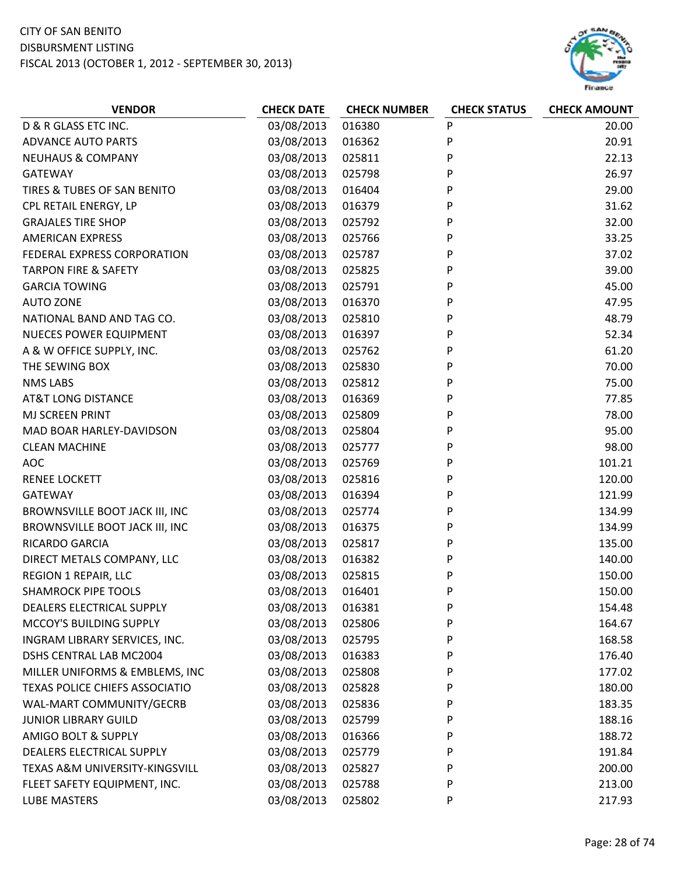#### CITY OF SAN BENITO DISBURSMENT LISTING

FISCAL 2013 (OCTOBER 1, 2012 ‐ SEPTEMBER 30, 2013)



| D & R GLASS ETC INC.<br>03/08/2013<br>016380<br>${\sf P}$<br>20.00<br>P<br>03/08/2013<br>20.91<br><b>ADVANCE AUTO PARTS</b><br>016362<br>03/08/2013<br>P<br><b>NEUHAUS &amp; COMPANY</b><br>025811<br>22.13<br>P<br>26.97<br>03/08/2013<br>025798<br><b>GATEWAY</b><br>P<br>TIRES & TUBES OF SAN BENITO<br>03/08/2013<br>016404<br>29.00<br>P<br>CPL RETAIL ENERGY, LP<br>03/08/2013<br>016379<br>31.62<br>P<br><b>GRAJALES TIRE SHOP</b><br>03/08/2013<br>32.00<br>025792<br><b>AMERICAN EXPRESS</b><br>03/08/2013<br>P<br>33.25<br>025766<br>P<br>FEDERAL EXPRESS CORPORATION<br>03/08/2013<br>025787<br>37.02<br>P<br><b>TARPON FIRE &amp; SAFETY</b><br>03/08/2013<br>39.00<br>025825<br>P<br><b>GARCIA TOWING</b><br>03/08/2013<br>45.00<br>025791<br>P<br><b>AUTO ZONE</b><br>03/08/2013<br>47.95<br>016370<br>NATIONAL BAND AND TAG CO.<br>03/08/2013<br>025810<br>P<br>48.79<br>P<br>03/08/2013<br>52.34<br><b>NUECES POWER EQUIPMENT</b><br>016397<br>03/08/2013<br>P<br>61.20<br>A & W OFFICE SUPPLY, INC.<br>025762<br>P<br>70.00<br>03/08/2013<br>025830<br>THE SEWING BOX<br>P<br><b>NMS LABS</b><br>03/08/2013<br>025812<br>75.00<br>P<br><b>AT&amp;T LONG DISTANCE</b><br>03/08/2013<br>016369<br>77.85<br>P<br>MJ SCREEN PRINT<br>03/08/2013<br>78.00<br>025809<br>95.00<br>MAD BOAR HARLEY-DAVIDSON<br>03/08/2013<br>025804<br>P<br>P<br>03/08/2013<br>98.00<br><b>CLEAN MACHINE</b><br>025777<br><b>AOC</b><br>03/08/2013<br>025769<br>P<br>101.21<br><b>RENEE LOCKETT</b><br>03/08/2013<br>025816<br>P<br>120.00<br>03/08/2013<br>016394<br>P<br>121.99<br><b>GATEWAY</b><br>03/08/2013<br>P<br>BROWNSVILLE BOOT JACK III, INC<br>025774<br>134.99<br>BROWNSVILLE BOOT JACK III, INC<br>03/08/2013<br>P<br>134.99<br>016375<br>03/08/2013<br>RICARDO GARCIA<br>025817<br>P<br>135.00<br>P<br>DIRECT METALS COMPANY, LLC<br>03/08/2013<br>140.00<br>016382<br>REGION 1 REPAIR, LLC<br>03/08/2013<br>025815<br>P<br>150.00<br><b>SHAMROCK PIPE TOOLS</b><br>03/08/2013<br>016401<br>P<br>150.00<br>03/08/2013<br>P<br>DEALERS ELECTRICAL SUPPLY<br>016381<br>154.48<br>03/08/2013<br>MCCOY'S BUILDING SUPPLY<br>025806<br>P<br>164.67<br>03/08/2013<br>P<br>INGRAM LIBRARY SERVICES, INC.<br>168.58<br>025795<br>03/08/2013<br>DSHS CENTRAL LAB MC2004<br>016383<br>P<br>176.40<br>03/08/2013<br>P<br>MILLER UNIFORMS & EMBLEMS, INC<br>025808<br>177.02<br>03/08/2013<br>TEXAS POLICE CHIEFS ASSOCIATIO<br>025828<br>P<br>180.00<br>03/08/2013<br>WAL-MART COMMUNITY/GECRB<br>025836<br>P<br>183.35<br>03/08/2013<br><b>JUNIOR LIBRARY GUILD</b><br>025799<br>P<br>188.16<br>AMIGO BOLT & SUPPLY<br>03/08/2013<br>188.72<br>016366<br>P<br>03/08/2013<br>P<br>DEALERS ELECTRICAL SUPPLY<br>191.84<br>025779<br>TEXAS A&M UNIVERSITY-KINGSVILL<br>03/08/2013<br>025827<br>P<br>200.00<br>03/08/2013<br>P<br>213.00<br>FLEET SAFETY EQUIPMENT, INC.<br>025788 | <b>VENDOR</b> | <b>CHECK DATE</b> | <b>CHECK NUMBER</b> | <b>CHECK STATUS</b> | <b>CHECK AMOUNT</b> |
|-------------------------------------------------------------------------------------------------------------------------------------------------------------------------------------------------------------------------------------------------------------------------------------------------------------------------------------------------------------------------------------------------------------------------------------------------------------------------------------------------------------------------------------------------------------------------------------------------------------------------------------------------------------------------------------------------------------------------------------------------------------------------------------------------------------------------------------------------------------------------------------------------------------------------------------------------------------------------------------------------------------------------------------------------------------------------------------------------------------------------------------------------------------------------------------------------------------------------------------------------------------------------------------------------------------------------------------------------------------------------------------------------------------------------------------------------------------------------------------------------------------------------------------------------------------------------------------------------------------------------------------------------------------------------------------------------------------------------------------------------------------------------------------------------------------------------------------------------------------------------------------------------------------------------------------------------------------------------------------------------------------------------------------------------------------------------------------------------------------------------------------------------------------------------------------------------------------------------------------------------------------------------------------------------------------------------------------------------------------------------------------------------------------------------------------------------------------------------------------------------------------------------------------------------------------------------------------------------------------------------------------------------------------------------------------------------------------------------------------------------------------------------------------------------------------------------------------------------------------------------------|---------------|-------------------|---------------------|---------------------|---------------------|
|                                                                                                                                                                                                                                                                                                                                                                                                                                                                                                                                                                                                                                                                                                                                                                                                                                                                                                                                                                                                                                                                                                                                                                                                                                                                                                                                                                                                                                                                                                                                                                                                                                                                                                                                                                                                                                                                                                                                                                                                                                                                                                                                                                                                                                                                                                                                                                                                                                                                                                                                                                                                                                                                                                                                                                                                                                                                               |               |                   |                     |                     |                     |
|                                                                                                                                                                                                                                                                                                                                                                                                                                                                                                                                                                                                                                                                                                                                                                                                                                                                                                                                                                                                                                                                                                                                                                                                                                                                                                                                                                                                                                                                                                                                                                                                                                                                                                                                                                                                                                                                                                                                                                                                                                                                                                                                                                                                                                                                                                                                                                                                                                                                                                                                                                                                                                                                                                                                                                                                                                                                               |               |                   |                     |                     |                     |
|                                                                                                                                                                                                                                                                                                                                                                                                                                                                                                                                                                                                                                                                                                                                                                                                                                                                                                                                                                                                                                                                                                                                                                                                                                                                                                                                                                                                                                                                                                                                                                                                                                                                                                                                                                                                                                                                                                                                                                                                                                                                                                                                                                                                                                                                                                                                                                                                                                                                                                                                                                                                                                                                                                                                                                                                                                                                               |               |                   |                     |                     |                     |
|                                                                                                                                                                                                                                                                                                                                                                                                                                                                                                                                                                                                                                                                                                                                                                                                                                                                                                                                                                                                                                                                                                                                                                                                                                                                                                                                                                                                                                                                                                                                                                                                                                                                                                                                                                                                                                                                                                                                                                                                                                                                                                                                                                                                                                                                                                                                                                                                                                                                                                                                                                                                                                                                                                                                                                                                                                                                               |               |                   |                     |                     |                     |
|                                                                                                                                                                                                                                                                                                                                                                                                                                                                                                                                                                                                                                                                                                                                                                                                                                                                                                                                                                                                                                                                                                                                                                                                                                                                                                                                                                                                                                                                                                                                                                                                                                                                                                                                                                                                                                                                                                                                                                                                                                                                                                                                                                                                                                                                                                                                                                                                                                                                                                                                                                                                                                                                                                                                                                                                                                                                               |               |                   |                     |                     |                     |
|                                                                                                                                                                                                                                                                                                                                                                                                                                                                                                                                                                                                                                                                                                                                                                                                                                                                                                                                                                                                                                                                                                                                                                                                                                                                                                                                                                                                                                                                                                                                                                                                                                                                                                                                                                                                                                                                                                                                                                                                                                                                                                                                                                                                                                                                                                                                                                                                                                                                                                                                                                                                                                                                                                                                                                                                                                                                               |               |                   |                     |                     |                     |
|                                                                                                                                                                                                                                                                                                                                                                                                                                                                                                                                                                                                                                                                                                                                                                                                                                                                                                                                                                                                                                                                                                                                                                                                                                                                                                                                                                                                                                                                                                                                                                                                                                                                                                                                                                                                                                                                                                                                                                                                                                                                                                                                                                                                                                                                                                                                                                                                                                                                                                                                                                                                                                                                                                                                                                                                                                                                               |               |                   |                     |                     |                     |
|                                                                                                                                                                                                                                                                                                                                                                                                                                                                                                                                                                                                                                                                                                                                                                                                                                                                                                                                                                                                                                                                                                                                                                                                                                                                                                                                                                                                                                                                                                                                                                                                                                                                                                                                                                                                                                                                                                                                                                                                                                                                                                                                                                                                                                                                                                                                                                                                                                                                                                                                                                                                                                                                                                                                                                                                                                                                               |               |                   |                     |                     |                     |
|                                                                                                                                                                                                                                                                                                                                                                                                                                                                                                                                                                                                                                                                                                                                                                                                                                                                                                                                                                                                                                                                                                                                                                                                                                                                                                                                                                                                                                                                                                                                                                                                                                                                                                                                                                                                                                                                                                                                                                                                                                                                                                                                                                                                                                                                                                                                                                                                                                                                                                                                                                                                                                                                                                                                                                                                                                                                               |               |                   |                     |                     |                     |
|                                                                                                                                                                                                                                                                                                                                                                                                                                                                                                                                                                                                                                                                                                                                                                                                                                                                                                                                                                                                                                                                                                                                                                                                                                                                                                                                                                                                                                                                                                                                                                                                                                                                                                                                                                                                                                                                                                                                                                                                                                                                                                                                                                                                                                                                                                                                                                                                                                                                                                                                                                                                                                                                                                                                                                                                                                                                               |               |                   |                     |                     |                     |
|                                                                                                                                                                                                                                                                                                                                                                                                                                                                                                                                                                                                                                                                                                                                                                                                                                                                                                                                                                                                                                                                                                                                                                                                                                                                                                                                                                                                                                                                                                                                                                                                                                                                                                                                                                                                                                                                                                                                                                                                                                                                                                                                                                                                                                                                                                                                                                                                                                                                                                                                                                                                                                                                                                                                                                                                                                                                               |               |                   |                     |                     |                     |
|                                                                                                                                                                                                                                                                                                                                                                                                                                                                                                                                                                                                                                                                                                                                                                                                                                                                                                                                                                                                                                                                                                                                                                                                                                                                                                                                                                                                                                                                                                                                                                                                                                                                                                                                                                                                                                                                                                                                                                                                                                                                                                                                                                                                                                                                                                                                                                                                                                                                                                                                                                                                                                                                                                                                                                                                                                                                               |               |                   |                     |                     |                     |
|                                                                                                                                                                                                                                                                                                                                                                                                                                                                                                                                                                                                                                                                                                                                                                                                                                                                                                                                                                                                                                                                                                                                                                                                                                                                                                                                                                                                                                                                                                                                                                                                                                                                                                                                                                                                                                                                                                                                                                                                                                                                                                                                                                                                                                                                                                                                                                                                                                                                                                                                                                                                                                                                                                                                                                                                                                                                               |               |                   |                     |                     |                     |
|                                                                                                                                                                                                                                                                                                                                                                                                                                                                                                                                                                                                                                                                                                                                                                                                                                                                                                                                                                                                                                                                                                                                                                                                                                                                                                                                                                                                                                                                                                                                                                                                                                                                                                                                                                                                                                                                                                                                                                                                                                                                                                                                                                                                                                                                                                                                                                                                                                                                                                                                                                                                                                                                                                                                                                                                                                                                               |               |                   |                     |                     |                     |
|                                                                                                                                                                                                                                                                                                                                                                                                                                                                                                                                                                                                                                                                                                                                                                                                                                                                                                                                                                                                                                                                                                                                                                                                                                                                                                                                                                                                                                                                                                                                                                                                                                                                                                                                                                                                                                                                                                                                                                                                                                                                                                                                                                                                                                                                                                                                                                                                                                                                                                                                                                                                                                                                                                                                                                                                                                                                               |               |                   |                     |                     |                     |
|                                                                                                                                                                                                                                                                                                                                                                                                                                                                                                                                                                                                                                                                                                                                                                                                                                                                                                                                                                                                                                                                                                                                                                                                                                                                                                                                                                                                                                                                                                                                                                                                                                                                                                                                                                                                                                                                                                                                                                                                                                                                                                                                                                                                                                                                                                                                                                                                                                                                                                                                                                                                                                                                                                                                                                                                                                                                               |               |                   |                     |                     |                     |
|                                                                                                                                                                                                                                                                                                                                                                                                                                                                                                                                                                                                                                                                                                                                                                                                                                                                                                                                                                                                                                                                                                                                                                                                                                                                                                                                                                                                                                                                                                                                                                                                                                                                                                                                                                                                                                                                                                                                                                                                                                                                                                                                                                                                                                                                                                                                                                                                                                                                                                                                                                                                                                                                                                                                                                                                                                                                               |               |                   |                     |                     |                     |
|                                                                                                                                                                                                                                                                                                                                                                                                                                                                                                                                                                                                                                                                                                                                                                                                                                                                                                                                                                                                                                                                                                                                                                                                                                                                                                                                                                                                                                                                                                                                                                                                                                                                                                                                                                                                                                                                                                                                                                                                                                                                                                                                                                                                                                                                                                                                                                                                                                                                                                                                                                                                                                                                                                                                                                                                                                                                               |               |                   |                     |                     |                     |
|                                                                                                                                                                                                                                                                                                                                                                                                                                                                                                                                                                                                                                                                                                                                                                                                                                                                                                                                                                                                                                                                                                                                                                                                                                                                                                                                                                                                                                                                                                                                                                                                                                                                                                                                                                                                                                                                                                                                                                                                                                                                                                                                                                                                                                                                                                                                                                                                                                                                                                                                                                                                                                                                                                                                                                                                                                                                               |               |                   |                     |                     |                     |
|                                                                                                                                                                                                                                                                                                                                                                                                                                                                                                                                                                                                                                                                                                                                                                                                                                                                                                                                                                                                                                                                                                                                                                                                                                                                                                                                                                                                                                                                                                                                                                                                                                                                                                                                                                                                                                                                                                                                                                                                                                                                                                                                                                                                                                                                                                                                                                                                                                                                                                                                                                                                                                                                                                                                                                                                                                                                               |               |                   |                     |                     |                     |
|                                                                                                                                                                                                                                                                                                                                                                                                                                                                                                                                                                                                                                                                                                                                                                                                                                                                                                                                                                                                                                                                                                                                                                                                                                                                                                                                                                                                                                                                                                                                                                                                                                                                                                                                                                                                                                                                                                                                                                                                                                                                                                                                                                                                                                                                                                                                                                                                                                                                                                                                                                                                                                                                                                                                                                                                                                                                               |               |                   |                     |                     |                     |
|                                                                                                                                                                                                                                                                                                                                                                                                                                                                                                                                                                                                                                                                                                                                                                                                                                                                                                                                                                                                                                                                                                                                                                                                                                                                                                                                                                                                                                                                                                                                                                                                                                                                                                                                                                                                                                                                                                                                                                                                                                                                                                                                                                                                                                                                                                                                                                                                                                                                                                                                                                                                                                                                                                                                                                                                                                                                               |               |                   |                     |                     |                     |
|                                                                                                                                                                                                                                                                                                                                                                                                                                                                                                                                                                                                                                                                                                                                                                                                                                                                                                                                                                                                                                                                                                                                                                                                                                                                                                                                                                                                                                                                                                                                                                                                                                                                                                                                                                                                                                                                                                                                                                                                                                                                                                                                                                                                                                                                                                                                                                                                                                                                                                                                                                                                                                                                                                                                                                                                                                                                               |               |                   |                     |                     |                     |
|                                                                                                                                                                                                                                                                                                                                                                                                                                                                                                                                                                                                                                                                                                                                                                                                                                                                                                                                                                                                                                                                                                                                                                                                                                                                                                                                                                                                                                                                                                                                                                                                                                                                                                                                                                                                                                                                                                                                                                                                                                                                                                                                                                                                                                                                                                                                                                                                                                                                                                                                                                                                                                                                                                                                                                                                                                                                               |               |                   |                     |                     |                     |
|                                                                                                                                                                                                                                                                                                                                                                                                                                                                                                                                                                                                                                                                                                                                                                                                                                                                                                                                                                                                                                                                                                                                                                                                                                                                                                                                                                                                                                                                                                                                                                                                                                                                                                                                                                                                                                                                                                                                                                                                                                                                                                                                                                                                                                                                                                                                                                                                                                                                                                                                                                                                                                                                                                                                                                                                                                                                               |               |                   |                     |                     |                     |
|                                                                                                                                                                                                                                                                                                                                                                                                                                                                                                                                                                                                                                                                                                                                                                                                                                                                                                                                                                                                                                                                                                                                                                                                                                                                                                                                                                                                                                                                                                                                                                                                                                                                                                                                                                                                                                                                                                                                                                                                                                                                                                                                                                                                                                                                                                                                                                                                                                                                                                                                                                                                                                                                                                                                                                                                                                                                               |               |                   |                     |                     |                     |
|                                                                                                                                                                                                                                                                                                                                                                                                                                                                                                                                                                                                                                                                                                                                                                                                                                                                                                                                                                                                                                                                                                                                                                                                                                                                                                                                                                                                                                                                                                                                                                                                                                                                                                                                                                                                                                                                                                                                                                                                                                                                                                                                                                                                                                                                                                                                                                                                                                                                                                                                                                                                                                                                                                                                                                                                                                                                               |               |                   |                     |                     |                     |
|                                                                                                                                                                                                                                                                                                                                                                                                                                                                                                                                                                                                                                                                                                                                                                                                                                                                                                                                                                                                                                                                                                                                                                                                                                                                                                                                                                                                                                                                                                                                                                                                                                                                                                                                                                                                                                                                                                                                                                                                                                                                                                                                                                                                                                                                                                                                                                                                                                                                                                                                                                                                                                                                                                                                                                                                                                                                               |               |                   |                     |                     |                     |
|                                                                                                                                                                                                                                                                                                                                                                                                                                                                                                                                                                                                                                                                                                                                                                                                                                                                                                                                                                                                                                                                                                                                                                                                                                                                                                                                                                                                                                                                                                                                                                                                                                                                                                                                                                                                                                                                                                                                                                                                                                                                                                                                                                                                                                                                                                                                                                                                                                                                                                                                                                                                                                                                                                                                                                                                                                                                               |               |                   |                     |                     |                     |
|                                                                                                                                                                                                                                                                                                                                                                                                                                                                                                                                                                                                                                                                                                                                                                                                                                                                                                                                                                                                                                                                                                                                                                                                                                                                                                                                                                                                                                                                                                                                                                                                                                                                                                                                                                                                                                                                                                                                                                                                                                                                                                                                                                                                                                                                                                                                                                                                                                                                                                                                                                                                                                                                                                                                                                                                                                                                               |               |                   |                     |                     |                     |
|                                                                                                                                                                                                                                                                                                                                                                                                                                                                                                                                                                                                                                                                                                                                                                                                                                                                                                                                                                                                                                                                                                                                                                                                                                                                                                                                                                                                                                                                                                                                                                                                                                                                                                                                                                                                                                                                                                                                                                                                                                                                                                                                                                                                                                                                                                                                                                                                                                                                                                                                                                                                                                                                                                                                                                                                                                                                               |               |                   |                     |                     |                     |
|                                                                                                                                                                                                                                                                                                                                                                                                                                                                                                                                                                                                                                                                                                                                                                                                                                                                                                                                                                                                                                                                                                                                                                                                                                                                                                                                                                                                                                                                                                                                                                                                                                                                                                                                                                                                                                                                                                                                                                                                                                                                                                                                                                                                                                                                                                                                                                                                                                                                                                                                                                                                                                                                                                                                                                                                                                                                               |               |                   |                     |                     |                     |
|                                                                                                                                                                                                                                                                                                                                                                                                                                                                                                                                                                                                                                                                                                                                                                                                                                                                                                                                                                                                                                                                                                                                                                                                                                                                                                                                                                                                                                                                                                                                                                                                                                                                                                                                                                                                                                                                                                                                                                                                                                                                                                                                                                                                                                                                                                                                                                                                                                                                                                                                                                                                                                                                                                                                                                                                                                                                               |               |                   |                     |                     |                     |
|                                                                                                                                                                                                                                                                                                                                                                                                                                                                                                                                                                                                                                                                                                                                                                                                                                                                                                                                                                                                                                                                                                                                                                                                                                                                                                                                                                                                                                                                                                                                                                                                                                                                                                                                                                                                                                                                                                                                                                                                                                                                                                                                                                                                                                                                                                                                                                                                                                                                                                                                                                                                                                                                                                                                                                                                                                                                               |               |                   |                     |                     |                     |
|                                                                                                                                                                                                                                                                                                                                                                                                                                                                                                                                                                                                                                                                                                                                                                                                                                                                                                                                                                                                                                                                                                                                                                                                                                                                                                                                                                                                                                                                                                                                                                                                                                                                                                                                                                                                                                                                                                                                                                                                                                                                                                                                                                                                                                                                                                                                                                                                                                                                                                                                                                                                                                                                                                                                                                                                                                                                               |               |                   |                     |                     |                     |
|                                                                                                                                                                                                                                                                                                                                                                                                                                                                                                                                                                                                                                                                                                                                                                                                                                                                                                                                                                                                                                                                                                                                                                                                                                                                                                                                                                                                                                                                                                                                                                                                                                                                                                                                                                                                                                                                                                                                                                                                                                                                                                                                                                                                                                                                                                                                                                                                                                                                                                                                                                                                                                                                                                                                                                                                                                                                               |               |                   |                     |                     |                     |
|                                                                                                                                                                                                                                                                                                                                                                                                                                                                                                                                                                                                                                                                                                                                                                                                                                                                                                                                                                                                                                                                                                                                                                                                                                                                                                                                                                                                                                                                                                                                                                                                                                                                                                                                                                                                                                                                                                                                                                                                                                                                                                                                                                                                                                                                                                                                                                                                                                                                                                                                                                                                                                                                                                                                                                                                                                                                               |               |                   |                     |                     |                     |
|                                                                                                                                                                                                                                                                                                                                                                                                                                                                                                                                                                                                                                                                                                                                                                                                                                                                                                                                                                                                                                                                                                                                                                                                                                                                                                                                                                                                                                                                                                                                                                                                                                                                                                                                                                                                                                                                                                                                                                                                                                                                                                                                                                                                                                                                                                                                                                                                                                                                                                                                                                                                                                                                                                                                                                                                                                                                               |               |                   |                     |                     |                     |
|                                                                                                                                                                                                                                                                                                                                                                                                                                                                                                                                                                                                                                                                                                                                                                                                                                                                                                                                                                                                                                                                                                                                                                                                                                                                                                                                                                                                                                                                                                                                                                                                                                                                                                                                                                                                                                                                                                                                                                                                                                                                                                                                                                                                                                                                                                                                                                                                                                                                                                                                                                                                                                                                                                                                                                                                                                                                               |               |                   |                     |                     |                     |
|                                                                                                                                                                                                                                                                                                                                                                                                                                                                                                                                                                                                                                                                                                                                                                                                                                                                                                                                                                                                                                                                                                                                                                                                                                                                                                                                                                                                                                                                                                                                                                                                                                                                                                                                                                                                                                                                                                                                                                                                                                                                                                                                                                                                                                                                                                                                                                                                                                                                                                                                                                                                                                                                                                                                                                                                                                                                               |               |                   |                     |                     |                     |
|                                                                                                                                                                                                                                                                                                                                                                                                                                                                                                                                                                                                                                                                                                                                                                                                                                                                                                                                                                                                                                                                                                                                                                                                                                                                                                                                                                                                                                                                                                                                                                                                                                                                                                                                                                                                                                                                                                                                                                                                                                                                                                                                                                                                                                                                                                                                                                                                                                                                                                                                                                                                                                                                                                                                                                                                                                                                               |               |                   |                     |                     |                     |
|                                                                                                                                                                                                                                                                                                                                                                                                                                                                                                                                                                                                                                                                                                                                                                                                                                                                                                                                                                                                                                                                                                                                                                                                                                                                                                                                                                                                                                                                                                                                                                                                                                                                                                                                                                                                                                                                                                                                                                                                                                                                                                                                                                                                                                                                                                                                                                                                                                                                                                                                                                                                                                                                                                                                                                                                                                                                               |               |                   |                     |                     |                     |
| 03/08/2013<br><b>LUBE MASTERS</b><br>025802<br>P<br>217.93                                                                                                                                                                                                                                                                                                                                                                                                                                                                                                                                                                                                                                                                                                                                                                                                                                                                                                                                                                                                                                                                                                                                                                                                                                                                                                                                                                                                                                                                                                                                                                                                                                                                                                                                                                                                                                                                                                                                                                                                                                                                                                                                                                                                                                                                                                                                                                                                                                                                                                                                                                                                                                                                                                                                                                                                                    |               |                   |                     |                     |                     |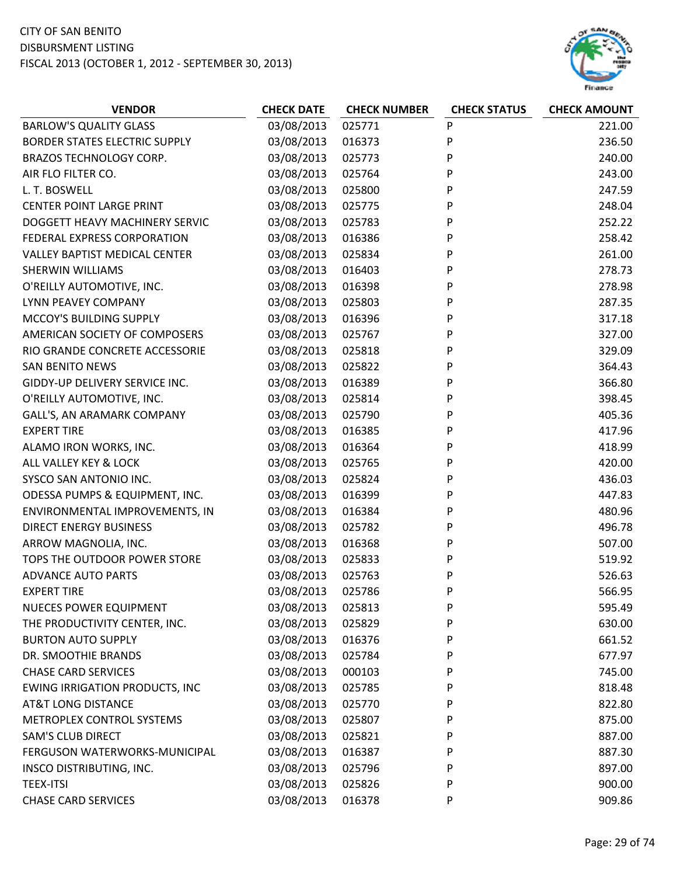

| <b>VENDOR</b>                         | <b>CHECK DATE</b> | <b>CHECK NUMBER</b> | <b>CHECK STATUS</b> | <b>CHECK AMOUNT</b> |
|---------------------------------------|-------------------|---------------------|---------------------|---------------------|
| <b>BARLOW'S QUALITY GLASS</b>         | 03/08/2013        | 025771              | P                   | 221.00              |
| BORDER STATES ELECTRIC SUPPLY         | 03/08/2013        | 016373              | P                   | 236.50              |
| BRAZOS TECHNOLOGY CORP.               | 03/08/2013        | 025773              | P                   | 240.00              |
| AIR FLO FILTER CO.                    | 03/08/2013        | 025764              | P                   | 243.00              |
| L. T. BOSWELL                         | 03/08/2013        | 025800              | P                   | 247.59              |
| <b>CENTER POINT LARGE PRINT</b>       | 03/08/2013        | 025775              | P                   | 248.04              |
| DOGGETT HEAVY MACHINERY SERVIC        | 03/08/2013        | 025783              | P                   | 252.22              |
| FEDERAL EXPRESS CORPORATION           | 03/08/2013        | 016386              | P                   | 258.42              |
| <b>VALLEY BAPTIST MEDICAL CENTER</b>  | 03/08/2013        | 025834              | P                   | 261.00              |
| SHERWIN WILLIAMS                      | 03/08/2013        | 016403              | P                   | 278.73              |
| O'REILLY AUTOMOTIVE, INC.             | 03/08/2013        | 016398              | P                   | 278.98              |
| LYNN PEAVEY COMPANY                   | 03/08/2013        | 025803              | P                   | 287.35              |
| MCCOY'S BUILDING SUPPLY               | 03/08/2013        | 016396              | P                   | 317.18              |
| AMERICAN SOCIETY OF COMPOSERS         | 03/08/2013        | 025767              | P                   | 327.00              |
| RIO GRANDE CONCRETE ACCESSORIE        | 03/08/2013        | 025818              | P                   | 329.09              |
| <b>SAN BENITO NEWS</b>                | 03/08/2013        | 025822              | P                   | 364.43              |
| GIDDY-UP DELIVERY SERVICE INC.        | 03/08/2013        | 016389              | P                   | 366.80              |
| O'REILLY AUTOMOTIVE, INC.             | 03/08/2013        | 025814              | P                   | 398.45              |
| GALL'S, AN ARAMARK COMPANY            | 03/08/2013        | 025790              | P                   | 405.36              |
| <b>EXPERT TIRE</b>                    | 03/08/2013        | 016385              | P                   | 417.96              |
| ALAMO IRON WORKS, INC.                | 03/08/2013        | 016364              | P                   | 418.99              |
| ALL VALLEY KEY & LOCK                 | 03/08/2013        | 025765              | P                   | 420.00              |
| SYSCO SAN ANTONIO INC.                | 03/08/2013        | 025824              | P                   | 436.03              |
| ODESSA PUMPS & EQUIPMENT, INC.        | 03/08/2013        | 016399              | P                   | 447.83              |
| ENVIRONMENTAL IMPROVEMENTS, IN        | 03/08/2013        | 016384              | P                   | 480.96              |
| <b>DIRECT ENERGY BUSINESS</b>         | 03/08/2013        | 025782              | P                   | 496.78              |
| ARROW MAGNOLIA, INC.                  | 03/08/2013        | 016368              | P                   | 507.00              |
| TOPS THE OUTDOOR POWER STORE          | 03/08/2013        | 025833              | P                   | 519.92              |
| <b>ADVANCE AUTO PARTS</b>             | 03/08/2013        | 025763              | P                   | 526.63              |
| <b>EXPERT TIRE</b>                    | 03/08/2013        | 025786              | P                   | 566.95              |
| <b>NUECES POWER EQUIPMENT</b>         | 03/08/2013        | 025813              | P                   | 595.49              |
| THE PRODUCTIVITY CENTER, INC.         | 03/08/2013        | 025829              | P                   | 630.00              |
| <b>BURTON AUTO SUPPLY</b>             | 03/08/2013        | 016376              | P                   | 661.52              |
| DR. SMOOTHIE BRANDS                   | 03/08/2013        | 025784              | P                   | 677.97              |
| <b>CHASE CARD SERVICES</b>            | 03/08/2013        | 000103              | P                   | 745.00              |
| <b>EWING IRRIGATION PRODUCTS, INC</b> | 03/08/2013        | 025785              | P                   | 818.48              |
| AT&T LONG DISTANCE                    | 03/08/2013        | 025770              | P                   | 822.80              |
| METROPLEX CONTROL SYSTEMS             | 03/08/2013        | 025807              | P                   | 875.00              |
| <b>SAM'S CLUB DIRECT</b>              | 03/08/2013        | 025821              | P                   | 887.00              |
| FERGUSON WATERWORKS-MUNICIPAL         | 03/08/2013        | 016387              | P                   | 887.30              |
| INSCO DISTRIBUTING, INC.              | 03/08/2013        | 025796              | P                   | 897.00              |
| <b>TEEX-ITSI</b>                      | 03/08/2013        | 025826              | P                   | 900.00              |
| <b>CHASE CARD SERVICES</b>            | 03/08/2013        | 016378              | P                   | 909.86              |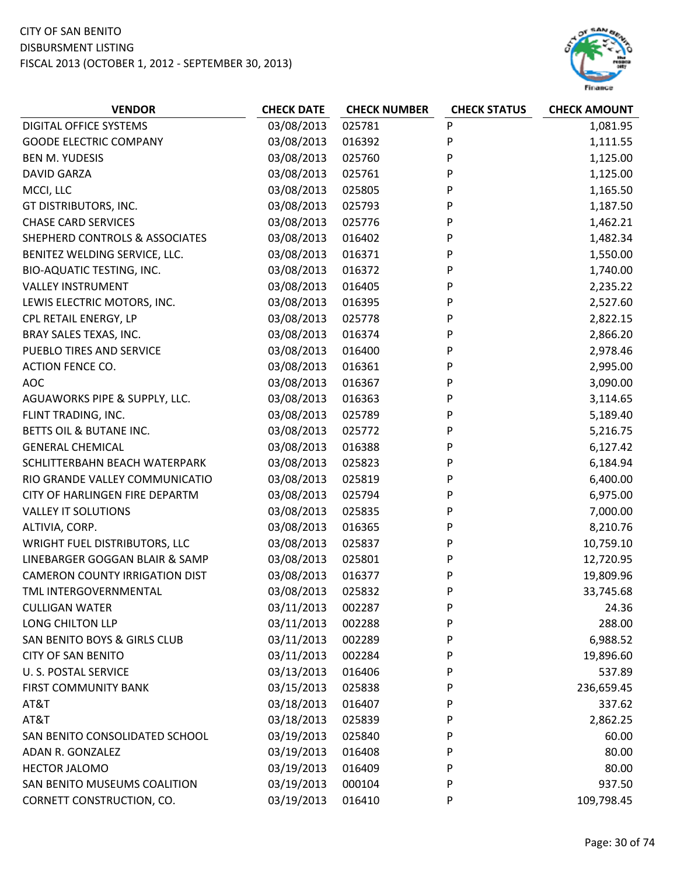

| <b>VENDOR</b>                         | <b>CHECK DATE</b> | <b>CHECK NUMBER</b> | <b>CHECK STATUS</b> | <b>CHECK AMOUNT</b> |
|---------------------------------------|-------------------|---------------------|---------------------|---------------------|
| DIGITAL OFFICE SYSTEMS                | 03/08/2013        | 025781              | P                   | 1,081.95            |
| <b>GOODE ELECTRIC COMPANY</b>         | 03/08/2013        | 016392              | P                   | 1,111.55            |
| <b>BEN M. YUDESIS</b>                 | 03/08/2013        | 025760              | P                   | 1,125.00            |
| <b>DAVID GARZA</b>                    | 03/08/2013        | 025761              | P                   | 1,125.00            |
| MCCI, LLC                             | 03/08/2013        | 025805              | P                   | 1,165.50            |
| GT DISTRIBUTORS, INC.                 | 03/08/2013        | 025793              | P                   | 1,187.50            |
| <b>CHASE CARD SERVICES</b>            | 03/08/2013        | 025776              | P                   | 1,462.21            |
| SHEPHERD CONTROLS & ASSOCIATES        | 03/08/2013        | 016402              | P                   | 1,482.34            |
| BENITEZ WELDING SERVICE, LLC.         | 03/08/2013        | 016371              | P                   | 1,550.00            |
| BIO-AQUATIC TESTING, INC.             | 03/08/2013        | 016372              | P                   | 1,740.00            |
| <b>VALLEY INSTRUMENT</b>              | 03/08/2013        | 016405              | P                   | 2,235.22            |
| LEWIS ELECTRIC MOTORS, INC.           | 03/08/2013        | 016395              | P                   | 2,527.60            |
| CPL RETAIL ENERGY, LP                 | 03/08/2013        | 025778              | P                   | 2,822.15            |
| BRAY SALES TEXAS, INC.                | 03/08/2013        | 016374              | P                   | 2,866.20            |
| PUEBLO TIRES AND SERVICE              | 03/08/2013        | 016400              | P                   | 2,978.46            |
| <b>ACTION FENCE CO.</b>               | 03/08/2013        | 016361              | P                   | 2,995.00            |
| <b>AOC</b>                            | 03/08/2013        | 016367              | P                   | 3,090.00            |
| AGUAWORKS PIPE & SUPPLY, LLC.         | 03/08/2013        | 016363              | P                   | 3,114.65            |
| FLINT TRADING, INC.                   | 03/08/2013        | 025789              | P                   | 5,189.40            |
| BETTS OIL & BUTANE INC.               | 03/08/2013        | 025772              | P                   | 5,216.75            |
| <b>GENERAL CHEMICAL</b>               | 03/08/2013        | 016388              | P                   | 6,127.42            |
| SCHLITTERBAHN BEACH WATERPARK         | 03/08/2013        | 025823              | P                   | 6,184.94            |
| RIO GRANDE VALLEY COMMUNICATIO        | 03/08/2013        | 025819              | P                   | 6,400.00            |
| CITY OF HARLINGEN FIRE DEPARTM        | 03/08/2013        | 025794              | P                   | 6,975.00            |
| <b>VALLEY IT SOLUTIONS</b>            | 03/08/2013        | 025835              | P                   | 7,000.00            |
| ALTIVIA, CORP.                        | 03/08/2013        | 016365              | P                   | 8,210.76            |
| WRIGHT FUEL DISTRIBUTORS, LLC         | 03/08/2013        | 025837              | P                   | 10,759.10           |
| LINEBARGER GOGGAN BLAIR & SAMP        | 03/08/2013        | 025801              | P                   | 12,720.95           |
| <b>CAMERON COUNTY IRRIGATION DIST</b> | 03/08/2013        | 016377              | P                   | 19,809.96           |
| TML INTERGOVERNMENTAL                 | 03/08/2013        | 025832              | P                   | 33,745.68           |
| <b>CULLIGAN WATER</b>                 | 03/11/2013        | 002287              | P                   | 24.36               |
| LONG CHILTON LLP                      | 03/11/2013        | 002288              | P                   | 288.00              |
| SAN BENITO BOYS & GIRLS CLUB          | 03/11/2013        | 002289              | P                   | 6,988.52            |
| <b>CITY OF SAN BENITO</b>             | 03/11/2013        | 002284              | P                   | 19,896.60           |
| <b>U. S. POSTAL SERVICE</b>           | 03/13/2013        | 016406              | P                   | 537.89              |
| FIRST COMMUNITY BANK                  | 03/15/2013        | 025838              | P                   | 236,659.45          |
| AT&T                                  | 03/18/2013        | 016407              | P                   | 337.62              |
| AT&T                                  | 03/18/2013        | 025839              | P                   | 2,862.25            |
| SAN BENITO CONSOLIDATED SCHOOL        | 03/19/2013        | 025840              | P                   | 60.00               |
| ADAN R. GONZALEZ                      | 03/19/2013        | 016408              | P                   | 80.00               |
| HECTOR JALOMO                         | 03/19/2013        | 016409              | P                   | 80.00               |
| SAN BENITO MUSEUMS COALITION          | 03/19/2013        | 000104              | P                   | 937.50              |
| CORNETT CONSTRUCTION, CO.             | 03/19/2013        | 016410              | P                   | 109,798.45          |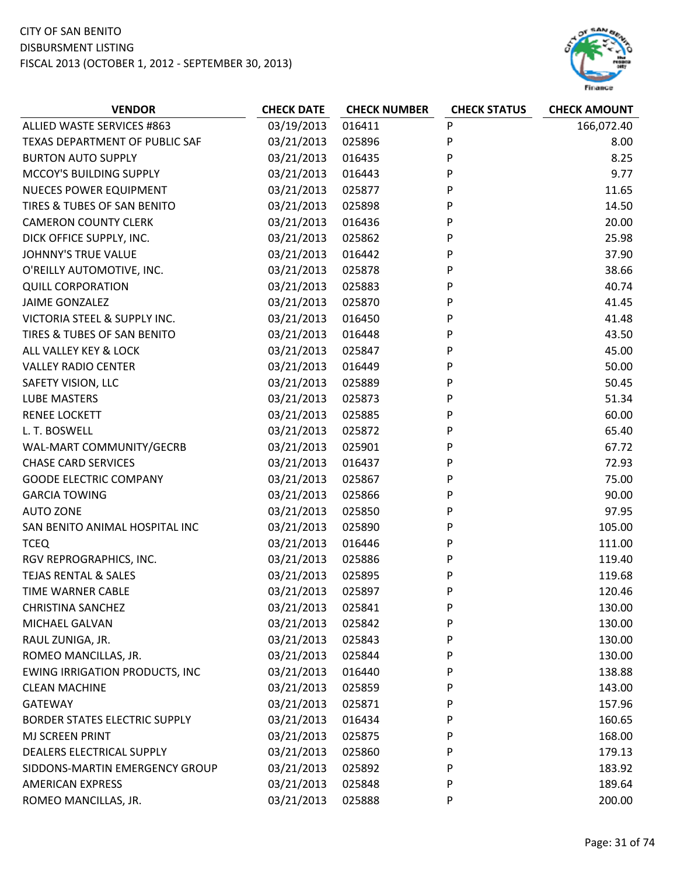

| <b>VENDOR</b>                         | <b>CHECK DATE</b> | <b>CHECK NUMBER</b> | <b>CHECK STATUS</b> | <b>CHECK AMOUNT</b> |
|---------------------------------------|-------------------|---------------------|---------------------|---------------------|
| ALLIED WASTE SERVICES #863            | 03/19/2013        | 016411              | P                   | 166,072.40          |
| TEXAS DEPARTMENT OF PUBLIC SAF        | 03/21/2013        | 025896              | P                   | 8.00                |
| <b>BURTON AUTO SUPPLY</b>             | 03/21/2013        | 016435              | P                   | 8.25                |
| MCCOY'S BUILDING SUPPLY               | 03/21/2013        | 016443              | P                   | 9.77                |
| <b>NUECES POWER EQUIPMENT</b>         | 03/21/2013        | 025877              | P                   | 11.65               |
| TIRES & TUBES OF SAN BENITO           | 03/21/2013        | 025898              | P                   | 14.50               |
| <b>CAMERON COUNTY CLERK</b>           | 03/21/2013        | 016436              | P                   | 20.00               |
| DICK OFFICE SUPPLY, INC.              | 03/21/2013        | 025862              | P                   | 25.98               |
| <b>JOHNNY'S TRUE VALUE</b>            | 03/21/2013        | 016442              | P                   | 37.90               |
| O'REILLY AUTOMOTIVE, INC.             | 03/21/2013        | 025878              | P                   | 38.66               |
| <b>QUILL CORPORATION</b>              | 03/21/2013        | 025883              | P                   | 40.74               |
| JAIME GONZALEZ                        | 03/21/2013        | 025870              | P                   | 41.45               |
| VICTORIA STEEL & SUPPLY INC.          | 03/21/2013        | 016450              | P                   | 41.48               |
| TIRES & TUBES OF SAN BENITO           | 03/21/2013        | 016448              | P                   | 43.50               |
| ALL VALLEY KEY & LOCK                 | 03/21/2013        | 025847              | P                   | 45.00               |
| <b>VALLEY RADIO CENTER</b>            | 03/21/2013        | 016449              | P                   | 50.00               |
| SAFETY VISION, LLC                    | 03/21/2013        | 025889              | P                   | 50.45               |
| <b>LUBE MASTERS</b>                   | 03/21/2013        | 025873              | P                   | 51.34               |
| <b>RENEE LOCKETT</b>                  | 03/21/2013        | 025885              | P                   | 60.00               |
| L. T. BOSWELL                         | 03/21/2013        | 025872              | P                   | 65.40               |
| WAL-MART COMMUNITY/GECRB              | 03/21/2013        | 025901              | P                   | 67.72               |
| <b>CHASE CARD SERVICES</b>            | 03/21/2013        | 016437              | P                   | 72.93               |
| <b>GOODE ELECTRIC COMPANY</b>         | 03/21/2013        | 025867              | P                   | 75.00               |
| <b>GARCIA TOWING</b>                  | 03/21/2013        | 025866              | P                   | 90.00               |
| <b>AUTO ZONE</b>                      | 03/21/2013        | 025850              | P                   | 97.95               |
| SAN BENITO ANIMAL HOSPITAL INC        | 03/21/2013        | 025890              | P                   | 105.00              |
| <b>TCEQ</b>                           | 03/21/2013        | 016446              | P                   | 111.00              |
| RGV REPROGRAPHICS, INC.               | 03/21/2013        | 025886              | P                   | 119.40              |
| <b>TEJAS RENTAL &amp; SALES</b>       | 03/21/2013        | 025895              | P                   | 119.68              |
| TIME WARNER CABLE                     | 03/21/2013        | 025897              | P                   | 120.46              |
| <b>CHRISTINA SANCHEZ</b>              | 03/21/2013        | 025841              | P                   | 130.00              |
| <b>MICHAEL GALVAN</b>                 | 03/21/2013        | 025842              | P                   | 130.00              |
| RAUL ZUNIGA, JR.                      | 03/21/2013        | 025843              | P                   | 130.00              |
| ROMEO MANCILLAS, JR.                  | 03/21/2013        | 025844              | P                   | 130.00              |
| <b>EWING IRRIGATION PRODUCTS, INC</b> | 03/21/2013        | 016440              | P                   | 138.88              |
| <b>CLEAN MACHINE</b>                  | 03/21/2013        | 025859              | P                   | 143.00              |
| <b>GATEWAY</b>                        | 03/21/2013        | 025871              | P                   | 157.96              |
| <b>BORDER STATES ELECTRIC SUPPLY</b>  | 03/21/2013        | 016434              | P                   | 160.65              |
| MJ SCREEN PRINT                       | 03/21/2013        | 025875              | P                   | 168.00              |
| DEALERS ELECTRICAL SUPPLY             | 03/21/2013        | 025860              | P                   | 179.13              |
| SIDDONS-MARTIN EMERGENCY GROUP        | 03/21/2013        | 025892              | P                   | 183.92              |
| <b>AMERICAN EXPRESS</b>               | 03/21/2013        | 025848              | P                   | 189.64              |
| ROMEO MANCILLAS, JR.                  | 03/21/2013        | 025888              | P                   | 200.00              |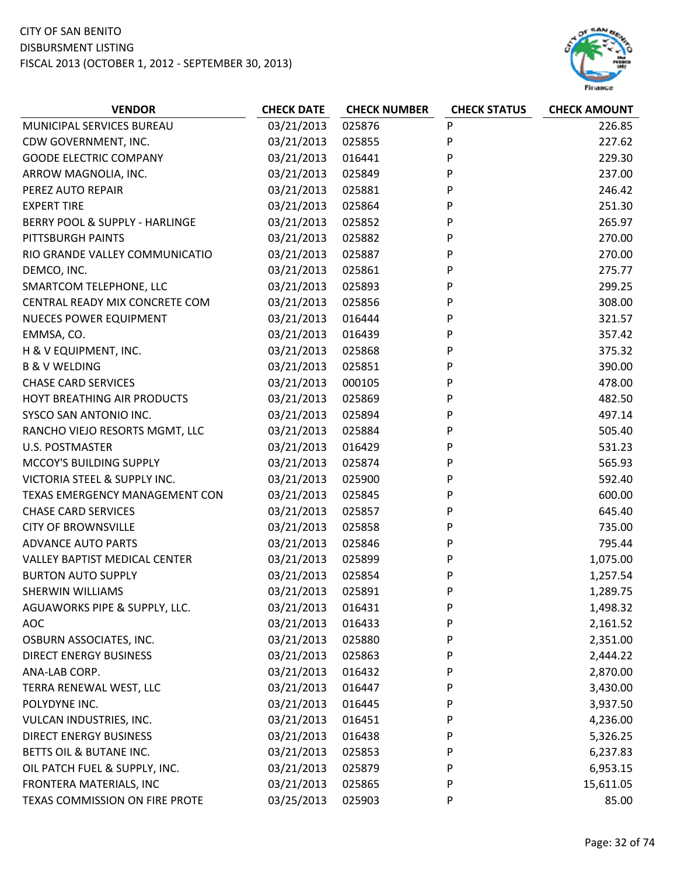

| <b>VENDOR</b>                        | <b>CHECK DATE</b> | <b>CHECK NUMBER</b> | <b>CHECK STATUS</b> | <b>CHECK AMOUNT</b> |
|--------------------------------------|-------------------|---------------------|---------------------|---------------------|
| MUNICIPAL SERVICES BUREAU            | 03/21/2013        | 025876              | P                   | 226.85              |
| CDW GOVERNMENT, INC.                 | 03/21/2013        | 025855              | P                   | 227.62              |
| <b>GOODE ELECTRIC COMPANY</b>        | 03/21/2013        | 016441              | P                   | 229.30              |
| ARROW MAGNOLIA, INC.                 | 03/21/2013        | 025849              | P                   | 237.00              |
| PEREZ AUTO REPAIR                    | 03/21/2013        | 025881              | P                   | 246.42              |
| <b>EXPERT TIRE</b>                   | 03/21/2013        | 025864              | P                   | 251.30              |
| BERRY POOL & SUPPLY - HARLINGE       | 03/21/2013        | 025852              | P                   | 265.97              |
| PITTSBURGH PAINTS                    | 03/21/2013        | 025882              | P                   | 270.00              |
| RIO GRANDE VALLEY COMMUNICATIO       | 03/21/2013        | 025887              | P                   | 270.00              |
| DEMCO, INC.                          | 03/21/2013        | 025861              | P                   | 275.77              |
| SMARTCOM TELEPHONE, LLC              | 03/21/2013        | 025893              | P                   | 299.25              |
| CENTRAL READY MIX CONCRETE COM       | 03/21/2013        | 025856              | P                   | 308.00              |
| <b>NUECES POWER EQUIPMENT</b>        | 03/21/2013        | 016444              | P                   | 321.57              |
| EMMSA, CO.                           | 03/21/2013        | 016439              | P                   | 357.42              |
| H & V EQUIPMENT, INC.                | 03/21/2013        | 025868              | P                   | 375.32              |
| <b>B &amp; V WELDING</b>             | 03/21/2013        | 025851              | P                   | 390.00              |
| <b>CHASE CARD SERVICES</b>           | 03/21/2013        | 000105              | P                   | 478.00              |
| HOYT BREATHING AIR PRODUCTS          | 03/21/2013        | 025869              | P                   | 482.50              |
| SYSCO SAN ANTONIO INC.               | 03/21/2013        | 025894              | P                   | 497.14              |
| RANCHO VIEJO RESORTS MGMT, LLC       | 03/21/2013        | 025884              | P                   | 505.40              |
| <b>U.S. POSTMASTER</b>               | 03/21/2013        | 016429              | P                   | 531.23              |
| MCCOY'S BUILDING SUPPLY              | 03/21/2013        | 025874              | P                   | 565.93              |
| VICTORIA STEEL & SUPPLY INC.         | 03/21/2013        | 025900              | P                   | 592.40              |
| TEXAS EMERGENCY MANAGEMENT CON       | 03/21/2013        | 025845              | P                   | 600.00              |
| <b>CHASE CARD SERVICES</b>           | 03/21/2013        | 025857              | P                   | 645.40              |
| <b>CITY OF BROWNSVILLE</b>           | 03/21/2013        | 025858              | P                   | 735.00              |
| <b>ADVANCE AUTO PARTS</b>            | 03/21/2013        | 025846              | P                   | 795.44              |
| <b>VALLEY BAPTIST MEDICAL CENTER</b> | 03/21/2013        | 025899              | P                   | 1,075.00            |
| <b>BURTON AUTO SUPPLY</b>            | 03/21/2013        | 025854              | P                   | 1,257.54            |
| <b>SHERWIN WILLIAMS</b>              | 03/21/2013        | 025891              | P                   | 1,289.75            |
| AGUAWORKS PIPE & SUPPLY, LLC.        | 03/21/2013        | 016431              | P                   | 1,498.32            |
| <b>AOC</b>                           | 03/21/2013        | 016433              | P                   | 2,161.52            |
| OSBURN ASSOCIATES, INC.              | 03/21/2013        | 025880              | P                   | 2,351.00            |
| <b>DIRECT ENERGY BUSINESS</b>        | 03/21/2013        | 025863              | P                   | 2,444.22            |
| ANA-LAB CORP.                        | 03/21/2013        | 016432              | P                   | 2,870.00            |
| TERRA RENEWAL WEST, LLC              | 03/21/2013        | 016447              | P                   | 3,430.00            |
| POLYDYNE INC.                        | 03/21/2013        | 016445              | P                   | 3,937.50            |
| VULCAN INDUSTRIES, INC.              | 03/21/2013        | 016451              | P                   | 4,236.00            |
| <b>DIRECT ENERGY BUSINESS</b>        | 03/21/2013        | 016438              | P                   | 5,326.25            |
| BETTS OIL & BUTANE INC.              | 03/21/2013        | 025853              | P                   | 6,237.83            |
| OIL PATCH FUEL & SUPPLY, INC.        | 03/21/2013        | 025879              | P                   | 6,953.15            |
| FRONTERA MATERIALS, INC              | 03/21/2013        | 025865              | P                   | 15,611.05           |
| TEXAS COMMISSION ON FIRE PROTE       | 03/25/2013        | 025903              | P                   | 85.00               |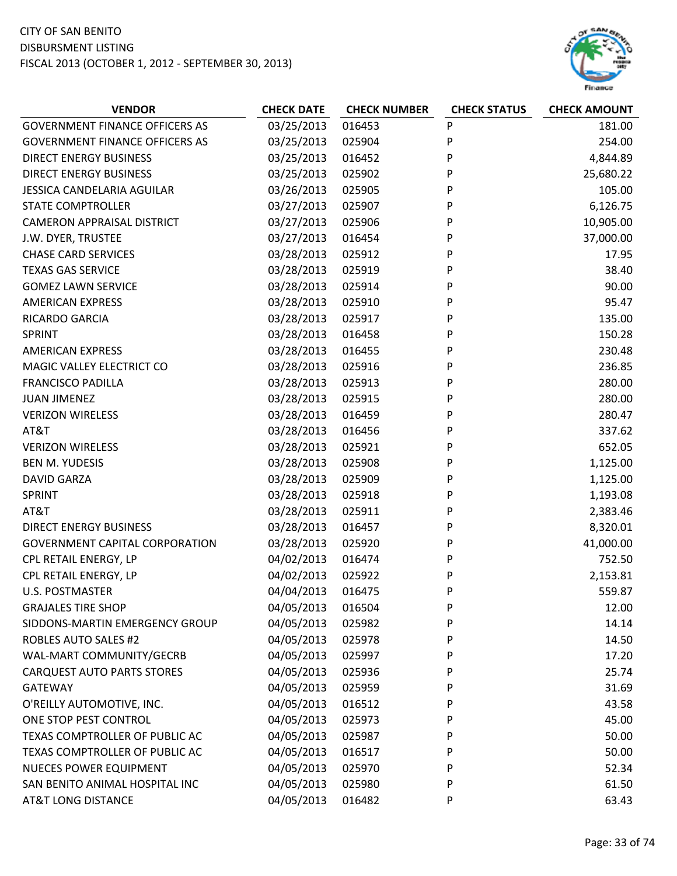

| <b>GOVERNMENT FINANCE OFFICERS AS</b><br>03/25/2013<br>P<br>016453<br>181.00<br>03/25/2013<br>P<br><b>GOVERNMENT FINANCE OFFICERS AS</b><br>025904<br>254.00<br>03/25/2013<br>P<br><b>DIRECT ENERGY BUSINESS</b><br>016452<br>4,844.89<br>03/25/2013<br>P<br><b>DIRECT ENERGY BUSINESS</b><br>025902<br>25,680.22<br>03/26/2013<br>P<br>105.00<br>JESSICA CANDELARIA AGUILAR<br>025905<br><b>STATE COMPTROLLER</b><br>03/27/2013<br>025907<br>P<br>6,126.75<br>03/27/2013<br>P<br>10,905.00<br><b>CAMERON APPRAISAL DISTRICT</b><br>025906<br>03/27/2013<br>P<br>37,000.00<br>J.W. DYER, TRUSTEE<br>016454<br><b>CHASE CARD SERVICES</b><br>03/28/2013<br>P<br>025912<br>17.95<br><b>TEXAS GAS SERVICE</b><br>03/28/2013<br>P<br>38.40<br>025919<br>P<br>90.00<br><b>GOMEZ LAWN SERVICE</b><br>03/28/2013<br>025914<br><b>AMERICAN EXPRESS</b><br>03/28/2013<br>025910<br>95.47<br>P<br>RICARDO GARCIA<br>03/28/2013<br>025917<br>P<br>135.00<br>03/28/2013<br>P<br>SPRINT<br>016458<br>150.28<br>03/28/2013<br>P<br><b>AMERICAN EXPRESS</b><br>016455<br>230.48<br>03/28/2013<br>P<br>MAGIC VALLEY ELECTRICT CO<br>025916<br>236.85<br>03/28/2013<br>280.00<br><b>FRANCISCO PADILLA</b><br>025913<br>P<br>03/28/2013<br>P<br>280.00<br><b>JUAN JIMENEZ</b><br>025915<br>03/28/2013<br>P<br><b>VERIZON WIRELESS</b><br>016459<br>280.47<br>03/28/2013<br>016456<br>P<br>337.62<br>AT&T<br>03/28/2013<br>${\sf P}$<br><b>VERIZON WIRELESS</b><br>025921<br>652.05<br><b>BEN M. YUDESIS</b><br>03/28/2013<br>P<br>025908<br>1,125.00<br>03/28/2013<br>P<br><b>DAVID GARZA</b><br>025909<br>1,125.00<br>03/28/2013<br>025918<br>SPRINT<br>P<br>1,193.08<br>03/28/2013<br>025911<br>P<br>AT&T<br>2,383.46<br>03/28/2013<br>P<br><b>DIRECT ENERGY BUSINESS</b><br>016457<br>8,320.01<br><b>GOVERNMENT CAPITAL CORPORATION</b><br>03/28/2013<br>025920<br>P<br>41,000.00<br>04/02/2013<br>P<br>752.50<br>CPL RETAIL ENERGY, LP<br>016474<br>04/02/2013<br>CPL RETAIL ENERGY, LP<br>025922<br>P<br>2,153.81<br>04/04/2013<br>016475<br>P<br><b>U.S. POSTMASTER</b><br>559.87<br>04/05/2013<br><b>GRAJALES TIRE SHOP</b><br>016504<br>P<br>12.00<br>P<br>14.14<br>SIDDONS-MARTIN EMERGENCY GROUP<br>04/05/2013<br>025982<br>04/05/2013<br><b>ROBLES AUTO SALES #2</b><br>025978<br>P<br>14.50<br>04/05/2013<br>WAL-MART COMMUNITY/GECRB<br>025997<br>P<br>17.20<br>04/05/2013<br><b>CARQUEST AUTO PARTS STORES</b><br>025936<br>P<br>25.74<br>04/05/2013<br>025959<br>31.69<br><b>GATEWAY</b><br>P<br>04/05/2013<br>O'REILLY AUTOMOTIVE, INC.<br>016512<br>P<br>43.58<br>04/05/2013<br>ONE STOP PEST CONTROL<br>025973<br>P<br>45.00<br>04/05/2013<br>50.00<br>TEXAS COMPTROLLER OF PUBLIC AC<br>025987<br>P<br>04/05/2013<br>TEXAS COMPTROLLER OF PUBLIC AC<br>P<br>50.00<br>016517<br><b>NUECES POWER EQUIPMENT</b><br>04/05/2013<br>025970<br>P<br>52.34<br>SAN BENITO ANIMAL HOSPITAL INC<br>P | <b>VENDOR</b> | <b>CHECK DATE</b> | <b>CHECK NUMBER</b> | <b>CHECK STATUS</b> | <b>CHECK AMOUNT</b> |
|--------------------------------------------------------------------------------------------------------------------------------------------------------------------------------------------------------------------------------------------------------------------------------------------------------------------------------------------------------------------------------------------------------------------------------------------------------------------------------------------------------------------------------------------------------------------------------------------------------------------------------------------------------------------------------------------------------------------------------------------------------------------------------------------------------------------------------------------------------------------------------------------------------------------------------------------------------------------------------------------------------------------------------------------------------------------------------------------------------------------------------------------------------------------------------------------------------------------------------------------------------------------------------------------------------------------------------------------------------------------------------------------------------------------------------------------------------------------------------------------------------------------------------------------------------------------------------------------------------------------------------------------------------------------------------------------------------------------------------------------------------------------------------------------------------------------------------------------------------------------------------------------------------------------------------------------------------------------------------------------------------------------------------------------------------------------------------------------------------------------------------------------------------------------------------------------------------------------------------------------------------------------------------------------------------------------------------------------------------------------------------------------------------------------------------------------------------------------------------------------------------------------------------------------------------------------------------------------------------------------------------------------------------------------------------------------------------------------------------------------------------------------------------------------------------------------------------------------------------------------------------------------|---------------|-------------------|---------------------|---------------------|---------------------|
|                                                                                                                                                                                                                                                                                                                                                                                                                                                                                                                                                                                                                                                                                                                                                                                                                                                                                                                                                                                                                                                                                                                                                                                                                                                                                                                                                                                                                                                                                                                                                                                                                                                                                                                                                                                                                                                                                                                                                                                                                                                                                                                                                                                                                                                                                                                                                                                                                                                                                                                                                                                                                                                                                                                                                                                                                                                                                            |               |                   |                     |                     |                     |
|                                                                                                                                                                                                                                                                                                                                                                                                                                                                                                                                                                                                                                                                                                                                                                                                                                                                                                                                                                                                                                                                                                                                                                                                                                                                                                                                                                                                                                                                                                                                                                                                                                                                                                                                                                                                                                                                                                                                                                                                                                                                                                                                                                                                                                                                                                                                                                                                                                                                                                                                                                                                                                                                                                                                                                                                                                                                                            |               |                   |                     |                     |                     |
|                                                                                                                                                                                                                                                                                                                                                                                                                                                                                                                                                                                                                                                                                                                                                                                                                                                                                                                                                                                                                                                                                                                                                                                                                                                                                                                                                                                                                                                                                                                                                                                                                                                                                                                                                                                                                                                                                                                                                                                                                                                                                                                                                                                                                                                                                                                                                                                                                                                                                                                                                                                                                                                                                                                                                                                                                                                                                            |               |                   |                     |                     |                     |
|                                                                                                                                                                                                                                                                                                                                                                                                                                                                                                                                                                                                                                                                                                                                                                                                                                                                                                                                                                                                                                                                                                                                                                                                                                                                                                                                                                                                                                                                                                                                                                                                                                                                                                                                                                                                                                                                                                                                                                                                                                                                                                                                                                                                                                                                                                                                                                                                                                                                                                                                                                                                                                                                                                                                                                                                                                                                                            |               |                   |                     |                     |                     |
|                                                                                                                                                                                                                                                                                                                                                                                                                                                                                                                                                                                                                                                                                                                                                                                                                                                                                                                                                                                                                                                                                                                                                                                                                                                                                                                                                                                                                                                                                                                                                                                                                                                                                                                                                                                                                                                                                                                                                                                                                                                                                                                                                                                                                                                                                                                                                                                                                                                                                                                                                                                                                                                                                                                                                                                                                                                                                            |               |                   |                     |                     |                     |
|                                                                                                                                                                                                                                                                                                                                                                                                                                                                                                                                                                                                                                                                                                                                                                                                                                                                                                                                                                                                                                                                                                                                                                                                                                                                                                                                                                                                                                                                                                                                                                                                                                                                                                                                                                                                                                                                                                                                                                                                                                                                                                                                                                                                                                                                                                                                                                                                                                                                                                                                                                                                                                                                                                                                                                                                                                                                                            |               |                   |                     |                     |                     |
|                                                                                                                                                                                                                                                                                                                                                                                                                                                                                                                                                                                                                                                                                                                                                                                                                                                                                                                                                                                                                                                                                                                                                                                                                                                                                                                                                                                                                                                                                                                                                                                                                                                                                                                                                                                                                                                                                                                                                                                                                                                                                                                                                                                                                                                                                                                                                                                                                                                                                                                                                                                                                                                                                                                                                                                                                                                                                            |               |                   |                     |                     |                     |
|                                                                                                                                                                                                                                                                                                                                                                                                                                                                                                                                                                                                                                                                                                                                                                                                                                                                                                                                                                                                                                                                                                                                                                                                                                                                                                                                                                                                                                                                                                                                                                                                                                                                                                                                                                                                                                                                                                                                                                                                                                                                                                                                                                                                                                                                                                                                                                                                                                                                                                                                                                                                                                                                                                                                                                                                                                                                                            |               |                   |                     |                     |                     |
|                                                                                                                                                                                                                                                                                                                                                                                                                                                                                                                                                                                                                                                                                                                                                                                                                                                                                                                                                                                                                                                                                                                                                                                                                                                                                                                                                                                                                                                                                                                                                                                                                                                                                                                                                                                                                                                                                                                                                                                                                                                                                                                                                                                                                                                                                                                                                                                                                                                                                                                                                                                                                                                                                                                                                                                                                                                                                            |               |                   |                     |                     |                     |
|                                                                                                                                                                                                                                                                                                                                                                                                                                                                                                                                                                                                                                                                                                                                                                                                                                                                                                                                                                                                                                                                                                                                                                                                                                                                                                                                                                                                                                                                                                                                                                                                                                                                                                                                                                                                                                                                                                                                                                                                                                                                                                                                                                                                                                                                                                                                                                                                                                                                                                                                                                                                                                                                                                                                                                                                                                                                                            |               |                   |                     |                     |                     |
|                                                                                                                                                                                                                                                                                                                                                                                                                                                                                                                                                                                                                                                                                                                                                                                                                                                                                                                                                                                                                                                                                                                                                                                                                                                                                                                                                                                                                                                                                                                                                                                                                                                                                                                                                                                                                                                                                                                                                                                                                                                                                                                                                                                                                                                                                                                                                                                                                                                                                                                                                                                                                                                                                                                                                                                                                                                                                            |               |                   |                     |                     |                     |
|                                                                                                                                                                                                                                                                                                                                                                                                                                                                                                                                                                                                                                                                                                                                                                                                                                                                                                                                                                                                                                                                                                                                                                                                                                                                                                                                                                                                                                                                                                                                                                                                                                                                                                                                                                                                                                                                                                                                                                                                                                                                                                                                                                                                                                                                                                                                                                                                                                                                                                                                                                                                                                                                                                                                                                                                                                                                                            |               |                   |                     |                     |                     |
|                                                                                                                                                                                                                                                                                                                                                                                                                                                                                                                                                                                                                                                                                                                                                                                                                                                                                                                                                                                                                                                                                                                                                                                                                                                                                                                                                                                                                                                                                                                                                                                                                                                                                                                                                                                                                                                                                                                                                                                                                                                                                                                                                                                                                                                                                                                                                                                                                                                                                                                                                                                                                                                                                                                                                                                                                                                                                            |               |                   |                     |                     |                     |
|                                                                                                                                                                                                                                                                                                                                                                                                                                                                                                                                                                                                                                                                                                                                                                                                                                                                                                                                                                                                                                                                                                                                                                                                                                                                                                                                                                                                                                                                                                                                                                                                                                                                                                                                                                                                                                                                                                                                                                                                                                                                                                                                                                                                                                                                                                                                                                                                                                                                                                                                                                                                                                                                                                                                                                                                                                                                                            |               |                   |                     |                     |                     |
|                                                                                                                                                                                                                                                                                                                                                                                                                                                                                                                                                                                                                                                                                                                                                                                                                                                                                                                                                                                                                                                                                                                                                                                                                                                                                                                                                                                                                                                                                                                                                                                                                                                                                                                                                                                                                                                                                                                                                                                                                                                                                                                                                                                                                                                                                                                                                                                                                                                                                                                                                                                                                                                                                                                                                                                                                                                                                            |               |                   |                     |                     |                     |
|                                                                                                                                                                                                                                                                                                                                                                                                                                                                                                                                                                                                                                                                                                                                                                                                                                                                                                                                                                                                                                                                                                                                                                                                                                                                                                                                                                                                                                                                                                                                                                                                                                                                                                                                                                                                                                                                                                                                                                                                                                                                                                                                                                                                                                                                                                                                                                                                                                                                                                                                                                                                                                                                                                                                                                                                                                                                                            |               |                   |                     |                     |                     |
|                                                                                                                                                                                                                                                                                                                                                                                                                                                                                                                                                                                                                                                                                                                                                                                                                                                                                                                                                                                                                                                                                                                                                                                                                                                                                                                                                                                                                                                                                                                                                                                                                                                                                                                                                                                                                                                                                                                                                                                                                                                                                                                                                                                                                                                                                                                                                                                                                                                                                                                                                                                                                                                                                                                                                                                                                                                                                            |               |                   |                     |                     |                     |
|                                                                                                                                                                                                                                                                                                                                                                                                                                                                                                                                                                                                                                                                                                                                                                                                                                                                                                                                                                                                                                                                                                                                                                                                                                                                                                                                                                                                                                                                                                                                                                                                                                                                                                                                                                                                                                                                                                                                                                                                                                                                                                                                                                                                                                                                                                                                                                                                                                                                                                                                                                                                                                                                                                                                                                                                                                                                                            |               |                   |                     |                     |                     |
|                                                                                                                                                                                                                                                                                                                                                                                                                                                                                                                                                                                                                                                                                                                                                                                                                                                                                                                                                                                                                                                                                                                                                                                                                                                                                                                                                                                                                                                                                                                                                                                                                                                                                                                                                                                                                                                                                                                                                                                                                                                                                                                                                                                                                                                                                                                                                                                                                                                                                                                                                                                                                                                                                                                                                                                                                                                                                            |               |                   |                     |                     |                     |
|                                                                                                                                                                                                                                                                                                                                                                                                                                                                                                                                                                                                                                                                                                                                                                                                                                                                                                                                                                                                                                                                                                                                                                                                                                                                                                                                                                                                                                                                                                                                                                                                                                                                                                                                                                                                                                                                                                                                                                                                                                                                                                                                                                                                                                                                                                                                                                                                                                                                                                                                                                                                                                                                                                                                                                                                                                                                                            |               |                   |                     |                     |                     |
|                                                                                                                                                                                                                                                                                                                                                                                                                                                                                                                                                                                                                                                                                                                                                                                                                                                                                                                                                                                                                                                                                                                                                                                                                                                                                                                                                                                                                                                                                                                                                                                                                                                                                                                                                                                                                                                                                                                                                                                                                                                                                                                                                                                                                                                                                                                                                                                                                                                                                                                                                                                                                                                                                                                                                                                                                                                                                            |               |                   |                     |                     |                     |
|                                                                                                                                                                                                                                                                                                                                                                                                                                                                                                                                                                                                                                                                                                                                                                                                                                                                                                                                                                                                                                                                                                                                                                                                                                                                                                                                                                                                                                                                                                                                                                                                                                                                                                                                                                                                                                                                                                                                                                                                                                                                                                                                                                                                                                                                                                                                                                                                                                                                                                                                                                                                                                                                                                                                                                                                                                                                                            |               |                   |                     |                     |                     |
|                                                                                                                                                                                                                                                                                                                                                                                                                                                                                                                                                                                                                                                                                                                                                                                                                                                                                                                                                                                                                                                                                                                                                                                                                                                                                                                                                                                                                                                                                                                                                                                                                                                                                                                                                                                                                                                                                                                                                                                                                                                                                                                                                                                                                                                                                                                                                                                                                                                                                                                                                                                                                                                                                                                                                                                                                                                                                            |               |                   |                     |                     |                     |
|                                                                                                                                                                                                                                                                                                                                                                                                                                                                                                                                                                                                                                                                                                                                                                                                                                                                                                                                                                                                                                                                                                                                                                                                                                                                                                                                                                                                                                                                                                                                                                                                                                                                                                                                                                                                                                                                                                                                                                                                                                                                                                                                                                                                                                                                                                                                                                                                                                                                                                                                                                                                                                                                                                                                                                                                                                                                                            |               |                   |                     |                     |                     |
|                                                                                                                                                                                                                                                                                                                                                                                                                                                                                                                                                                                                                                                                                                                                                                                                                                                                                                                                                                                                                                                                                                                                                                                                                                                                                                                                                                                                                                                                                                                                                                                                                                                                                                                                                                                                                                                                                                                                                                                                                                                                                                                                                                                                                                                                                                                                                                                                                                                                                                                                                                                                                                                                                                                                                                                                                                                                                            |               |                   |                     |                     |                     |
|                                                                                                                                                                                                                                                                                                                                                                                                                                                                                                                                                                                                                                                                                                                                                                                                                                                                                                                                                                                                                                                                                                                                                                                                                                                                                                                                                                                                                                                                                                                                                                                                                                                                                                                                                                                                                                                                                                                                                                                                                                                                                                                                                                                                                                                                                                                                                                                                                                                                                                                                                                                                                                                                                                                                                                                                                                                                                            |               |                   |                     |                     |                     |
|                                                                                                                                                                                                                                                                                                                                                                                                                                                                                                                                                                                                                                                                                                                                                                                                                                                                                                                                                                                                                                                                                                                                                                                                                                                                                                                                                                                                                                                                                                                                                                                                                                                                                                                                                                                                                                                                                                                                                                                                                                                                                                                                                                                                                                                                                                                                                                                                                                                                                                                                                                                                                                                                                                                                                                                                                                                                                            |               |                   |                     |                     |                     |
|                                                                                                                                                                                                                                                                                                                                                                                                                                                                                                                                                                                                                                                                                                                                                                                                                                                                                                                                                                                                                                                                                                                                                                                                                                                                                                                                                                                                                                                                                                                                                                                                                                                                                                                                                                                                                                                                                                                                                                                                                                                                                                                                                                                                                                                                                                                                                                                                                                                                                                                                                                                                                                                                                                                                                                                                                                                                                            |               |                   |                     |                     |                     |
|                                                                                                                                                                                                                                                                                                                                                                                                                                                                                                                                                                                                                                                                                                                                                                                                                                                                                                                                                                                                                                                                                                                                                                                                                                                                                                                                                                                                                                                                                                                                                                                                                                                                                                                                                                                                                                                                                                                                                                                                                                                                                                                                                                                                                                                                                                                                                                                                                                                                                                                                                                                                                                                                                                                                                                                                                                                                                            |               |                   |                     |                     |                     |
|                                                                                                                                                                                                                                                                                                                                                                                                                                                                                                                                                                                                                                                                                                                                                                                                                                                                                                                                                                                                                                                                                                                                                                                                                                                                                                                                                                                                                                                                                                                                                                                                                                                                                                                                                                                                                                                                                                                                                                                                                                                                                                                                                                                                                                                                                                                                                                                                                                                                                                                                                                                                                                                                                                                                                                                                                                                                                            |               |                   |                     |                     |                     |
|                                                                                                                                                                                                                                                                                                                                                                                                                                                                                                                                                                                                                                                                                                                                                                                                                                                                                                                                                                                                                                                                                                                                                                                                                                                                                                                                                                                                                                                                                                                                                                                                                                                                                                                                                                                                                                                                                                                                                                                                                                                                                                                                                                                                                                                                                                                                                                                                                                                                                                                                                                                                                                                                                                                                                                                                                                                                                            |               |                   |                     |                     |                     |
|                                                                                                                                                                                                                                                                                                                                                                                                                                                                                                                                                                                                                                                                                                                                                                                                                                                                                                                                                                                                                                                                                                                                                                                                                                                                                                                                                                                                                                                                                                                                                                                                                                                                                                                                                                                                                                                                                                                                                                                                                                                                                                                                                                                                                                                                                                                                                                                                                                                                                                                                                                                                                                                                                                                                                                                                                                                                                            |               |                   |                     |                     |                     |
|                                                                                                                                                                                                                                                                                                                                                                                                                                                                                                                                                                                                                                                                                                                                                                                                                                                                                                                                                                                                                                                                                                                                                                                                                                                                                                                                                                                                                                                                                                                                                                                                                                                                                                                                                                                                                                                                                                                                                                                                                                                                                                                                                                                                                                                                                                                                                                                                                                                                                                                                                                                                                                                                                                                                                                                                                                                                                            |               |                   |                     |                     |                     |
|                                                                                                                                                                                                                                                                                                                                                                                                                                                                                                                                                                                                                                                                                                                                                                                                                                                                                                                                                                                                                                                                                                                                                                                                                                                                                                                                                                                                                                                                                                                                                                                                                                                                                                                                                                                                                                                                                                                                                                                                                                                                                                                                                                                                                                                                                                                                                                                                                                                                                                                                                                                                                                                                                                                                                                                                                                                                                            |               |                   |                     |                     |                     |
|                                                                                                                                                                                                                                                                                                                                                                                                                                                                                                                                                                                                                                                                                                                                                                                                                                                                                                                                                                                                                                                                                                                                                                                                                                                                                                                                                                                                                                                                                                                                                                                                                                                                                                                                                                                                                                                                                                                                                                                                                                                                                                                                                                                                                                                                                                                                                                                                                                                                                                                                                                                                                                                                                                                                                                                                                                                                                            |               |                   |                     |                     |                     |
|                                                                                                                                                                                                                                                                                                                                                                                                                                                                                                                                                                                                                                                                                                                                                                                                                                                                                                                                                                                                                                                                                                                                                                                                                                                                                                                                                                                                                                                                                                                                                                                                                                                                                                                                                                                                                                                                                                                                                                                                                                                                                                                                                                                                                                                                                                                                                                                                                                                                                                                                                                                                                                                                                                                                                                                                                                                                                            |               |                   |                     |                     |                     |
|                                                                                                                                                                                                                                                                                                                                                                                                                                                                                                                                                                                                                                                                                                                                                                                                                                                                                                                                                                                                                                                                                                                                                                                                                                                                                                                                                                                                                                                                                                                                                                                                                                                                                                                                                                                                                                                                                                                                                                                                                                                                                                                                                                                                                                                                                                                                                                                                                                                                                                                                                                                                                                                                                                                                                                                                                                                                                            |               |                   |                     |                     |                     |
|                                                                                                                                                                                                                                                                                                                                                                                                                                                                                                                                                                                                                                                                                                                                                                                                                                                                                                                                                                                                                                                                                                                                                                                                                                                                                                                                                                                                                                                                                                                                                                                                                                                                                                                                                                                                                                                                                                                                                                                                                                                                                                                                                                                                                                                                                                                                                                                                                                                                                                                                                                                                                                                                                                                                                                                                                                                                                            |               |                   |                     |                     |                     |
|                                                                                                                                                                                                                                                                                                                                                                                                                                                                                                                                                                                                                                                                                                                                                                                                                                                                                                                                                                                                                                                                                                                                                                                                                                                                                                                                                                                                                                                                                                                                                                                                                                                                                                                                                                                                                                                                                                                                                                                                                                                                                                                                                                                                                                                                                                                                                                                                                                                                                                                                                                                                                                                                                                                                                                                                                                                                                            |               |                   |                     |                     |                     |
|                                                                                                                                                                                                                                                                                                                                                                                                                                                                                                                                                                                                                                                                                                                                                                                                                                                                                                                                                                                                                                                                                                                                                                                                                                                                                                                                                                                                                                                                                                                                                                                                                                                                                                                                                                                                                                                                                                                                                                                                                                                                                                                                                                                                                                                                                                                                                                                                                                                                                                                                                                                                                                                                                                                                                                                                                                                                                            |               |                   |                     |                     |                     |
|                                                                                                                                                                                                                                                                                                                                                                                                                                                                                                                                                                                                                                                                                                                                                                                                                                                                                                                                                                                                                                                                                                                                                                                                                                                                                                                                                                                                                                                                                                                                                                                                                                                                                                                                                                                                                                                                                                                                                                                                                                                                                                                                                                                                                                                                                                                                                                                                                                                                                                                                                                                                                                                                                                                                                                                                                                                                                            |               |                   |                     |                     |                     |
|                                                                                                                                                                                                                                                                                                                                                                                                                                                                                                                                                                                                                                                                                                                                                                                                                                                                                                                                                                                                                                                                                                                                                                                                                                                                                                                                                                                                                                                                                                                                                                                                                                                                                                                                                                                                                                                                                                                                                                                                                                                                                                                                                                                                                                                                                                                                                                                                                                                                                                                                                                                                                                                                                                                                                                                                                                                                                            |               | 04/05/2013        | 025980              |                     | 61.50               |
| 04/05/2013<br><b>AT&amp;T LONG DISTANCE</b><br>63.43<br>016482<br>P                                                                                                                                                                                                                                                                                                                                                                                                                                                                                                                                                                                                                                                                                                                                                                                                                                                                                                                                                                                                                                                                                                                                                                                                                                                                                                                                                                                                                                                                                                                                                                                                                                                                                                                                                                                                                                                                                                                                                                                                                                                                                                                                                                                                                                                                                                                                                                                                                                                                                                                                                                                                                                                                                                                                                                                                                        |               |                   |                     |                     |                     |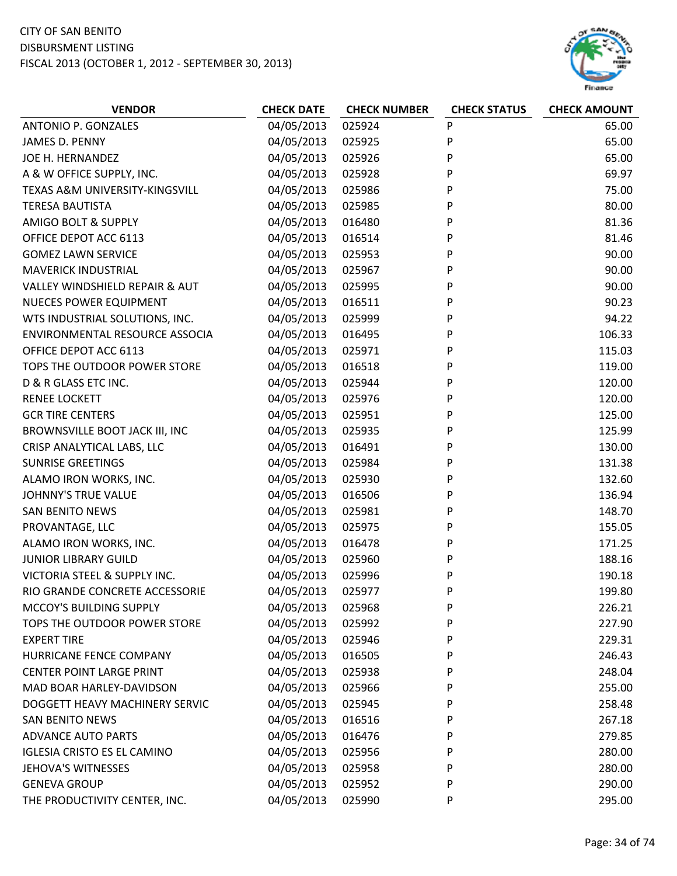# CITY OF SAN BENITO

#### DISBURSMENT LISTING

FISCAL 2013 (OCTOBER 1, 2012 ‐ SEPTEMBER 30, 2013)



| <b>VENDOR</b>                      | <b>CHECK DATE</b> | <b>CHECK NUMBER</b> | <b>CHECK STATUS</b> | <b>CHECK AMOUNT</b> |
|------------------------------------|-------------------|---------------------|---------------------|---------------------|
| ANTONIO P. GONZALES                | 04/05/2013        | 025924              | P                   | 65.00               |
| JAMES D. PENNY                     | 04/05/2013        | 025925              | P                   | 65.00               |
| JOE H. HERNANDEZ                   | 04/05/2013        | 025926              | P                   | 65.00               |
| A & W OFFICE SUPPLY, INC.          | 04/05/2013        | 025928              | P                   | 69.97               |
| TEXAS A&M UNIVERSITY-KINGSVILL     | 04/05/2013        | 025986              | P                   | 75.00               |
| <b>TERESA BAUTISTA</b>             | 04/05/2013        | 025985              | P                   | 80.00               |
| AMIGO BOLT & SUPPLY                | 04/05/2013        | 016480              | P                   | 81.36               |
| OFFICE DEPOT ACC 6113              | 04/05/2013        | 016514              | P                   | 81.46               |
| <b>GOMEZ LAWN SERVICE</b>          | 04/05/2013        | 025953              | P                   | 90.00               |
| <b>MAVERICK INDUSTRIAL</b>         | 04/05/2013        | 025967              | P                   | 90.00               |
| VALLEY WINDSHIELD REPAIR & AUT     | 04/05/2013        | 025995              | P                   | 90.00               |
| <b>NUECES POWER EQUIPMENT</b>      | 04/05/2013        | 016511              | P                   | 90.23               |
| WTS INDUSTRIAL SOLUTIONS, INC.     | 04/05/2013        | 025999              | P                   | 94.22               |
| ENVIRONMENTAL RESOURCE ASSOCIA     | 04/05/2013        | 016495              | P                   | 106.33              |
| OFFICE DEPOT ACC 6113              | 04/05/2013        | 025971              | P                   | 115.03              |
| TOPS THE OUTDOOR POWER STORE       | 04/05/2013        | 016518              | Ρ                   | 119.00              |
| D & R GLASS ETC INC.               | 04/05/2013        | 025944              | Ρ                   | 120.00              |
| <b>RENEE LOCKETT</b>               | 04/05/2013        | 025976              | P                   | 120.00              |
| <b>GCR TIRE CENTERS</b>            | 04/05/2013        | 025951              | P                   | 125.00              |
| BROWNSVILLE BOOT JACK III, INC     | 04/05/2013        | 025935              | P                   | 125.99              |
| CRISP ANALYTICAL LABS, LLC         | 04/05/2013        | 016491              | P                   | 130.00              |
| <b>SUNRISE GREETINGS</b>           | 04/05/2013        | 025984              | P                   | 131.38              |
| ALAMO IRON WORKS, INC.             | 04/05/2013        | 025930              | P                   | 132.60              |
| <b>JOHNNY'S TRUE VALUE</b>         | 04/05/2013        | 016506              | Ρ                   | 136.94              |
| <b>SAN BENITO NEWS</b>             | 04/05/2013        | 025981              | P                   | 148.70              |
| PROVANTAGE, LLC                    | 04/05/2013        | 025975              | P                   | 155.05              |
| ALAMO IRON WORKS, INC.             | 04/05/2013        | 016478              | P                   | 171.25              |
| <b>JUNIOR LIBRARY GUILD</b>        | 04/05/2013        | 025960              | P                   | 188.16              |
| VICTORIA STEEL & SUPPLY INC.       | 04/05/2013        | 025996              | P                   | 190.18              |
| RIO GRANDE CONCRETE ACCESSORIE     | 04/05/2013        | 025977              | P                   | 199.80              |
| MCCOY'S BUILDING SUPPLY            | 04/05/2013        | 025968              | P                   | 226.21              |
| TOPS THE OUTDOOR POWER STORE       | 04/05/2013        | 025992              | P                   | 227.90              |
| <b>EXPERT TIRE</b>                 | 04/05/2013        | 025946              | P                   | 229.31              |
| HURRICANE FENCE COMPANY            | 04/05/2013        | 016505              | P                   | 246.43              |
| <b>CENTER POINT LARGE PRINT</b>    | 04/05/2013        | 025938              | Ρ                   | 248.04              |
| MAD BOAR HARLEY-DAVIDSON           | 04/05/2013        | 025966              | P                   | 255.00              |
| DOGGETT HEAVY MACHINERY SERVIC     | 04/05/2013        | 025945              | P                   | 258.48              |
| <b>SAN BENITO NEWS</b>             | 04/05/2013        | 016516              | P                   | 267.18              |
| <b>ADVANCE AUTO PARTS</b>          | 04/05/2013        | 016476              | P                   | 279.85              |
| <b>IGLESIA CRISTO ES EL CAMINO</b> | 04/05/2013        | 025956              | P                   | 280.00              |
| <b>JEHOVA'S WITNESSES</b>          | 04/05/2013        | 025958              | P                   | 280.00              |
| <b>GENEVA GROUP</b>                | 04/05/2013        | 025952              | P                   | 290.00              |
| THE PRODUCTIVITY CENTER, INC.      | 04/05/2013        | 025990              | P                   | 295.00              |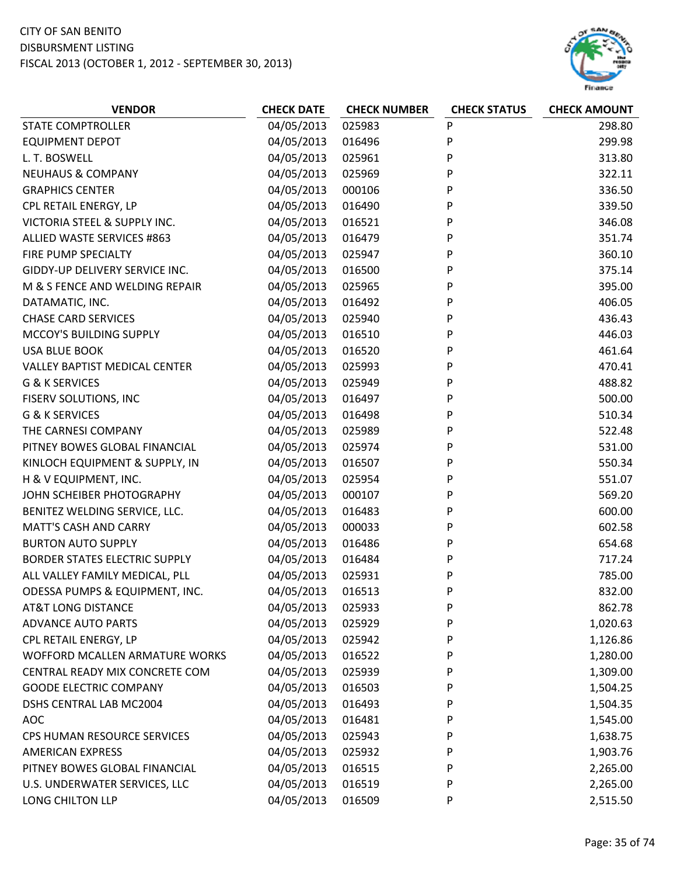

| 04/05/2013<br>025983<br>P<br><b>STATE COMPTROLLER</b><br>298.80<br>P<br>04/05/2013<br><b>EQUIPMENT DEPOT</b><br>016496<br>299.98<br>04/05/2013<br>P<br>025961<br>313.80<br>L. T. BOSWELL<br>P<br><b>NEUHAUS &amp; COMPANY</b><br>04/05/2013<br>322.11<br>025969<br><b>GRAPHICS CENTER</b><br>04/05/2013<br>000106<br>P<br>336.50 |  |
|----------------------------------------------------------------------------------------------------------------------------------------------------------------------------------------------------------------------------------------------------------------------------------------------------------------------------------|--|
|                                                                                                                                                                                                                                                                                                                                  |  |
|                                                                                                                                                                                                                                                                                                                                  |  |
|                                                                                                                                                                                                                                                                                                                                  |  |
|                                                                                                                                                                                                                                                                                                                                  |  |
|                                                                                                                                                                                                                                                                                                                                  |  |
| CPL RETAIL ENERGY, LP<br>04/05/2013<br>016490<br>P<br>339.50                                                                                                                                                                                                                                                                     |  |
| P<br>VICTORIA STEEL & SUPPLY INC.<br>04/05/2013<br>016521<br>346.08                                                                                                                                                                                                                                                              |  |
| <b>ALLIED WASTE SERVICES #863</b><br>04/05/2013<br>016479<br>P<br>351.74                                                                                                                                                                                                                                                         |  |
| 04/05/2013<br>FIRE PUMP SPECIALTY<br>P<br>360.10<br>025947                                                                                                                                                                                                                                                                       |  |
| 04/05/2013<br>P<br>GIDDY-UP DELIVERY SERVICE INC.<br>016500<br>375.14                                                                                                                                                                                                                                                            |  |
| P<br>04/05/2013<br>M & S FENCE AND WELDING REPAIR<br>025965<br>395.00                                                                                                                                                                                                                                                            |  |
| 04/05/2013<br>016492<br>P<br>406.05<br>DATAMATIC, INC.                                                                                                                                                                                                                                                                           |  |
| P<br><b>CHASE CARD SERVICES</b><br>04/05/2013<br>025940<br>436.43                                                                                                                                                                                                                                                                |  |
| 04/05/2013<br>P<br>446.03<br>MCCOY'S BUILDING SUPPLY<br>016510                                                                                                                                                                                                                                                                   |  |
| 04/05/2013<br>P<br>461.64<br><b>USA BLUE BOOK</b><br>016520                                                                                                                                                                                                                                                                      |  |
| 04/05/2013<br>025993<br>P<br><b>VALLEY BAPTIST MEDICAL CENTER</b><br>470.41                                                                                                                                                                                                                                                      |  |
| <b>G &amp; K SERVICES</b><br>04/05/2013<br>P<br>488.82<br>025949                                                                                                                                                                                                                                                                 |  |
| 04/05/2013<br>P<br>500.00<br>FISERV SOLUTIONS, INC<br>016497                                                                                                                                                                                                                                                                     |  |
| P<br><b>G &amp; K SERVICES</b><br>04/05/2013<br>016498<br>510.34                                                                                                                                                                                                                                                                 |  |
| P<br>THE CARNESI COMPANY<br>04/05/2013<br>025989<br>522.48                                                                                                                                                                                                                                                                       |  |
| PITNEY BOWES GLOBAL FINANCIAL<br>04/05/2013<br>P<br>025974<br>531.00                                                                                                                                                                                                                                                             |  |
| KINLOCH EQUIPMENT & SUPPLY, IN<br>04/05/2013<br>P<br>550.34<br>016507                                                                                                                                                                                                                                                            |  |
| H & V EQUIPMENT, INC.<br>04/05/2013<br>P<br>025954<br>551.07                                                                                                                                                                                                                                                                     |  |
| 04/05/2013<br>JOHN SCHEIBER PHOTOGRAPHY<br>000107<br>P<br>569.20                                                                                                                                                                                                                                                                 |  |
| P<br>04/05/2013<br>600.00<br>BENITEZ WELDING SERVICE, LLC.<br>016483                                                                                                                                                                                                                                                             |  |
| P<br><b>MATT'S CASH AND CARRY</b><br>04/05/2013<br>000033<br>602.58                                                                                                                                                                                                                                                              |  |
| <b>BURTON AUTO SUPPLY</b><br>04/05/2013<br>P<br>016486<br>654.68                                                                                                                                                                                                                                                                 |  |
| 04/05/2013<br>P<br><b>BORDER STATES ELECTRIC SUPPLY</b><br>016484<br>717.24                                                                                                                                                                                                                                                      |  |
| 04/05/2013<br>P<br>ALL VALLEY FAMILY MEDICAL, PLL<br>025931<br>785.00                                                                                                                                                                                                                                                            |  |
| ODESSA PUMPS & EQUIPMENT, INC.<br>04/05/2013<br>P<br>832.00<br>016513                                                                                                                                                                                                                                                            |  |
| 04/05/2013<br><b>AT&amp;T LONG DISTANCE</b><br>025933<br>P<br>862.78                                                                                                                                                                                                                                                             |  |
| 04/05/2013<br>P<br><b>ADVANCE AUTO PARTS</b><br>025929<br>1,020.63                                                                                                                                                                                                                                                               |  |
| 04/05/2013<br>P<br>CPL RETAIL ENERGY, LP<br>025942<br>1,126.86                                                                                                                                                                                                                                                                   |  |
| 04/05/2013<br>WOFFORD MCALLEN ARMATURE WORKS<br>016522<br>P<br>1,280.00                                                                                                                                                                                                                                                          |  |
| 04/05/2013<br>CENTRAL READY MIX CONCRETE COM<br>025939<br>P<br>1,309.00                                                                                                                                                                                                                                                          |  |
| 04/05/2013<br><b>GOODE ELECTRIC COMPANY</b><br>016503<br>P<br>1,504.25                                                                                                                                                                                                                                                           |  |
| 04/05/2013<br>DSHS CENTRAL LAB MC2004<br>016493<br>P<br>1,504.35                                                                                                                                                                                                                                                                 |  |
| 04/05/2013<br><b>AOC</b><br>016481<br>P<br>1,545.00                                                                                                                                                                                                                                                                              |  |
| 04/05/2013<br>CPS HUMAN RESOURCE SERVICES<br>025943<br>P<br>1,638.75                                                                                                                                                                                                                                                             |  |
| 04/05/2013<br><b>AMERICAN EXPRESS</b><br>P<br>1,903.76<br>025932                                                                                                                                                                                                                                                                 |  |
| 04/05/2013<br>PITNEY BOWES GLOBAL FINANCIAL<br>016515<br>P<br>2,265.00                                                                                                                                                                                                                                                           |  |
| 04/05/2013<br>P<br>U.S. UNDERWATER SERVICES, LLC<br>016519<br>2,265.00                                                                                                                                                                                                                                                           |  |
| 04/05/2013<br>LONG CHILTON LLP<br>016509<br>P<br>2,515.50                                                                                                                                                                                                                                                                        |  |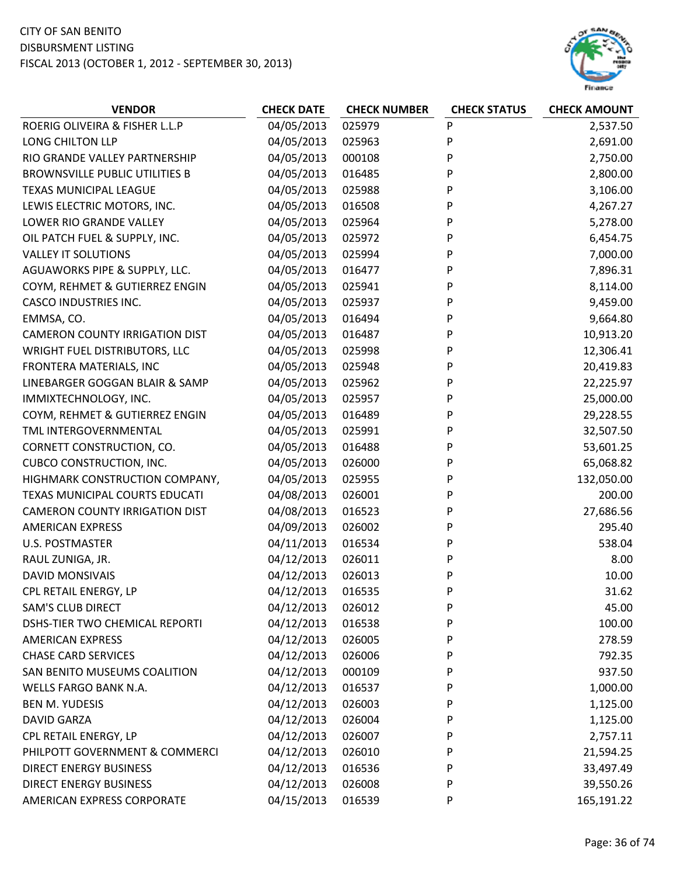

| <b>VENDOR</b>                         | <b>CHECK DATE</b> | <b>CHECK NUMBER</b> | <b>CHECK STATUS</b> | <b>CHECK AMOUNT</b> |
|---------------------------------------|-------------------|---------------------|---------------------|---------------------|
| ROERIG OLIVEIRA & FISHER L.L.P        | 04/05/2013        | 025979              | P                   | 2,537.50            |
| LONG CHILTON LLP                      | 04/05/2013        | 025963              | P                   | 2,691.00            |
| RIO GRANDE VALLEY PARTNERSHIP         | 04/05/2013        | 000108              | P                   | 2,750.00            |
| <b>BROWNSVILLE PUBLIC UTILITIES B</b> | 04/05/2013        | 016485              | P                   | 2,800.00            |
| <b>TEXAS MUNICIPAL LEAGUE</b>         | 04/05/2013        | 025988              | P                   | 3,106.00            |
| LEWIS ELECTRIC MOTORS, INC.           | 04/05/2013        | 016508              | P                   | 4,267.27            |
| LOWER RIO GRANDE VALLEY               | 04/05/2013        | 025964              | P                   | 5,278.00            |
| OIL PATCH FUEL & SUPPLY, INC.         | 04/05/2013        | 025972              | P                   | 6,454.75            |
| <b>VALLEY IT SOLUTIONS</b>            | 04/05/2013        | 025994              | P                   | 7,000.00            |
| AGUAWORKS PIPE & SUPPLY, LLC.         | 04/05/2013        | 016477              | P                   | 7,896.31            |
| COYM, REHMET & GUTIERREZ ENGIN        | 04/05/2013        | 025941              | P                   | 8,114.00            |
| <b>CASCO INDUSTRIES INC.</b>          | 04/05/2013        | 025937              | P                   | 9,459.00            |
| EMMSA, CO.                            | 04/05/2013        | 016494              | P                   | 9,664.80            |
| <b>CAMERON COUNTY IRRIGATION DIST</b> | 04/05/2013        | 016487              | P                   | 10,913.20           |
| WRIGHT FUEL DISTRIBUTORS, LLC         | 04/05/2013        | 025998              | P                   | 12,306.41           |
| FRONTERA MATERIALS, INC               | 04/05/2013        | 025948              | P                   | 20,419.83           |
| LINEBARGER GOGGAN BLAIR & SAMP        | 04/05/2013        | 025962              | P                   | 22,225.97           |
| IMMIXTECHNOLOGY, INC.                 | 04/05/2013        | 025957              | P                   | 25,000.00           |
| COYM, REHMET & GUTIERREZ ENGIN        | 04/05/2013        | 016489              | P                   | 29,228.55           |
| TML INTERGOVERNMENTAL                 | 04/05/2013        | 025991              | P                   | 32,507.50           |
| CORNETT CONSTRUCTION, CO.             | 04/05/2013        | 016488              | P                   | 53,601.25           |
| <b>CUBCO CONSTRUCTION, INC.</b>       | 04/05/2013        | 026000              | P                   | 65,068.82           |
| HIGHMARK CONSTRUCTION COMPANY,        | 04/05/2013        | 025955              | P                   | 132,050.00          |
| TEXAS MUNICIPAL COURTS EDUCATI        | 04/08/2013        | 026001              | P                   | 200.00              |
| <b>CAMERON COUNTY IRRIGATION DIST</b> | 04/08/2013        | 016523              | P                   | 27,686.56           |
| <b>AMERICAN EXPRESS</b>               | 04/09/2013        | 026002              | P                   | 295.40              |
| <b>U.S. POSTMASTER</b>                | 04/11/2013        | 016534              | P                   | 538.04              |
| RAUL ZUNIGA, JR.                      | 04/12/2013        | 026011              | P                   | 8.00                |
| <b>DAVID MONSIVAIS</b>                | 04/12/2013        | 026013              | P                   | 10.00               |
| CPL RETAIL ENERGY, LP                 | 04/12/2013        | 016535              | P                   | 31.62               |
| <b>SAM'S CLUB DIRECT</b>              | 04/12/2013        | 026012              | P                   | 45.00               |
| DSHS-TIER TWO CHEMICAL REPORTI        | 04/12/2013        | 016538              | P                   | 100.00              |
| <b>AMERICAN EXPRESS</b>               | 04/12/2013        | 026005              | P                   | 278.59              |
| <b>CHASE CARD SERVICES</b>            | 04/12/2013        | 026006              | P                   | 792.35              |
| SAN BENITO MUSEUMS COALITION          | 04/12/2013        | 000109              | P                   | 937.50              |
| <b>WELLS FARGO BANK N.A.</b>          | 04/12/2013        | 016537              | P                   | 1,000.00            |
| <b>BEN M. YUDESIS</b>                 | 04/12/2013        | 026003              | P                   | 1,125.00            |
| <b>DAVID GARZA</b>                    | 04/12/2013        | 026004              | P                   | 1,125.00            |
| CPL RETAIL ENERGY, LP                 | 04/12/2013        | 026007              | P                   | 2,757.11            |
| PHILPOTT GOVERNMENT & COMMERCI        | 04/12/2013        | 026010              | P                   | 21,594.25           |
| <b>DIRECT ENERGY BUSINESS</b>         | 04/12/2013        | 016536              | P                   | 33,497.49           |
| <b>DIRECT ENERGY BUSINESS</b>         | 04/12/2013        | 026008              | P                   | 39,550.26           |
| AMERICAN EXPRESS CORPORATE            | 04/15/2013        | 016539              | P                   | 165,191.22          |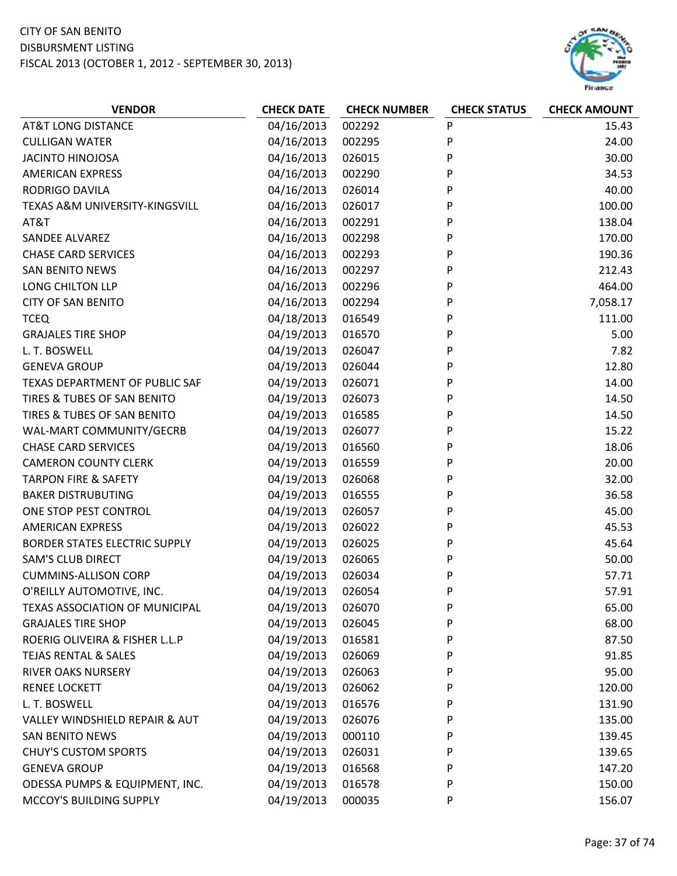| <b>VENDOR</b>                             | <b>CHECK DATE</b> | <b>CHECK NUMBER</b> | <b>CHECK STATUS</b> | <b>CHECK AMOUNT</b> |
|-------------------------------------------|-------------------|---------------------|---------------------|---------------------|
| <b>AT&amp;T LONG DISTANCE</b>             | 04/16/2013        | 002292              | P                   | 15.43               |
| <b>CULLIGAN WATER</b>                     | 04/16/2013        | 002295              | P                   | 24.00               |
| <b>JACINTO HINOJOSA</b>                   | 04/16/2013        | 026015              | P                   | 30.00               |
| <b>AMERICAN EXPRESS</b>                   | 04/16/2013        | 002290              | P                   | 34.53               |
| RODRIGO DAVILA                            | 04/16/2013        | 026014              | P                   | 40.00               |
| TEXAS A&M UNIVERSITY-KINGSVILL            | 04/16/2013        | 026017              | P                   | 100.00              |
| AT&T                                      | 04/16/2013        | 002291              | P                   | 138.04              |
| <b>SANDEE ALVAREZ</b>                     | 04/16/2013        | 002298              | P                   | 170.00              |
| <b>CHASE CARD SERVICES</b>                | 04/16/2013        | 002293              | P                   | 190.36              |
| <b>SAN BENITO NEWS</b>                    | 04/16/2013        | 002297              | P                   | 212.43              |
| LONG CHILTON LLP                          | 04/16/2013        | 002296              | P                   | 464.00              |
| <b>CITY OF SAN BENITO</b>                 | 04/16/2013        | 002294              | P                   | 7,058.17            |
| <b>TCEQ</b>                               | 04/18/2013        | 016549              | P                   | 111.00              |
| <b>GRAJALES TIRE SHOP</b>                 | 04/19/2013        | 016570              | P                   | 5.00                |
| L. T. BOSWELL                             | 04/19/2013        | 026047              | P                   | 7.82                |
| <b>GENEVA GROUP</b>                       | 04/19/2013        | 026044              | P                   | 12.80               |
| TEXAS DEPARTMENT OF PUBLIC SAF            | 04/19/2013        | 026071              | P                   | 14.00               |
| TIRES & TUBES OF SAN BENITO               | 04/19/2013        | 026073              | P                   | 14.50               |
| TIRES & TUBES OF SAN BENITO               | 04/19/2013        | 016585              | P                   | 14.50               |
| WAL-MART COMMUNITY/GECRB                  | 04/19/2013        | 026077              | P                   | 15.22               |
| <b>CHASE CARD SERVICES</b>                | 04/19/2013        | 016560              | P                   | 18.06               |
| <b>CAMERON COUNTY CLERK</b>               | 04/19/2013        | 016559              | P                   | 20.00               |
| <b>TARPON FIRE &amp; SAFETY</b>           | 04/19/2013        | 026068              | P                   | 32.00               |
| <b>BAKER DISTRUBUTING</b>                 | 04/19/2013        | 016555              | P                   | 36.58               |
| ONE STOP PEST CONTROL                     | 04/19/2013        | 026057              | P                   | 45.00               |
| <b>AMERICAN EXPRESS</b>                   | 04/19/2013        | 026022              | P                   | 45.53               |
| <b>BORDER STATES ELECTRIC SUPPLY</b>      | 04/19/2013        | 026025              | P                   | 45.64               |
| <b>SAM'S CLUB DIRECT</b>                  | 04/19/2013        | 026065              | P                   | 50.00               |
| <b>CUMMINS-ALLISON CORP</b>               | 04/19/2013        | 026034              | P                   | 57.71               |
| O'REILLY AUTOMOTIVE, INC.                 | 04/19/2013        | 026054              | P                   | 57.91               |
| <b>TEXAS ASSOCIATION OF MUNICIPAL</b>     | 04/19/2013        | 026070              | P                   | 65.00               |
| <b>GRAJALES TIRE SHOP</b>                 | 04/19/2013        | 026045              | P                   | 68.00               |
| ROERIG OLIVEIRA & FISHER L.L.P            | 04/19/2013        | 016581              | P                   | 87.50               |
| <b>TEJAS RENTAL &amp; SALES</b>           | 04/19/2013        | 026069              | P                   | 91.85               |
| <b>RIVER OAKS NURSERY</b>                 | 04/19/2013        | 026063              | P                   | 95.00               |
| <b>RENEE LOCKETT</b>                      | 04/19/2013        | 026062              | P                   | 120.00              |
| L. T. BOSWELL                             | 04/19/2013        | 016576              | P                   | 131.90              |
| <b>VALLEY WINDSHIELD REPAIR &amp; AUT</b> | 04/19/2013        | 026076              | P                   | 135.00              |
| <b>SAN BENITO NEWS</b>                    | 04/19/2013        | 000110              | P                   | 139.45              |
| <b>CHUY'S CUSTOM SPORTS</b>               | 04/19/2013        | 026031              | P                   | 139.65              |
| <b>GENEVA GROUP</b>                       | 04/19/2013        | 016568              | P                   | 147.20              |
| ODESSA PUMPS & EQUIPMENT, INC.            | 04/19/2013        | 016578              | P                   | 150.00              |
| MCCOY'S BUILDING SUPPLY                   | 04/19/2013        | 000035              | P                   | 156.07              |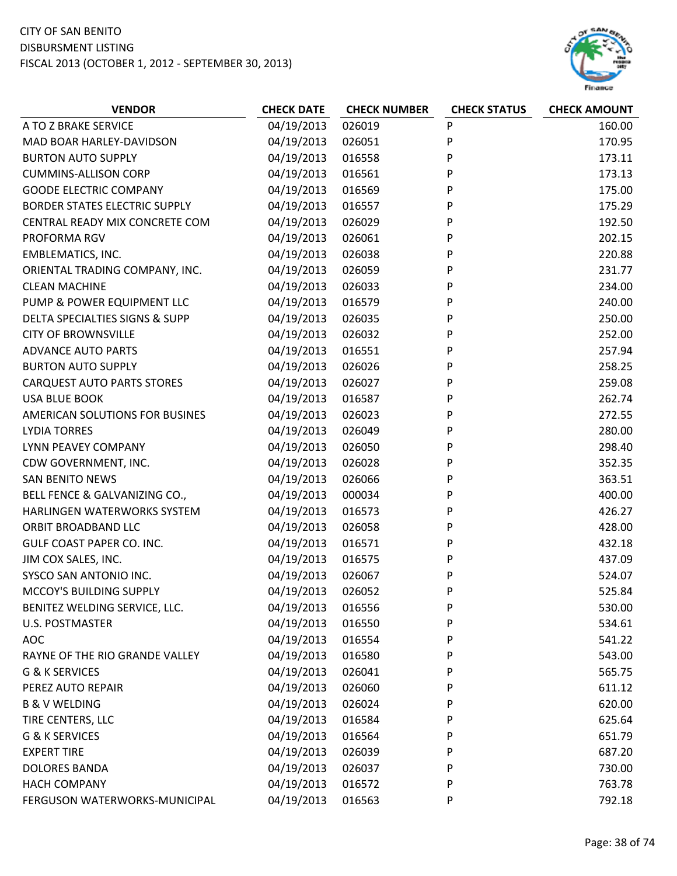

| <b>VENDOR</b>                        | <b>CHECK DATE</b> | <b>CHECK NUMBER</b> | <b>CHECK STATUS</b> | <b>CHECK AMOUNT</b> |
|--------------------------------------|-------------------|---------------------|---------------------|---------------------|
| A TO Z BRAKE SERVICE                 | 04/19/2013        | 026019              | P                   | 160.00              |
| MAD BOAR HARLEY-DAVIDSON             | 04/19/2013        | 026051              | P                   | 170.95              |
| <b>BURTON AUTO SUPPLY</b>            | 04/19/2013        | 016558              | P                   | 173.11              |
| <b>CUMMINS-ALLISON CORP</b>          | 04/19/2013        | 016561              | P                   | 173.13              |
| <b>GOODE ELECTRIC COMPANY</b>        | 04/19/2013        | 016569              | P                   | 175.00              |
| <b>BORDER STATES ELECTRIC SUPPLY</b> | 04/19/2013        | 016557              | P                   | 175.29              |
| CENTRAL READY MIX CONCRETE COM       | 04/19/2013        | 026029              | P                   | 192.50              |
| PROFORMA RGV                         | 04/19/2013        | 026061              | P                   | 202.15              |
| <b>EMBLEMATICS, INC.</b>             | 04/19/2013        | 026038              | P                   | 220.88              |
| ORIENTAL TRADING COMPANY, INC.       | 04/19/2013        | 026059              | P                   | 231.77              |
| <b>CLEAN MACHINE</b>                 | 04/19/2013        | 026033              | P                   | 234.00              |
| PUMP & POWER EQUIPMENT LLC           | 04/19/2013        | 016579              | P                   | 240.00              |
| DELTA SPECIALTIES SIGNS & SUPP       | 04/19/2013        | 026035              | P                   | 250.00              |
| <b>CITY OF BROWNSVILLE</b>           | 04/19/2013        | 026032              | P                   | 252.00              |
| <b>ADVANCE AUTO PARTS</b>            | 04/19/2013        | 016551              | P                   | 257.94              |
| <b>BURTON AUTO SUPPLY</b>            | 04/19/2013        | 026026              | P                   | 258.25              |
| <b>CARQUEST AUTO PARTS STORES</b>    | 04/19/2013        | 026027              | P                   | 259.08              |
| <b>USA BLUE BOOK</b>                 | 04/19/2013        | 016587              | P                   | 262.74              |
| AMERICAN SOLUTIONS FOR BUSINES       | 04/19/2013        | 026023              | P                   | 272.55              |
| <b>LYDIA TORRES</b>                  | 04/19/2013        | 026049              | P                   | 280.00              |
| LYNN PEAVEY COMPANY                  | 04/19/2013        | 026050              | P                   | 298.40              |
| CDW GOVERNMENT, INC.                 | 04/19/2013        | 026028              | P                   | 352.35              |
| <b>SAN BENITO NEWS</b>               | 04/19/2013        | 026066              | P                   | 363.51              |
| BELL FENCE & GALVANIZING CO.,        | 04/19/2013        | 000034              | P                   | 400.00              |
| HARLINGEN WATERWORKS SYSTEM          | 04/19/2013        | 016573              | P                   | 426.27              |
| ORBIT BROADBAND LLC                  | 04/19/2013        | 026058              | P                   | 428.00              |
| GULF COAST PAPER CO. INC.            | 04/19/2013        | 016571              | P                   | 432.18              |
| JIM COX SALES, INC.                  | 04/19/2013        | 016575              | P                   | 437.09              |
| SYSCO SAN ANTONIO INC.               | 04/19/2013        | 026067              | P                   | 524.07              |
| MCCOY'S BUILDING SUPPLY              | 04/19/2013        | 026052              | P                   | 525.84              |
| BENITEZ WELDING SERVICE, LLC.        | 04/19/2013        | 016556              | P                   | 530.00              |
| U.S. POSTMASTER                      | 04/19/2013        | 016550              | P                   | 534.61              |
| <b>AOC</b>                           | 04/19/2013        | 016554              | P                   | 541.22              |
| RAYNE OF THE RIO GRANDE VALLEY       | 04/19/2013        | 016580              | P                   | 543.00              |
| G & K SERVICES                       | 04/19/2013        | 026041              | P                   | 565.75              |
| PEREZ AUTO REPAIR                    | 04/19/2013        | 026060              | P                   | 611.12              |
| <b>B &amp; V WELDING</b>             | 04/19/2013        | 026024              | P                   | 620.00              |
| TIRE CENTERS, LLC                    | 04/19/2013        | 016584              | P                   | 625.64              |
| <b>G &amp; K SERVICES</b>            | 04/19/2013        | 016564              | P                   | 651.79              |
| <b>EXPERT TIRE</b>                   | 04/19/2013        | 026039              | P                   | 687.20              |
| <b>DOLORES BANDA</b>                 | 04/19/2013        | 026037              | P                   | 730.00              |
| <b>HACH COMPANY</b>                  | 04/19/2013        | 016572              | P                   | 763.78              |
| FERGUSON WATERWORKS-MUNICIPAL        | 04/19/2013        | 016563              | P                   | 792.18              |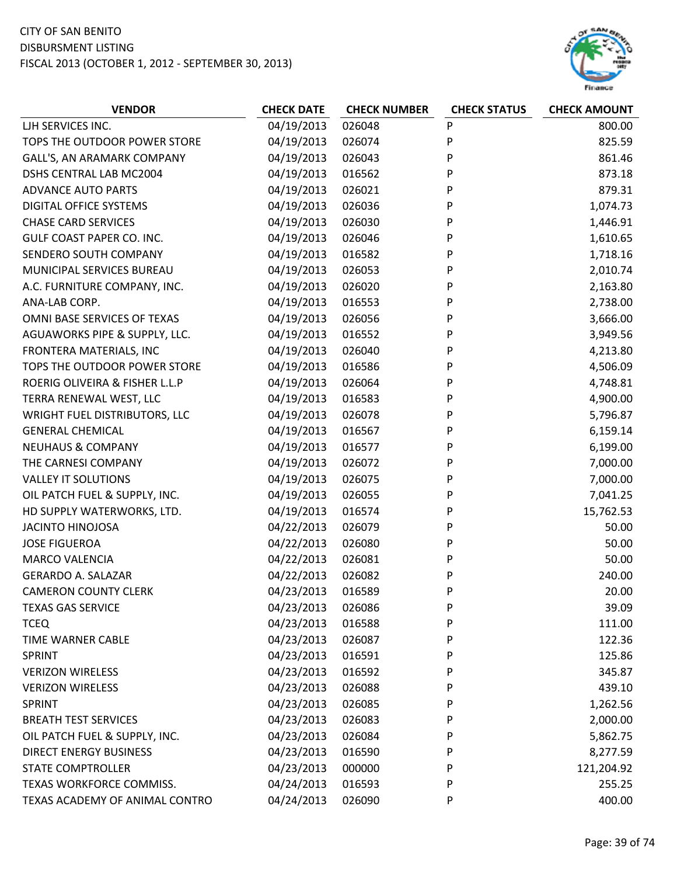

| <b>VENDOR</b>                        | <b>CHECK DATE</b> | <b>CHECK NUMBER</b> | <b>CHECK STATUS</b> | <b>CHECK AMOUNT</b> |
|--------------------------------------|-------------------|---------------------|---------------------|---------------------|
| LJH SERVICES INC.                    | 04/19/2013        | 026048              | P                   | 800.00              |
| TOPS THE OUTDOOR POWER STORE         | 04/19/2013        | 026074              | P                   | 825.59              |
| GALL'S, AN ARAMARK COMPANY           | 04/19/2013        | 026043              | P                   | 861.46              |
| DSHS CENTRAL LAB MC2004              | 04/19/2013        | 016562              | P                   | 873.18              |
| <b>ADVANCE AUTO PARTS</b>            | 04/19/2013        | 026021              | P                   | 879.31              |
| DIGITAL OFFICE SYSTEMS               | 04/19/2013        | 026036              | P                   | 1,074.73            |
| <b>CHASE CARD SERVICES</b>           | 04/19/2013        | 026030              | P                   | 1,446.91            |
| GULF COAST PAPER CO. INC.            | 04/19/2013        | 026046              | P                   | 1,610.65            |
| SENDERO SOUTH COMPANY                | 04/19/2013        | 016582              | P                   | 1,718.16            |
| MUNICIPAL SERVICES BUREAU            | 04/19/2013        | 026053              | P                   | 2,010.74            |
| A.C. FURNITURE COMPANY, INC.         | 04/19/2013        | 026020              | P                   | 2,163.80            |
| ANA-LAB CORP.                        | 04/19/2013        | 016553              | P                   | 2,738.00            |
| OMNI BASE SERVICES OF TEXAS          | 04/19/2013        | 026056              | P                   | 3,666.00            |
| AGUAWORKS PIPE & SUPPLY, LLC.        | 04/19/2013        | 016552              | P                   | 3,949.56            |
| FRONTERA MATERIALS, INC              | 04/19/2013        | 026040              | P                   | 4,213.80            |
| TOPS THE OUTDOOR POWER STORE         | 04/19/2013        | 016586              | P                   | 4,506.09            |
| ROERIG OLIVEIRA & FISHER L.L.P       | 04/19/2013        | 026064              | P                   | 4,748.81            |
| TERRA RENEWAL WEST, LLC              | 04/19/2013        | 016583              | P                   | 4,900.00            |
| <b>WRIGHT FUEL DISTRIBUTORS, LLC</b> | 04/19/2013        | 026078              | P                   | 5,796.87            |
| <b>GENERAL CHEMICAL</b>              | 04/19/2013        | 016567              | P                   | 6,159.14            |
| <b>NEUHAUS &amp; COMPANY</b>         | 04/19/2013        | 016577              | P                   | 6,199.00            |
| THE CARNESI COMPANY                  | 04/19/2013        | 026072              | P                   | 7,000.00            |
| <b>VALLEY IT SOLUTIONS</b>           | 04/19/2013        | 026075              | P                   | 7,000.00            |
| OIL PATCH FUEL & SUPPLY, INC.        | 04/19/2013        | 026055              | P                   | 7,041.25            |
| HD SUPPLY WATERWORKS, LTD.           | 04/19/2013        | 016574              | P                   | 15,762.53           |
| <b>JACINTO HINOJOSA</b>              | 04/22/2013        | 026079              | P                   | 50.00               |
| <b>JOSE FIGUEROA</b>                 | 04/22/2013        | 026080              | P                   | 50.00               |
| <b>MARCO VALENCIA</b>                | 04/22/2013        | 026081              | P                   | 50.00               |
| <b>GERARDO A. SALAZAR</b>            | 04/22/2013        | 026082              | P                   | 240.00              |
| <b>CAMERON COUNTY CLERK</b>          | 04/23/2013        | 016589              | P                   | 20.00               |
| <b>TEXAS GAS SERVICE</b>             | 04/23/2013        | 026086              | P                   | 39.09               |
| <b>TCEQ</b>                          | 04/23/2013        | 016588              | P                   | 111.00              |
| TIME WARNER CABLE                    | 04/23/2013        | 026087              | P                   | 122.36              |
| SPRINT                               | 04/23/2013        | 016591              | P                   | 125.86              |
| <b>VERIZON WIRELESS</b>              | 04/23/2013        | 016592              | P                   | 345.87              |
| <b>VERIZON WIRELESS</b>              | 04/23/2013        | 026088              | P                   | 439.10              |
| SPRINT                               | 04/23/2013        | 026085              | P                   | 1,262.56            |
| <b>BREATH TEST SERVICES</b>          | 04/23/2013        | 026083              | P                   | 2,000.00            |
| OIL PATCH FUEL & SUPPLY, INC.        | 04/23/2013        | 026084              | P                   | 5,862.75            |
| <b>DIRECT ENERGY BUSINESS</b>        | 04/23/2013        | 016590              | P                   | 8,277.59            |
| <b>STATE COMPTROLLER</b>             | 04/23/2013        | 000000              | P                   | 121,204.92          |
| TEXAS WORKFORCE COMMISS.             | 04/24/2013        | 016593              | P                   | 255.25              |
| TEXAS ACADEMY OF ANIMAL CONTRO       | 04/24/2013        | 026090              | P                   | 400.00              |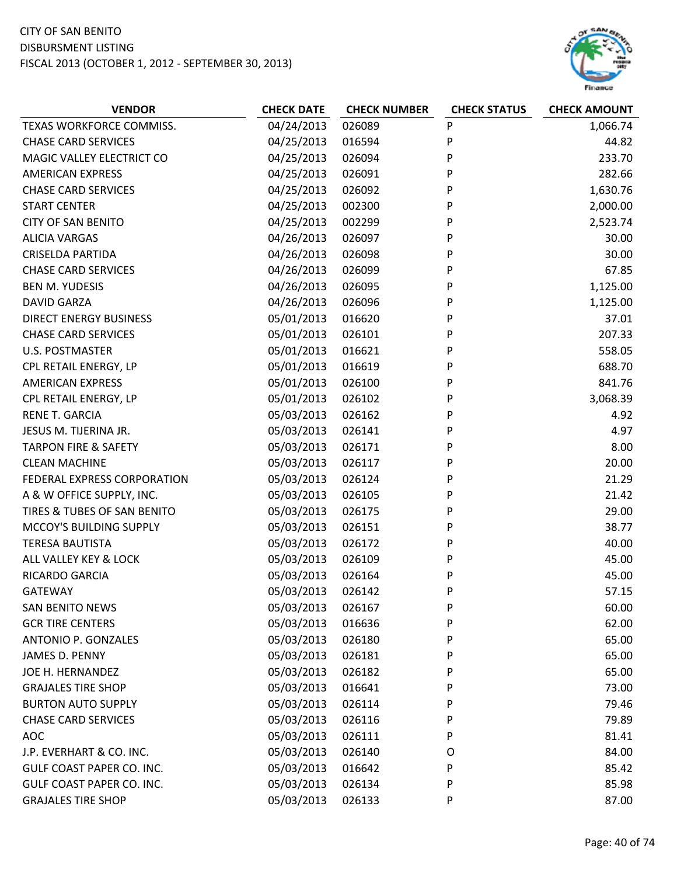

| <b>VENDOR</b>                   | <b>CHECK DATE</b> | <b>CHECK NUMBER</b> | <b>CHECK STATUS</b> | <b>CHECK AMOUNT</b> |
|---------------------------------|-------------------|---------------------|---------------------|---------------------|
| TEXAS WORKFORCE COMMISS.        | 04/24/2013        | 026089              | P                   | 1,066.74            |
| <b>CHASE CARD SERVICES</b>      | 04/25/2013        | 016594              | P                   | 44.82               |
| MAGIC VALLEY ELECTRICT CO       | 04/25/2013        | 026094              | P                   | 233.70              |
| <b>AMERICAN EXPRESS</b>         | 04/25/2013        | 026091              | P                   | 282.66              |
| <b>CHASE CARD SERVICES</b>      | 04/25/2013        | 026092              | P                   | 1,630.76            |
| <b>START CENTER</b>             | 04/25/2013        | 002300              | P                   | 2,000.00            |
| <b>CITY OF SAN BENITO</b>       | 04/25/2013        | 002299              | P                   | 2,523.74            |
| <b>ALICIA VARGAS</b>            | 04/26/2013        | 026097              | P                   | 30.00               |
| <b>CRISELDA PARTIDA</b>         | 04/26/2013        | 026098              | P                   | 30.00               |
| <b>CHASE CARD SERVICES</b>      | 04/26/2013        | 026099              | P                   | 67.85               |
| <b>BEN M. YUDESIS</b>           | 04/26/2013        | 026095              | P                   | 1,125.00            |
| <b>DAVID GARZA</b>              | 04/26/2013        | 026096              | P                   | 1,125.00            |
| <b>DIRECT ENERGY BUSINESS</b>   | 05/01/2013        | 016620              | P                   | 37.01               |
| <b>CHASE CARD SERVICES</b>      | 05/01/2013        | 026101              | P                   | 207.33              |
| <b>U.S. POSTMASTER</b>          | 05/01/2013        | 016621              | P                   | 558.05              |
| CPL RETAIL ENERGY, LP           | 05/01/2013        | 016619              | P                   | 688.70              |
| <b>AMERICAN EXPRESS</b>         | 05/01/2013        | 026100              | P                   | 841.76              |
| CPL RETAIL ENERGY, LP           | 05/01/2013        | 026102              | P                   | 3,068.39            |
| <b>RENE T. GARCIA</b>           | 05/03/2013        | 026162              | P                   | 4.92                |
| JESUS M. TIJERINA JR.           | 05/03/2013        | 026141              | P                   | 4.97                |
| <b>TARPON FIRE &amp; SAFETY</b> | 05/03/2013        | 026171              | P                   | 8.00                |
| <b>CLEAN MACHINE</b>            | 05/03/2013        | 026117              | P                   | 20.00               |
| FEDERAL EXPRESS CORPORATION     | 05/03/2013        | 026124              | P                   | 21.29               |
| A & W OFFICE SUPPLY, INC.       | 05/03/2013        | 026105              | P                   | 21.42               |
| TIRES & TUBES OF SAN BENITO     | 05/03/2013        | 026175              | P                   | 29.00               |
| MCCOY'S BUILDING SUPPLY         | 05/03/2013        | 026151              | P                   | 38.77               |
| <b>TERESA BAUTISTA</b>          | 05/03/2013        | 026172              | P                   | 40.00               |
| ALL VALLEY KEY & LOCK           | 05/03/2013        | 026109              | P                   | 45.00               |
| RICARDO GARCIA                  | 05/03/2013        | 026164              | P                   | 45.00               |
| <b>GATEWAY</b>                  | 05/03/2013        | 026142              | P                   | 57.15               |
| <b>SAN BENITO NEWS</b>          | 05/03/2013        | 026167              | P                   | 60.00               |
| <b>GCR TIRE CENTERS</b>         | 05/03/2013        | 016636              | P                   | 62.00               |
| <b>ANTONIO P. GONZALES</b>      | 05/03/2013        | 026180              | P                   | 65.00               |
| JAMES D. PENNY                  | 05/03/2013        | 026181              | P                   | 65.00               |
| JOE H. HERNANDEZ                | 05/03/2013        | 026182              | P                   | 65.00               |
| <b>GRAJALES TIRE SHOP</b>       | 05/03/2013        | 016641              | P                   | 73.00               |
| <b>BURTON AUTO SUPPLY</b>       | 05/03/2013        | 026114              | P                   | 79.46               |
| <b>CHASE CARD SERVICES</b>      | 05/03/2013        | 026116              | P                   | 79.89               |
| <b>AOC</b>                      | 05/03/2013        | 026111              | P                   | 81.41               |
| J.P. EVERHART & CO. INC.        | 05/03/2013        | 026140              | O                   | 84.00               |
| GULF COAST PAPER CO. INC.       | 05/03/2013        | 016642              | P                   | 85.42               |
| GULF COAST PAPER CO. INC.       | 05/03/2013        | 026134              | P                   | 85.98               |
| <b>GRAJALES TIRE SHOP</b>       | 05/03/2013        | 026133              | P                   | 87.00               |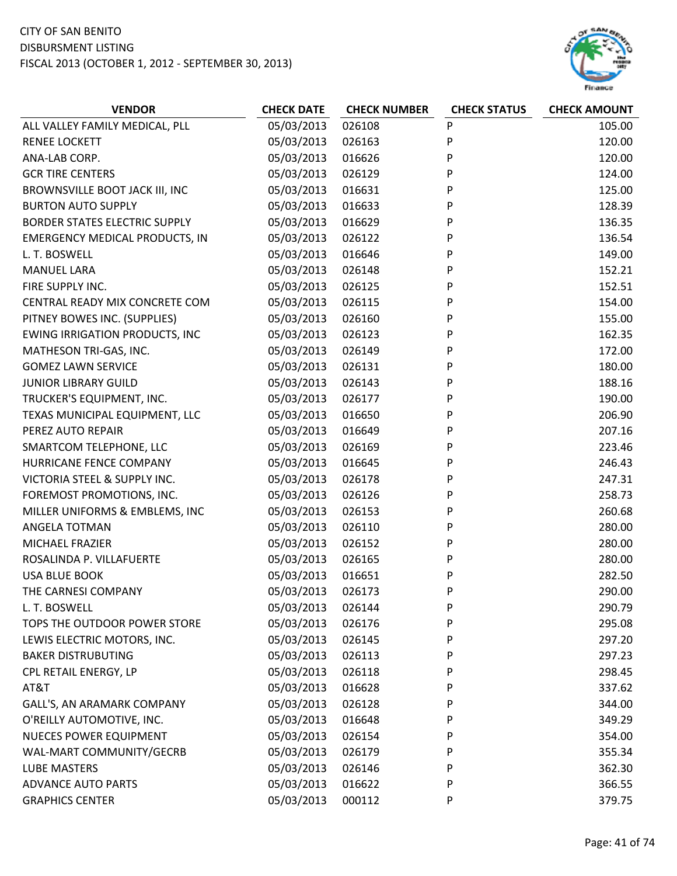

| <b>VENDOR</b>                         | <b>CHECK DATE</b> | <b>CHECK NUMBER</b> | <b>CHECK STATUS</b> | <b>CHECK AMOUNT</b> |
|---------------------------------------|-------------------|---------------------|---------------------|---------------------|
| ALL VALLEY FAMILY MEDICAL, PLL        | 05/03/2013        | 026108              | P                   | 105.00              |
| <b>RENEE LOCKETT</b>                  | 05/03/2013        | 026163              | P                   | 120.00              |
| ANA-LAB CORP.                         | 05/03/2013        | 016626              | P                   | 120.00              |
| <b>GCR TIRE CENTERS</b>               | 05/03/2013        | 026129              | P                   | 124.00              |
| BROWNSVILLE BOOT JACK III, INC        | 05/03/2013        | 016631              | P                   | 125.00              |
| <b>BURTON AUTO SUPPLY</b>             | 05/03/2013        | 016633              | P                   | 128.39              |
| <b>BORDER STATES ELECTRIC SUPPLY</b>  | 05/03/2013        | 016629              | P                   | 136.35              |
| <b>EMERGENCY MEDICAL PRODUCTS, IN</b> | 05/03/2013        | 026122              | P                   | 136.54              |
| L. T. BOSWELL                         | 05/03/2013        | 016646              | P                   | 149.00              |
| <b>MANUEL LARA</b>                    | 05/03/2013        | 026148              | P                   | 152.21              |
| FIRE SUPPLY INC.                      | 05/03/2013        | 026125              | P                   | 152.51              |
| CENTRAL READY MIX CONCRETE COM        | 05/03/2013        | 026115              | P                   | 154.00              |
| PITNEY BOWES INC. (SUPPLIES)          | 05/03/2013        | 026160              | P                   | 155.00              |
| <b>EWING IRRIGATION PRODUCTS, INC</b> | 05/03/2013        | 026123              | P                   | 162.35              |
| MATHESON TRI-GAS, INC.                | 05/03/2013        | 026149              | P                   | 172.00              |
| <b>GOMEZ LAWN SERVICE</b>             | 05/03/2013        | 026131              | P                   | 180.00              |
| <b>JUNIOR LIBRARY GUILD</b>           | 05/03/2013        | 026143              | P                   | 188.16              |
| TRUCKER'S EQUIPMENT, INC.             | 05/03/2013        | 026177              | P                   | 190.00              |
| TEXAS MUNICIPAL EQUIPMENT, LLC        | 05/03/2013        | 016650              | P                   | 206.90              |
| PEREZ AUTO REPAIR                     | 05/03/2013        | 016649              | P                   | 207.16              |
| SMARTCOM TELEPHONE, LLC               | 05/03/2013        | 026169              | P                   | 223.46              |
| HURRICANE FENCE COMPANY               | 05/03/2013        | 016645              | P                   | 246.43              |
| VICTORIA STEEL & SUPPLY INC.          | 05/03/2013        | 026178              | P                   | 247.31              |
| FOREMOST PROMOTIONS, INC.             | 05/03/2013        | 026126              | P                   | 258.73              |
| MILLER UNIFORMS & EMBLEMS, INC        | 05/03/2013        | 026153              | P                   | 260.68              |
| ANGELA TOTMAN                         | 05/03/2013        | 026110              | P                   | 280.00              |
| MICHAEL FRAZIER                       | 05/03/2013        | 026152              | P                   | 280.00              |
| ROSALINDA P. VILLAFUERTE              | 05/03/2013        | 026165              | P                   | 280.00              |
| <b>USA BLUE BOOK</b>                  | 05/03/2013        | 016651              | P                   | 282.50              |
| THE CARNESI COMPANY                   | 05/03/2013        | 026173              | P                   | 290.00              |
| L. T. BOSWELL                         | 05/03/2013        | 026144              | P                   | 290.79              |
| TOPS THE OUTDOOR POWER STORE          | 05/03/2013        | 026176              | P                   | 295.08              |
| LEWIS ELECTRIC MOTORS, INC.           | 05/03/2013        | 026145              | P                   | 297.20              |
| <b>BAKER DISTRUBUTING</b>             | 05/03/2013        | 026113              | P                   | 297.23              |
| CPL RETAIL ENERGY, LP                 | 05/03/2013        | 026118              | P                   | 298.45              |
| AT&T                                  | 05/03/2013        | 016628              | P                   | 337.62              |
| GALL'S, AN ARAMARK COMPANY            | 05/03/2013        | 026128              | P                   | 344.00              |
| O'REILLY AUTOMOTIVE, INC.             | 05/03/2013        | 016648              | P                   | 349.29              |
| <b>NUECES POWER EQUIPMENT</b>         | 05/03/2013        | 026154              | P                   | 354.00              |
| WAL-MART COMMUNITY/GECRB              | 05/03/2013        | 026179              | P                   | 355.34              |
| <b>LUBE MASTERS</b>                   | 05/03/2013        | 026146              | P                   | 362.30              |
| <b>ADVANCE AUTO PARTS</b>             | 05/03/2013        | 016622              | P                   | 366.55              |
| <b>GRAPHICS CENTER</b>                | 05/03/2013        | 000112              | P                   | 379.75              |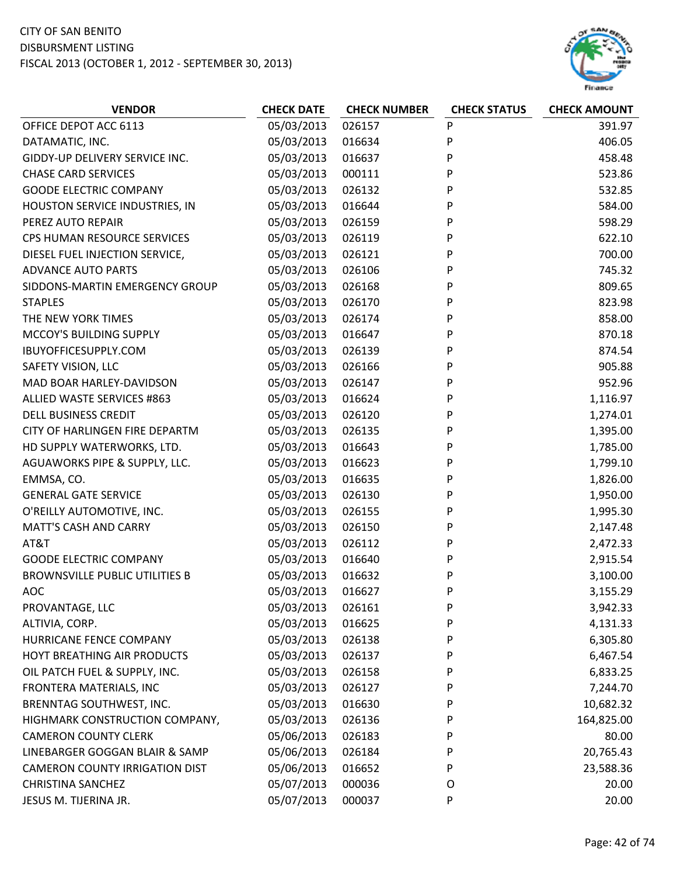

| <b>VENDOR</b>                         | <b>CHECK DATE</b> | <b>CHECK NUMBER</b> | <b>CHECK STATUS</b> | <b>CHECK AMOUNT</b> |
|---------------------------------------|-------------------|---------------------|---------------------|---------------------|
| OFFICE DEPOT ACC 6113                 | 05/03/2013        | 026157              | P                   | 391.97              |
| DATAMATIC, INC.                       | 05/03/2013        | 016634              | P                   | 406.05              |
| GIDDY-UP DELIVERY SERVICE INC.        | 05/03/2013        | 016637              | P                   | 458.48              |
| <b>CHASE CARD SERVICES</b>            | 05/03/2013        | 000111              | P                   | 523.86              |
| <b>GOODE ELECTRIC COMPANY</b>         | 05/03/2013        | 026132              | P                   | 532.85              |
| HOUSTON SERVICE INDUSTRIES, IN        | 05/03/2013        | 016644              | P                   | 584.00              |
| PEREZ AUTO REPAIR                     | 05/03/2013        | 026159              | P                   | 598.29              |
| CPS HUMAN RESOURCE SERVICES           | 05/03/2013        | 026119              | P                   | 622.10              |
| DIESEL FUEL INJECTION SERVICE,        | 05/03/2013        | 026121              | P                   | 700.00              |
| <b>ADVANCE AUTO PARTS</b>             | 05/03/2013        | 026106              | P                   | 745.32              |
| SIDDONS-MARTIN EMERGENCY GROUP        | 05/03/2013        | 026168              | P                   | 809.65              |
| <b>STAPLES</b>                        | 05/03/2013        | 026170              | P                   | 823.98              |
| THE NEW YORK TIMES                    | 05/03/2013        | 026174              | P                   | 858.00              |
| MCCOY'S BUILDING SUPPLY               | 05/03/2013        | 016647              | P                   | 870.18              |
| IBUYOFFICESUPPLY.COM                  | 05/03/2013        | 026139              | P                   | 874.54              |
| SAFETY VISION, LLC                    | 05/03/2013        | 026166              | P                   | 905.88              |
| MAD BOAR HARLEY-DAVIDSON              | 05/03/2013        | 026147              | P                   | 952.96              |
| ALLIED WASTE SERVICES #863            | 05/03/2013        | 016624              | P                   | 1,116.97            |
| <b>DELL BUSINESS CREDIT</b>           | 05/03/2013        | 026120              | P                   | 1,274.01            |
| CITY OF HARLINGEN FIRE DEPARTM        | 05/03/2013        | 026135              | P                   | 1,395.00            |
| HD SUPPLY WATERWORKS, LTD.            | 05/03/2013        | 016643              | P                   | 1,785.00            |
| AGUAWORKS PIPE & SUPPLY, LLC.         | 05/03/2013        | 016623              | P                   | 1,799.10            |
| EMMSA, CO.                            | 05/03/2013        | 016635              | P                   | 1,826.00            |
| <b>GENERAL GATE SERVICE</b>           | 05/03/2013        | 026130              | P                   | 1,950.00            |
| O'REILLY AUTOMOTIVE, INC.             | 05/03/2013        | 026155              | P                   | 1,995.30            |
| <b>MATT'S CASH AND CARRY</b>          | 05/03/2013        | 026150              | P                   | 2,147.48            |
| AT&T                                  | 05/03/2013        | 026112              | P                   | 2,472.33            |
| <b>GOODE ELECTRIC COMPANY</b>         | 05/03/2013        | 016640              | P                   | 2,915.54            |
| <b>BROWNSVILLE PUBLIC UTILITIES B</b> | 05/03/2013        | 016632              | P                   | 3,100.00            |
| AOC                                   | 05/03/2013        | 016627              | P                   | 3,155.29            |
| PROVANTAGE, LLC                       | 05/03/2013        | 026161              | P                   | 3,942.33            |
| ALTIVIA, CORP.                        | 05/03/2013        | 016625              | P                   | 4,131.33            |
| HURRICANE FENCE COMPANY               | 05/03/2013        | 026138              | P                   | 6,305.80            |
| HOYT BREATHING AIR PRODUCTS           | 05/03/2013        | 026137              | P                   | 6,467.54            |
| OIL PATCH FUEL & SUPPLY, INC.         | 05/03/2013        | 026158              | P                   | 6,833.25            |
| FRONTERA MATERIALS, INC               | 05/03/2013        | 026127              | P                   | 7,244.70            |
| BRENNTAG SOUTHWEST, INC.              | 05/03/2013        | 016630              | P                   | 10,682.32           |
| HIGHMARK CONSTRUCTION COMPANY,        | 05/03/2013        | 026136              | P                   | 164,825.00          |
| <b>CAMERON COUNTY CLERK</b>           | 05/06/2013        | 026183              | P                   | 80.00               |
| LINEBARGER GOGGAN BLAIR & SAMP        | 05/06/2013        | 026184              | P                   | 20,765.43           |
| <b>CAMERON COUNTY IRRIGATION DIST</b> | 05/06/2013        | 016652              | P                   | 23,588.36           |
| <b>CHRISTINA SANCHEZ</b>              | 05/07/2013        | 000036              | O                   | 20.00               |
| JESUS M. TIJERINA JR.                 | 05/07/2013        | 000037              | P                   | 20.00               |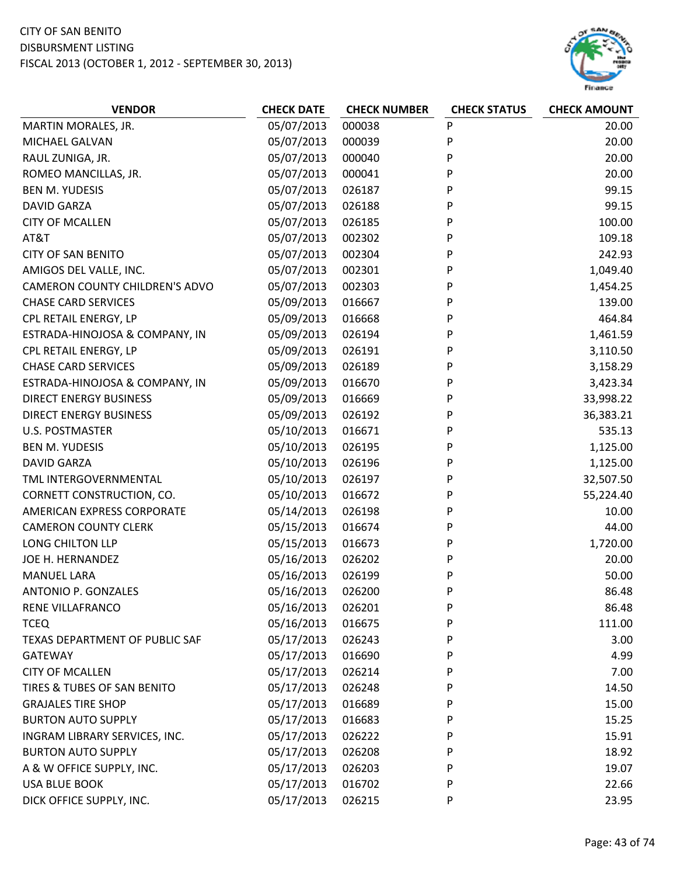# CITY OF SAN BENITO

#### DISBURSMENT LISTING

FISCAL 2013 (OCTOBER 1, 2012 ‐ SEPTEMBER 30, 2013)



| <b>VENDOR</b>                         | <b>CHECK DATE</b> | <b>CHECK NUMBER</b> | <b>CHECK STATUS</b> | <b>CHECK AMOUNT</b> |
|---------------------------------------|-------------------|---------------------|---------------------|---------------------|
| MARTIN MORALES, JR.                   | 05/07/2013        | 000038              | P                   | 20.00               |
| MICHAEL GALVAN                        | 05/07/2013        | 000039              | P                   | 20.00               |
| RAUL ZUNIGA, JR.                      | 05/07/2013        | 000040              | P                   | 20.00               |
| ROMEO MANCILLAS, JR.                  | 05/07/2013        | 000041              | P                   | 20.00               |
| <b>BEN M. YUDESIS</b>                 | 05/07/2013        | 026187              | P                   | 99.15               |
| <b>DAVID GARZA</b>                    | 05/07/2013        | 026188              | P                   | 99.15               |
| <b>CITY OF MCALLEN</b>                | 05/07/2013        | 026185              | P                   | 100.00              |
| AT&T                                  | 05/07/2013        | 002302              | P                   | 109.18              |
| <b>CITY OF SAN BENITO</b>             | 05/07/2013        | 002304              | P                   | 242.93              |
| AMIGOS DEL VALLE, INC.                | 05/07/2013        | 002301              | P                   | 1,049.40            |
| CAMERON COUNTY CHILDREN'S ADVO        | 05/07/2013        | 002303              | P                   | 1,454.25            |
| <b>CHASE CARD SERVICES</b>            | 05/09/2013        | 016667              | P                   | 139.00              |
| CPL RETAIL ENERGY, LP                 | 05/09/2013        | 016668              | P                   | 464.84              |
| ESTRADA-HINOJOSA & COMPANY, IN        | 05/09/2013        | 026194              | P                   | 1,461.59            |
| CPL RETAIL ENERGY, LP                 | 05/09/2013        | 026191              | P                   | 3,110.50            |
| <b>CHASE CARD SERVICES</b>            | 05/09/2013        | 026189              | Ρ                   | 3,158.29            |
| ESTRADA-HINOJOSA & COMPANY, IN        | 05/09/2013        | 016670              | Ρ                   | 3,423.34            |
| <b>DIRECT ENERGY BUSINESS</b>         | 05/09/2013        | 016669              | Ρ                   | 33,998.22           |
| <b>DIRECT ENERGY BUSINESS</b>         | 05/09/2013        | 026192              | P                   | 36,383.21           |
| <b>U.S. POSTMASTER</b>                | 05/10/2013        | 016671              | P                   | 535.13              |
| <b>BEN M. YUDESIS</b>                 | 05/10/2013        | 026195              | P                   | 1,125.00            |
| <b>DAVID GARZA</b>                    | 05/10/2013        | 026196              | P                   | 1,125.00            |
| TML INTERGOVERNMENTAL                 | 05/10/2013        | 026197              | P                   | 32,507.50           |
| CORNETT CONSTRUCTION, CO.             | 05/10/2013        | 016672              | P                   | 55,224.40           |
| AMERICAN EXPRESS CORPORATE            | 05/14/2013        | 026198              | P                   | 10.00               |
| <b>CAMERON COUNTY CLERK</b>           | 05/15/2013        | 016674              | P                   | 44.00               |
| LONG CHILTON LLP                      | 05/15/2013        | 016673              | P                   | 1,720.00            |
| JOE H. HERNANDEZ                      | 05/16/2013        | 026202              | P                   | 20.00               |
| <b>MANUEL LARA</b>                    | 05/16/2013        | 026199              | P                   | 50.00               |
| <b>ANTONIO P. GONZALES</b>            | 05/16/2013        | 026200              | P                   | 86.48               |
| RENE VILLAFRANCO                      | 05/16/2013        | 026201              | P                   | 86.48               |
| <b>TCEQ</b>                           | 05/16/2013        | 016675              | P                   | 111.00              |
| <b>TEXAS DEPARTMENT OF PUBLIC SAF</b> | 05/17/2013        | 026243              | P                   | 3.00                |
| <b>GATEWAY</b>                        | 05/17/2013        | 016690              | Ρ                   | 4.99                |
| <b>CITY OF MCALLEN</b>                | 05/17/2013        | 026214              | P                   | 7.00                |
| TIRES & TUBES OF SAN BENITO           | 05/17/2013        | 026248              | P                   | 14.50               |
| <b>GRAJALES TIRE SHOP</b>             | 05/17/2013        | 016689              | P                   | 15.00               |
| <b>BURTON AUTO SUPPLY</b>             | 05/17/2013        | 016683              | P                   | 15.25               |
| INGRAM LIBRARY SERVICES, INC.         | 05/17/2013        | 026222              | P                   | 15.91               |
| <b>BURTON AUTO SUPPLY</b>             | 05/17/2013        | 026208              | P                   | 18.92               |
| A & W OFFICE SUPPLY, INC.             | 05/17/2013        | 026203              | P                   | 19.07               |
| <b>USA BLUE BOOK</b>                  | 05/17/2013        | 016702              | P                   | 22.66               |
| DICK OFFICE SUPPLY, INC.              | 05/17/2013        | 026215              | P                   | 23.95               |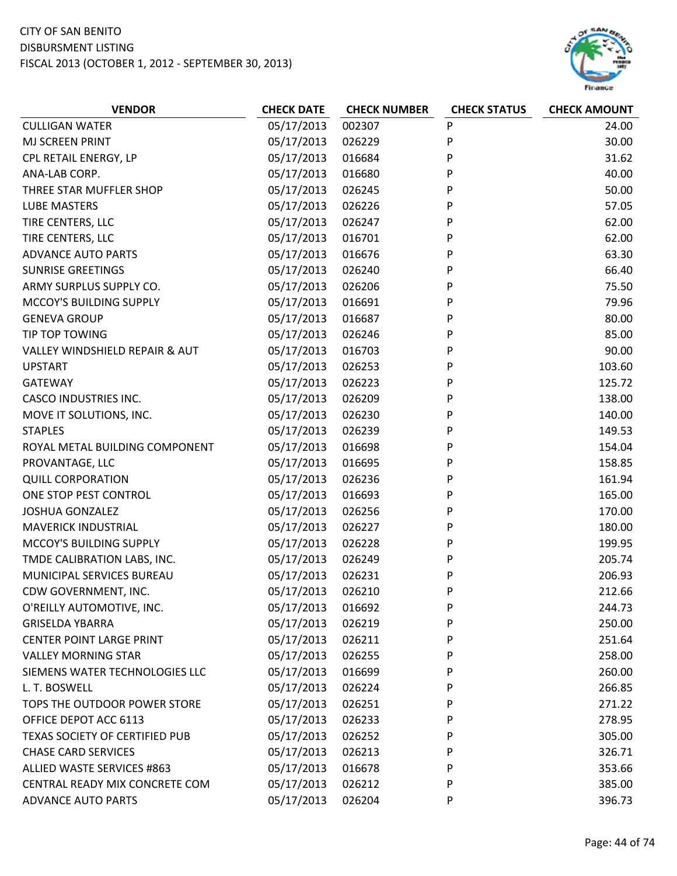

| <b>VENDOR</b>                   | <b>CHECK DATE</b> | <b>CHECK NUMBER</b> | <b>CHECK STATUS</b> | <b>CHECK AMOUNT</b> |
|---------------------------------|-------------------|---------------------|---------------------|---------------------|
| <b>CULLIGAN WATER</b>           | 05/17/2013        | 002307              | ${\sf P}$           | 24.00               |
| <b>MJ SCREEN PRINT</b>          | 05/17/2013        | 026229              | P                   | 30.00               |
| CPL RETAIL ENERGY, LP           | 05/17/2013        | 016684              | P                   | 31.62               |
| ANA-LAB CORP.                   | 05/17/2013        | 016680              | P                   | 40.00               |
| THREE STAR MUFFLER SHOP         | 05/17/2013        | 026245              | P                   | 50.00               |
| <b>LUBE MASTERS</b>             | 05/17/2013        | 026226              | P                   | 57.05               |
| TIRE CENTERS, LLC               | 05/17/2013        | 026247              | P                   | 62.00               |
| TIRE CENTERS, LLC               | 05/17/2013        | 016701              | P                   | 62.00               |
| <b>ADVANCE AUTO PARTS</b>       | 05/17/2013        | 016676              | P                   | 63.30               |
| <b>SUNRISE GREETINGS</b>        | 05/17/2013        | 026240              | P                   | 66.40               |
| ARMY SURPLUS SUPPLY CO.         | 05/17/2013        | 026206              | P                   | 75.50               |
| MCCOY'S BUILDING SUPPLY         | 05/17/2013        | 016691              | P                   | 79.96               |
| <b>GENEVA GROUP</b>             | 05/17/2013        | 016687              | P                   | 80.00               |
| TIP TOP TOWING                  | 05/17/2013        | 026246              | P                   | 85.00               |
| VALLEY WINDSHIELD REPAIR & AUT  | 05/17/2013        | 016703              | P                   | 90.00               |
| <b>UPSTART</b>                  | 05/17/2013        | 026253              | P                   | 103.60              |
| <b>GATEWAY</b>                  | 05/17/2013        | 026223              | P                   | 125.72              |
| <b>CASCO INDUSTRIES INC.</b>    | 05/17/2013        | 026209              | P                   | 138.00              |
| MOVE IT SOLUTIONS, INC.         | 05/17/2013        | 026230              | P                   | 140.00              |
| <b>STAPLES</b>                  | 05/17/2013        | 026239              | P                   | 149.53              |
| ROYAL METAL BUILDING COMPONENT  | 05/17/2013        | 016698              | P                   | 154.04              |
| PROVANTAGE, LLC                 | 05/17/2013        | 016695              | P                   | 158.85              |
| <b>QUILL CORPORATION</b>        | 05/17/2013        | 026236              | P                   | 161.94              |
| ONE STOP PEST CONTROL           | 05/17/2013        | 016693              | P                   | 165.00              |
| <b>JOSHUA GONZALEZ</b>          | 05/17/2013        | 026256              | P                   | 170.00              |
| <b>MAVERICK INDUSTRIAL</b>      | 05/17/2013        | 026227              | P                   | 180.00              |
| MCCOY'S BUILDING SUPPLY         | 05/17/2013        | 026228              | P                   | 199.95              |
| TMDE CALIBRATION LABS, INC.     | 05/17/2013        | 026249              | P                   | 205.74              |
| MUNICIPAL SERVICES BUREAU       | 05/17/2013        | 026231              | P                   | 206.93              |
| CDW GOVERNMENT, INC.            | 05/17/2013        | 026210              | P                   | 212.66              |
| O'REILLY AUTOMOTIVE, INC.       | 05/17/2013        | 016692              | P                   | 244.73              |
| <b>GRISELDA YBARRA</b>          | 05/17/2013        | 026219              | P                   | 250.00              |
| <b>CENTER POINT LARGE PRINT</b> | 05/17/2013        | 026211              | P                   | 251.64              |
| <b>VALLEY MORNING STAR</b>      | 05/17/2013        | 026255              | P                   | 258.00              |
| SIEMENS WATER TECHNOLOGIES LLC  | 05/17/2013        | 016699              | P                   | 260.00              |
| L. T. BOSWELL                   | 05/17/2013        | 026224              | P                   | 266.85              |
| TOPS THE OUTDOOR POWER STORE    | 05/17/2013        | 026251              | P                   | 271.22              |
| OFFICE DEPOT ACC 6113           | 05/17/2013        | 026233              | P                   | 278.95              |
| TEXAS SOCIETY OF CERTIFIED PUB  | 05/17/2013        | 026252              | P                   | 305.00              |
| <b>CHASE CARD SERVICES</b>      | 05/17/2013        | 026213              | P                   | 326.71              |
| ALLIED WASTE SERVICES #863      | 05/17/2013        | 016678              | P                   | 353.66              |
| CENTRAL READY MIX CONCRETE COM  | 05/17/2013        | 026212              | P                   | 385.00              |
| <b>ADVANCE AUTO PARTS</b>       | 05/17/2013        | 026204              | P                   | 396.73              |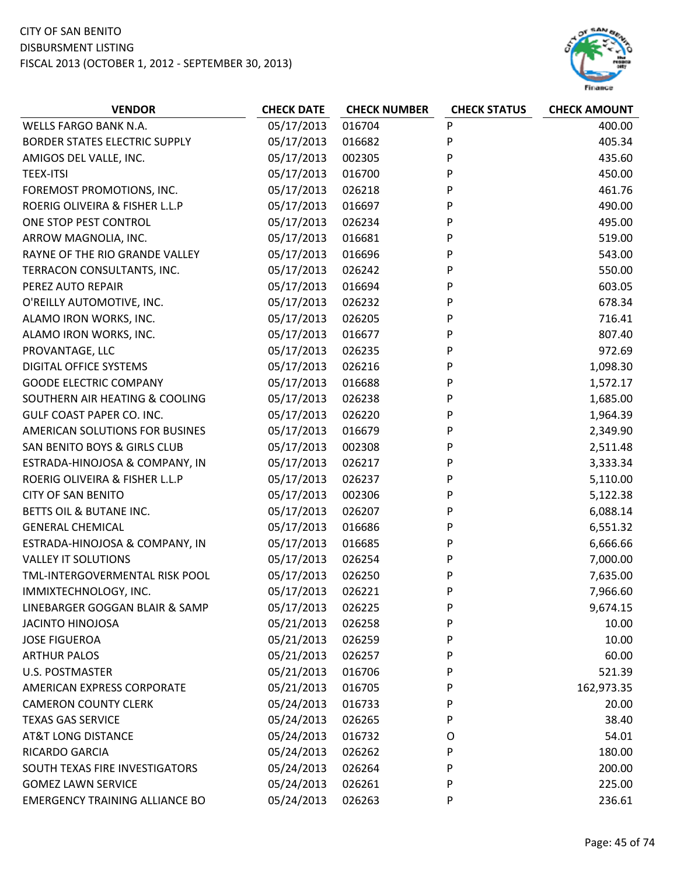

| <b>VENDOR</b>                         | <b>CHECK DATE</b> | <b>CHECK NUMBER</b> | <b>CHECK STATUS</b> | <b>CHECK AMOUNT</b> |
|---------------------------------------|-------------------|---------------------|---------------------|---------------------|
| WELLS FARGO BANK N.A.                 | 05/17/2013        | 016704              | P                   | 400.00              |
| <b>BORDER STATES ELECTRIC SUPPLY</b>  | 05/17/2013        | 016682              | P                   | 405.34              |
| AMIGOS DEL VALLE, INC.                | 05/17/2013        | 002305              | P                   | 435.60              |
| <b>TEEX-ITSI</b>                      | 05/17/2013        | 016700              | P                   | 450.00              |
| FOREMOST PROMOTIONS, INC.             | 05/17/2013        | 026218              | P                   | 461.76              |
| ROERIG OLIVEIRA & FISHER L.L.P        | 05/17/2013        | 016697              | P                   | 490.00              |
| ONE STOP PEST CONTROL                 | 05/17/2013        | 026234              | P                   | 495.00              |
| ARROW MAGNOLIA, INC.                  | 05/17/2013        | 016681              | P                   | 519.00              |
| RAYNE OF THE RIO GRANDE VALLEY        | 05/17/2013        | 016696              | P                   | 543.00              |
| TERRACON CONSULTANTS, INC.            | 05/17/2013        | 026242              | P                   | 550.00              |
| PEREZ AUTO REPAIR                     | 05/17/2013        | 016694              | P                   | 603.05              |
| O'REILLY AUTOMOTIVE, INC.             | 05/17/2013        | 026232              | P                   | 678.34              |
| ALAMO IRON WORKS, INC.                | 05/17/2013        | 026205              | P                   | 716.41              |
| ALAMO IRON WORKS, INC.                | 05/17/2013        | 016677              | P                   | 807.40              |
| PROVANTAGE, LLC                       | 05/17/2013        | 026235              | P                   | 972.69              |
| <b>DIGITAL OFFICE SYSTEMS</b>         | 05/17/2013        | 026216              | P                   | 1,098.30            |
| <b>GOODE ELECTRIC COMPANY</b>         | 05/17/2013        | 016688              | P                   | 1,572.17            |
| SOUTHERN AIR HEATING & COOLING        | 05/17/2013        | 026238              | P                   | 1,685.00            |
| <b>GULF COAST PAPER CO. INC.</b>      | 05/17/2013        | 026220              | P                   | 1,964.39            |
| AMERICAN SOLUTIONS FOR BUSINES        | 05/17/2013        | 016679              | P                   | 2,349.90            |
| SAN BENITO BOYS & GIRLS CLUB          | 05/17/2013        | 002308              | P                   | 2,511.48            |
| ESTRADA-HINOJOSA & COMPANY, IN        | 05/17/2013        | 026217              | P                   | 3,333.34            |
| ROERIG OLIVEIRA & FISHER L.L.P        | 05/17/2013        | 026237              | P                   | 5,110.00            |
| <b>CITY OF SAN BENITO</b>             | 05/17/2013        | 002306              | P                   | 5,122.38            |
| BETTS OIL & BUTANE INC.               | 05/17/2013        | 026207              | P                   | 6,088.14            |
| <b>GENERAL CHEMICAL</b>               | 05/17/2013        | 016686              | P                   | 6,551.32            |
| ESTRADA-HINOJOSA & COMPANY, IN        | 05/17/2013        | 016685              | P                   | 6,666.66            |
| <b>VALLEY IT SOLUTIONS</b>            | 05/17/2013        | 026254              | P                   | 7,000.00            |
| TML-INTERGOVERMENTAL RISK POOL        | 05/17/2013        | 026250              | P                   | 7,635.00            |
| IMMIXTECHNOLOGY, INC.                 | 05/17/2013        | 026221              | P                   | 7,966.60            |
| LINEBARGER GOGGAN BLAIR & SAMP        | 05/17/2013        | 026225              | P                   | 9,674.15            |
| <b>JACINTO HINOJOSA</b>               | 05/21/2013        | 026258              | P                   | 10.00               |
| <b>JOSE FIGUEROA</b>                  | 05/21/2013        | 026259              | P                   | 10.00               |
| <b>ARTHUR PALOS</b>                   | 05/21/2013        | 026257              | P                   | 60.00               |
| <b>U.S. POSTMASTER</b>                | 05/21/2013        | 016706              | P                   | 521.39              |
| AMERICAN EXPRESS CORPORATE            | 05/21/2013        | 016705              | P                   | 162,973.35          |
| <b>CAMERON COUNTY CLERK</b>           | 05/24/2013        | 016733              | P                   | 20.00               |
| <b>TEXAS GAS SERVICE</b>              | 05/24/2013        | 026265              | P                   | 38.40               |
| <b>AT&amp;T LONG DISTANCE</b>         | 05/24/2013        | 016732              | O                   | 54.01               |
| RICARDO GARCIA                        | 05/24/2013        | 026262              | P                   | 180.00              |
| SOUTH TEXAS FIRE INVESTIGATORS        | 05/24/2013        | 026264              | P                   | 200.00              |
| <b>GOMEZ LAWN SERVICE</b>             | 05/24/2013        | 026261              | P                   | 225.00              |
| <b>EMERGENCY TRAINING ALLIANCE BO</b> | 05/24/2013        | 026263              | P                   | 236.61              |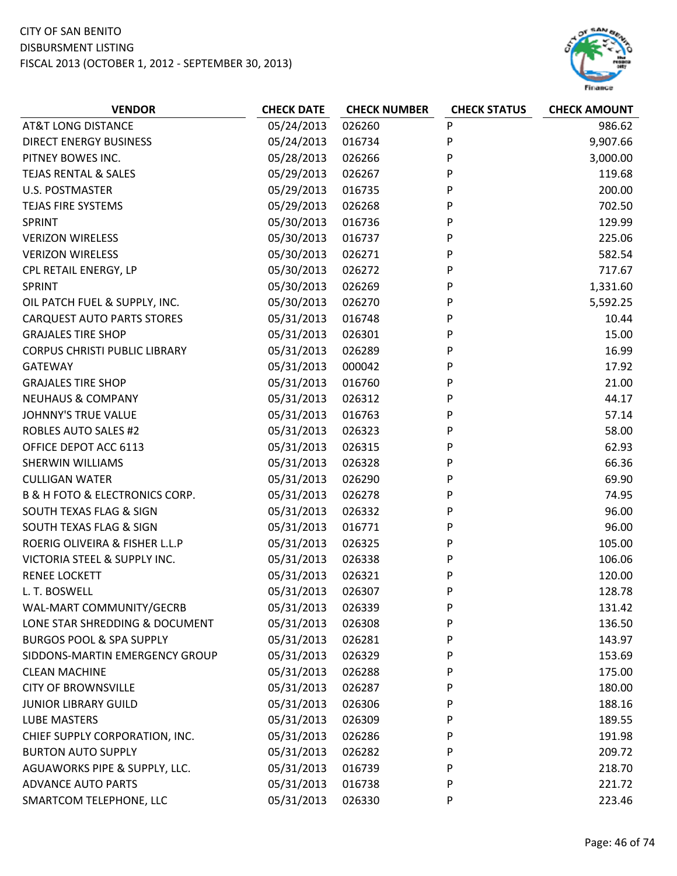

| <b>VENDOR</b>                                 | <b>CHECK DATE</b> | <b>CHECK NUMBER</b> | <b>CHECK STATUS</b> | <b>CHECK AMOUNT</b> |
|-----------------------------------------------|-------------------|---------------------|---------------------|---------------------|
| <b>AT&amp;T LONG DISTANCE</b>                 | 05/24/2013        | 026260              | P                   | 986.62              |
| <b>DIRECT ENERGY BUSINESS</b>                 | 05/24/2013        | 016734              | P                   | 9,907.66            |
| PITNEY BOWES INC.                             | 05/28/2013        | 026266              | P                   | 3,000.00            |
| <b>TEJAS RENTAL &amp; SALES</b>               | 05/29/2013        | 026267              | P                   | 119.68              |
| <b>U.S. POSTMASTER</b>                        | 05/29/2013        | 016735              | P                   | 200.00              |
| TEJAS FIRE SYSTEMS                            | 05/29/2013        | 026268              | P                   | 702.50              |
| <b>SPRINT</b>                                 | 05/30/2013        | 016736              | P                   | 129.99              |
| <b>VERIZON WIRELESS</b>                       | 05/30/2013        | 016737              | P                   | 225.06              |
| <b>VERIZON WIRELESS</b>                       | 05/30/2013        | 026271              | P                   | 582.54              |
| CPL RETAIL ENERGY, LP                         | 05/30/2013        | 026272              | P                   | 717.67              |
| <b>SPRINT</b>                                 | 05/30/2013        | 026269              | P                   | 1,331.60            |
| OIL PATCH FUEL & SUPPLY, INC.                 | 05/30/2013        | 026270              | P                   | 5,592.25            |
| <b>CARQUEST AUTO PARTS STORES</b>             | 05/31/2013        | 016748              | P                   | 10.44               |
| <b>GRAJALES TIRE SHOP</b>                     | 05/31/2013        | 026301              | P                   | 15.00               |
| <b>CORPUS CHRISTI PUBLIC LIBRARY</b>          | 05/31/2013        | 026289              | P                   | 16.99               |
| <b>GATEWAY</b>                                | 05/31/2013        | 000042              | P                   | 17.92               |
| <b>GRAJALES TIRE SHOP</b>                     | 05/31/2013        | 016760              | P                   | 21.00               |
| <b>NEUHAUS &amp; COMPANY</b>                  | 05/31/2013        | 026312              | P                   | 44.17               |
| <b>JOHNNY'S TRUE VALUE</b>                    | 05/31/2013        | 016763              | P                   | 57.14               |
| <b>ROBLES AUTO SALES #2</b>                   | 05/31/2013        | 026323              | P                   | 58.00               |
| OFFICE DEPOT ACC 6113                         | 05/31/2013        | 026315              | P                   | 62.93               |
| <b>SHERWIN WILLIAMS</b>                       | 05/31/2013        | 026328              | P                   | 66.36               |
| <b>CULLIGAN WATER</b>                         | 05/31/2013        | 026290              | P                   | 69.90               |
| <b>B &amp; H FOTO &amp; ELECTRONICS CORP.</b> | 05/31/2013        | 026278              | P                   | 74.95               |
| SOUTH TEXAS FLAG & SIGN                       | 05/31/2013        | 026332              | P                   | 96.00               |
| SOUTH TEXAS FLAG & SIGN                       | 05/31/2013        | 016771              | P                   | 96.00               |
| ROERIG OLIVEIRA & FISHER L.L.P                | 05/31/2013        | 026325              | P                   | 105.00              |
| VICTORIA STEEL & SUPPLY INC.                  | 05/31/2013        | 026338              | P                   | 106.06              |
| <b>RENEE LOCKETT</b>                          | 05/31/2013        | 026321              | P                   | 120.00              |
| L. T. BOSWELL                                 | 05/31/2013        | 026307              | P                   | 128.78              |
| WAL-MART COMMUNITY/GECRB                      | 05/31/2013        | 026339              | P                   | 131.42              |
| LONE STAR SHREDDING & DOCUMENT                | 05/31/2013        | 026308              | P                   | 136.50              |
| <b>BURGOS POOL &amp; SPA SUPPLY</b>           | 05/31/2013        | 026281              | P                   | 143.97              |
| SIDDONS-MARTIN EMERGENCY GROUP                | 05/31/2013        | 026329              | P                   | 153.69              |
| <b>CLEAN MACHINE</b>                          | 05/31/2013        | 026288              | P                   | 175.00              |
| <b>CITY OF BROWNSVILLE</b>                    | 05/31/2013        | 026287              | P                   | 180.00              |
| <b>JUNIOR LIBRARY GUILD</b>                   | 05/31/2013        | 026306              | P                   | 188.16              |
| <b>LUBE MASTERS</b>                           | 05/31/2013        | 026309              | P                   | 189.55              |
| CHIEF SUPPLY CORPORATION, INC.                | 05/31/2013        | 026286              | P                   | 191.98              |
| <b>BURTON AUTO SUPPLY</b>                     | 05/31/2013        | 026282              | P                   | 209.72              |
| AGUAWORKS PIPE & SUPPLY, LLC.                 | 05/31/2013        | 016739              | P                   | 218.70              |
| <b>ADVANCE AUTO PARTS</b>                     | 05/31/2013        | 016738              | P                   | 221.72              |
| SMARTCOM TELEPHONE, LLC                       | 05/31/2013        | 026330              | P                   | 223.46              |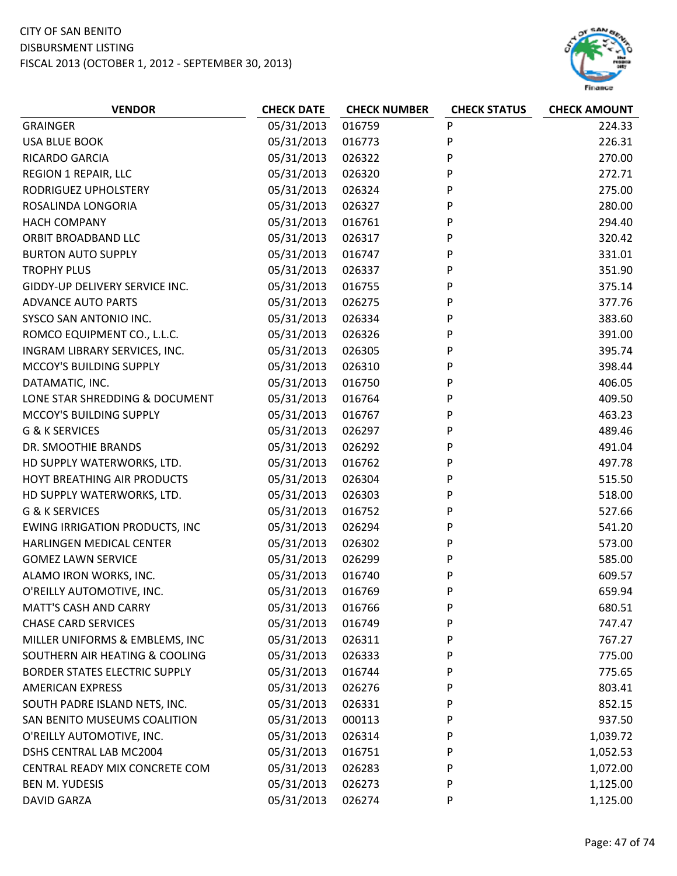

| <b>VENDOR</b>                         | <b>CHECK DATE</b> | <b>CHECK NUMBER</b> | <b>CHECK STATUS</b> | <b>CHECK AMOUNT</b> |
|---------------------------------------|-------------------|---------------------|---------------------|---------------------|
| <b>GRAINGER</b>                       | 05/31/2013        | 016759              | P                   | 224.33              |
| <b>USA BLUE BOOK</b>                  | 05/31/2013        | 016773              | P                   | 226.31              |
| RICARDO GARCIA                        | 05/31/2013        | 026322              | P                   | 270.00              |
| <b>REGION 1 REPAIR, LLC</b>           | 05/31/2013        | 026320              | P                   | 272.71              |
| RODRIGUEZ UPHOLSTERY                  | 05/31/2013        | 026324              | P                   | 275.00              |
| ROSALINDA LONGORIA                    | 05/31/2013        | 026327              | P                   | 280.00              |
| <b>HACH COMPANY</b>                   | 05/31/2013        | 016761              | P                   | 294.40              |
| ORBIT BROADBAND LLC                   | 05/31/2013        | 026317              | P                   | 320.42              |
| <b>BURTON AUTO SUPPLY</b>             | 05/31/2013        | 016747              | P                   | 331.01              |
| <b>TROPHY PLUS</b>                    | 05/31/2013        | 026337              | P                   | 351.90              |
| GIDDY-UP DELIVERY SERVICE INC.        | 05/31/2013        | 016755              | P                   | 375.14              |
| <b>ADVANCE AUTO PARTS</b>             | 05/31/2013        | 026275              | P                   | 377.76              |
| SYSCO SAN ANTONIO INC.                | 05/31/2013        | 026334              | P                   | 383.60              |
| ROMCO EQUIPMENT CO., L.L.C.           | 05/31/2013        | 026326              | P                   | 391.00              |
| INGRAM LIBRARY SERVICES, INC.         | 05/31/2013        | 026305              | P                   | 395.74              |
| MCCOY'S BUILDING SUPPLY               | 05/31/2013        | 026310              | P                   | 398.44              |
| DATAMATIC, INC.                       | 05/31/2013        | 016750              | P                   | 406.05              |
| LONE STAR SHREDDING & DOCUMENT        | 05/31/2013        | 016764              | P                   | 409.50              |
| MCCOY'S BUILDING SUPPLY               | 05/31/2013        | 016767              | P                   | 463.23              |
| G & K SERVICES                        | 05/31/2013        | 026297              | P                   | 489.46              |
| DR. SMOOTHIE BRANDS                   | 05/31/2013        | 026292              | P                   | 491.04              |
| HD SUPPLY WATERWORKS, LTD.            | 05/31/2013        | 016762              | P                   | 497.78              |
| HOYT BREATHING AIR PRODUCTS           | 05/31/2013        | 026304              | P                   | 515.50              |
| HD SUPPLY WATERWORKS, LTD.            | 05/31/2013        | 026303              | P                   | 518.00              |
| G & K SERVICES                        | 05/31/2013        | 016752              | P                   | 527.66              |
| <b>EWING IRRIGATION PRODUCTS, INC</b> | 05/31/2013        | 026294              | P                   | 541.20              |
| HARLINGEN MEDICAL CENTER              | 05/31/2013        | 026302              | P                   | 573.00              |
| <b>GOMEZ LAWN SERVICE</b>             | 05/31/2013        | 026299              | P                   | 585.00              |
| ALAMO IRON WORKS, INC.                | 05/31/2013        | 016740              | P                   | 609.57              |
| O'REILLY AUTOMOTIVE, INC.             | 05/31/2013        | 016769              | P                   | 659.94              |
| <b>MATT'S CASH AND CARRY</b>          | 05/31/2013        | 016766              | P                   | 680.51              |
| <b>CHASE CARD SERVICES</b>            | 05/31/2013        | 016749              | P                   | 747.47              |
| MILLER UNIFORMS & EMBLEMS, INC        | 05/31/2013        | 026311              | P                   | 767.27              |
| SOUTHERN AIR HEATING & COOLING        | 05/31/2013        | 026333              | P                   | 775.00              |
| BORDER STATES ELECTRIC SUPPLY         | 05/31/2013        | 016744              | P                   | 775.65              |
| <b>AMERICAN EXPRESS</b>               | 05/31/2013        | 026276              | P                   | 803.41              |
| SOUTH PADRE ISLAND NETS, INC.         | 05/31/2013        | 026331              | P                   | 852.15              |
| SAN BENITO MUSEUMS COALITION          | 05/31/2013        | 000113              | P                   | 937.50              |
| O'REILLY AUTOMOTIVE, INC.             | 05/31/2013        | 026314              | P                   | 1,039.72            |
| DSHS CENTRAL LAB MC2004               | 05/31/2013        | 016751              | P                   | 1,052.53            |
| CENTRAL READY MIX CONCRETE COM        | 05/31/2013        | 026283              | P                   | 1,072.00            |
| <b>BEN M. YUDESIS</b>                 | 05/31/2013        | 026273              | P                   | 1,125.00            |
| <b>DAVID GARZA</b>                    | 05/31/2013        | 026274              | P                   | 1,125.00            |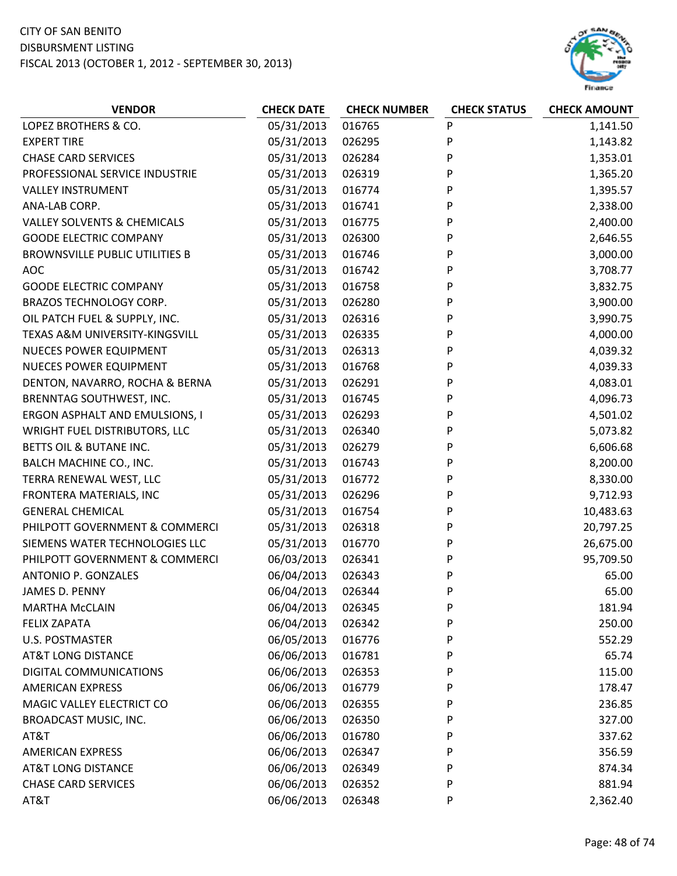#### CITY OF SAN BENITO DISBURSMENT LISTING

FISCAL 2013 (OCTOBER 1, 2012 ‐ SEPTEMBER 30, 2013)



| LOPEZ BROTHERS & CO.<br>05/31/2013<br>016765<br>P<br>1,141.50<br>05/31/2013<br>P<br><b>EXPERT TIRE</b><br>026295<br>1,143.82<br><b>CHASE CARD SERVICES</b><br>05/31/2013<br>026284<br>P<br>1,353.01<br>PROFESSIONAL SERVICE INDUSTRIE<br>05/31/2013<br>026319<br>P<br>1,365.20<br><b>VALLEY INSTRUMENT</b><br>05/31/2013<br>P<br>016774<br>1,395.57<br>ANA-LAB CORP.<br>05/31/2013<br>016741<br>P<br>2,338.00<br>05/31/2013<br>P<br>2,400.00<br><b>VALLEY SOLVENTS &amp; CHEMICALS</b><br>016775<br>05/31/2013<br><b>GOODE ELECTRIC COMPANY</b><br>P<br>2,646.55<br>026300<br>05/31/2013<br>P<br>3,000.00<br><b>BROWNSVILLE PUBLIC UTILITIES B</b><br>016746<br>05/31/2013<br>3,708.77<br><b>AOC</b><br>016742<br>P<br>05/31/2013<br>P<br><b>GOODE ELECTRIC COMPANY</b><br>016758<br>3,832.75<br>05/31/2013<br>P<br>3,900.00<br>BRAZOS TECHNOLOGY CORP.<br>026280<br>OIL PATCH FUEL & SUPPLY, INC.<br>05/31/2013<br>026316<br>P<br>3,990.75<br>05/31/2013<br>P<br>4,000.00<br>TEXAS A&M UNIVERSITY-KINGSVILL<br>026335<br>05/31/2013<br>P<br>4,039.32<br><b>NUECES POWER EQUIPMENT</b><br>026313<br>P<br>05/31/2013<br>4,039.33<br><b>NUECES POWER EQUIPMENT</b><br>016768<br>05/31/2013<br>026291<br>P<br>4,083.01<br>DENTON, NAVARRO, ROCHA & BERNA<br>05/31/2013<br>P<br>4,096.73<br>BRENNTAG SOUTHWEST, INC.<br>016745<br>ERGON ASPHALT AND EMULSIONS, I<br>05/31/2013<br>P<br>4,501.02<br>026293<br>WRIGHT FUEL DISTRIBUTORS, LLC<br>05/31/2013<br>026340<br>5,073.82<br>P<br>P<br>BETTS OIL & BUTANE INC.<br>05/31/2013<br>6,606.68<br>026279<br>BALCH MACHINE CO., INC.<br>05/31/2013<br>8,200.00<br>016743<br>P<br>TERRA RENEWAL WEST, LLC<br>05/31/2013<br>P<br>8,330.00<br>016772<br>05/31/2013<br>026296<br>P<br>9,712.93<br>FRONTERA MATERIALS, INC<br>05/31/2013<br>P<br>10,483.63<br><b>GENERAL CHEMICAL</b><br>016754<br>PHILPOTT GOVERNMENT & COMMERCI<br>05/31/2013<br>P<br>20,797.25<br>026318<br>05/31/2013<br>SIEMENS WATER TECHNOLOGIES LLC<br>016770<br>26,675.00<br>P<br>PHILPOTT GOVERNMENT & COMMERCI<br>06/03/2013<br>P<br>95,709.50<br>026341<br>06/04/2013<br><b>ANTONIO P. GONZALES</b><br>026343<br>65.00<br>P<br>06/04/2013<br>026344<br>P<br>65.00<br><b>JAMES D. PENNY</b><br>06/04/2013<br><b>MARTHA McCLAIN</b><br>026345<br>P<br>181.94<br>06/04/2013<br>250.00<br><b>FELIX ZAPATA</b><br>026342<br>P<br>06/05/2013<br>P<br><b>U.S. POSTMASTER</b><br>016776<br>552.29<br>06/06/2013<br><b>AT&amp;T LONG DISTANCE</b><br>65.74<br>016781<br>P<br>DIGITAL COMMUNICATIONS<br>06/06/2013<br>115.00<br>026353<br>P<br>06/06/2013<br><b>AMERICAN EXPRESS</b><br>016779<br>P<br>178.47<br>06/06/2013<br>236.85<br>MAGIC VALLEY ELECTRICT CO<br>026355<br>P<br>BROADCAST MUSIC, INC.<br>06/06/2013<br>P<br>327.00<br>026350<br>06/06/2013<br>AT&T<br>337.62<br>016780<br>P<br>06/06/2013<br>356.59<br><b>AMERICAN EXPRESS</b><br>026347<br>P | <b>VENDOR</b>                 | <b>CHECK DATE</b> | <b>CHECK NUMBER</b> | <b>CHECK STATUS</b> | <b>CHECK AMOUNT</b> |
|---------------------------------------------------------------------------------------------------------------------------------------------------------------------------------------------------------------------------------------------------------------------------------------------------------------------------------------------------------------------------------------------------------------------------------------------------------------------------------------------------------------------------------------------------------------------------------------------------------------------------------------------------------------------------------------------------------------------------------------------------------------------------------------------------------------------------------------------------------------------------------------------------------------------------------------------------------------------------------------------------------------------------------------------------------------------------------------------------------------------------------------------------------------------------------------------------------------------------------------------------------------------------------------------------------------------------------------------------------------------------------------------------------------------------------------------------------------------------------------------------------------------------------------------------------------------------------------------------------------------------------------------------------------------------------------------------------------------------------------------------------------------------------------------------------------------------------------------------------------------------------------------------------------------------------------------------------------------------------------------------------------------------------------------------------------------------------------------------------------------------------------------------------------------------------------------------------------------------------------------------------------------------------------------------------------------------------------------------------------------------------------------------------------------------------------------------------------------------------------------------------------------------------------------------------------------------------------------------------------------------------------------------------------------------------------------------------------------------------------------------------------------------------------------------------------------------------------------------------------------------|-------------------------------|-------------------|---------------------|---------------------|---------------------|
|                                                                                                                                                                                                                                                                                                                                                                                                                                                                                                                                                                                                                                                                                                                                                                                                                                                                                                                                                                                                                                                                                                                                                                                                                                                                                                                                                                                                                                                                                                                                                                                                                                                                                                                                                                                                                                                                                                                                                                                                                                                                                                                                                                                                                                                                                                                                                                                                                                                                                                                                                                                                                                                                                                                                                                                                                                                                           |                               |                   |                     |                     |                     |
|                                                                                                                                                                                                                                                                                                                                                                                                                                                                                                                                                                                                                                                                                                                                                                                                                                                                                                                                                                                                                                                                                                                                                                                                                                                                                                                                                                                                                                                                                                                                                                                                                                                                                                                                                                                                                                                                                                                                                                                                                                                                                                                                                                                                                                                                                                                                                                                                                                                                                                                                                                                                                                                                                                                                                                                                                                                                           |                               |                   |                     |                     |                     |
|                                                                                                                                                                                                                                                                                                                                                                                                                                                                                                                                                                                                                                                                                                                                                                                                                                                                                                                                                                                                                                                                                                                                                                                                                                                                                                                                                                                                                                                                                                                                                                                                                                                                                                                                                                                                                                                                                                                                                                                                                                                                                                                                                                                                                                                                                                                                                                                                                                                                                                                                                                                                                                                                                                                                                                                                                                                                           |                               |                   |                     |                     |                     |
|                                                                                                                                                                                                                                                                                                                                                                                                                                                                                                                                                                                                                                                                                                                                                                                                                                                                                                                                                                                                                                                                                                                                                                                                                                                                                                                                                                                                                                                                                                                                                                                                                                                                                                                                                                                                                                                                                                                                                                                                                                                                                                                                                                                                                                                                                                                                                                                                                                                                                                                                                                                                                                                                                                                                                                                                                                                                           |                               |                   |                     |                     |                     |
|                                                                                                                                                                                                                                                                                                                                                                                                                                                                                                                                                                                                                                                                                                                                                                                                                                                                                                                                                                                                                                                                                                                                                                                                                                                                                                                                                                                                                                                                                                                                                                                                                                                                                                                                                                                                                                                                                                                                                                                                                                                                                                                                                                                                                                                                                                                                                                                                                                                                                                                                                                                                                                                                                                                                                                                                                                                                           |                               |                   |                     |                     |                     |
|                                                                                                                                                                                                                                                                                                                                                                                                                                                                                                                                                                                                                                                                                                                                                                                                                                                                                                                                                                                                                                                                                                                                                                                                                                                                                                                                                                                                                                                                                                                                                                                                                                                                                                                                                                                                                                                                                                                                                                                                                                                                                                                                                                                                                                                                                                                                                                                                                                                                                                                                                                                                                                                                                                                                                                                                                                                                           |                               |                   |                     |                     |                     |
|                                                                                                                                                                                                                                                                                                                                                                                                                                                                                                                                                                                                                                                                                                                                                                                                                                                                                                                                                                                                                                                                                                                                                                                                                                                                                                                                                                                                                                                                                                                                                                                                                                                                                                                                                                                                                                                                                                                                                                                                                                                                                                                                                                                                                                                                                                                                                                                                                                                                                                                                                                                                                                                                                                                                                                                                                                                                           |                               |                   |                     |                     |                     |
|                                                                                                                                                                                                                                                                                                                                                                                                                                                                                                                                                                                                                                                                                                                                                                                                                                                                                                                                                                                                                                                                                                                                                                                                                                                                                                                                                                                                                                                                                                                                                                                                                                                                                                                                                                                                                                                                                                                                                                                                                                                                                                                                                                                                                                                                                                                                                                                                                                                                                                                                                                                                                                                                                                                                                                                                                                                                           |                               |                   |                     |                     |                     |
|                                                                                                                                                                                                                                                                                                                                                                                                                                                                                                                                                                                                                                                                                                                                                                                                                                                                                                                                                                                                                                                                                                                                                                                                                                                                                                                                                                                                                                                                                                                                                                                                                                                                                                                                                                                                                                                                                                                                                                                                                                                                                                                                                                                                                                                                                                                                                                                                                                                                                                                                                                                                                                                                                                                                                                                                                                                                           |                               |                   |                     |                     |                     |
|                                                                                                                                                                                                                                                                                                                                                                                                                                                                                                                                                                                                                                                                                                                                                                                                                                                                                                                                                                                                                                                                                                                                                                                                                                                                                                                                                                                                                                                                                                                                                                                                                                                                                                                                                                                                                                                                                                                                                                                                                                                                                                                                                                                                                                                                                                                                                                                                                                                                                                                                                                                                                                                                                                                                                                                                                                                                           |                               |                   |                     |                     |                     |
|                                                                                                                                                                                                                                                                                                                                                                                                                                                                                                                                                                                                                                                                                                                                                                                                                                                                                                                                                                                                                                                                                                                                                                                                                                                                                                                                                                                                                                                                                                                                                                                                                                                                                                                                                                                                                                                                                                                                                                                                                                                                                                                                                                                                                                                                                                                                                                                                                                                                                                                                                                                                                                                                                                                                                                                                                                                                           |                               |                   |                     |                     |                     |
|                                                                                                                                                                                                                                                                                                                                                                                                                                                                                                                                                                                                                                                                                                                                                                                                                                                                                                                                                                                                                                                                                                                                                                                                                                                                                                                                                                                                                                                                                                                                                                                                                                                                                                                                                                                                                                                                                                                                                                                                                                                                                                                                                                                                                                                                                                                                                                                                                                                                                                                                                                                                                                                                                                                                                                                                                                                                           |                               |                   |                     |                     |                     |
|                                                                                                                                                                                                                                                                                                                                                                                                                                                                                                                                                                                                                                                                                                                                                                                                                                                                                                                                                                                                                                                                                                                                                                                                                                                                                                                                                                                                                                                                                                                                                                                                                                                                                                                                                                                                                                                                                                                                                                                                                                                                                                                                                                                                                                                                                                                                                                                                                                                                                                                                                                                                                                                                                                                                                                                                                                                                           |                               |                   |                     |                     |                     |
|                                                                                                                                                                                                                                                                                                                                                                                                                                                                                                                                                                                                                                                                                                                                                                                                                                                                                                                                                                                                                                                                                                                                                                                                                                                                                                                                                                                                                                                                                                                                                                                                                                                                                                                                                                                                                                                                                                                                                                                                                                                                                                                                                                                                                                                                                                                                                                                                                                                                                                                                                                                                                                                                                                                                                                                                                                                                           |                               |                   |                     |                     |                     |
|                                                                                                                                                                                                                                                                                                                                                                                                                                                                                                                                                                                                                                                                                                                                                                                                                                                                                                                                                                                                                                                                                                                                                                                                                                                                                                                                                                                                                                                                                                                                                                                                                                                                                                                                                                                                                                                                                                                                                                                                                                                                                                                                                                                                                                                                                                                                                                                                                                                                                                                                                                                                                                                                                                                                                                                                                                                                           |                               |                   |                     |                     |                     |
|                                                                                                                                                                                                                                                                                                                                                                                                                                                                                                                                                                                                                                                                                                                                                                                                                                                                                                                                                                                                                                                                                                                                                                                                                                                                                                                                                                                                                                                                                                                                                                                                                                                                                                                                                                                                                                                                                                                                                                                                                                                                                                                                                                                                                                                                                                                                                                                                                                                                                                                                                                                                                                                                                                                                                                                                                                                                           |                               |                   |                     |                     |                     |
|                                                                                                                                                                                                                                                                                                                                                                                                                                                                                                                                                                                                                                                                                                                                                                                                                                                                                                                                                                                                                                                                                                                                                                                                                                                                                                                                                                                                                                                                                                                                                                                                                                                                                                                                                                                                                                                                                                                                                                                                                                                                                                                                                                                                                                                                                                                                                                                                                                                                                                                                                                                                                                                                                                                                                                                                                                                                           |                               |                   |                     |                     |                     |
|                                                                                                                                                                                                                                                                                                                                                                                                                                                                                                                                                                                                                                                                                                                                                                                                                                                                                                                                                                                                                                                                                                                                                                                                                                                                                                                                                                                                                                                                                                                                                                                                                                                                                                                                                                                                                                                                                                                                                                                                                                                                                                                                                                                                                                                                                                                                                                                                                                                                                                                                                                                                                                                                                                                                                                                                                                                                           |                               |                   |                     |                     |                     |
|                                                                                                                                                                                                                                                                                                                                                                                                                                                                                                                                                                                                                                                                                                                                                                                                                                                                                                                                                                                                                                                                                                                                                                                                                                                                                                                                                                                                                                                                                                                                                                                                                                                                                                                                                                                                                                                                                                                                                                                                                                                                                                                                                                                                                                                                                                                                                                                                                                                                                                                                                                                                                                                                                                                                                                                                                                                                           |                               |                   |                     |                     |                     |
|                                                                                                                                                                                                                                                                                                                                                                                                                                                                                                                                                                                                                                                                                                                                                                                                                                                                                                                                                                                                                                                                                                                                                                                                                                                                                                                                                                                                                                                                                                                                                                                                                                                                                                                                                                                                                                                                                                                                                                                                                                                                                                                                                                                                                                                                                                                                                                                                                                                                                                                                                                                                                                                                                                                                                                                                                                                                           |                               |                   |                     |                     |                     |
|                                                                                                                                                                                                                                                                                                                                                                                                                                                                                                                                                                                                                                                                                                                                                                                                                                                                                                                                                                                                                                                                                                                                                                                                                                                                                                                                                                                                                                                                                                                                                                                                                                                                                                                                                                                                                                                                                                                                                                                                                                                                                                                                                                                                                                                                                                                                                                                                                                                                                                                                                                                                                                                                                                                                                                                                                                                                           |                               |                   |                     |                     |                     |
|                                                                                                                                                                                                                                                                                                                                                                                                                                                                                                                                                                                                                                                                                                                                                                                                                                                                                                                                                                                                                                                                                                                                                                                                                                                                                                                                                                                                                                                                                                                                                                                                                                                                                                                                                                                                                                                                                                                                                                                                                                                                                                                                                                                                                                                                                                                                                                                                                                                                                                                                                                                                                                                                                                                                                                                                                                                                           |                               |                   |                     |                     |                     |
|                                                                                                                                                                                                                                                                                                                                                                                                                                                                                                                                                                                                                                                                                                                                                                                                                                                                                                                                                                                                                                                                                                                                                                                                                                                                                                                                                                                                                                                                                                                                                                                                                                                                                                                                                                                                                                                                                                                                                                                                                                                                                                                                                                                                                                                                                                                                                                                                                                                                                                                                                                                                                                                                                                                                                                                                                                                                           |                               |                   |                     |                     |                     |
|                                                                                                                                                                                                                                                                                                                                                                                                                                                                                                                                                                                                                                                                                                                                                                                                                                                                                                                                                                                                                                                                                                                                                                                                                                                                                                                                                                                                                                                                                                                                                                                                                                                                                                                                                                                                                                                                                                                                                                                                                                                                                                                                                                                                                                                                                                                                                                                                                                                                                                                                                                                                                                                                                                                                                                                                                                                                           |                               |                   |                     |                     |                     |
|                                                                                                                                                                                                                                                                                                                                                                                                                                                                                                                                                                                                                                                                                                                                                                                                                                                                                                                                                                                                                                                                                                                                                                                                                                                                                                                                                                                                                                                                                                                                                                                                                                                                                                                                                                                                                                                                                                                                                                                                                                                                                                                                                                                                                                                                                                                                                                                                                                                                                                                                                                                                                                                                                                                                                                                                                                                                           |                               |                   |                     |                     |                     |
|                                                                                                                                                                                                                                                                                                                                                                                                                                                                                                                                                                                                                                                                                                                                                                                                                                                                                                                                                                                                                                                                                                                                                                                                                                                                                                                                                                                                                                                                                                                                                                                                                                                                                                                                                                                                                                                                                                                                                                                                                                                                                                                                                                                                                                                                                                                                                                                                                                                                                                                                                                                                                                                                                                                                                                                                                                                                           |                               |                   |                     |                     |                     |
|                                                                                                                                                                                                                                                                                                                                                                                                                                                                                                                                                                                                                                                                                                                                                                                                                                                                                                                                                                                                                                                                                                                                                                                                                                                                                                                                                                                                                                                                                                                                                                                                                                                                                                                                                                                                                                                                                                                                                                                                                                                                                                                                                                                                                                                                                                                                                                                                                                                                                                                                                                                                                                                                                                                                                                                                                                                                           |                               |                   |                     |                     |                     |
|                                                                                                                                                                                                                                                                                                                                                                                                                                                                                                                                                                                                                                                                                                                                                                                                                                                                                                                                                                                                                                                                                                                                                                                                                                                                                                                                                                                                                                                                                                                                                                                                                                                                                                                                                                                                                                                                                                                                                                                                                                                                                                                                                                                                                                                                                                                                                                                                                                                                                                                                                                                                                                                                                                                                                                                                                                                                           |                               |                   |                     |                     |                     |
|                                                                                                                                                                                                                                                                                                                                                                                                                                                                                                                                                                                                                                                                                                                                                                                                                                                                                                                                                                                                                                                                                                                                                                                                                                                                                                                                                                                                                                                                                                                                                                                                                                                                                                                                                                                                                                                                                                                                                                                                                                                                                                                                                                                                                                                                                                                                                                                                                                                                                                                                                                                                                                                                                                                                                                                                                                                                           |                               |                   |                     |                     |                     |
|                                                                                                                                                                                                                                                                                                                                                                                                                                                                                                                                                                                                                                                                                                                                                                                                                                                                                                                                                                                                                                                                                                                                                                                                                                                                                                                                                                                                                                                                                                                                                                                                                                                                                                                                                                                                                                                                                                                                                                                                                                                                                                                                                                                                                                                                                                                                                                                                                                                                                                                                                                                                                                                                                                                                                                                                                                                                           |                               |                   |                     |                     |                     |
|                                                                                                                                                                                                                                                                                                                                                                                                                                                                                                                                                                                                                                                                                                                                                                                                                                                                                                                                                                                                                                                                                                                                                                                                                                                                                                                                                                                                                                                                                                                                                                                                                                                                                                                                                                                                                                                                                                                                                                                                                                                                                                                                                                                                                                                                                                                                                                                                                                                                                                                                                                                                                                                                                                                                                                                                                                                                           |                               |                   |                     |                     |                     |
|                                                                                                                                                                                                                                                                                                                                                                                                                                                                                                                                                                                                                                                                                                                                                                                                                                                                                                                                                                                                                                                                                                                                                                                                                                                                                                                                                                                                                                                                                                                                                                                                                                                                                                                                                                                                                                                                                                                                                                                                                                                                                                                                                                                                                                                                                                                                                                                                                                                                                                                                                                                                                                                                                                                                                                                                                                                                           |                               |                   |                     |                     |                     |
|                                                                                                                                                                                                                                                                                                                                                                                                                                                                                                                                                                                                                                                                                                                                                                                                                                                                                                                                                                                                                                                                                                                                                                                                                                                                                                                                                                                                                                                                                                                                                                                                                                                                                                                                                                                                                                                                                                                                                                                                                                                                                                                                                                                                                                                                                                                                                                                                                                                                                                                                                                                                                                                                                                                                                                                                                                                                           |                               |                   |                     |                     |                     |
|                                                                                                                                                                                                                                                                                                                                                                                                                                                                                                                                                                                                                                                                                                                                                                                                                                                                                                                                                                                                                                                                                                                                                                                                                                                                                                                                                                                                                                                                                                                                                                                                                                                                                                                                                                                                                                                                                                                                                                                                                                                                                                                                                                                                                                                                                                                                                                                                                                                                                                                                                                                                                                                                                                                                                                                                                                                                           |                               |                   |                     |                     |                     |
|                                                                                                                                                                                                                                                                                                                                                                                                                                                                                                                                                                                                                                                                                                                                                                                                                                                                                                                                                                                                                                                                                                                                                                                                                                                                                                                                                                                                                                                                                                                                                                                                                                                                                                                                                                                                                                                                                                                                                                                                                                                                                                                                                                                                                                                                                                                                                                                                                                                                                                                                                                                                                                                                                                                                                                                                                                                                           |                               |                   |                     |                     |                     |
|                                                                                                                                                                                                                                                                                                                                                                                                                                                                                                                                                                                                                                                                                                                                                                                                                                                                                                                                                                                                                                                                                                                                                                                                                                                                                                                                                                                                                                                                                                                                                                                                                                                                                                                                                                                                                                                                                                                                                                                                                                                                                                                                                                                                                                                                                                                                                                                                                                                                                                                                                                                                                                                                                                                                                                                                                                                                           |                               |                   |                     |                     |                     |
|                                                                                                                                                                                                                                                                                                                                                                                                                                                                                                                                                                                                                                                                                                                                                                                                                                                                                                                                                                                                                                                                                                                                                                                                                                                                                                                                                                                                                                                                                                                                                                                                                                                                                                                                                                                                                                                                                                                                                                                                                                                                                                                                                                                                                                                                                                                                                                                                                                                                                                                                                                                                                                                                                                                                                                                                                                                                           |                               |                   |                     |                     |                     |
|                                                                                                                                                                                                                                                                                                                                                                                                                                                                                                                                                                                                                                                                                                                                                                                                                                                                                                                                                                                                                                                                                                                                                                                                                                                                                                                                                                                                                                                                                                                                                                                                                                                                                                                                                                                                                                                                                                                                                                                                                                                                                                                                                                                                                                                                                                                                                                                                                                                                                                                                                                                                                                                                                                                                                                                                                                                                           |                               |                   |                     |                     |                     |
|                                                                                                                                                                                                                                                                                                                                                                                                                                                                                                                                                                                                                                                                                                                                                                                                                                                                                                                                                                                                                                                                                                                                                                                                                                                                                                                                                                                                                                                                                                                                                                                                                                                                                                                                                                                                                                                                                                                                                                                                                                                                                                                                                                                                                                                                                                                                                                                                                                                                                                                                                                                                                                                                                                                                                                                                                                                                           |                               |                   |                     |                     |                     |
|                                                                                                                                                                                                                                                                                                                                                                                                                                                                                                                                                                                                                                                                                                                                                                                                                                                                                                                                                                                                                                                                                                                                                                                                                                                                                                                                                                                                                                                                                                                                                                                                                                                                                                                                                                                                                                                                                                                                                                                                                                                                                                                                                                                                                                                                                                                                                                                                                                                                                                                                                                                                                                                                                                                                                                                                                                                                           |                               |                   |                     |                     |                     |
|                                                                                                                                                                                                                                                                                                                                                                                                                                                                                                                                                                                                                                                                                                                                                                                                                                                                                                                                                                                                                                                                                                                                                                                                                                                                                                                                                                                                                                                                                                                                                                                                                                                                                                                                                                                                                                                                                                                                                                                                                                                                                                                                                                                                                                                                                                                                                                                                                                                                                                                                                                                                                                                                                                                                                                                                                                                                           | <b>AT&amp;T LONG DISTANCE</b> | 06/06/2013        | 026349              | P                   | 874.34              |
| 06/06/2013<br>P<br>881.94<br><b>CHASE CARD SERVICES</b><br>026352                                                                                                                                                                                                                                                                                                                                                                                                                                                                                                                                                                                                                                                                                                                                                                                                                                                                                                                                                                                                                                                                                                                                                                                                                                                                                                                                                                                                                                                                                                                                                                                                                                                                                                                                                                                                                                                                                                                                                                                                                                                                                                                                                                                                                                                                                                                                                                                                                                                                                                                                                                                                                                                                                                                                                                                                         |                               |                   |                     |                     |                     |
| 06/06/2013<br>AT&T<br>P<br>2,362.40<br>026348                                                                                                                                                                                                                                                                                                                                                                                                                                                                                                                                                                                                                                                                                                                                                                                                                                                                                                                                                                                                                                                                                                                                                                                                                                                                                                                                                                                                                                                                                                                                                                                                                                                                                                                                                                                                                                                                                                                                                                                                                                                                                                                                                                                                                                                                                                                                                                                                                                                                                                                                                                                                                                                                                                                                                                                                                             |                               |                   |                     |                     |                     |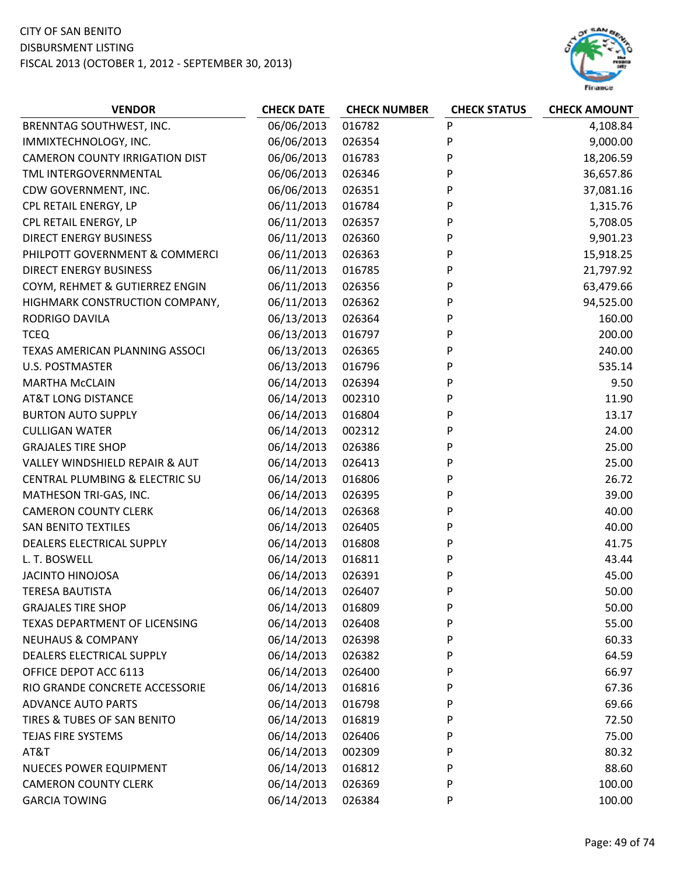

| <b>VENDOR</b>                         | <b>CHECK DATE</b> | <b>CHECK NUMBER</b> | <b>CHECK STATUS</b> | <b>CHECK AMOUNT</b> |
|---------------------------------------|-------------------|---------------------|---------------------|---------------------|
| BRENNTAG SOUTHWEST, INC.              | 06/06/2013        | 016782              | P                   | 4,108.84            |
| IMMIXTECHNOLOGY, INC.                 | 06/06/2013        | 026354              | P                   | 9,000.00            |
| <b>CAMERON COUNTY IRRIGATION DIST</b> | 06/06/2013        | 016783              | P                   | 18,206.59           |
| TML INTERGOVERNMENTAL                 | 06/06/2013        | 026346              | P                   | 36,657.86           |
| CDW GOVERNMENT, INC.                  | 06/06/2013        | 026351              | P                   | 37,081.16           |
| CPL RETAIL ENERGY, LP                 | 06/11/2013        | 016784              | P                   | 1,315.76            |
| CPL RETAIL ENERGY, LP                 | 06/11/2013        | 026357              | P                   | 5,708.05            |
| <b>DIRECT ENERGY BUSINESS</b>         | 06/11/2013        | 026360              | P                   | 9,901.23            |
| PHILPOTT GOVERNMENT & COMMERCI        | 06/11/2013        | 026363              | P                   | 15,918.25           |
| <b>DIRECT ENERGY BUSINESS</b>         | 06/11/2013        | 016785              | P                   | 21,797.92           |
| COYM, REHMET & GUTIERREZ ENGIN        | 06/11/2013        | 026356              | P                   | 63,479.66           |
| HIGHMARK CONSTRUCTION COMPANY,        | 06/11/2013        | 026362              | P                   | 94,525.00           |
| <b>RODRIGO DAVILA</b>                 | 06/13/2013        | 026364              | P                   | 160.00              |
| <b>TCEQ</b>                           | 06/13/2013        | 016797              | P                   | 200.00              |
| TEXAS AMERICAN PLANNING ASSOCI        | 06/13/2013        | 026365              | P                   | 240.00              |
| <b>U.S. POSTMASTER</b>                | 06/13/2013        | 016796              | P                   | 535.14              |
| <b>MARTHA McCLAIN</b>                 | 06/14/2013        | 026394              | P                   | 9.50                |
| <b>AT&amp;T LONG DISTANCE</b>         | 06/14/2013        | 002310              | P                   | 11.90               |
| <b>BURTON AUTO SUPPLY</b>             | 06/14/2013        | 016804              | P                   | 13.17               |
| <b>CULLIGAN WATER</b>                 | 06/14/2013        | 002312              | P                   | 24.00               |
| <b>GRAJALES TIRE SHOP</b>             | 06/14/2013        | 026386              | P                   | 25.00               |
| VALLEY WINDSHIELD REPAIR & AUT        | 06/14/2013        | 026413              | P                   | 25.00               |
| CENTRAL PLUMBING & ELECTRIC SU        | 06/14/2013        | 016806              | P                   | 26.72               |
| MATHESON TRI-GAS, INC.                | 06/14/2013        | 026395              | P                   | 39.00               |
| <b>CAMERON COUNTY CLERK</b>           | 06/14/2013        | 026368              | P                   | 40.00               |
| <b>SAN BENITO TEXTILES</b>            | 06/14/2013        | 026405              | P                   | 40.00               |
| DEALERS ELECTRICAL SUPPLY             | 06/14/2013        | 016808              | P                   | 41.75               |
| L. T. BOSWELL                         | 06/14/2013        | 016811              | P                   | 43.44               |
| <b>JACINTO HINOJOSA</b>               | 06/14/2013        | 026391              | P                   | 45.00               |
| <b>TERESA BAUTISTA</b>                | 06/14/2013        | 026407              | P                   | 50.00               |
| <b>GRAJALES TIRE SHOP</b>             | 06/14/2013        | 016809              | P                   | 50.00               |
| TEXAS DEPARTMENT OF LICENSING         | 06/14/2013        | 026408              | P                   | 55.00               |
| <b>NEUHAUS &amp; COMPANY</b>          | 06/14/2013        | 026398              | P                   | 60.33               |
| DEALERS ELECTRICAL SUPPLY             | 06/14/2013        | 026382              | P                   | 64.59               |
| OFFICE DEPOT ACC 6113                 | 06/14/2013        | 026400              | P                   | 66.97               |
| RIO GRANDE CONCRETE ACCESSORIE        | 06/14/2013        | 016816              | P                   | 67.36               |
| <b>ADVANCE AUTO PARTS</b>             | 06/14/2013        | 016798              | P                   | 69.66               |
| TIRES & TUBES OF SAN BENITO           | 06/14/2013        | 016819              | P                   | 72.50               |
| TEJAS FIRE SYSTEMS                    | 06/14/2013        | 026406              | P                   | 75.00               |
| AT&T                                  | 06/14/2013        | 002309              | P                   | 80.32               |
| <b>NUECES POWER EQUIPMENT</b>         | 06/14/2013        | 016812              | P                   | 88.60               |
| <b>CAMERON COUNTY CLERK</b>           | 06/14/2013        | 026369              | P                   | 100.00              |
| <b>GARCIA TOWING</b>                  | 06/14/2013        | 026384              | P                   | 100.00              |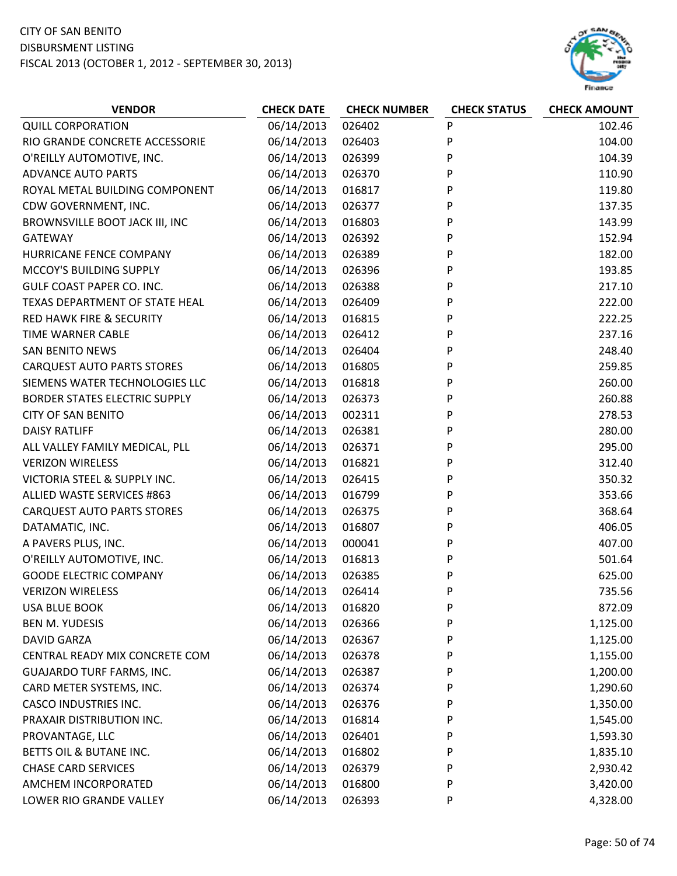

| <b>VENDOR</b>                        | <b>CHECK DATE</b> | <b>CHECK NUMBER</b> | <b>CHECK STATUS</b> | <b>CHECK AMOUNT</b> |
|--------------------------------------|-------------------|---------------------|---------------------|---------------------|
| <b>QUILL CORPORATION</b>             | 06/14/2013        | 026402              | P                   | 102.46              |
| RIO GRANDE CONCRETE ACCESSORIE       | 06/14/2013        | 026403              | P                   | 104.00              |
| O'REILLY AUTOMOTIVE, INC.            | 06/14/2013        | 026399              | P                   | 104.39              |
| <b>ADVANCE AUTO PARTS</b>            | 06/14/2013        | 026370              | P                   | 110.90              |
| ROYAL METAL BUILDING COMPONENT       | 06/14/2013        | 016817              | P                   | 119.80              |
| CDW GOVERNMENT, INC.                 | 06/14/2013        | 026377              | P                   | 137.35              |
| BROWNSVILLE BOOT JACK III, INC       | 06/14/2013        | 016803              | P                   | 143.99              |
| <b>GATEWAY</b>                       | 06/14/2013        | 026392              | P                   | 152.94              |
| HURRICANE FENCE COMPANY              | 06/14/2013        | 026389              | P                   | 182.00              |
| MCCOY'S BUILDING SUPPLY              | 06/14/2013        | 026396              | P                   | 193.85              |
| <b>GULF COAST PAPER CO. INC.</b>     | 06/14/2013        | 026388              | P                   | 217.10              |
| TEXAS DEPARTMENT OF STATE HEAL       | 06/14/2013        | 026409              | P                   | 222.00              |
| <b>RED HAWK FIRE &amp; SECURITY</b>  | 06/14/2013        | 016815              | P                   | 222.25              |
| <b>TIME WARNER CABLE</b>             | 06/14/2013        | 026412              | P                   | 237.16              |
| <b>SAN BENITO NEWS</b>               | 06/14/2013        | 026404              | P                   | 248.40              |
| <b>CARQUEST AUTO PARTS STORES</b>    | 06/14/2013        | 016805              | P                   | 259.85              |
| SIEMENS WATER TECHNOLOGIES LLC       | 06/14/2013        | 016818              | P                   | 260.00              |
| <b>BORDER STATES ELECTRIC SUPPLY</b> | 06/14/2013        | 026373              | P                   | 260.88              |
| <b>CITY OF SAN BENITO</b>            | 06/14/2013        | 002311              | P                   | 278.53              |
| <b>DAISY RATLIFF</b>                 | 06/14/2013        | 026381              | P                   | 280.00              |
| ALL VALLEY FAMILY MEDICAL, PLL       | 06/14/2013        | 026371              | P                   | 295.00              |
| <b>VERIZON WIRELESS</b>              | 06/14/2013        | 016821              | P                   | 312.40              |
| VICTORIA STEEL & SUPPLY INC.         | 06/14/2013        | 026415              | P                   | 350.32              |
| ALLIED WASTE SERVICES #863           | 06/14/2013        | 016799              | P                   | 353.66              |
| <b>CARQUEST AUTO PARTS STORES</b>    | 06/14/2013        | 026375              | P                   | 368.64              |
| DATAMATIC, INC.                      | 06/14/2013        | 016807              | P                   | 406.05              |
| A PAVERS PLUS, INC.                  | 06/14/2013        | 000041              | P                   | 407.00              |
| O'REILLY AUTOMOTIVE, INC.            | 06/14/2013        | 016813              | P                   | 501.64              |
| <b>GOODE ELECTRIC COMPANY</b>        | 06/14/2013        | 026385              | P                   | 625.00              |
| <b>VERIZON WIRELESS</b>              | 06/14/2013        | 026414              | P                   | 735.56              |
| <b>USA BLUE BOOK</b>                 | 06/14/2013        | 016820              | P                   | 872.09              |
| <b>BEN M. YUDESIS</b>                | 06/14/2013        | 026366              | P                   | 1,125.00            |
| <b>DAVID GARZA</b>                   | 06/14/2013        | 026367              | P                   | 1,125.00            |
| CENTRAL READY MIX CONCRETE COM       | 06/14/2013        | 026378              | P                   | 1,155.00            |
| <b>GUAJARDO TURF FARMS, INC.</b>     | 06/14/2013        | 026387              | P                   | 1,200.00            |
| CARD METER SYSTEMS, INC.             | 06/14/2013        | 026374              | P                   | 1,290.60            |
| <b>CASCO INDUSTRIES INC.</b>         | 06/14/2013        | 026376              | P                   | 1,350.00            |
| PRAXAIR DISTRIBUTION INC.            | 06/14/2013        | 016814              | P                   | 1,545.00            |
| PROVANTAGE, LLC                      | 06/14/2013        | 026401              | P                   | 1,593.30            |
| BETTS OIL & BUTANE INC.              | 06/14/2013        | 016802              | P                   | 1,835.10            |
| <b>CHASE CARD SERVICES</b>           | 06/14/2013        | 026379              | P                   | 2,930.42            |
| AMCHEM INCORPORATED                  | 06/14/2013        | 016800              | P                   | 3,420.00            |
| LOWER RIO GRANDE VALLEY              | 06/14/2013        | 026393              | P                   | 4,328.00            |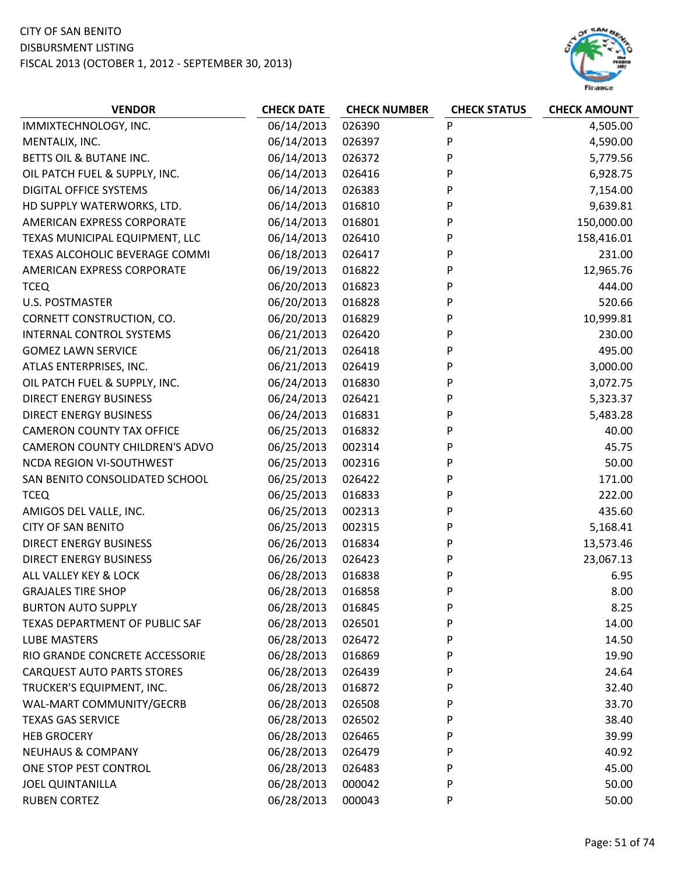

| <b>VENDOR</b>                     | <b>CHECK DATE</b> | <b>CHECK NUMBER</b> | <b>CHECK STATUS</b> | <b>CHECK AMOUNT</b> |
|-----------------------------------|-------------------|---------------------|---------------------|---------------------|
| IMMIXTECHNOLOGY, INC.             | 06/14/2013        | 026390              | P                   | 4,505.00            |
| MENTALIX, INC.                    | 06/14/2013        | 026397              | P                   | 4,590.00            |
| BETTS OIL & BUTANE INC.           | 06/14/2013        | 026372              | P                   | 5,779.56            |
| OIL PATCH FUEL & SUPPLY, INC.     | 06/14/2013        | 026416              | P                   | 6,928.75            |
| <b>DIGITAL OFFICE SYSTEMS</b>     | 06/14/2013        | 026383              | P                   | 7,154.00            |
| HD SUPPLY WATERWORKS, LTD.        | 06/14/2013        | 016810              | P                   | 9,639.81            |
| AMERICAN EXPRESS CORPORATE        | 06/14/2013        | 016801              | P                   | 150,000.00          |
| TEXAS MUNICIPAL EQUIPMENT, LLC    | 06/14/2013        | 026410              | P                   | 158,416.01          |
| TEXAS ALCOHOLIC BEVERAGE COMMI    | 06/18/2013        | 026417              | P                   | 231.00              |
| AMERICAN EXPRESS CORPORATE        | 06/19/2013        | 016822              | P                   | 12,965.76           |
| <b>TCEQ</b>                       | 06/20/2013        | 016823              | P                   | 444.00              |
| <b>U.S. POSTMASTER</b>            | 06/20/2013        | 016828              | P                   | 520.66              |
| CORNETT CONSTRUCTION, CO.         | 06/20/2013        | 016829              | P                   | 10,999.81           |
| <b>INTERNAL CONTROL SYSTEMS</b>   | 06/21/2013        | 026420              | P                   | 230.00              |
| <b>GOMEZ LAWN SERVICE</b>         | 06/21/2013        | 026418              | P                   | 495.00              |
| ATLAS ENTERPRISES, INC.           | 06/21/2013        | 026419              | P                   | 3,000.00            |
| OIL PATCH FUEL & SUPPLY, INC.     | 06/24/2013        | 016830              | P                   | 3,072.75            |
| <b>DIRECT ENERGY BUSINESS</b>     | 06/24/2013        | 026421              | P                   | 5,323.37            |
| <b>DIRECT ENERGY BUSINESS</b>     | 06/24/2013        | 016831              | P                   | 5,483.28            |
| <b>CAMERON COUNTY TAX OFFICE</b>  | 06/25/2013        | 016832              | P                   | 40.00               |
| CAMERON COUNTY CHILDREN'S ADVO    | 06/25/2013        | 002314              | P                   | 45.75               |
| <b>NCDA REGION VI-SOUTHWEST</b>   | 06/25/2013        | 002316              | P                   | 50.00               |
| SAN BENITO CONSOLIDATED SCHOOL    | 06/25/2013        | 026422              | P                   | 171.00              |
| <b>TCEQ</b>                       | 06/25/2013        | 016833              | P                   | 222.00              |
| AMIGOS DEL VALLE, INC.            | 06/25/2013        | 002313              | P                   | 435.60              |
| <b>CITY OF SAN BENITO</b>         | 06/25/2013        | 002315              | P                   | 5,168.41            |
| <b>DIRECT ENERGY BUSINESS</b>     | 06/26/2013        | 016834              | P                   | 13,573.46           |
| <b>DIRECT ENERGY BUSINESS</b>     | 06/26/2013        | 026423              | P                   | 23,067.13           |
| ALL VALLEY KEY & LOCK             | 06/28/2013        | 016838              | P                   | 6.95                |
| <b>GRAJALES TIRE SHOP</b>         | 06/28/2013        | 016858              | P                   | 8.00                |
| <b>BURTON AUTO SUPPLY</b>         | 06/28/2013        | 016845              | P                   | 8.25                |
| TEXAS DEPARTMENT OF PUBLIC SAF    | 06/28/2013        | 026501              | P                   | 14.00               |
| <b>LUBE MASTERS</b>               | 06/28/2013        | 026472              | P                   | 14.50               |
| RIO GRANDE CONCRETE ACCESSORIE    | 06/28/2013        | 016869              | P                   | 19.90               |
| <b>CARQUEST AUTO PARTS STORES</b> | 06/28/2013        | 026439              | P                   | 24.64               |
| TRUCKER'S EQUIPMENT, INC.         | 06/28/2013        | 016872              | P                   | 32.40               |
| WAL-MART COMMUNITY/GECRB          | 06/28/2013        | 026508              | P                   | 33.70               |
| <b>TEXAS GAS SERVICE</b>          | 06/28/2013        | 026502              | P                   | 38.40               |
| <b>HEB GROCERY</b>                | 06/28/2013        | 026465              | P                   | 39.99               |
| <b>NEUHAUS &amp; COMPANY</b>      | 06/28/2013        | 026479              | P                   | 40.92               |
| ONE STOP PEST CONTROL             | 06/28/2013        | 026483              | P                   | 45.00               |
| <b>JOEL QUINTANILLA</b>           | 06/28/2013        | 000042              | P                   | 50.00               |
| <b>RUBEN CORTEZ</b>               | 06/28/2013        | 000043              | P                   | 50.00               |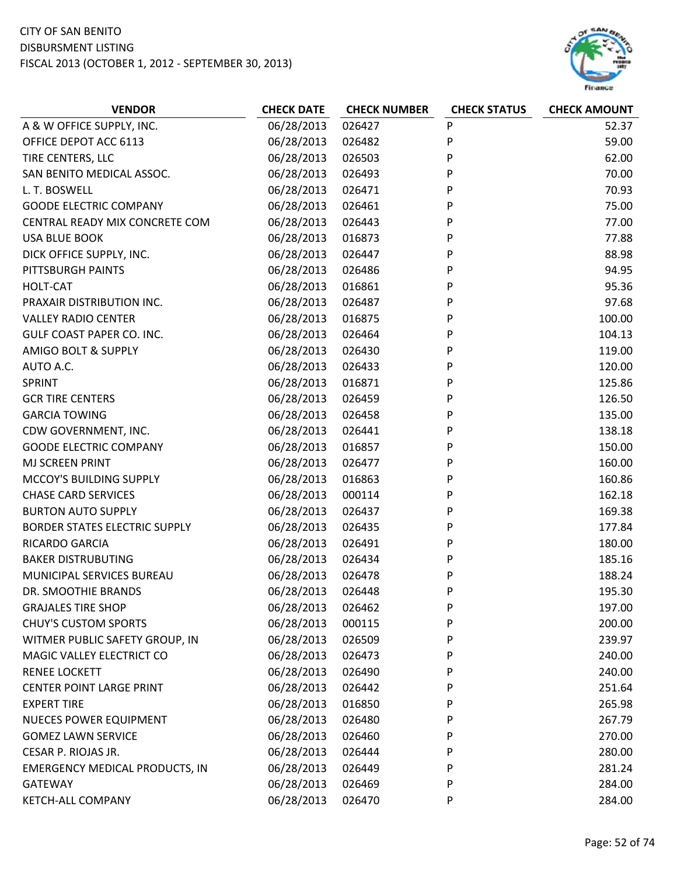## CITY OF SAN BENITO

#### DISBURSMENT LISTING

FISCAL 2013 (OCTOBER 1, 2012 ‐ SEPTEMBER 30, 2013)



| A & W OFFICE SUPPLY, INC.<br>06/28/2013<br>P<br>026427<br>52.37<br>P<br>06/28/2013<br>OFFICE DEPOT ACC 6113<br>026482<br>59.00<br>P<br>TIRE CENTERS, LLC<br>06/28/2013<br>026503<br>62.00<br>P<br>06/28/2013<br>70.00<br>SAN BENITO MEDICAL ASSOC.<br>026493<br>P<br>L. T. BOSWELL<br>06/28/2013<br>026471<br>70.93<br>P<br><b>GOODE ELECTRIC COMPANY</b><br>06/28/2013<br>026461<br>75.00<br>P<br>CENTRAL READY MIX CONCRETE COM<br>06/28/2013<br>026443<br>77.00<br>P<br><b>USA BLUE BOOK</b><br>06/28/2013<br>77.88<br>016873<br>P<br>DICK OFFICE SUPPLY, INC.<br>06/28/2013<br>026447<br>88.98<br>P<br>06/28/2013<br>PITTSBURGH PAINTS<br>026486<br>94.95<br>P<br>06/28/2013<br>95.36<br>HOLT-CAT<br>016861<br>P<br>06/28/2013<br>97.68<br>PRAXAIR DISTRIBUTION INC.<br>026487<br>P<br><b>VALLEY RADIO CENTER</b><br>06/28/2013<br>016875<br>100.00<br>P<br>GULF COAST PAPER CO. INC.<br>06/28/2013<br>104.13<br>026464<br>P<br><b>AMIGO BOLT &amp; SUPPLY</b><br>06/28/2013<br>026430<br>119.00<br>P<br>AUTO A.C.<br>06/28/2013<br>026433<br>120.00<br>P<br>06/28/2013<br>125.86<br>SPRINT<br>016871<br><b>GCR TIRE CENTERS</b><br>06/28/2013<br>P<br>126.50<br>026459<br>P<br><b>GARCIA TOWING</b><br>06/28/2013<br>135.00<br>026458<br>06/28/2013<br>026441<br>P<br>138.18<br>CDW GOVERNMENT, INC.<br>P<br><b>GOODE ELECTRIC COMPANY</b><br>06/28/2013<br>150.00<br>016857<br>P<br>06/28/2013<br>160.00<br>MJ SCREEN PRINT<br>026477<br>P<br>MCCOY'S BUILDING SUPPLY<br>06/28/2013<br>160.86<br>016863<br>P<br><b>CHASE CARD SERVICES</b><br>06/28/2013<br>000114<br>162.18<br>06/28/2013<br>P<br>169.38<br><b>BURTON AUTO SUPPLY</b><br>026437<br>P<br>06/28/2013<br>177.84<br><b>BORDER STATES ELECTRIC SUPPLY</b><br>026435<br>06/28/2013<br>P<br>RICARDO GARCIA<br>026491<br>180.00<br>P<br><b>BAKER DISTRUBUTING</b><br>06/28/2013<br>185.16<br>026434<br>06/28/2013<br>P<br>188.24<br>MUNICIPAL SERVICES BUREAU<br>026478<br>06/28/2013<br>P<br>195.30<br>DR. SMOOTHIE BRANDS<br>026448<br>06/28/2013<br>P<br><b>GRAJALES TIRE SHOP</b><br>026462<br>197.00<br>06/28/2013<br><b>CHUY'S CUSTOM SPORTS</b><br>000115<br>P<br>200.00<br>06/28/2013<br>P<br>WITMER PUBLIC SAFETY GROUP, IN<br>026509<br>239.97<br>06/28/2013<br>P<br>MAGIC VALLEY ELECTRICT CO<br>026473<br>240.00<br>06/28/2013<br>P<br>240.00<br><b>RENEE LOCKETT</b><br>026490<br>06/28/2013<br>P<br><b>CENTER POINT LARGE PRINT</b><br>251.64<br>026442<br>06/28/2013<br><b>EXPERT TIRE</b><br>016850<br>P<br>265.98<br>06/28/2013<br>P<br><b>NUECES POWER EQUIPMENT</b><br>026480<br>267.79<br>06/28/2013<br>P<br>270.00<br><b>GOMEZ LAWN SERVICE</b><br>026460<br>CESAR P. RIOJAS JR.<br>06/28/2013<br>P<br>280.00<br>026444<br>06/28/2013<br>P<br><b>EMERGENCY MEDICAL PRODUCTS, IN</b><br>026449<br>281.24<br>06/28/2013<br><b>GATEWAY</b><br>026469<br>P<br>284.00 | <b>VENDOR</b>            | <b>CHECK DATE</b> | <b>CHECK NUMBER</b> | <b>CHECK STATUS</b> | <b>CHECK AMOUNT</b> |
|------------------------------------------------------------------------------------------------------------------------------------------------------------------------------------------------------------------------------------------------------------------------------------------------------------------------------------------------------------------------------------------------------------------------------------------------------------------------------------------------------------------------------------------------------------------------------------------------------------------------------------------------------------------------------------------------------------------------------------------------------------------------------------------------------------------------------------------------------------------------------------------------------------------------------------------------------------------------------------------------------------------------------------------------------------------------------------------------------------------------------------------------------------------------------------------------------------------------------------------------------------------------------------------------------------------------------------------------------------------------------------------------------------------------------------------------------------------------------------------------------------------------------------------------------------------------------------------------------------------------------------------------------------------------------------------------------------------------------------------------------------------------------------------------------------------------------------------------------------------------------------------------------------------------------------------------------------------------------------------------------------------------------------------------------------------------------------------------------------------------------------------------------------------------------------------------------------------------------------------------------------------------------------------------------------------------------------------------------------------------------------------------------------------------------------------------------------------------------------------------------------------------------------------------------------------------------------------------------------------------------------------------------------------------------------------------------------------------------------------------------------------------------------------------------------------------------------------------------|--------------------------|-------------------|---------------------|---------------------|---------------------|
|                                                                                                                                                                                                                                                                                                                                                                                                                                                                                                                                                                                                                                                                                                                                                                                                                                                                                                                                                                                                                                                                                                                                                                                                                                                                                                                                                                                                                                                                                                                                                                                                                                                                                                                                                                                                                                                                                                                                                                                                                                                                                                                                                                                                                                                                                                                                                                                                                                                                                                                                                                                                                                                                                                                                                                                                                                                      |                          |                   |                     |                     |                     |
|                                                                                                                                                                                                                                                                                                                                                                                                                                                                                                                                                                                                                                                                                                                                                                                                                                                                                                                                                                                                                                                                                                                                                                                                                                                                                                                                                                                                                                                                                                                                                                                                                                                                                                                                                                                                                                                                                                                                                                                                                                                                                                                                                                                                                                                                                                                                                                                                                                                                                                                                                                                                                                                                                                                                                                                                                                                      |                          |                   |                     |                     |                     |
|                                                                                                                                                                                                                                                                                                                                                                                                                                                                                                                                                                                                                                                                                                                                                                                                                                                                                                                                                                                                                                                                                                                                                                                                                                                                                                                                                                                                                                                                                                                                                                                                                                                                                                                                                                                                                                                                                                                                                                                                                                                                                                                                                                                                                                                                                                                                                                                                                                                                                                                                                                                                                                                                                                                                                                                                                                                      |                          |                   |                     |                     |                     |
|                                                                                                                                                                                                                                                                                                                                                                                                                                                                                                                                                                                                                                                                                                                                                                                                                                                                                                                                                                                                                                                                                                                                                                                                                                                                                                                                                                                                                                                                                                                                                                                                                                                                                                                                                                                                                                                                                                                                                                                                                                                                                                                                                                                                                                                                                                                                                                                                                                                                                                                                                                                                                                                                                                                                                                                                                                                      |                          |                   |                     |                     |                     |
|                                                                                                                                                                                                                                                                                                                                                                                                                                                                                                                                                                                                                                                                                                                                                                                                                                                                                                                                                                                                                                                                                                                                                                                                                                                                                                                                                                                                                                                                                                                                                                                                                                                                                                                                                                                                                                                                                                                                                                                                                                                                                                                                                                                                                                                                                                                                                                                                                                                                                                                                                                                                                                                                                                                                                                                                                                                      |                          |                   |                     |                     |                     |
|                                                                                                                                                                                                                                                                                                                                                                                                                                                                                                                                                                                                                                                                                                                                                                                                                                                                                                                                                                                                                                                                                                                                                                                                                                                                                                                                                                                                                                                                                                                                                                                                                                                                                                                                                                                                                                                                                                                                                                                                                                                                                                                                                                                                                                                                                                                                                                                                                                                                                                                                                                                                                                                                                                                                                                                                                                                      |                          |                   |                     |                     |                     |
|                                                                                                                                                                                                                                                                                                                                                                                                                                                                                                                                                                                                                                                                                                                                                                                                                                                                                                                                                                                                                                                                                                                                                                                                                                                                                                                                                                                                                                                                                                                                                                                                                                                                                                                                                                                                                                                                                                                                                                                                                                                                                                                                                                                                                                                                                                                                                                                                                                                                                                                                                                                                                                                                                                                                                                                                                                                      |                          |                   |                     |                     |                     |
|                                                                                                                                                                                                                                                                                                                                                                                                                                                                                                                                                                                                                                                                                                                                                                                                                                                                                                                                                                                                                                                                                                                                                                                                                                                                                                                                                                                                                                                                                                                                                                                                                                                                                                                                                                                                                                                                                                                                                                                                                                                                                                                                                                                                                                                                                                                                                                                                                                                                                                                                                                                                                                                                                                                                                                                                                                                      |                          |                   |                     |                     |                     |
|                                                                                                                                                                                                                                                                                                                                                                                                                                                                                                                                                                                                                                                                                                                                                                                                                                                                                                                                                                                                                                                                                                                                                                                                                                                                                                                                                                                                                                                                                                                                                                                                                                                                                                                                                                                                                                                                                                                                                                                                                                                                                                                                                                                                                                                                                                                                                                                                                                                                                                                                                                                                                                                                                                                                                                                                                                                      |                          |                   |                     |                     |                     |
|                                                                                                                                                                                                                                                                                                                                                                                                                                                                                                                                                                                                                                                                                                                                                                                                                                                                                                                                                                                                                                                                                                                                                                                                                                                                                                                                                                                                                                                                                                                                                                                                                                                                                                                                                                                                                                                                                                                                                                                                                                                                                                                                                                                                                                                                                                                                                                                                                                                                                                                                                                                                                                                                                                                                                                                                                                                      |                          |                   |                     |                     |                     |
|                                                                                                                                                                                                                                                                                                                                                                                                                                                                                                                                                                                                                                                                                                                                                                                                                                                                                                                                                                                                                                                                                                                                                                                                                                                                                                                                                                                                                                                                                                                                                                                                                                                                                                                                                                                                                                                                                                                                                                                                                                                                                                                                                                                                                                                                                                                                                                                                                                                                                                                                                                                                                                                                                                                                                                                                                                                      |                          |                   |                     |                     |                     |
|                                                                                                                                                                                                                                                                                                                                                                                                                                                                                                                                                                                                                                                                                                                                                                                                                                                                                                                                                                                                                                                                                                                                                                                                                                                                                                                                                                                                                                                                                                                                                                                                                                                                                                                                                                                                                                                                                                                                                                                                                                                                                                                                                                                                                                                                                                                                                                                                                                                                                                                                                                                                                                                                                                                                                                                                                                                      |                          |                   |                     |                     |                     |
|                                                                                                                                                                                                                                                                                                                                                                                                                                                                                                                                                                                                                                                                                                                                                                                                                                                                                                                                                                                                                                                                                                                                                                                                                                                                                                                                                                                                                                                                                                                                                                                                                                                                                                                                                                                                                                                                                                                                                                                                                                                                                                                                                                                                                                                                                                                                                                                                                                                                                                                                                                                                                                                                                                                                                                                                                                                      |                          |                   |                     |                     |                     |
|                                                                                                                                                                                                                                                                                                                                                                                                                                                                                                                                                                                                                                                                                                                                                                                                                                                                                                                                                                                                                                                                                                                                                                                                                                                                                                                                                                                                                                                                                                                                                                                                                                                                                                                                                                                                                                                                                                                                                                                                                                                                                                                                                                                                                                                                                                                                                                                                                                                                                                                                                                                                                                                                                                                                                                                                                                                      |                          |                   |                     |                     |                     |
|                                                                                                                                                                                                                                                                                                                                                                                                                                                                                                                                                                                                                                                                                                                                                                                                                                                                                                                                                                                                                                                                                                                                                                                                                                                                                                                                                                                                                                                                                                                                                                                                                                                                                                                                                                                                                                                                                                                                                                                                                                                                                                                                                                                                                                                                                                                                                                                                                                                                                                                                                                                                                                                                                                                                                                                                                                                      |                          |                   |                     |                     |                     |
|                                                                                                                                                                                                                                                                                                                                                                                                                                                                                                                                                                                                                                                                                                                                                                                                                                                                                                                                                                                                                                                                                                                                                                                                                                                                                                                                                                                                                                                                                                                                                                                                                                                                                                                                                                                                                                                                                                                                                                                                                                                                                                                                                                                                                                                                                                                                                                                                                                                                                                                                                                                                                                                                                                                                                                                                                                                      |                          |                   |                     |                     |                     |
|                                                                                                                                                                                                                                                                                                                                                                                                                                                                                                                                                                                                                                                                                                                                                                                                                                                                                                                                                                                                                                                                                                                                                                                                                                                                                                                                                                                                                                                                                                                                                                                                                                                                                                                                                                                                                                                                                                                                                                                                                                                                                                                                                                                                                                                                                                                                                                                                                                                                                                                                                                                                                                                                                                                                                                                                                                                      |                          |                   |                     |                     |                     |
|                                                                                                                                                                                                                                                                                                                                                                                                                                                                                                                                                                                                                                                                                                                                                                                                                                                                                                                                                                                                                                                                                                                                                                                                                                                                                                                                                                                                                                                                                                                                                                                                                                                                                                                                                                                                                                                                                                                                                                                                                                                                                                                                                                                                                                                                                                                                                                                                                                                                                                                                                                                                                                                                                                                                                                                                                                                      |                          |                   |                     |                     |                     |
|                                                                                                                                                                                                                                                                                                                                                                                                                                                                                                                                                                                                                                                                                                                                                                                                                                                                                                                                                                                                                                                                                                                                                                                                                                                                                                                                                                                                                                                                                                                                                                                                                                                                                                                                                                                                                                                                                                                                                                                                                                                                                                                                                                                                                                                                                                                                                                                                                                                                                                                                                                                                                                                                                                                                                                                                                                                      |                          |                   |                     |                     |                     |
|                                                                                                                                                                                                                                                                                                                                                                                                                                                                                                                                                                                                                                                                                                                                                                                                                                                                                                                                                                                                                                                                                                                                                                                                                                                                                                                                                                                                                                                                                                                                                                                                                                                                                                                                                                                                                                                                                                                                                                                                                                                                                                                                                                                                                                                                                                                                                                                                                                                                                                                                                                                                                                                                                                                                                                                                                                                      |                          |                   |                     |                     |                     |
|                                                                                                                                                                                                                                                                                                                                                                                                                                                                                                                                                                                                                                                                                                                                                                                                                                                                                                                                                                                                                                                                                                                                                                                                                                                                                                                                                                                                                                                                                                                                                                                                                                                                                                                                                                                                                                                                                                                                                                                                                                                                                                                                                                                                                                                                                                                                                                                                                                                                                                                                                                                                                                                                                                                                                                                                                                                      |                          |                   |                     |                     |                     |
|                                                                                                                                                                                                                                                                                                                                                                                                                                                                                                                                                                                                                                                                                                                                                                                                                                                                                                                                                                                                                                                                                                                                                                                                                                                                                                                                                                                                                                                                                                                                                                                                                                                                                                                                                                                                                                                                                                                                                                                                                                                                                                                                                                                                                                                                                                                                                                                                                                                                                                                                                                                                                                                                                                                                                                                                                                                      |                          |                   |                     |                     |                     |
|                                                                                                                                                                                                                                                                                                                                                                                                                                                                                                                                                                                                                                                                                                                                                                                                                                                                                                                                                                                                                                                                                                                                                                                                                                                                                                                                                                                                                                                                                                                                                                                                                                                                                                                                                                                                                                                                                                                                                                                                                                                                                                                                                                                                                                                                                                                                                                                                                                                                                                                                                                                                                                                                                                                                                                                                                                                      |                          |                   |                     |                     |                     |
|                                                                                                                                                                                                                                                                                                                                                                                                                                                                                                                                                                                                                                                                                                                                                                                                                                                                                                                                                                                                                                                                                                                                                                                                                                                                                                                                                                                                                                                                                                                                                                                                                                                                                                                                                                                                                                                                                                                                                                                                                                                                                                                                                                                                                                                                                                                                                                                                                                                                                                                                                                                                                                                                                                                                                                                                                                                      |                          |                   |                     |                     |                     |
|                                                                                                                                                                                                                                                                                                                                                                                                                                                                                                                                                                                                                                                                                                                                                                                                                                                                                                                                                                                                                                                                                                                                                                                                                                                                                                                                                                                                                                                                                                                                                                                                                                                                                                                                                                                                                                                                                                                                                                                                                                                                                                                                                                                                                                                                                                                                                                                                                                                                                                                                                                                                                                                                                                                                                                                                                                                      |                          |                   |                     |                     |                     |
|                                                                                                                                                                                                                                                                                                                                                                                                                                                                                                                                                                                                                                                                                                                                                                                                                                                                                                                                                                                                                                                                                                                                                                                                                                                                                                                                                                                                                                                                                                                                                                                                                                                                                                                                                                                                                                                                                                                                                                                                                                                                                                                                                                                                                                                                                                                                                                                                                                                                                                                                                                                                                                                                                                                                                                                                                                                      |                          |                   |                     |                     |                     |
|                                                                                                                                                                                                                                                                                                                                                                                                                                                                                                                                                                                                                                                                                                                                                                                                                                                                                                                                                                                                                                                                                                                                                                                                                                                                                                                                                                                                                                                                                                                                                                                                                                                                                                                                                                                                                                                                                                                                                                                                                                                                                                                                                                                                                                                                                                                                                                                                                                                                                                                                                                                                                                                                                                                                                                                                                                                      |                          |                   |                     |                     |                     |
|                                                                                                                                                                                                                                                                                                                                                                                                                                                                                                                                                                                                                                                                                                                                                                                                                                                                                                                                                                                                                                                                                                                                                                                                                                                                                                                                                                                                                                                                                                                                                                                                                                                                                                                                                                                                                                                                                                                                                                                                                                                                                                                                                                                                                                                                                                                                                                                                                                                                                                                                                                                                                                                                                                                                                                                                                                                      |                          |                   |                     |                     |                     |
|                                                                                                                                                                                                                                                                                                                                                                                                                                                                                                                                                                                                                                                                                                                                                                                                                                                                                                                                                                                                                                                                                                                                                                                                                                                                                                                                                                                                                                                                                                                                                                                                                                                                                                                                                                                                                                                                                                                                                                                                                                                                                                                                                                                                                                                                                                                                                                                                                                                                                                                                                                                                                                                                                                                                                                                                                                                      |                          |                   |                     |                     |                     |
|                                                                                                                                                                                                                                                                                                                                                                                                                                                                                                                                                                                                                                                                                                                                                                                                                                                                                                                                                                                                                                                                                                                                                                                                                                                                                                                                                                                                                                                                                                                                                                                                                                                                                                                                                                                                                                                                                                                                                                                                                                                                                                                                                                                                                                                                                                                                                                                                                                                                                                                                                                                                                                                                                                                                                                                                                                                      |                          |                   |                     |                     |                     |
|                                                                                                                                                                                                                                                                                                                                                                                                                                                                                                                                                                                                                                                                                                                                                                                                                                                                                                                                                                                                                                                                                                                                                                                                                                                                                                                                                                                                                                                                                                                                                                                                                                                                                                                                                                                                                                                                                                                                                                                                                                                                                                                                                                                                                                                                                                                                                                                                                                                                                                                                                                                                                                                                                                                                                                                                                                                      |                          |                   |                     |                     |                     |
|                                                                                                                                                                                                                                                                                                                                                                                                                                                                                                                                                                                                                                                                                                                                                                                                                                                                                                                                                                                                                                                                                                                                                                                                                                                                                                                                                                                                                                                                                                                                                                                                                                                                                                                                                                                                                                                                                                                                                                                                                                                                                                                                                                                                                                                                                                                                                                                                                                                                                                                                                                                                                                                                                                                                                                                                                                                      |                          |                   |                     |                     |                     |
|                                                                                                                                                                                                                                                                                                                                                                                                                                                                                                                                                                                                                                                                                                                                                                                                                                                                                                                                                                                                                                                                                                                                                                                                                                                                                                                                                                                                                                                                                                                                                                                                                                                                                                                                                                                                                                                                                                                                                                                                                                                                                                                                                                                                                                                                                                                                                                                                                                                                                                                                                                                                                                                                                                                                                                                                                                                      |                          |                   |                     |                     |                     |
|                                                                                                                                                                                                                                                                                                                                                                                                                                                                                                                                                                                                                                                                                                                                                                                                                                                                                                                                                                                                                                                                                                                                                                                                                                                                                                                                                                                                                                                                                                                                                                                                                                                                                                                                                                                                                                                                                                                                                                                                                                                                                                                                                                                                                                                                                                                                                                                                                                                                                                                                                                                                                                                                                                                                                                                                                                                      |                          |                   |                     |                     |                     |
|                                                                                                                                                                                                                                                                                                                                                                                                                                                                                                                                                                                                                                                                                                                                                                                                                                                                                                                                                                                                                                                                                                                                                                                                                                                                                                                                                                                                                                                                                                                                                                                                                                                                                                                                                                                                                                                                                                                                                                                                                                                                                                                                                                                                                                                                                                                                                                                                                                                                                                                                                                                                                                                                                                                                                                                                                                                      |                          |                   |                     |                     |                     |
|                                                                                                                                                                                                                                                                                                                                                                                                                                                                                                                                                                                                                                                                                                                                                                                                                                                                                                                                                                                                                                                                                                                                                                                                                                                                                                                                                                                                                                                                                                                                                                                                                                                                                                                                                                                                                                                                                                                                                                                                                                                                                                                                                                                                                                                                                                                                                                                                                                                                                                                                                                                                                                                                                                                                                                                                                                                      |                          |                   |                     |                     |                     |
|                                                                                                                                                                                                                                                                                                                                                                                                                                                                                                                                                                                                                                                                                                                                                                                                                                                                                                                                                                                                                                                                                                                                                                                                                                                                                                                                                                                                                                                                                                                                                                                                                                                                                                                                                                                                                                                                                                                                                                                                                                                                                                                                                                                                                                                                                                                                                                                                                                                                                                                                                                                                                                                                                                                                                                                                                                                      |                          |                   |                     |                     |                     |
|                                                                                                                                                                                                                                                                                                                                                                                                                                                                                                                                                                                                                                                                                                                                                                                                                                                                                                                                                                                                                                                                                                                                                                                                                                                                                                                                                                                                                                                                                                                                                                                                                                                                                                                                                                                                                                                                                                                                                                                                                                                                                                                                                                                                                                                                                                                                                                                                                                                                                                                                                                                                                                                                                                                                                                                                                                                      |                          |                   |                     |                     |                     |
|                                                                                                                                                                                                                                                                                                                                                                                                                                                                                                                                                                                                                                                                                                                                                                                                                                                                                                                                                                                                                                                                                                                                                                                                                                                                                                                                                                                                                                                                                                                                                                                                                                                                                                                                                                                                                                                                                                                                                                                                                                                                                                                                                                                                                                                                                                                                                                                                                                                                                                                                                                                                                                                                                                                                                                                                                                                      |                          |                   |                     |                     |                     |
|                                                                                                                                                                                                                                                                                                                                                                                                                                                                                                                                                                                                                                                                                                                                                                                                                                                                                                                                                                                                                                                                                                                                                                                                                                                                                                                                                                                                                                                                                                                                                                                                                                                                                                                                                                                                                                                                                                                                                                                                                                                                                                                                                                                                                                                                                                                                                                                                                                                                                                                                                                                                                                                                                                                                                                                                                                                      |                          |                   |                     |                     |                     |
|                                                                                                                                                                                                                                                                                                                                                                                                                                                                                                                                                                                                                                                                                                                                                                                                                                                                                                                                                                                                                                                                                                                                                                                                                                                                                                                                                                                                                                                                                                                                                                                                                                                                                                                                                                                                                                                                                                                                                                                                                                                                                                                                                                                                                                                                                                                                                                                                                                                                                                                                                                                                                                                                                                                                                                                                                                                      |                          |                   |                     |                     |                     |
|                                                                                                                                                                                                                                                                                                                                                                                                                                                                                                                                                                                                                                                                                                                                                                                                                                                                                                                                                                                                                                                                                                                                                                                                                                                                                                                                                                                                                                                                                                                                                                                                                                                                                                                                                                                                                                                                                                                                                                                                                                                                                                                                                                                                                                                                                                                                                                                                                                                                                                                                                                                                                                                                                                                                                                                                                                                      |                          |                   |                     |                     |                     |
|                                                                                                                                                                                                                                                                                                                                                                                                                                                                                                                                                                                                                                                                                                                                                                                                                                                                                                                                                                                                                                                                                                                                                                                                                                                                                                                                                                                                                                                                                                                                                                                                                                                                                                                                                                                                                                                                                                                                                                                                                                                                                                                                                                                                                                                                                                                                                                                                                                                                                                                                                                                                                                                                                                                                                                                                                                                      | <b>KETCH-ALL COMPANY</b> | 06/28/2013        | 026470              | P                   | 284.00              |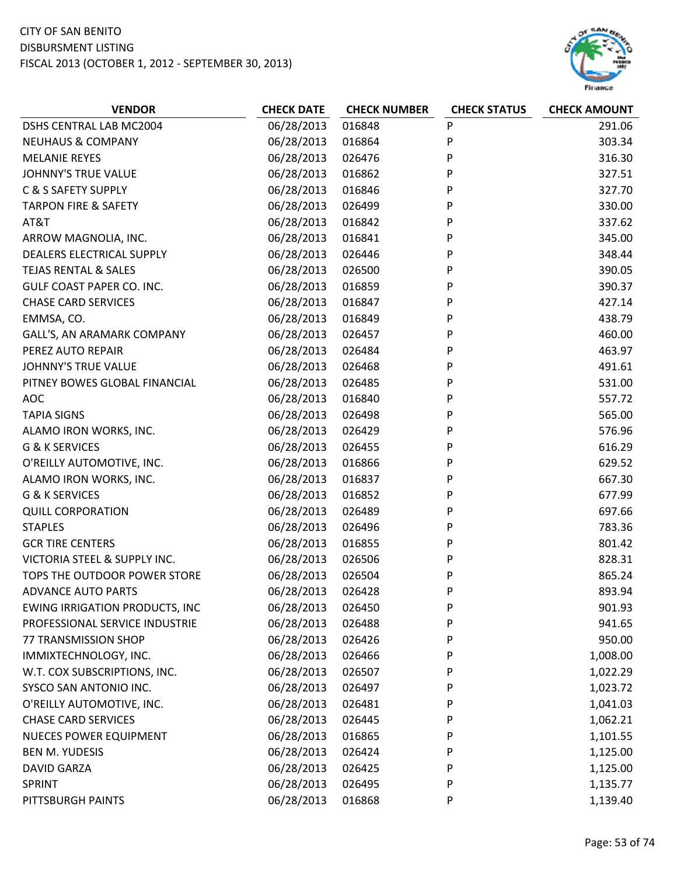# CITY OF SAN BENITO DISBURSMENT LISTING

FISCAL 2013 (OCTOBER 1, 2012 ‐ SEPTEMBER 30, 2013)



| <b>VENDOR</b>                         | <b>CHECK DATE</b> | <b>CHECK NUMBER</b> | <b>CHECK STATUS</b> | <b>CHECK AMOUNT</b> |
|---------------------------------------|-------------------|---------------------|---------------------|---------------------|
| DSHS CENTRAL LAB MC2004               | 06/28/2013        | 016848              | P                   | 291.06              |
| <b>NEUHAUS &amp; COMPANY</b>          | 06/28/2013        | 016864              | P                   | 303.34              |
| <b>MELANIE REYES</b>                  | 06/28/2013        | 026476              | P                   | 316.30              |
| <b>JOHNNY'S TRUE VALUE</b>            | 06/28/2013        | 016862              | P                   | 327.51              |
| C & S SAFETY SUPPLY                   | 06/28/2013        | 016846              | P                   | 327.70              |
| <b>TARPON FIRE &amp; SAFETY</b>       | 06/28/2013        | 026499              | P                   | 330.00              |
| AT&T                                  | 06/28/2013        | 016842              | P                   | 337.62              |
| ARROW MAGNOLIA, INC.                  | 06/28/2013        | 016841              | P                   | 345.00              |
| DEALERS ELECTRICAL SUPPLY             | 06/28/2013        | 026446              | P                   | 348.44              |
| <b>TEJAS RENTAL &amp; SALES</b>       | 06/28/2013        | 026500              | P                   | 390.05              |
| <b>GULF COAST PAPER CO. INC.</b>      | 06/28/2013        | 016859              | P                   | 390.37              |
| <b>CHASE CARD SERVICES</b>            | 06/28/2013        | 016847              | P                   | 427.14              |
| EMMSA, CO.                            | 06/28/2013        | 016849              | P                   | 438.79              |
| GALL'S, AN ARAMARK COMPANY            | 06/28/2013        | 026457              | P                   | 460.00              |
| PEREZ AUTO REPAIR                     | 06/28/2013        | 026484              | P                   | 463.97              |
| <b>JOHNNY'S TRUE VALUE</b>            | 06/28/2013        | 026468              | P                   | 491.61              |
| PITNEY BOWES GLOBAL FINANCIAL         | 06/28/2013        | 026485              | P                   | 531.00              |
| <b>AOC</b>                            | 06/28/2013        | 016840              | P                   | 557.72              |
| <b>TAPIA SIGNS</b>                    | 06/28/2013        | 026498              | P                   | 565.00              |
| ALAMO IRON WORKS, INC.                | 06/28/2013        | 026429              | P                   | 576.96              |
| G & K SERVICES                        | 06/28/2013        | 026455              | P                   | 616.29              |
| O'REILLY AUTOMOTIVE, INC.             | 06/28/2013        | 016866              | P                   | 629.52              |
| ALAMO IRON WORKS, INC.                | 06/28/2013        | 016837              | P                   | 667.30              |
| G & K SERVICES                        | 06/28/2013        | 016852              | P                   | 677.99              |
| <b>QUILL CORPORATION</b>              | 06/28/2013        | 026489              | P                   | 697.66              |
| <b>STAPLES</b>                        | 06/28/2013        | 026496              | P                   | 783.36              |
| <b>GCR TIRE CENTERS</b>               | 06/28/2013        | 016855              | P                   | 801.42              |
| VICTORIA STEEL & SUPPLY INC.          | 06/28/2013        | 026506              | P                   | 828.31              |
| TOPS THE OUTDOOR POWER STORE          | 06/28/2013        | 026504              | P                   | 865.24              |
| <b>ADVANCE AUTO PARTS</b>             | 06/28/2013        | 026428              | P                   | 893.94              |
| <b>EWING IRRIGATION PRODUCTS, INC</b> | 06/28/2013        | 026450              | P                   | 901.93              |
| PROFESSIONAL SERVICE INDUSTRIE        | 06/28/2013        | 026488              | P                   | 941.65              |
| 77 TRANSMISSION SHOP                  | 06/28/2013        | 026426              | P                   | 950.00              |
| IMMIXTECHNOLOGY, INC.                 | 06/28/2013        | 026466              | P                   | 1,008.00            |
| W.T. COX SUBSCRIPTIONS, INC.          | 06/28/2013        | 026507              | P                   | 1,022.29            |
| SYSCO SAN ANTONIO INC.                | 06/28/2013        | 026497              | P                   | 1,023.72            |
| O'REILLY AUTOMOTIVE, INC.             | 06/28/2013        | 026481              | P                   | 1,041.03            |
| <b>CHASE CARD SERVICES</b>            | 06/28/2013        | 026445              | P                   | 1,062.21            |
| <b>NUECES POWER EQUIPMENT</b>         | 06/28/2013        | 016865              | P                   | 1,101.55            |
| <b>BEN M. YUDESIS</b>                 | 06/28/2013        | 026424              | P                   | 1,125.00            |
| <b>DAVID GARZA</b>                    | 06/28/2013        | 026425              | P                   | 1,125.00            |
| <b>SPRINT</b>                         | 06/28/2013        | 026495              | P                   | 1,135.77            |
| PITTSBURGH PAINTS                     | 06/28/2013        | 016868              | P                   | 1,139.40            |
|                                       |                   |                     |                     |                     |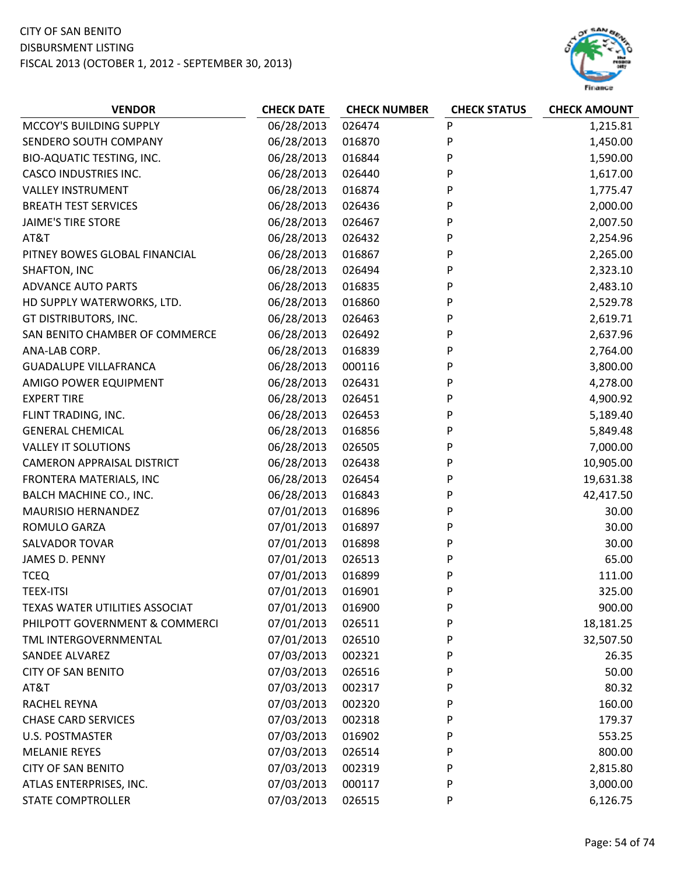

| <b>VENDOR</b>                     | <b>CHECK DATE</b> | <b>CHECK NUMBER</b> | <b>CHECK STATUS</b> | <b>CHECK AMOUNT</b> |
|-----------------------------------|-------------------|---------------------|---------------------|---------------------|
| MCCOY'S BUILDING SUPPLY           | 06/28/2013        | 026474              | P                   | 1,215.81            |
| SENDERO SOUTH COMPANY             | 06/28/2013        | 016870              | P                   | 1,450.00            |
| BIO-AQUATIC TESTING, INC.         | 06/28/2013        | 016844              | P                   | 1,590.00            |
| <b>CASCO INDUSTRIES INC.</b>      | 06/28/2013        | 026440              | P                   | 1,617.00            |
| <b>VALLEY INSTRUMENT</b>          | 06/28/2013        | 016874              | P                   | 1,775.47            |
| <b>BREATH TEST SERVICES</b>       | 06/28/2013        | 026436              | P                   | 2,000.00            |
| <b>JAIME'S TIRE STORE</b>         | 06/28/2013        | 026467              | P                   | 2,007.50            |
| AT&T                              | 06/28/2013        | 026432              | Ρ                   | 2,254.96            |
| PITNEY BOWES GLOBAL FINANCIAL     | 06/28/2013        | 016867              | P                   | 2,265.00            |
| SHAFTON, INC                      | 06/28/2013        | 026494              | P                   | 2,323.10            |
| <b>ADVANCE AUTO PARTS</b>         | 06/28/2013        | 016835              | P                   | 2,483.10            |
| HD SUPPLY WATERWORKS, LTD.        | 06/28/2013        | 016860              | P                   | 2,529.78            |
| GT DISTRIBUTORS, INC.             | 06/28/2013        | 026463              | P                   | 2,619.71            |
| SAN BENITO CHAMBER OF COMMERCE    | 06/28/2013        | 026492              | P                   | 2,637.96            |
| ANA-LAB CORP.                     | 06/28/2013        | 016839              | P                   | 2,764.00            |
| <b>GUADALUPE VILLAFRANCA</b>      | 06/28/2013        | 000116              | Ρ                   | 3,800.00            |
| AMIGO POWER EQUIPMENT             | 06/28/2013        | 026431              | P                   | 4,278.00            |
| <b>EXPERT TIRE</b>                | 06/28/2013        | 026451              | P                   | 4,900.92            |
| FLINT TRADING, INC.               | 06/28/2013        | 026453              | P                   | 5,189.40            |
| <b>GENERAL CHEMICAL</b>           | 06/28/2013        | 016856              | P                   | 5,849.48            |
| <b>VALLEY IT SOLUTIONS</b>        | 06/28/2013        | 026505              | P                   | 7,000.00            |
| <b>CAMERON APPRAISAL DISTRICT</b> | 06/28/2013        | 026438              | Ρ                   | 10,905.00           |
| FRONTERA MATERIALS, INC           | 06/28/2013        | 026454              | P                   | 19,631.38           |
| BALCH MACHINE CO., INC.           | 06/28/2013        | 016843              | P                   | 42,417.50           |
| MAURISIO HERNANDEZ                | 07/01/2013        | 016896              | P                   | 30.00               |
| ROMULO GARZA                      | 07/01/2013        | 016897              | P                   | 30.00               |
| SALVADOR TOVAR                    | 07/01/2013        | 016898              | P                   | 30.00               |
| JAMES D. PENNY                    | 07/01/2013        | 026513              | P                   | 65.00               |
| <b>TCEQ</b>                       | 07/01/2013        | 016899              | P                   | 111.00              |
| <b>TEEX-ITSI</b>                  | 07/01/2013        | 016901              | P                   | 325.00              |
| TEXAS WATER UTILITIES ASSOCIAT    | 07/01/2013        | 016900              | P                   | 900.00              |
| PHILPOTT GOVERNMENT & COMMERCI    | 07/01/2013        | 026511              | P                   | 18,181.25           |
| TML INTERGOVERNMENTAL             | 07/01/2013        | 026510              | P                   | 32,507.50           |
| <b>SANDEE ALVAREZ</b>             | 07/03/2013        | 002321              | P                   | 26.35               |
| <b>CITY OF SAN BENITO</b>         | 07/03/2013        | 026516              | P                   | 50.00               |
| AT&T                              | 07/03/2013        | 002317              | P                   | 80.32               |
| <b>RACHEL REYNA</b>               | 07/03/2013        | 002320              | P                   | 160.00              |
| <b>CHASE CARD SERVICES</b>        | 07/03/2013        | 002318              | P                   | 179.37              |
| U.S. POSTMASTER                   | 07/03/2013        | 016902              | P                   | 553.25              |
| <b>MELANIE REYES</b>              | 07/03/2013        | 026514              | P                   | 800.00              |
| <b>CITY OF SAN BENITO</b>         | 07/03/2013        | 002319              | P                   | 2,815.80            |
| ATLAS ENTERPRISES, INC.           | 07/03/2013        | 000117              | P                   | 3,000.00            |
| <b>STATE COMPTROLLER</b>          | 07/03/2013        | 026515              | P                   | 6,126.75            |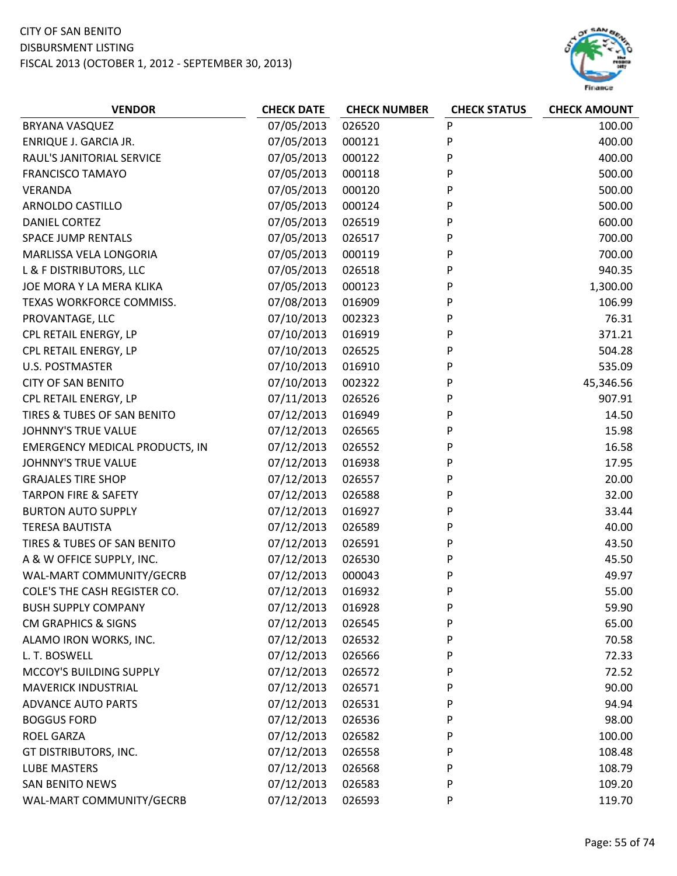

| <b>VENDOR</b>                         | <b>CHECK DATE</b> | <b>CHECK NUMBER</b> | <b>CHECK STATUS</b> | <b>CHECK AMOUNT</b> |
|---------------------------------------|-------------------|---------------------|---------------------|---------------------|
| <b>BRYANA VASQUEZ</b>                 | 07/05/2013        | 026520              | P                   | 100.00              |
| ENRIQUE J. GARCIA JR.                 | 07/05/2013        | 000121              | P                   | 400.00              |
| RAUL'S JANITORIAL SERVICE             | 07/05/2013        | 000122              | P                   | 400.00              |
| <b>FRANCISCO TAMAYO</b>               | 07/05/2013        | 000118              | P                   | 500.00              |
| VERANDA                               | 07/05/2013        | 000120              | P                   | 500.00              |
| ARNOLDO CASTILLO                      | 07/05/2013        | 000124              | P                   | 500.00              |
| DANIEL CORTEZ                         | 07/05/2013        | 026519              | P                   | 600.00              |
| <b>SPACE JUMP RENTALS</b>             | 07/05/2013        | 026517              | P                   | 700.00              |
| MARLISSA VELA LONGORIA                | 07/05/2013        | 000119              | P                   | 700.00              |
| L & F DISTRIBUTORS, LLC               | 07/05/2013        | 026518              | P                   | 940.35              |
| JOE MORA Y LA MERA KLIKA              | 07/05/2013        | 000123              | P                   | 1,300.00            |
| TEXAS WORKFORCE COMMISS.              | 07/08/2013        | 016909              | P                   | 106.99              |
| PROVANTAGE, LLC                       | 07/10/2013        | 002323              | P                   | 76.31               |
| CPL RETAIL ENERGY, LP                 | 07/10/2013        | 016919              | P                   | 371.21              |
| CPL RETAIL ENERGY, LP                 | 07/10/2013        | 026525              | P                   | 504.28              |
| <b>U.S. POSTMASTER</b>                | 07/10/2013        | 016910              | P                   | 535.09              |
| <b>CITY OF SAN BENITO</b>             | 07/10/2013        | 002322              | P                   | 45,346.56           |
| CPL RETAIL ENERGY, LP                 | 07/11/2013        | 026526              | P                   | 907.91              |
| TIRES & TUBES OF SAN BENITO           | 07/12/2013        | 016949              | P                   | 14.50               |
| <b>JOHNNY'S TRUE VALUE</b>            | 07/12/2013        | 026565              | P                   | 15.98               |
| <b>EMERGENCY MEDICAL PRODUCTS, IN</b> | 07/12/2013        | 026552              | P                   | 16.58               |
| <b>JOHNNY'S TRUE VALUE</b>            | 07/12/2013        | 016938              | P                   | 17.95               |
| <b>GRAJALES TIRE SHOP</b>             | 07/12/2013        | 026557              | P                   | 20.00               |
| <b>TARPON FIRE &amp; SAFETY</b>       | 07/12/2013        | 026588              | P                   | 32.00               |
| <b>BURTON AUTO SUPPLY</b>             | 07/12/2013        | 016927              | P                   | 33.44               |
| <b>TERESA BAUTISTA</b>                | 07/12/2013        | 026589              | P                   | 40.00               |
| TIRES & TUBES OF SAN BENITO           | 07/12/2013        | 026591              | P                   | 43.50               |
| A & W OFFICE SUPPLY, INC.             | 07/12/2013        | 026530              | P                   | 45.50               |
| WAL-MART COMMUNITY/GECRB              | 07/12/2013        | 000043              | P                   | 49.97               |
| COLE'S THE CASH REGISTER CO.          | 07/12/2013        | 016932              | P                   | 55.00               |
| <b>BUSH SUPPLY COMPANY</b>            | 07/12/2013        | 016928              | P                   | 59.90               |
| <b>CM GRAPHICS &amp; SIGNS</b>        | 07/12/2013        | 026545              | P                   | 65.00               |
| ALAMO IRON WORKS, INC.                | 07/12/2013        | 026532              | P                   | 70.58               |
| L. T. BOSWELL                         | 07/12/2013        | 026566              | P                   | 72.33               |
| MCCOY'S BUILDING SUPPLY               | 07/12/2013        | 026572              | P                   | 72.52               |
| <b>MAVERICK INDUSTRIAL</b>            | 07/12/2013        | 026571              | P                   | 90.00               |
| <b>ADVANCE AUTO PARTS</b>             | 07/12/2013        | 026531              | P                   | 94.94               |
| <b>BOGGUS FORD</b>                    | 07/12/2013        | 026536              | P                   | 98.00               |
| <b>ROEL GARZA</b>                     | 07/12/2013        | 026582              | P                   | 100.00              |
| GT DISTRIBUTORS, INC.                 | 07/12/2013        | 026558              | P                   | 108.48              |
| <b>LUBE MASTERS</b>                   | 07/12/2013        | 026568              | P                   | 108.79              |
| <b>SAN BENITO NEWS</b>                | 07/12/2013        | 026583              | P                   | 109.20              |
| WAL-MART COMMUNITY/GECRB              | 07/12/2013        | 026593              | P                   | 119.70              |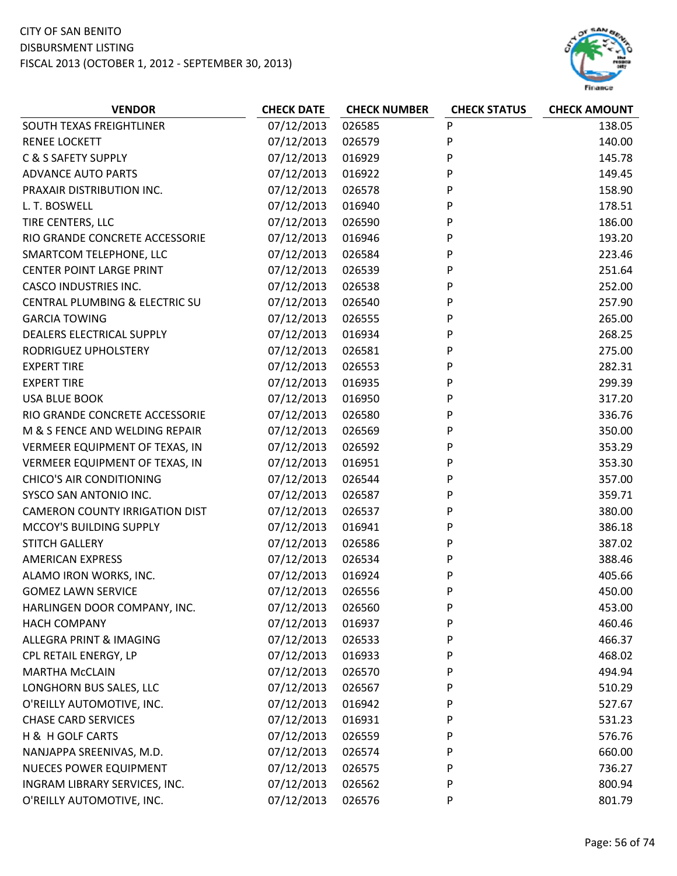

| 07/12/2013<br>026585<br>P<br>138.05<br>SOUTH TEXAS FREIGHTLINER<br>07/12/2013<br>P<br>140.00<br><b>RENEE LOCKETT</b><br>026579<br>C & S SAFETY SUPPLY<br>07/12/2013<br>P<br>145.78<br>016929<br>P<br>07/12/2013<br>149.45<br><b>ADVANCE AUTO PARTS</b><br>016922<br>07/12/2013<br>026578<br>P<br>158.90<br>PRAXAIR DISTRIBUTION INC.<br>L. T. BOSWELL<br>07/12/2013<br>016940<br>P<br>178.51 |
|----------------------------------------------------------------------------------------------------------------------------------------------------------------------------------------------------------------------------------------------------------------------------------------------------------------------------------------------------------------------------------------------|
|                                                                                                                                                                                                                                                                                                                                                                                              |
|                                                                                                                                                                                                                                                                                                                                                                                              |
|                                                                                                                                                                                                                                                                                                                                                                                              |
|                                                                                                                                                                                                                                                                                                                                                                                              |
|                                                                                                                                                                                                                                                                                                                                                                                              |
|                                                                                                                                                                                                                                                                                                                                                                                              |
| P<br>TIRE CENTERS, LLC<br>07/12/2013<br>186.00<br>026590                                                                                                                                                                                                                                                                                                                                     |
| 193.20<br>RIO GRANDE CONCRETE ACCESSORIE<br>07/12/2013<br>016946<br>P                                                                                                                                                                                                                                                                                                                        |
| P<br>SMARTCOM TELEPHONE, LLC<br>07/12/2013<br>223.46<br>026584                                                                                                                                                                                                                                                                                                                               |
| <b>CENTER POINT LARGE PRINT</b><br>07/12/2013<br>251.64<br>026539<br>P                                                                                                                                                                                                                                                                                                                       |
| 252.00<br>07/12/2013<br>P<br><b>CASCO INDUSTRIES INC.</b><br>026538                                                                                                                                                                                                                                                                                                                          |
| 07/12/2013<br>CENTRAL PLUMBING & ELECTRIC SU<br>P<br>257.90<br>026540                                                                                                                                                                                                                                                                                                                        |
| <b>GARCIA TOWING</b><br>07/12/2013<br>P<br>265.00<br>026555                                                                                                                                                                                                                                                                                                                                  |
| 07/12/2013<br>P<br>268.25<br><b>DEALERS ELECTRICAL SUPPLY</b><br>016934                                                                                                                                                                                                                                                                                                                      |
| 07/12/2013<br>P<br>275.00<br>RODRIGUEZ UPHOLSTERY<br>026581                                                                                                                                                                                                                                                                                                                                  |
| P<br>07/12/2013<br>282.31<br><b>EXPERT TIRE</b><br>026553                                                                                                                                                                                                                                                                                                                                    |
| <b>EXPERT TIRE</b><br>07/12/2013<br>P<br>299.39<br>016935                                                                                                                                                                                                                                                                                                                                    |
| <b>USA BLUE BOOK</b><br>07/12/2013<br>016950<br>P<br>317.20                                                                                                                                                                                                                                                                                                                                  |
| P<br>07/12/2013<br>336.76<br>RIO GRANDE CONCRETE ACCESSORIE<br>026580                                                                                                                                                                                                                                                                                                                        |
| M & S FENCE AND WELDING REPAIR<br>07/12/2013<br>026569<br>P<br>350.00                                                                                                                                                                                                                                                                                                                        |
| P<br>07/12/2013<br>353.29<br>VERMEER EQUIPMENT OF TEXAS, IN<br>026592                                                                                                                                                                                                                                                                                                                        |
| VERMEER EQUIPMENT OF TEXAS, IN<br>07/12/2013<br>P<br>353.30<br>016951                                                                                                                                                                                                                                                                                                                        |
| <b>CHICO'S AIR CONDITIONING</b><br>07/12/2013<br>P<br>357.00<br>026544                                                                                                                                                                                                                                                                                                                       |
| SYSCO SAN ANTONIO INC.<br>07/12/2013<br>026587<br>359.71<br>P                                                                                                                                                                                                                                                                                                                                |
| <b>CAMERON COUNTY IRRIGATION DIST</b><br>07/12/2013<br>P<br>380.00<br>026537                                                                                                                                                                                                                                                                                                                 |
| P<br>MCCOY'S BUILDING SUPPLY<br>07/12/2013<br>386.18<br>016941                                                                                                                                                                                                                                                                                                                               |
| <b>STITCH GALLERY</b><br>07/12/2013<br>387.02<br>026586<br>P                                                                                                                                                                                                                                                                                                                                 |
| P<br>07/12/2013<br>388.46<br><b>AMERICAN EXPRESS</b><br>026534                                                                                                                                                                                                                                                                                                                               |
| 07/12/2013<br>405.66<br>ALAMO IRON WORKS, INC.<br>016924<br>P                                                                                                                                                                                                                                                                                                                                |
| 450.00<br>07/12/2013<br>026556<br>P<br><b>GOMEZ LAWN SERVICE</b>                                                                                                                                                                                                                                                                                                                             |
| HARLINGEN DOOR COMPANY, INC.<br>07/12/2013<br>026560<br>P<br>453.00                                                                                                                                                                                                                                                                                                                          |
| 07/12/2013<br>460.46<br><b>HACH COMPANY</b><br>016937<br>P                                                                                                                                                                                                                                                                                                                                   |
| 07/12/2013<br>ALLEGRA PRINT & IMAGING<br>P<br>466.37<br>026533                                                                                                                                                                                                                                                                                                                               |
| 07/12/2013<br>CPL RETAIL ENERGY, LP<br>468.02<br>016933<br>P                                                                                                                                                                                                                                                                                                                                 |
| 07/12/2013<br>P<br><b>MARTHA McCLAIN</b><br>026570<br>494.94                                                                                                                                                                                                                                                                                                                                 |
| 07/12/2013<br>LONGHORN BUS SALES, LLC<br>026567<br>510.29<br>P                                                                                                                                                                                                                                                                                                                               |
| 07/12/2013<br>527.67<br>O'REILLY AUTOMOTIVE, INC.<br>016942<br>P                                                                                                                                                                                                                                                                                                                             |
| <b>CHASE CARD SERVICES</b><br>07/12/2013<br>016931<br>P<br>531.23                                                                                                                                                                                                                                                                                                                            |
| H & H GOLF CARTS<br>07/12/2013<br>576.76<br>026559<br>P                                                                                                                                                                                                                                                                                                                                      |
| 07/12/2013<br>660.00<br>NANJAPPA SREENIVAS, M.D.<br>P<br>026574                                                                                                                                                                                                                                                                                                                              |
| <b>NUECES POWER EQUIPMENT</b><br>07/12/2013<br>736.27<br>026575<br>P                                                                                                                                                                                                                                                                                                                         |
| 07/12/2013<br>800.94<br>INGRAM LIBRARY SERVICES, INC.<br>026562<br>P                                                                                                                                                                                                                                                                                                                         |
| 07/12/2013<br>O'REILLY AUTOMOTIVE, INC.<br>801.79<br>026576<br>P                                                                                                                                                                                                                                                                                                                             |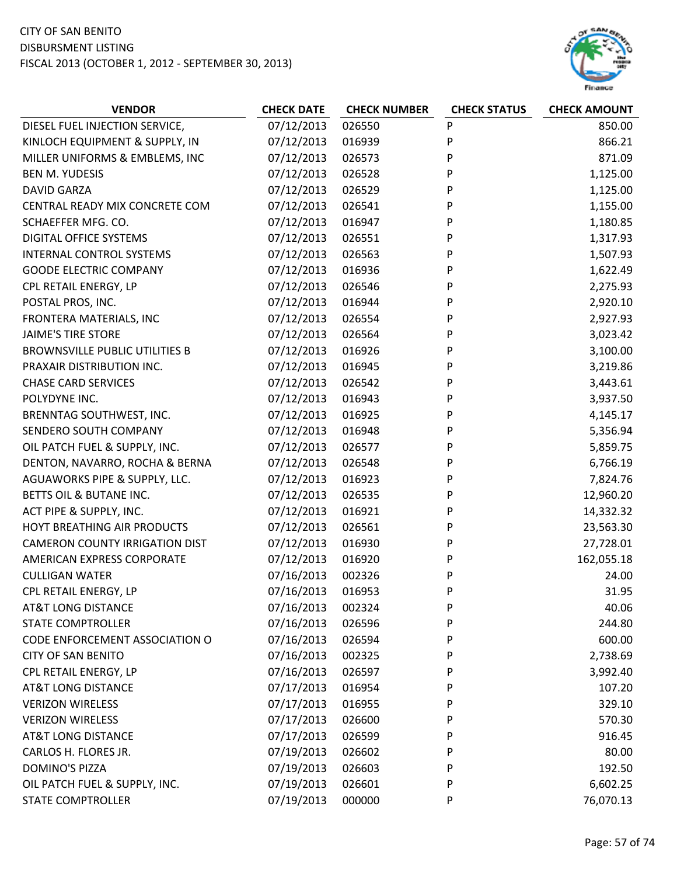

| <b>VENDOR</b>                         | <b>CHECK DATE</b> | <b>CHECK NUMBER</b> | <b>CHECK STATUS</b> | <b>CHECK AMOUNT</b> |
|---------------------------------------|-------------------|---------------------|---------------------|---------------------|
| DIESEL FUEL INJECTION SERVICE,        | 07/12/2013        | 026550              | P                   | 850.00              |
| KINLOCH EQUIPMENT & SUPPLY, IN        | 07/12/2013        | 016939              | P                   | 866.21              |
| MILLER UNIFORMS & EMBLEMS, INC        | 07/12/2013        | 026573              | P                   | 871.09              |
| <b>BEN M. YUDESIS</b>                 | 07/12/2013        | 026528              | P                   | 1,125.00            |
| <b>DAVID GARZA</b>                    | 07/12/2013        | 026529              | P                   | 1,125.00            |
| CENTRAL READY MIX CONCRETE COM        | 07/12/2013        | 026541              | P                   | 1,155.00            |
| SCHAEFFER MFG. CO.                    | 07/12/2013        | 016947              | P                   | 1,180.85            |
| <b>DIGITAL OFFICE SYSTEMS</b>         | 07/12/2013        | 026551              | P                   | 1,317.93            |
| <b>INTERNAL CONTROL SYSTEMS</b>       | 07/12/2013        | 026563              | P                   | 1,507.93            |
| <b>GOODE ELECTRIC COMPANY</b>         | 07/12/2013        | 016936              | P                   | 1,622.49            |
| CPL RETAIL ENERGY, LP                 | 07/12/2013        | 026546              | P                   | 2,275.93            |
| POSTAL PROS, INC.                     | 07/12/2013        | 016944              | P                   | 2,920.10            |
| FRONTERA MATERIALS, INC               | 07/12/2013        | 026554              | P                   | 2,927.93            |
| <b>JAIME'S TIRE STORE</b>             | 07/12/2013        | 026564              | P                   | 3,023.42            |
| <b>BROWNSVILLE PUBLIC UTILITIES B</b> | 07/12/2013        | 016926              | P                   | 3,100.00            |
| PRAXAIR DISTRIBUTION INC.             | 07/12/2013        | 016945              | P                   | 3,219.86            |
| <b>CHASE CARD SERVICES</b>            | 07/12/2013        | 026542              | P                   | 3,443.61            |
| POLYDYNE INC.                         | 07/12/2013        | 016943              | P                   | 3,937.50            |
| BRENNTAG SOUTHWEST, INC.              | 07/12/2013        | 016925              | P                   | 4,145.17            |
| SENDERO SOUTH COMPANY                 | 07/12/2013        | 016948              | P                   | 5,356.94            |
| OIL PATCH FUEL & SUPPLY, INC.         | 07/12/2013        | 026577              | P                   | 5,859.75            |
| DENTON, NAVARRO, ROCHA & BERNA        | 07/12/2013        | 026548              | P                   | 6,766.19            |
| AGUAWORKS PIPE & SUPPLY, LLC.         | 07/12/2013        | 016923              | P                   | 7,824.76            |
| BETTS OIL & BUTANE INC.               | 07/12/2013        | 026535              | P                   | 12,960.20           |
| ACT PIPE & SUPPLY, INC.               | 07/12/2013        | 016921              | P                   | 14,332.32           |
| HOYT BREATHING AIR PRODUCTS           | 07/12/2013        | 026561              | P                   | 23,563.30           |
| <b>CAMERON COUNTY IRRIGATION DIST</b> | 07/12/2013        | 016930              | P                   | 27,728.01           |
| AMERICAN EXPRESS CORPORATE            | 07/12/2013        | 016920              | P                   | 162,055.18          |
| <b>CULLIGAN WATER</b>                 | 07/16/2013        | 002326              | P                   | 24.00               |
| CPL RETAIL ENERGY, LP                 | 07/16/2013        | 016953              | P                   | 31.95               |
| <b>AT&amp;T LONG DISTANCE</b>         | 07/16/2013        | 002324              | P                   | 40.06               |
| <b>STATE COMPTROLLER</b>              | 07/16/2013        | 026596              | P                   | 244.80              |
| CODE ENFORCEMENT ASSOCIATION O        | 07/16/2013        | 026594              | P                   | 600.00              |
| <b>CITY OF SAN BENITO</b>             | 07/16/2013        | 002325              | P                   | 2,738.69            |
| CPL RETAIL ENERGY, LP                 | 07/16/2013        | 026597              | P                   | 3,992.40            |
| <b>AT&amp;T LONG DISTANCE</b>         | 07/17/2013        | 016954              | P                   | 107.20              |
| <b>VERIZON WIRELESS</b>               | 07/17/2013        | 016955              | P                   | 329.10              |
| <b>VERIZON WIRELESS</b>               | 07/17/2013        | 026600              | P                   | 570.30              |
| <b>AT&amp;T LONG DISTANCE</b>         | 07/17/2013        | 026599              | P                   | 916.45              |
| CARLOS H. FLORES JR.                  | 07/19/2013        | 026602              | P                   | 80.00               |
| <b>DOMINO'S PIZZA</b>                 | 07/19/2013        | 026603              | P                   | 192.50              |
| OIL PATCH FUEL & SUPPLY, INC.         | 07/19/2013        | 026601              | P                   | 6,602.25            |
| <b>STATE COMPTROLLER</b>              | 07/19/2013        | 000000              | P                   | 76,070.13           |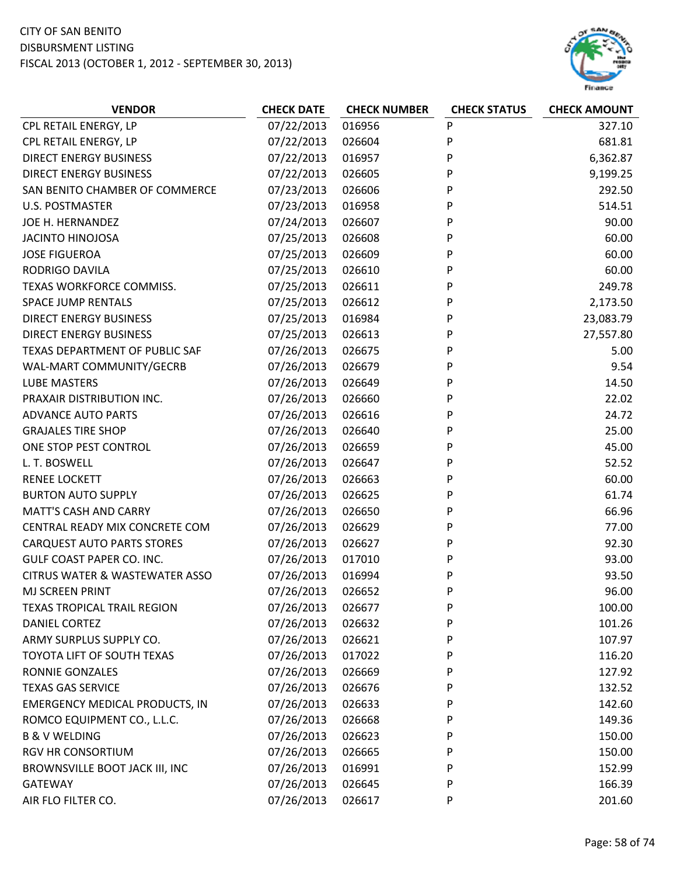

| <b>VENDOR</b>                             | <b>CHECK DATE</b> | <b>CHECK NUMBER</b> | <b>CHECK STATUS</b> | <b>CHECK AMOUNT</b> |
|-------------------------------------------|-------------------|---------------------|---------------------|---------------------|
| CPL RETAIL ENERGY, LP                     | 07/22/2013        | 016956              | P                   | 327.10              |
| CPL RETAIL ENERGY, LP                     | 07/22/2013        | 026604              | P                   | 681.81              |
| <b>DIRECT ENERGY BUSINESS</b>             | 07/22/2013        | 016957              | P                   | 6,362.87            |
| <b>DIRECT ENERGY BUSINESS</b>             | 07/22/2013        | 026605              | P                   | 9,199.25            |
| SAN BENITO CHAMBER OF COMMERCE            | 07/23/2013        | 026606              | P                   | 292.50              |
| <b>U.S. POSTMASTER</b>                    | 07/23/2013        | 016958              | P                   | 514.51              |
| JOE H. HERNANDEZ                          | 07/24/2013        | 026607              | P                   | 90.00               |
| <b>JACINTO HINOJOSA</b>                   | 07/25/2013        | 026608              | P                   | 60.00               |
| <b>JOSE FIGUEROA</b>                      | 07/25/2013        | 026609              | P                   | 60.00               |
| RODRIGO DAVILA                            | 07/25/2013        | 026610              | P                   | 60.00               |
| TEXAS WORKFORCE COMMISS.                  | 07/25/2013        | 026611              | P                   | 249.78              |
| <b>SPACE JUMP RENTALS</b>                 | 07/25/2013        | 026612              | P                   | 2,173.50            |
| <b>DIRECT ENERGY BUSINESS</b>             | 07/25/2013        | 016984              | P                   | 23,083.79           |
| <b>DIRECT ENERGY BUSINESS</b>             | 07/25/2013        | 026613              | P                   | 27,557.80           |
| TEXAS DEPARTMENT OF PUBLIC SAF            | 07/26/2013        | 026675              | P                   | 5.00                |
| WAL-MART COMMUNITY/GECRB                  | 07/26/2013        | 026679              | P                   | 9.54                |
| <b>LUBE MASTERS</b>                       | 07/26/2013        | 026649              | P                   | 14.50               |
| PRAXAIR DISTRIBUTION INC.                 | 07/26/2013        | 026660              | P                   | 22.02               |
| <b>ADVANCE AUTO PARTS</b>                 | 07/26/2013        | 026616              | P                   | 24.72               |
| <b>GRAJALES TIRE SHOP</b>                 | 07/26/2013        | 026640              | P                   | 25.00               |
| ONE STOP PEST CONTROL                     | 07/26/2013        | 026659              | P                   | 45.00               |
| L. T. BOSWELL                             | 07/26/2013        | 026647              | P                   | 52.52               |
| <b>RENEE LOCKETT</b>                      | 07/26/2013        | 026663              | P                   | 60.00               |
| <b>BURTON AUTO SUPPLY</b>                 | 07/26/2013        | 026625              | P                   | 61.74               |
| <b>MATT'S CASH AND CARRY</b>              | 07/26/2013        | 026650              | P                   | 66.96               |
| CENTRAL READY MIX CONCRETE COM            | 07/26/2013        | 026629              | P                   | 77.00               |
| <b>CARQUEST AUTO PARTS STORES</b>         | 07/26/2013        | 026627              | P                   | 92.30               |
| GULF COAST PAPER CO. INC.                 | 07/26/2013        | 017010              | P                   | 93.00               |
| <b>CITRUS WATER &amp; WASTEWATER ASSO</b> | 07/26/2013        | 016994              | P                   | 93.50               |
| <b>MJ SCREEN PRINT</b>                    | 07/26/2013        | 026652              | P                   | 96.00               |
| <b>TEXAS TROPICAL TRAIL REGION</b>        | 07/26/2013        | 026677              | P                   | 100.00              |
| DANIEL CORTEZ                             | 07/26/2013        | 026632              | P                   | 101.26              |
| ARMY SURPLUS SUPPLY CO.                   | 07/26/2013        | 026621              | P                   | 107.97              |
| TOYOTA LIFT OF SOUTH TEXAS                | 07/26/2013        | 017022              | P                   | 116.20              |
| RONNIE GONZALES                           | 07/26/2013        | 026669              | P                   | 127.92              |
| <b>TEXAS GAS SERVICE</b>                  | 07/26/2013        | 026676              | P                   | 132.52              |
| EMERGENCY MEDICAL PRODUCTS, IN            | 07/26/2013        | 026633              | P                   | 142.60              |
| ROMCO EQUIPMENT CO., L.L.C.               | 07/26/2013        | 026668              | P                   | 149.36              |
| <b>B &amp; V WELDING</b>                  | 07/26/2013        | 026623              | P                   | 150.00              |
| <b>RGV HR CONSORTIUM</b>                  | 07/26/2013        | 026665              | P                   | 150.00              |
| BROWNSVILLE BOOT JACK III, INC            | 07/26/2013        | 016991              | P                   | 152.99              |
| GATEWAY                                   | 07/26/2013        | 026645              | P                   | 166.39              |
| AIR FLO FILTER CO.                        | 07/26/2013        | 026617              | P                   | 201.60              |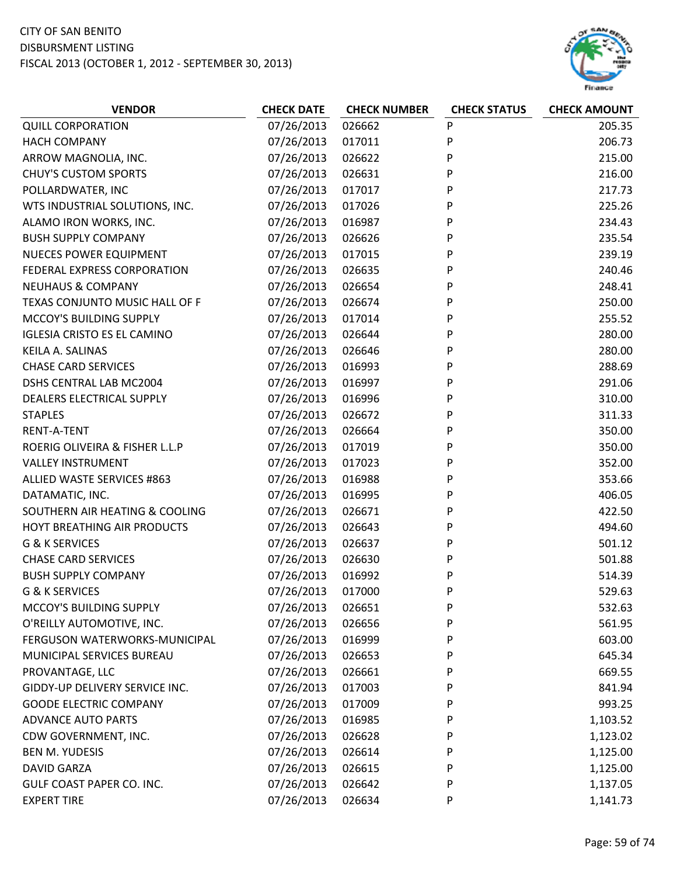

| <b>VENDOR</b>                      | <b>CHECK DATE</b> | <b>CHECK NUMBER</b> | <b>CHECK STATUS</b> | <b>CHECK AMOUNT</b> |
|------------------------------------|-------------------|---------------------|---------------------|---------------------|
| <b>QUILL CORPORATION</b>           | 07/26/2013        | 026662              | P                   | 205.35              |
| <b>HACH COMPANY</b>                | 07/26/2013        | 017011              | P                   | 206.73              |
| ARROW MAGNOLIA, INC.               | 07/26/2013        | 026622              | P                   | 215.00              |
| <b>CHUY'S CUSTOM SPORTS</b>        | 07/26/2013        | 026631              | P                   | 216.00              |
| POLLARDWATER, INC                  | 07/26/2013        | 017017              | P                   | 217.73              |
| WTS INDUSTRIAL SOLUTIONS, INC.     | 07/26/2013        | 017026              | P                   | 225.26              |
| ALAMO IRON WORKS, INC.             | 07/26/2013        | 016987              | P                   | 234.43              |
| <b>BUSH SUPPLY COMPANY</b>         | 07/26/2013        | 026626              | P                   | 235.54              |
| NUECES POWER EQUIPMENT             | 07/26/2013        | 017015              | P                   | 239.19              |
| FEDERAL EXPRESS CORPORATION        | 07/26/2013        | 026635              | P                   | 240.46              |
| <b>NEUHAUS &amp; COMPANY</b>       | 07/26/2013        | 026654              | P                   | 248.41              |
| TEXAS CONJUNTO MUSIC HALL OF F     | 07/26/2013        | 026674              | P                   | 250.00              |
| MCCOY'S BUILDING SUPPLY            | 07/26/2013        | 017014              | P                   | 255.52              |
| <b>IGLESIA CRISTO ES EL CAMINO</b> | 07/26/2013        | 026644              | P                   | 280.00              |
| KEILA A. SALINAS                   | 07/26/2013        | 026646              | P                   | 280.00              |
| <b>CHASE CARD SERVICES</b>         | 07/26/2013        | 016993              | P                   | 288.69              |
| DSHS CENTRAL LAB MC2004            | 07/26/2013        | 016997              | P                   | 291.06              |
| DEALERS ELECTRICAL SUPPLY          | 07/26/2013        | 016996              | P                   | 310.00              |
| <b>STAPLES</b>                     | 07/26/2013        | 026672              | P                   | 311.33              |
| <b>RENT-A-TENT</b>                 | 07/26/2013        | 026664              | P                   | 350.00              |
| ROERIG OLIVEIRA & FISHER L.L.P     | 07/26/2013        | 017019              | P                   | 350.00              |
| <b>VALLEY INSTRUMENT</b>           | 07/26/2013        | 017023              | P                   | 352.00              |
| ALLIED WASTE SERVICES #863         | 07/26/2013        | 016988              | P                   | 353.66              |
| DATAMATIC, INC.                    | 07/26/2013        | 016995              | P                   | 406.05              |
| SOUTHERN AIR HEATING & COOLING     | 07/26/2013        | 026671              | P                   | 422.50              |
| HOYT BREATHING AIR PRODUCTS        | 07/26/2013        | 026643              | P                   | 494.60              |
| G & K SERVICES                     | 07/26/2013        | 026637              | P                   | 501.12              |
| <b>CHASE CARD SERVICES</b>         | 07/26/2013        | 026630              | P                   | 501.88              |
| <b>BUSH SUPPLY COMPANY</b>         | 07/26/2013        | 016992              | P                   | 514.39              |
| <b>G &amp; K SERVICES</b>          | 07/26/2013        | 017000              | P                   | 529.63              |
| MCCOY'S BUILDING SUPPLY            | 07/26/2013        | 026651              | P                   | 532.63              |
| O'REILLY AUTOMOTIVE, INC.          | 07/26/2013        | 026656              | P                   | 561.95              |
| FERGUSON WATERWORKS-MUNICIPAL      | 07/26/2013        | 016999              | P                   | 603.00              |
| MUNICIPAL SERVICES BUREAU          | 07/26/2013        | 026653              | P                   | 645.34              |
| PROVANTAGE, LLC                    | 07/26/2013        | 026661              | P                   | 669.55              |
| GIDDY-UP DELIVERY SERVICE INC.     | 07/26/2013        | 017003              | P                   | 841.94              |
| <b>GOODE ELECTRIC COMPANY</b>      | 07/26/2013        | 017009              | P                   | 993.25              |
| <b>ADVANCE AUTO PARTS</b>          | 07/26/2013        | 016985              | P                   | 1,103.52            |
| CDW GOVERNMENT, INC.               | 07/26/2013        | 026628              | P                   | 1,123.02            |
| <b>BEN M. YUDESIS</b>              | 07/26/2013        | 026614              | P                   | 1,125.00            |
| <b>DAVID GARZA</b>                 | 07/26/2013        | 026615              | P                   | 1,125.00            |
| GULF COAST PAPER CO. INC.          | 07/26/2013        | 026642              | P                   | 1,137.05            |
| <b>EXPERT TIRE</b>                 | 07/26/2013        | 026634              | P                   | 1,141.73            |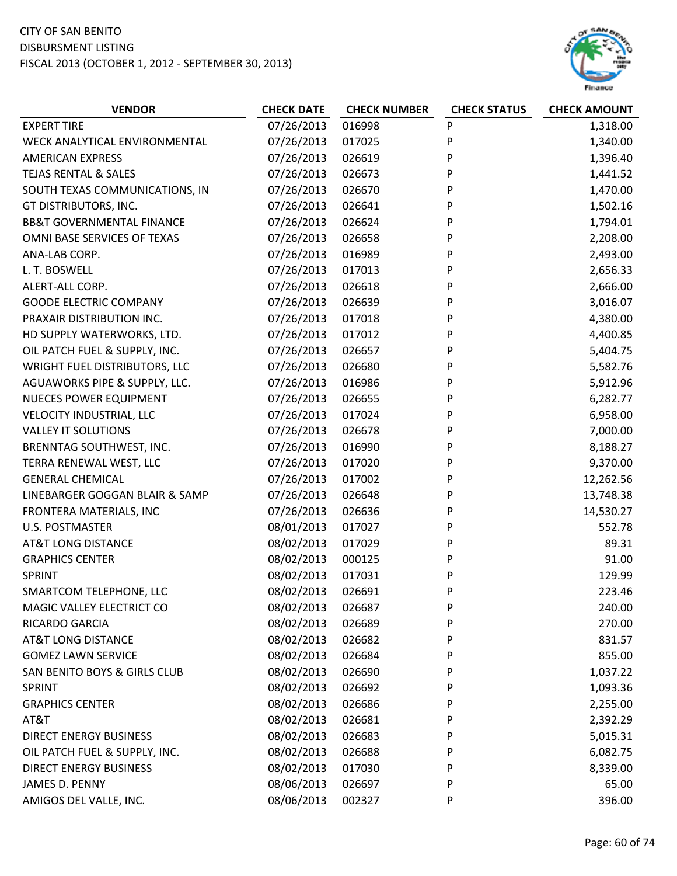

| <b>VENDOR</b>                        | <b>CHECK DATE</b> | <b>CHECK NUMBER</b> | <b>CHECK STATUS</b> | <b>CHECK AMOUNT</b> |
|--------------------------------------|-------------------|---------------------|---------------------|---------------------|
| <b>EXPERT TIRE</b>                   | 07/26/2013        | 016998              | P                   | 1,318.00            |
| WECK ANALYTICAL ENVIRONMENTAL        | 07/26/2013        | 017025              | P                   | 1,340.00            |
| <b>AMERICAN EXPRESS</b>              | 07/26/2013        | 026619              | P                   | 1,396.40            |
| TEJAS RENTAL & SALES                 | 07/26/2013        | 026673              | P                   | 1,441.52            |
| SOUTH TEXAS COMMUNICATIONS, IN       | 07/26/2013        | 026670              | P                   | 1,470.00            |
| GT DISTRIBUTORS, INC.                | 07/26/2013        | 026641              | P                   | 1,502.16            |
| <b>BB&amp;T GOVERNMENTAL FINANCE</b> | 07/26/2013        | 026624              | P                   | 1,794.01            |
| OMNI BASE SERVICES OF TEXAS          | 07/26/2013        | 026658              | P                   | 2,208.00            |
| ANA-LAB CORP.                        | 07/26/2013        | 016989              | P                   | 2,493.00            |
| L. T. BOSWELL                        | 07/26/2013        | 017013              | P                   | 2,656.33            |
| ALERT-ALL CORP.                      | 07/26/2013        | 026618              | P                   | 2,666.00            |
| <b>GOODE ELECTRIC COMPANY</b>        | 07/26/2013        | 026639              | P                   | 3,016.07            |
| PRAXAIR DISTRIBUTION INC.            | 07/26/2013        | 017018              | P                   | 4,380.00            |
| HD SUPPLY WATERWORKS, LTD.           | 07/26/2013        | 017012              | P                   | 4,400.85            |
| OIL PATCH FUEL & SUPPLY, INC.        | 07/26/2013        | 026657              | P                   | 5,404.75            |
| WRIGHT FUEL DISTRIBUTORS, LLC        | 07/26/2013        | 026680              | P                   | 5,582.76            |
| AGUAWORKS PIPE & SUPPLY, LLC.        | 07/26/2013        | 016986              | P                   | 5,912.96            |
| <b>NUECES POWER EQUIPMENT</b>        | 07/26/2013        | 026655              | P                   | 6,282.77            |
| <b>VELOCITY INDUSTRIAL, LLC</b>      | 07/26/2013        | 017024              | P                   | 6,958.00            |
| <b>VALLEY IT SOLUTIONS</b>           | 07/26/2013        | 026678              | P                   | 7,000.00            |
| BRENNTAG SOUTHWEST, INC.             | 07/26/2013        | 016990              | P                   | 8,188.27            |
| TERRA RENEWAL WEST, LLC              | 07/26/2013        | 017020              | P                   | 9,370.00            |
| <b>GENERAL CHEMICAL</b>              | 07/26/2013        | 017002              | P                   | 12,262.56           |
| LINEBARGER GOGGAN BLAIR & SAMP       | 07/26/2013        | 026648              | P                   | 13,748.38           |
| FRONTERA MATERIALS, INC              | 07/26/2013        | 026636              | P                   | 14,530.27           |
| <b>U.S. POSTMASTER</b>               | 08/01/2013        | 017027              | P                   | 552.78              |
| <b>AT&amp;T LONG DISTANCE</b>        | 08/02/2013        | 017029              | P                   | 89.31               |
| <b>GRAPHICS CENTER</b>               | 08/02/2013        | 000125              | P                   | 91.00               |
| SPRINT                               | 08/02/2013        | 017031              | P                   | 129.99              |
| SMARTCOM TELEPHONE, LLC              | 08/02/2013        | 026691              | P                   | 223.46              |
| MAGIC VALLEY ELECTRICT CO            | 08/02/2013        | 026687              | P                   | 240.00              |
| RICARDO GARCIA                       | 08/02/2013        | 026689              | P                   | 270.00              |
| <b>AT&amp;T LONG DISTANCE</b>        | 08/02/2013        | 026682              | P                   | 831.57              |
| <b>GOMEZ LAWN SERVICE</b>            | 08/02/2013        | 026684              | P                   | 855.00              |
| SAN BENITO BOYS & GIRLS CLUB         | 08/02/2013        | 026690              | P                   | 1,037.22            |
| SPRINT                               | 08/02/2013        | 026692              | P                   | 1,093.36            |
| <b>GRAPHICS CENTER</b>               | 08/02/2013        | 026686              | P                   | 2,255.00            |
| AT&T                                 | 08/02/2013        | 026681              | P                   | 2,392.29            |
| <b>DIRECT ENERGY BUSINESS</b>        | 08/02/2013        | 026683              | P                   | 5,015.31            |
| OIL PATCH FUEL & SUPPLY, INC.        | 08/02/2013        | 026688              | P                   | 6,082.75            |
| <b>DIRECT ENERGY BUSINESS</b>        | 08/02/2013        | 017030              | P                   | 8,339.00            |
| JAMES D. PENNY                       | 08/06/2013        | 026697              | P                   | 65.00               |
| AMIGOS DEL VALLE, INC.               | 08/06/2013        | 002327              | P                   | 396.00              |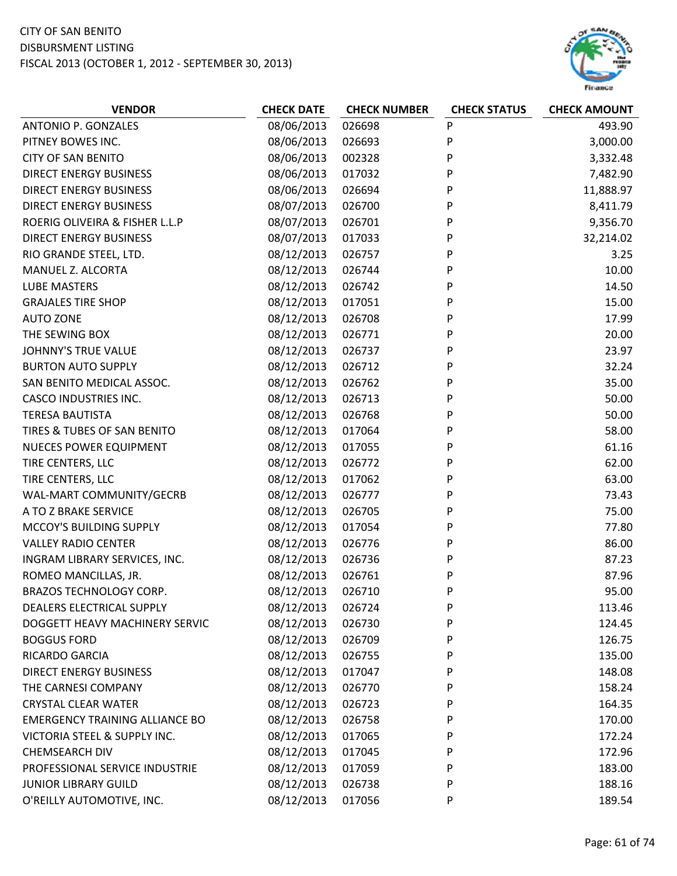

| <b>VENDOR</b>                         | <b>CHECK DATE</b> | <b>CHECK NUMBER</b> | <b>CHECK STATUS</b> | <b>CHECK AMOUNT</b> |
|---------------------------------------|-------------------|---------------------|---------------------|---------------------|
| <b>ANTONIO P. GONZALES</b>            | 08/06/2013        | 026698              | P                   | 493.90              |
| PITNEY BOWES INC.                     | 08/06/2013        | 026693              | P                   | 3,000.00            |
| <b>CITY OF SAN BENITO</b>             | 08/06/2013        | 002328              | P                   | 3,332.48            |
| <b>DIRECT ENERGY BUSINESS</b>         | 08/06/2013        | 017032              | P                   | 7,482.90            |
| <b>DIRECT ENERGY BUSINESS</b>         | 08/06/2013        | 026694              | P                   | 11,888.97           |
| <b>DIRECT ENERGY BUSINESS</b>         | 08/07/2013        | 026700              | P                   | 8,411.79            |
| ROERIG OLIVEIRA & FISHER L.L.P        | 08/07/2013        | 026701              | P                   | 9,356.70            |
| <b>DIRECT ENERGY BUSINESS</b>         | 08/07/2013        | 017033              | P                   | 32,214.02           |
| RIO GRANDE STEEL, LTD.                | 08/12/2013        | 026757              | P                   | 3.25                |
| MANUEL Z. ALCORTA                     | 08/12/2013        | 026744              | P                   | 10.00               |
| <b>LUBE MASTERS</b>                   | 08/12/2013        | 026742              | P                   | 14.50               |
| <b>GRAJALES TIRE SHOP</b>             | 08/12/2013        | 017051              | P                   | 15.00               |
| <b>AUTO ZONE</b>                      | 08/12/2013        | 026708              | P                   | 17.99               |
| THE SEWING BOX                        | 08/12/2013        | 026771              | P                   | 20.00               |
| <b>JOHNNY'S TRUE VALUE</b>            | 08/12/2013        | 026737              | P                   | 23.97               |
| <b>BURTON AUTO SUPPLY</b>             | 08/12/2013        | 026712              | P                   | 32.24               |
| SAN BENITO MEDICAL ASSOC.             | 08/12/2013        | 026762              | P                   | 35.00               |
| <b>CASCO INDUSTRIES INC.</b>          | 08/12/2013        | 026713              | P                   | 50.00               |
| <b>TERESA BAUTISTA</b>                | 08/12/2013        | 026768              | P                   | 50.00               |
| TIRES & TUBES OF SAN BENITO           | 08/12/2013        | 017064              | P                   | 58.00               |
| <b>NUECES POWER EQUIPMENT</b>         | 08/12/2013        | 017055              | P                   | 61.16               |
| TIRE CENTERS, LLC                     | 08/12/2013        | 026772              | P                   | 62.00               |
| TIRE CENTERS, LLC                     | 08/12/2013        | 017062              | P                   | 63.00               |
| WAL-MART COMMUNITY/GECRB              | 08/12/2013        | 026777              | P                   | 73.43               |
| A TO Z BRAKE SERVICE                  | 08/12/2013        | 026705              | P                   | 75.00               |
| MCCOY'S BUILDING SUPPLY               | 08/12/2013        | 017054              | P                   | 77.80               |
| <b>VALLEY RADIO CENTER</b>            | 08/12/2013        | 026776              | P                   | 86.00               |
| INGRAM LIBRARY SERVICES, INC.         | 08/12/2013        | 026736              | P                   | 87.23               |
| ROMEO MANCILLAS, JR.                  | 08/12/2013        | 026761              | P                   | 87.96               |
| <b>BRAZOS TECHNOLOGY CORP.</b>        | 08/12/2013        | 026710              | P                   | 95.00               |
| DEALERS ELECTRICAL SUPPLY             | 08/12/2013        | 026724              | P                   | 113.46              |
| DOGGETT HEAVY MACHINERY SERVIC        | 08/12/2013        | 026730              | P                   | 124.45              |
| <b>BOGGUS FORD</b>                    | 08/12/2013        | 026709              | P                   | 126.75              |
| RICARDO GARCIA                        | 08/12/2013        | 026755              | P                   | 135.00              |
| DIRECT ENERGY BUSINESS                | 08/12/2013        | 017047              | P                   | 148.08              |
| THE CARNESI COMPANY                   | 08/12/2013        | 026770              | P                   | 158.24              |
| <b>CRYSTAL CLEAR WATER</b>            | 08/12/2013        | 026723              | P                   | 164.35              |
| <b>EMERGENCY TRAINING ALLIANCE BO</b> | 08/12/2013        | 026758              | P                   | 170.00              |
| VICTORIA STEEL & SUPPLY INC.          | 08/12/2013        | 017065              | P                   | 172.24              |
| <b>CHEMSEARCH DIV</b>                 | 08/12/2013        | 017045              | P                   | 172.96              |
| PROFESSIONAL SERVICE INDUSTRIE        | 08/12/2013        | 017059              | P                   | 183.00              |
| <b>JUNIOR LIBRARY GUILD</b>           | 08/12/2013        | 026738              | P                   | 188.16              |
| O'REILLY AUTOMOTIVE, INC.             | 08/12/2013        | 017056              | P                   | 189.54              |
|                                       |                   |                     |                     |                     |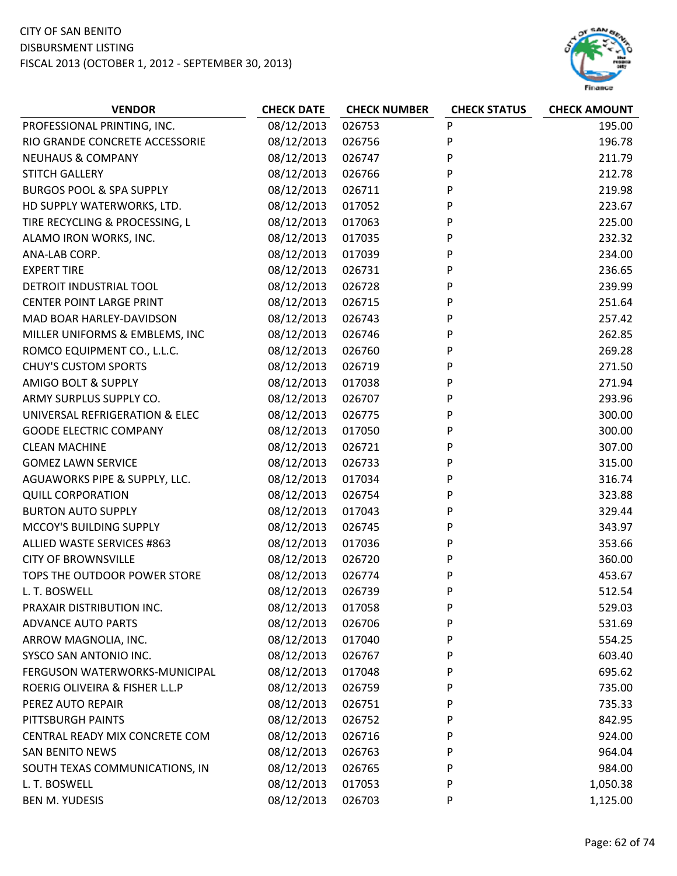

| <b>VENDOR</b>                       | <b>CHECK DATE</b> | <b>CHECK NUMBER</b> | <b>CHECK STATUS</b> | <b>CHECK AMOUNT</b> |
|-------------------------------------|-------------------|---------------------|---------------------|---------------------|
| PROFESSIONAL PRINTING, INC.         | 08/12/2013        | 026753              | P                   | 195.00              |
| RIO GRANDE CONCRETE ACCESSORIE      | 08/12/2013        | 026756              | P                   | 196.78              |
| <b>NEUHAUS &amp; COMPANY</b>        | 08/12/2013        | 026747              | P                   | 211.79              |
| <b>STITCH GALLERY</b>               | 08/12/2013        | 026766              | P                   | 212.78              |
| <b>BURGOS POOL &amp; SPA SUPPLY</b> | 08/12/2013        | 026711              | P                   | 219.98              |
| HD SUPPLY WATERWORKS, LTD.          | 08/12/2013        | 017052              | P                   | 223.67              |
| TIRE RECYCLING & PROCESSING, L      | 08/12/2013        | 017063              | P                   | 225.00              |
| ALAMO IRON WORKS, INC.              | 08/12/2013        | 017035              | P                   | 232.32              |
| ANA-LAB CORP.                       | 08/12/2013        | 017039              | P                   | 234.00              |
| <b>EXPERT TIRE</b>                  | 08/12/2013        | 026731              | P                   | 236.65              |
| DETROIT INDUSTRIAL TOOL             | 08/12/2013        | 026728              | P                   | 239.99              |
| <b>CENTER POINT LARGE PRINT</b>     | 08/12/2013        | 026715              | P                   | 251.64              |
| MAD BOAR HARLEY-DAVIDSON            | 08/12/2013        | 026743              | P                   | 257.42              |
| MILLER UNIFORMS & EMBLEMS, INC      | 08/12/2013        | 026746              | P                   | 262.85              |
| ROMCO EQUIPMENT CO., L.L.C.         | 08/12/2013        | 026760              | P                   | 269.28              |
| <b>CHUY'S CUSTOM SPORTS</b>         | 08/12/2013        | 026719              | P                   | 271.50              |
| <b>AMIGO BOLT &amp; SUPPLY</b>      | 08/12/2013        | 017038              | P                   | 271.94              |
| ARMY SURPLUS SUPPLY CO.             | 08/12/2013        | 026707              | P                   | 293.96              |
| UNIVERSAL REFRIGERATION & ELEC      | 08/12/2013        | 026775              | P                   | 300.00              |
| <b>GOODE ELECTRIC COMPANY</b>       | 08/12/2013        | 017050              | P                   | 300.00              |
| <b>CLEAN MACHINE</b>                | 08/12/2013        | 026721              | P                   | 307.00              |
| <b>GOMEZ LAWN SERVICE</b>           | 08/12/2013        | 026733              | P                   | 315.00              |
| AGUAWORKS PIPE & SUPPLY, LLC.       | 08/12/2013        | 017034              | P                   | 316.74              |
| <b>QUILL CORPORATION</b>            | 08/12/2013        | 026754              | P                   | 323.88              |
| <b>BURTON AUTO SUPPLY</b>           | 08/12/2013        | 017043              | P                   | 329.44              |
| MCCOY'S BUILDING SUPPLY             | 08/12/2013        | 026745              | P                   | 343.97              |
| ALLIED WASTE SERVICES #863          | 08/12/2013        | 017036              | P                   | 353.66              |
| <b>CITY OF BROWNSVILLE</b>          | 08/12/2013        | 026720              | P                   | 360.00              |
| TOPS THE OUTDOOR POWER STORE        | 08/12/2013        | 026774              | P                   | 453.67              |
| L. T. BOSWELL                       | 08/12/2013        | 026739              | P                   | 512.54              |
| PRAXAIR DISTRIBUTION INC.           | 08/12/2013        | 017058              | P                   | 529.03              |
| <b>ADVANCE AUTO PARTS</b>           | 08/12/2013        | 026706              | P                   | 531.69              |
| ARROW MAGNOLIA, INC.                | 08/12/2013        | 017040              | P                   | 554.25              |
| SYSCO SAN ANTONIO INC.              | 08/12/2013        | 026767              | P                   | 603.40              |
| FERGUSON WATERWORKS-MUNICIPAL       | 08/12/2013        | 017048              | P                   | 695.62              |
| ROERIG OLIVEIRA & FISHER L.L.P      | 08/12/2013        | 026759              | P                   | 735.00              |
| PEREZ AUTO REPAIR                   | 08/12/2013        | 026751              | P                   | 735.33              |
| PITTSBURGH PAINTS                   | 08/12/2013        | 026752              | P                   | 842.95              |
| CENTRAL READY MIX CONCRETE COM      | 08/12/2013        | 026716              | P                   | 924.00              |
| <b>SAN BENITO NEWS</b>              | 08/12/2013        | 026763              | P                   | 964.04              |
| SOUTH TEXAS COMMUNICATIONS, IN      | 08/12/2013        | 026765              | P                   | 984.00              |
| L. T. BOSWELL                       | 08/12/2013        | 017053              | P                   | 1,050.38            |
| <b>BEN M. YUDESIS</b>               | 08/12/2013        | 026703              | P                   | 1,125.00            |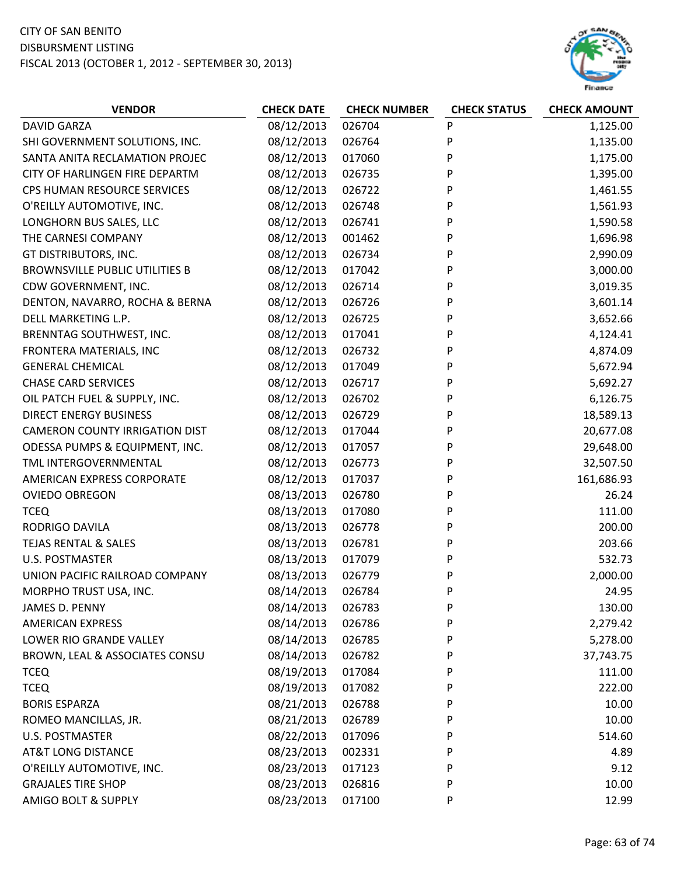

| <b>DAVID GARZA</b><br>08/12/2013<br>026704<br>P<br>1,125.00<br>Ρ<br>08/12/2013<br>SHI GOVERNMENT SOLUTIONS, INC.<br>026764<br>1,135.00<br>08/12/2013<br>P<br>SANTA ANITA RECLAMATION PROJEC<br>017060<br>1,175.00<br>CITY OF HARLINGEN FIRE DEPARTM<br>08/12/2013<br>P<br>1,395.00<br>026735<br>08/12/2013<br>P<br>CPS HUMAN RESOURCE SERVICES<br>026722<br>1,461.55<br>O'REILLY AUTOMOTIVE, INC.<br>08/12/2013<br>026748<br>P<br>1,561.93<br>08/12/2013<br>P<br>LONGHORN BUS SALES, LLC<br>026741<br>1,590.58<br>08/12/2013<br>THE CARNESI COMPANY<br>1,696.98<br>001462<br>P<br>08/12/2013<br>026734<br>P<br>2,990.09<br>GT DISTRIBUTORS, INC.<br><b>BROWNSVILLE PUBLIC UTILITIES B</b><br>08/12/2013<br>017042<br>P<br>3,000.00<br>08/12/2013<br>P<br>CDW GOVERNMENT, INC.<br>026714<br>3,019.35<br>08/12/2013<br>P<br>DENTON, NAVARRO, ROCHA & BERNA<br>026726<br>3,601.14 |
|--------------------------------------------------------------------------------------------------------------------------------------------------------------------------------------------------------------------------------------------------------------------------------------------------------------------------------------------------------------------------------------------------------------------------------------------------------------------------------------------------------------------------------------------------------------------------------------------------------------------------------------------------------------------------------------------------------------------------------------------------------------------------------------------------------------------------------------------------------------------------------|
|                                                                                                                                                                                                                                                                                                                                                                                                                                                                                                                                                                                                                                                                                                                                                                                                                                                                                |
|                                                                                                                                                                                                                                                                                                                                                                                                                                                                                                                                                                                                                                                                                                                                                                                                                                                                                |
|                                                                                                                                                                                                                                                                                                                                                                                                                                                                                                                                                                                                                                                                                                                                                                                                                                                                                |
|                                                                                                                                                                                                                                                                                                                                                                                                                                                                                                                                                                                                                                                                                                                                                                                                                                                                                |
|                                                                                                                                                                                                                                                                                                                                                                                                                                                                                                                                                                                                                                                                                                                                                                                                                                                                                |
|                                                                                                                                                                                                                                                                                                                                                                                                                                                                                                                                                                                                                                                                                                                                                                                                                                                                                |
|                                                                                                                                                                                                                                                                                                                                                                                                                                                                                                                                                                                                                                                                                                                                                                                                                                                                                |
|                                                                                                                                                                                                                                                                                                                                                                                                                                                                                                                                                                                                                                                                                                                                                                                                                                                                                |
|                                                                                                                                                                                                                                                                                                                                                                                                                                                                                                                                                                                                                                                                                                                                                                                                                                                                                |
|                                                                                                                                                                                                                                                                                                                                                                                                                                                                                                                                                                                                                                                                                                                                                                                                                                                                                |
|                                                                                                                                                                                                                                                                                                                                                                                                                                                                                                                                                                                                                                                                                                                                                                                                                                                                                |
|                                                                                                                                                                                                                                                                                                                                                                                                                                                                                                                                                                                                                                                                                                                                                                                                                                                                                |
| DELL MARKETING L.P.<br>08/12/2013<br>026725<br>3,652.66<br>P                                                                                                                                                                                                                                                                                                                                                                                                                                                                                                                                                                                                                                                                                                                                                                                                                   |
| 08/12/2013<br>P<br>BRENNTAG SOUTHWEST, INC.<br>017041<br>4,124.41                                                                                                                                                                                                                                                                                                                                                                                                                                                                                                                                                                                                                                                                                                                                                                                                              |
| 08/12/2013<br>P<br>FRONTERA MATERIALS, INC<br>026732<br>4,874.09                                                                                                                                                                                                                                                                                                                                                                                                                                                                                                                                                                                                                                                                                                                                                                                                               |
| <b>GENERAL CHEMICAL</b><br>08/12/2013<br>P<br>017049<br>5,672.94                                                                                                                                                                                                                                                                                                                                                                                                                                                                                                                                                                                                                                                                                                                                                                                                               |
| <b>CHASE CARD SERVICES</b><br>08/12/2013<br>P<br>5,692.27<br>026717                                                                                                                                                                                                                                                                                                                                                                                                                                                                                                                                                                                                                                                                                                                                                                                                            |
| 08/12/2013<br>P<br>6,126.75<br>OIL PATCH FUEL & SUPPLY, INC.<br>026702                                                                                                                                                                                                                                                                                                                                                                                                                                                                                                                                                                                                                                                                                                                                                                                                         |
| <b>DIRECT ENERGY BUSINESS</b><br>08/12/2013<br>P<br>18,589.13<br>026729                                                                                                                                                                                                                                                                                                                                                                                                                                                                                                                                                                                                                                                                                                                                                                                                        |
| <b>CAMERON COUNTY IRRIGATION DIST</b><br>08/12/2013<br>017044<br>20,677.08<br>P                                                                                                                                                                                                                                                                                                                                                                                                                                                                                                                                                                                                                                                                                                                                                                                                |
| P<br>08/12/2013<br>ODESSA PUMPS & EQUIPMENT, INC.<br>017057<br>29,648.00                                                                                                                                                                                                                                                                                                                                                                                                                                                                                                                                                                                                                                                                                                                                                                                                       |
| 08/12/2013<br>32,507.50<br>TML INTERGOVERNMENTAL<br>026773<br>P                                                                                                                                                                                                                                                                                                                                                                                                                                                                                                                                                                                                                                                                                                                                                                                                                |
| AMERICAN EXPRESS CORPORATE<br>08/12/2013<br>P<br>161,686.93<br>017037                                                                                                                                                                                                                                                                                                                                                                                                                                                                                                                                                                                                                                                                                                                                                                                                          |
| <b>OVIEDO OBREGON</b><br>08/13/2013<br>026780<br>P<br>26.24                                                                                                                                                                                                                                                                                                                                                                                                                                                                                                                                                                                                                                                                                                                                                                                                                    |
| 08/13/2013<br>111.00<br><b>TCEQ</b><br>017080<br>P                                                                                                                                                                                                                                                                                                                                                                                                                                                                                                                                                                                                                                                                                                                                                                                                                             |
| 08/13/2013<br>P<br>200.00<br>RODRIGO DAVILA<br>026778                                                                                                                                                                                                                                                                                                                                                                                                                                                                                                                                                                                                                                                                                                                                                                                                                          |
| 08/13/2013<br><b>TEJAS RENTAL &amp; SALES</b><br>026781<br>203.66<br>P                                                                                                                                                                                                                                                                                                                                                                                                                                                                                                                                                                                                                                                                                                                                                                                                         |
| <b>U.S. POSTMASTER</b><br>08/13/2013<br>P<br>017079<br>532.73                                                                                                                                                                                                                                                                                                                                                                                                                                                                                                                                                                                                                                                                                                                                                                                                                  |
| 08/13/2013<br>UNION PACIFIC RAILROAD COMPANY<br>026779<br>2,000.00<br>P                                                                                                                                                                                                                                                                                                                                                                                                                                                                                                                                                                                                                                                                                                                                                                                                        |
| 08/14/2013<br>P<br>MORPHO TRUST USA, INC.<br>026784<br>24.95                                                                                                                                                                                                                                                                                                                                                                                                                                                                                                                                                                                                                                                                                                                                                                                                                   |
| 08/14/2013<br>JAMES D. PENNY<br>026783<br>P<br>130.00                                                                                                                                                                                                                                                                                                                                                                                                                                                                                                                                                                                                                                                                                                                                                                                                                          |
| 08/14/2013<br><b>AMERICAN EXPRESS</b><br>026786<br>P<br>2,279.42                                                                                                                                                                                                                                                                                                                                                                                                                                                                                                                                                                                                                                                                                                                                                                                                               |
| 08/14/2013<br>P<br>LOWER RIO GRANDE VALLEY<br>026785<br>5,278.00                                                                                                                                                                                                                                                                                                                                                                                                                                                                                                                                                                                                                                                                                                                                                                                                               |
| 08/14/2013<br>BROWN, LEAL & ASSOCIATES CONSU<br>026782<br>P<br>37,743.75                                                                                                                                                                                                                                                                                                                                                                                                                                                                                                                                                                                                                                                                                                                                                                                                       |
| 08/19/2013<br>111.00<br><b>TCEQ</b><br>017084<br>P                                                                                                                                                                                                                                                                                                                                                                                                                                                                                                                                                                                                                                                                                                                                                                                                                             |
| <b>TCEQ</b><br>08/19/2013<br>222.00<br>017082<br>P                                                                                                                                                                                                                                                                                                                                                                                                                                                                                                                                                                                                                                                                                                                                                                                                                             |
| 08/21/2013<br>10.00<br><b>BORIS ESPARZA</b><br>026788<br>P                                                                                                                                                                                                                                                                                                                                                                                                                                                                                                                                                                                                                                                                                                                                                                                                                     |
| 08/21/2013<br>P<br>10.00<br>ROMEO MANCILLAS, JR.<br>026789                                                                                                                                                                                                                                                                                                                                                                                                                                                                                                                                                                                                                                                                                                                                                                                                                     |
| 08/22/2013<br>U.S. POSTMASTER<br>017096<br>P<br>514.60                                                                                                                                                                                                                                                                                                                                                                                                                                                                                                                                                                                                                                                                                                                                                                                                                         |
| <b>AT&amp;T LONG DISTANCE</b><br>08/23/2013<br>P<br>002331<br>4.89                                                                                                                                                                                                                                                                                                                                                                                                                                                                                                                                                                                                                                                                                                                                                                                                             |
| 08/23/2013<br>O'REILLY AUTOMOTIVE, INC.<br>017123<br>9.12<br>P                                                                                                                                                                                                                                                                                                                                                                                                                                                                                                                                                                                                                                                                                                                                                                                                                 |
| 08/23/2013<br>P<br>10.00<br><b>GRAJALES TIRE SHOP</b><br>026816                                                                                                                                                                                                                                                                                                                                                                                                                                                                                                                                                                                                                                                                                                                                                                                                                |
| 08/23/2013<br>AMIGO BOLT & SUPPLY<br>12.99<br>017100<br>P                                                                                                                                                                                                                                                                                                                                                                                                                                                                                                                                                                                                                                                                                                                                                                                                                      |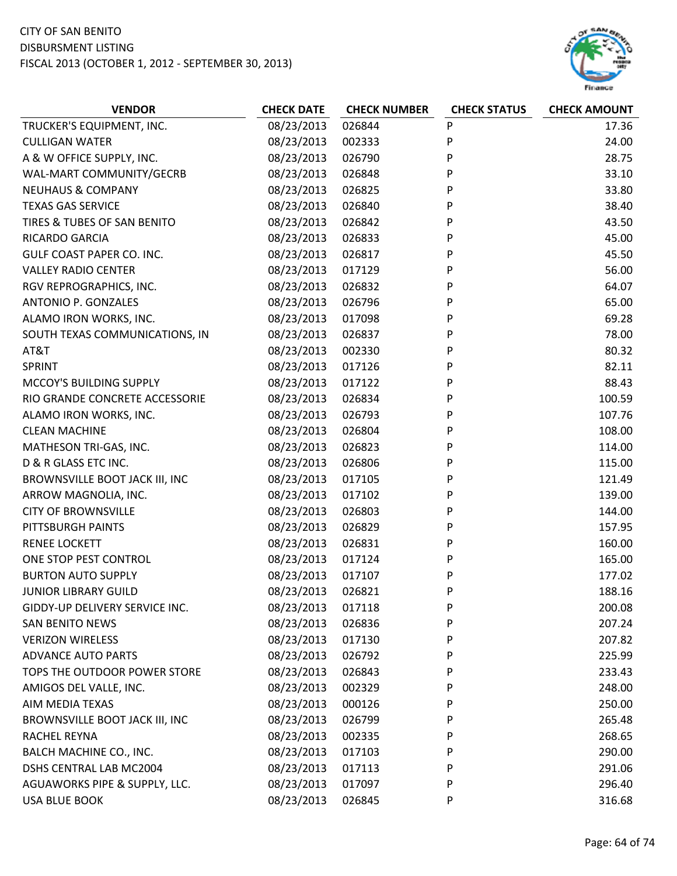

| P<br>08/23/2013<br>026844<br>TRUCKER'S EQUIPMENT, INC.<br>17.36<br>P<br>08/23/2013<br><b>CULLIGAN WATER</b><br>002333<br>24.00<br>P<br>A & W OFFICE SUPPLY, INC.<br>08/23/2013<br>026790<br>28.75<br>P<br>WAL-MART COMMUNITY/GECRB<br>08/23/2013<br>33.10<br>026848<br>P<br><b>NEUHAUS &amp; COMPANY</b><br>08/23/2013<br>33.80<br>026825<br>P<br><b>TEXAS GAS SERVICE</b><br>08/23/2013<br>026840<br>38.40<br>P<br>TIRES & TUBES OF SAN BENITO<br>08/23/2013<br>43.50<br>026842<br>P<br>RICARDO GARCIA<br>08/23/2013<br>026833<br>45.00<br>P<br>GULF COAST PAPER CO. INC.<br>08/23/2013<br>45.50<br>026817<br>P<br>08/23/2013<br>56.00<br><b>VALLEY RADIO CENTER</b><br>017129<br>P<br>08/23/2013<br>64.07<br>RGV REPROGRAPHICS, INC.<br>026832<br>P<br>08/23/2013<br>65.00<br>ANTONIO P. GONZALES<br>026796<br>P<br>ALAMO IRON WORKS, INC.<br>08/23/2013<br>017098<br>69.28<br>P<br>08/23/2013<br>78.00<br>SOUTH TEXAS COMMUNICATIONS, IN<br>026837<br>08/23/2013<br>P<br>80.32<br>AT&T<br>002330<br>P<br>08/23/2013<br>82.11<br><b>SPRINT</b><br>017126<br>P<br>08/23/2013<br>017122<br>88.43<br>MCCOY'S BUILDING SUPPLY<br>P<br>RIO GRANDE CONCRETE ACCESSORIE<br>08/23/2013<br>100.59<br>026834<br>P<br>08/23/2013<br>ALAMO IRON WORKS, INC.<br>026793<br>107.76<br>08/23/2013<br>026804<br>P<br>108.00<br><b>CLEAN MACHINE</b><br>P<br>08/23/2013<br>026823<br>114.00<br>MATHESON TRI-GAS, INC.<br>P<br>D & R GLASS ETC INC.<br>08/23/2013<br>115.00<br>026806<br>P<br>BROWNSVILLE BOOT JACK III, INC<br>08/23/2013<br>121.49<br>017105<br>P<br>ARROW MAGNOLIA, INC.<br>08/23/2013<br>017102<br>139.00<br>08/23/2013<br>026803<br>P<br><b>CITY OF BROWNSVILLE</b><br>144.00<br>P<br>08/23/2013<br>PITTSBURGH PAINTS<br>026829<br>157.95<br>08/23/2013<br><b>RENEE LOCKETT</b><br>026831<br>P<br>160.00<br>P<br>08/23/2013<br>165.00<br>ONE STOP PEST CONTROL<br>017124<br>P<br>08/23/2013<br><b>BURTON AUTO SUPPLY</b><br>017107<br>177.02<br>P<br>08/23/2013<br>188.16<br><b>JUNIOR LIBRARY GUILD</b><br>026821<br>P<br>GIDDY-UP DELIVERY SERVICE INC.<br>08/23/2013<br>017118<br>200.08<br>08/23/2013<br><b>SAN BENITO NEWS</b><br>026836<br>P<br>207.24<br>P<br><b>VERIZON WIRELESS</b><br>08/23/2013<br>017130<br>207.82<br><b>ADVANCE AUTO PARTS</b><br>08/23/2013<br>026792<br>P<br>225.99<br>P<br>TOPS THE OUTDOOR POWER STORE<br>08/23/2013<br>026843<br>233.43<br>P<br>AMIGOS DEL VALLE, INC.<br>08/23/2013<br>002329<br>248.00<br>AIM MEDIA TEXAS<br>08/23/2013<br>000126<br>P<br>250.00<br>BROWNSVILLE BOOT JACK III, INC<br>08/23/2013<br>P<br>026799<br>265.48<br>08/23/2013<br><b>RACHEL REYNA</b><br>002335<br>P<br>268.65<br>08/23/2013<br>BALCH MACHINE CO., INC.<br>017103<br>P<br>290.00<br>DSHS CENTRAL LAB MC2004<br>08/23/2013<br>017113<br>P<br>291.06 | <b>VENDOR</b>                 | <b>CHECK DATE</b> | <b>CHECK NUMBER</b> | <b>CHECK STATUS</b> | <b>CHECK AMOUNT</b> |
|-------------------------------------------------------------------------------------------------------------------------------------------------------------------------------------------------------------------------------------------------------------------------------------------------------------------------------------------------------------------------------------------------------------------------------------------------------------------------------------------------------------------------------------------------------------------------------------------------------------------------------------------------------------------------------------------------------------------------------------------------------------------------------------------------------------------------------------------------------------------------------------------------------------------------------------------------------------------------------------------------------------------------------------------------------------------------------------------------------------------------------------------------------------------------------------------------------------------------------------------------------------------------------------------------------------------------------------------------------------------------------------------------------------------------------------------------------------------------------------------------------------------------------------------------------------------------------------------------------------------------------------------------------------------------------------------------------------------------------------------------------------------------------------------------------------------------------------------------------------------------------------------------------------------------------------------------------------------------------------------------------------------------------------------------------------------------------------------------------------------------------------------------------------------------------------------------------------------------------------------------------------------------------------------------------------------------------------------------------------------------------------------------------------------------------------------------------------------------------------------------------------------------------------------------------------------------------------------------------------------------------------------------------------------------------------------------------------------------------------------------------------------------------------|-------------------------------|-------------------|---------------------|---------------------|---------------------|
|                                                                                                                                                                                                                                                                                                                                                                                                                                                                                                                                                                                                                                                                                                                                                                                                                                                                                                                                                                                                                                                                                                                                                                                                                                                                                                                                                                                                                                                                                                                                                                                                                                                                                                                                                                                                                                                                                                                                                                                                                                                                                                                                                                                                                                                                                                                                                                                                                                                                                                                                                                                                                                                                                                                                                                                     |                               |                   |                     |                     |                     |
|                                                                                                                                                                                                                                                                                                                                                                                                                                                                                                                                                                                                                                                                                                                                                                                                                                                                                                                                                                                                                                                                                                                                                                                                                                                                                                                                                                                                                                                                                                                                                                                                                                                                                                                                                                                                                                                                                                                                                                                                                                                                                                                                                                                                                                                                                                                                                                                                                                                                                                                                                                                                                                                                                                                                                                                     |                               |                   |                     |                     |                     |
|                                                                                                                                                                                                                                                                                                                                                                                                                                                                                                                                                                                                                                                                                                                                                                                                                                                                                                                                                                                                                                                                                                                                                                                                                                                                                                                                                                                                                                                                                                                                                                                                                                                                                                                                                                                                                                                                                                                                                                                                                                                                                                                                                                                                                                                                                                                                                                                                                                                                                                                                                                                                                                                                                                                                                                                     |                               |                   |                     |                     |                     |
|                                                                                                                                                                                                                                                                                                                                                                                                                                                                                                                                                                                                                                                                                                                                                                                                                                                                                                                                                                                                                                                                                                                                                                                                                                                                                                                                                                                                                                                                                                                                                                                                                                                                                                                                                                                                                                                                                                                                                                                                                                                                                                                                                                                                                                                                                                                                                                                                                                                                                                                                                                                                                                                                                                                                                                                     |                               |                   |                     |                     |                     |
|                                                                                                                                                                                                                                                                                                                                                                                                                                                                                                                                                                                                                                                                                                                                                                                                                                                                                                                                                                                                                                                                                                                                                                                                                                                                                                                                                                                                                                                                                                                                                                                                                                                                                                                                                                                                                                                                                                                                                                                                                                                                                                                                                                                                                                                                                                                                                                                                                                                                                                                                                                                                                                                                                                                                                                                     |                               |                   |                     |                     |                     |
|                                                                                                                                                                                                                                                                                                                                                                                                                                                                                                                                                                                                                                                                                                                                                                                                                                                                                                                                                                                                                                                                                                                                                                                                                                                                                                                                                                                                                                                                                                                                                                                                                                                                                                                                                                                                                                                                                                                                                                                                                                                                                                                                                                                                                                                                                                                                                                                                                                                                                                                                                                                                                                                                                                                                                                                     |                               |                   |                     |                     |                     |
|                                                                                                                                                                                                                                                                                                                                                                                                                                                                                                                                                                                                                                                                                                                                                                                                                                                                                                                                                                                                                                                                                                                                                                                                                                                                                                                                                                                                                                                                                                                                                                                                                                                                                                                                                                                                                                                                                                                                                                                                                                                                                                                                                                                                                                                                                                                                                                                                                                                                                                                                                                                                                                                                                                                                                                                     |                               |                   |                     |                     |                     |
|                                                                                                                                                                                                                                                                                                                                                                                                                                                                                                                                                                                                                                                                                                                                                                                                                                                                                                                                                                                                                                                                                                                                                                                                                                                                                                                                                                                                                                                                                                                                                                                                                                                                                                                                                                                                                                                                                                                                                                                                                                                                                                                                                                                                                                                                                                                                                                                                                                                                                                                                                                                                                                                                                                                                                                                     |                               |                   |                     |                     |                     |
|                                                                                                                                                                                                                                                                                                                                                                                                                                                                                                                                                                                                                                                                                                                                                                                                                                                                                                                                                                                                                                                                                                                                                                                                                                                                                                                                                                                                                                                                                                                                                                                                                                                                                                                                                                                                                                                                                                                                                                                                                                                                                                                                                                                                                                                                                                                                                                                                                                                                                                                                                                                                                                                                                                                                                                                     |                               |                   |                     |                     |                     |
|                                                                                                                                                                                                                                                                                                                                                                                                                                                                                                                                                                                                                                                                                                                                                                                                                                                                                                                                                                                                                                                                                                                                                                                                                                                                                                                                                                                                                                                                                                                                                                                                                                                                                                                                                                                                                                                                                                                                                                                                                                                                                                                                                                                                                                                                                                                                                                                                                                                                                                                                                                                                                                                                                                                                                                                     |                               |                   |                     |                     |                     |
|                                                                                                                                                                                                                                                                                                                                                                                                                                                                                                                                                                                                                                                                                                                                                                                                                                                                                                                                                                                                                                                                                                                                                                                                                                                                                                                                                                                                                                                                                                                                                                                                                                                                                                                                                                                                                                                                                                                                                                                                                                                                                                                                                                                                                                                                                                                                                                                                                                                                                                                                                                                                                                                                                                                                                                                     |                               |                   |                     |                     |                     |
|                                                                                                                                                                                                                                                                                                                                                                                                                                                                                                                                                                                                                                                                                                                                                                                                                                                                                                                                                                                                                                                                                                                                                                                                                                                                                                                                                                                                                                                                                                                                                                                                                                                                                                                                                                                                                                                                                                                                                                                                                                                                                                                                                                                                                                                                                                                                                                                                                                                                                                                                                                                                                                                                                                                                                                                     |                               |                   |                     |                     |                     |
|                                                                                                                                                                                                                                                                                                                                                                                                                                                                                                                                                                                                                                                                                                                                                                                                                                                                                                                                                                                                                                                                                                                                                                                                                                                                                                                                                                                                                                                                                                                                                                                                                                                                                                                                                                                                                                                                                                                                                                                                                                                                                                                                                                                                                                                                                                                                                                                                                                                                                                                                                                                                                                                                                                                                                                                     |                               |                   |                     |                     |                     |
|                                                                                                                                                                                                                                                                                                                                                                                                                                                                                                                                                                                                                                                                                                                                                                                                                                                                                                                                                                                                                                                                                                                                                                                                                                                                                                                                                                                                                                                                                                                                                                                                                                                                                                                                                                                                                                                                                                                                                                                                                                                                                                                                                                                                                                                                                                                                                                                                                                                                                                                                                                                                                                                                                                                                                                                     |                               |                   |                     |                     |                     |
|                                                                                                                                                                                                                                                                                                                                                                                                                                                                                                                                                                                                                                                                                                                                                                                                                                                                                                                                                                                                                                                                                                                                                                                                                                                                                                                                                                                                                                                                                                                                                                                                                                                                                                                                                                                                                                                                                                                                                                                                                                                                                                                                                                                                                                                                                                                                                                                                                                                                                                                                                                                                                                                                                                                                                                                     |                               |                   |                     |                     |                     |
|                                                                                                                                                                                                                                                                                                                                                                                                                                                                                                                                                                                                                                                                                                                                                                                                                                                                                                                                                                                                                                                                                                                                                                                                                                                                                                                                                                                                                                                                                                                                                                                                                                                                                                                                                                                                                                                                                                                                                                                                                                                                                                                                                                                                                                                                                                                                                                                                                                                                                                                                                                                                                                                                                                                                                                                     |                               |                   |                     |                     |                     |
|                                                                                                                                                                                                                                                                                                                                                                                                                                                                                                                                                                                                                                                                                                                                                                                                                                                                                                                                                                                                                                                                                                                                                                                                                                                                                                                                                                                                                                                                                                                                                                                                                                                                                                                                                                                                                                                                                                                                                                                                                                                                                                                                                                                                                                                                                                                                                                                                                                                                                                                                                                                                                                                                                                                                                                                     |                               |                   |                     |                     |                     |
|                                                                                                                                                                                                                                                                                                                                                                                                                                                                                                                                                                                                                                                                                                                                                                                                                                                                                                                                                                                                                                                                                                                                                                                                                                                                                                                                                                                                                                                                                                                                                                                                                                                                                                                                                                                                                                                                                                                                                                                                                                                                                                                                                                                                                                                                                                                                                                                                                                                                                                                                                                                                                                                                                                                                                                                     |                               |                   |                     |                     |                     |
|                                                                                                                                                                                                                                                                                                                                                                                                                                                                                                                                                                                                                                                                                                                                                                                                                                                                                                                                                                                                                                                                                                                                                                                                                                                                                                                                                                                                                                                                                                                                                                                                                                                                                                                                                                                                                                                                                                                                                                                                                                                                                                                                                                                                                                                                                                                                                                                                                                                                                                                                                                                                                                                                                                                                                                                     |                               |                   |                     |                     |                     |
|                                                                                                                                                                                                                                                                                                                                                                                                                                                                                                                                                                                                                                                                                                                                                                                                                                                                                                                                                                                                                                                                                                                                                                                                                                                                                                                                                                                                                                                                                                                                                                                                                                                                                                                                                                                                                                                                                                                                                                                                                                                                                                                                                                                                                                                                                                                                                                                                                                                                                                                                                                                                                                                                                                                                                                                     |                               |                   |                     |                     |                     |
|                                                                                                                                                                                                                                                                                                                                                                                                                                                                                                                                                                                                                                                                                                                                                                                                                                                                                                                                                                                                                                                                                                                                                                                                                                                                                                                                                                                                                                                                                                                                                                                                                                                                                                                                                                                                                                                                                                                                                                                                                                                                                                                                                                                                                                                                                                                                                                                                                                                                                                                                                                                                                                                                                                                                                                                     |                               |                   |                     |                     |                     |
|                                                                                                                                                                                                                                                                                                                                                                                                                                                                                                                                                                                                                                                                                                                                                                                                                                                                                                                                                                                                                                                                                                                                                                                                                                                                                                                                                                                                                                                                                                                                                                                                                                                                                                                                                                                                                                                                                                                                                                                                                                                                                                                                                                                                                                                                                                                                                                                                                                                                                                                                                                                                                                                                                                                                                                                     |                               |                   |                     |                     |                     |
|                                                                                                                                                                                                                                                                                                                                                                                                                                                                                                                                                                                                                                                                                                                                                                                                                                                                                                                                                                                                                                                                                                                                                                                                                                                                                                                                                                                                                                                                                                                                                                                                                                                                                                                                                                                                                                                                                                                                                                                                                                                                                                                                                                                                                                                                                                                                                                                                                                                                                                                                                                                                                                                                                                                                                                                     |                               |                   |                     |                     |                     |
|                                                                                                                                                                                                                                                                                                                                                                                                                                                                                                                                                                                                                                                                                                                                                                                                                                                                                                                                                                                                                                                                                                                                                                                                                                                                                                                                                                                                                                                                                                                                                                                                                                                                                                                                                                                                                                                                                                                                                                                                                                                                                                                                                                                                                                                                                                                                                                                                                                                                                                                                                                                                                                                                                                                                                                                     |                               |                   |                     |                     |                     |
|                                                                                                                                                                                                                                                                                                                                                                                                                                                                                                                                                                                                                                                                                                                                                                                                                                                                                                                                                                                                                                                                                                                                                                                                                                                                                                                                                                                                                                                                                                                                                                                                                                                                                                                                                                                                                                                                                                                                                                                                                                                                                                                                                                                                                                                                                                                                                                                                                                                                                                                                                                                                                                                                                                                                                                                     |                               |                   |                     |                     |                     |
|                                                                                                                                                                                                                                                                                                                                                                                                                                                                                                                                                                                                                                                                                                                                                                                                                                                                                                                                                                                                                                                                                                                                                                                                                                                                                                                                                                                                                                                                                                                                                                                                                                                                                                                                                                                                                                                                                                                                                                                                                                                                                                                                                                                                                                                                                                                                                                                                                                                                                                                                                                                                                                                                                                                                                                                     |                               |                   |                     |                     |                     |
|                                                                                                                                                                                                                                                                                                                                                                                                                                                                                                                                                                                                                                                                                                                                                                                                                                                                                                                                                                                                                                                                                                                                                                                                                                                                                                                                                                                                                                                                                                                                                                                                                                                                                                                                                                                                                                                                                                                                                                                                                                                                                                                                                                                                                                                                                                                                                                                                                                                                                                                                                                                                                                                                                                                                                                                     |                               |                   |                     |                     |                     |
|                                                                                                                                                                                                                                                                                                                                                                                                                                                                                                                                                                                                                                                                                                                                                                                                                                                                                                                                                                                                                                                                                                                                                                                                                                                                                                                                                                                                                                                                                                                                                                                                                                                                                                                                                                                                                                                                                                                                                                                                                                                                                                                                                                                                                                                                                                                                                                                                                                                                                                                                                                                                                                                                                                                                                                                     |                               |                   |                     |                     |                     |
|                                                                                                                                                                                                                                                                                                                                                                                                                                                                                                                                                                                                                                                                                                                                                                                                                                                                                                                                                                                                                                                                                                                                                                                                                                                                                                                                                                                                                                                                                                                                                                                                                                                                                                                                                                                                                                                                                                                                                                                                                                                                                                                                                                                                                                                                                                                                                                                                                                                                                                                                                                                                                                                                                                                                                                                     |                               |                   |                     |                     |                     |
|                                                                                                                                                                                                                                                                                                                                                                                                                                                                                                                                                                                                                                                                                                                                                                                                                                                                                                                                                                                                                                                                                                                                                                                                                                                                                                                                                                                                                                                                                                                                                                                                                                                                                                                                                                                                                                                                                                                                                                                                                                                                                                                                                                                                                                                                                                                                                                                                                                                                                                                                                                                                                                                                                                                                                                                     |                               |                   |                     |                     |                     |
|                                                                                                                                                                                                                                                                                                                                                                                                                                                                                                                                                                                                                                                                                                                                                                                                                                                                                                                                                                                                                                                                                                                                                                                                                                                                                                                                                                                                                                                                                                                                                                                                                                                                                                                                                                                                                                                                                                                                                                                                                                                                                                                                                                                                                                                                                                                                                                                                                                                                                                                                                                                                                                                                                                                                                                                     |                               |                   |                     |                     |                     |
|                                                                                                                                                                                                                                                                                                                                                                                                                                                                                                                                                                                                                                                                                                                                                                                                                                                                                                                                                                                                                                                                                                                                                                                                                                                                                                                                                                                                                                                                                                                                                                                                                                                                                                                                                                                                                                                                                                                                                                                                                                                                                                                                                                                                                                                                                                                                                                                                                                                                                                                                                                                                                                                                                                                                                                                     |                               |                   |                     |                     |                     |
|                                                                                                                                                                                                                                                                                                                                                                                                                                                                                                                                                                                                                                                                                                                                                                                                                                                                                                                                                                                                                                                                                                                                                                                                                                                                                                                                                                                                                                                                                                                                                                                                                                                                                                                                                                                                                                                                                                                                                                                                                                                                                                                                                                                                                                                                                                                                                                                                                                                                                                                                                                                                                                                                                                                                                                                     |                               |                   |                     |                     |                     |
|                                                                                                                                                                                                                                                                                                                                                                                                                                                                                                                                                                                                                                                                                                                                                                                                                                                                                                                                                                                                                                                                                                                                                                                                                                                                                                                                                                                                                                                                                                                                                                                                                                                                                                                                                                                                                                                                                                                                                                                                                                                                                                                                                                                                                                                                                                                                                                                                                                                                                                                                                                                                                                                                                                                                                                                     |                               |                   |                     |                     |                     |
|                                                                                                                                                                                                                                                                                                                                                                                                                                                                                                                                                                                                                                                                                                                                                                                                                                                                                                                                                                                                                                                                                                                                                                                                                                                                                                                                                                                                                                                                                                                                                                                                                                                                                                                                                                                                                                                                                                                                                                                                                                                                                                                                                                                                                                                                                                                                                                                                                                                                                                                                                                                                                                                                                                                                                                                     |                               |                   |                     |                     |                     |
|                                                                                                                                                                                                                                                                                                                                                                                                                                                                                                                                                                                                                                                                                                                                                                                                                                                                                                                                                                                                                                                                                                                                                                                                                                                                                                                                                                                                                                                                                                                                                                                                                                                                                                                                                                                                                                                                                                                                                                                                                                                                                                                                                                                                                                                                                                                                                                                                                                                                                                                                                                                                                                                                                                                                                                                     |                               |                   |                     |                     |                     |
|                                                                                                                                                                                                                                                                                                                                                                                                                                                                                                                                                                                                                                                                                                                                                                                                                                                                                                                                                                                                                                                                                                                                                                                                                                                                                                                                                                                                                                                                                                                                                                                                                                                                                                                                                                                                                                                                                                                                                                                                                                                                                                                                                                                                                                                                                                                                                                                                                                                                                                                                                                                                                                                                                                                                                                                     |                               |                   |                     |                     |                     |
|                                                                                                                                                                                                                                                                                                                                                                                                                                                                                                                                                                                                                                                                                                                                                                                                                                                                                                                                                                                                                                                                                                                                                                                                                                                                                                                                                                                                                                                                                                                                                                                                                                                                                                                                                                                                                                                                                                                                                                                                                                                                                                                                                                                                                                                                                                                                                                                                                                                                                                                                                                                                                                                                                                                                                                                     |                               |                   |                     |                     |                     |
|                                                                                                                                                                                                                                                                                                                                                                                                                                                                                                                                                                                                                                                                                                                                                                                                                                                                                                                                                                                                                                                                                                                                                                                                                                                                                                                                                                                                                                                                                                                                                                                                                                                                                                                                                                                                                                                                                                                                                                                                                                                                                                                                                                                                                                                                                                                                                                                                                                                                                                                                                                                                                                                                                                                                                                                     |                               |                   |                     |                     |                     |
|                                                                                                                                                                                                                                                                                                                                                                                                                                                                                                                                                                                                                                                                                                                                                                                                                                                                                                                                                                                                                                                                                                                                                                                                                                                                                                                                                                                                                                                                                                                                                                                                                                                                                                                                                                                                                                                                                                                                                                                                                                                                                                                                                                                                                                                                                                                                                                                                                                                                                                                                                                                                                                                                                                                                                                                     |                               |                   |                     |                     |                     |
|                                                                                                                                                                                                                                                                                                                                                                                                                                                                                                                                                                                                                                                                                                                                                                                                                                                                                                                                                                                                                                                                                                                                                                                                                                                                                                                                                                                                                                                                                                                                                                                                                                                                                                                                                                                                                                                                                                                                                                                                                                                                                                                                                                                                                                                                                                                                                                                                                                                                                                                                                                                                                                                                                                                                                                                     |                               |                   |                     |                     |                     |
|                                                                                                                                                                                                                                                                                                                                                                                                                                                                                                                                                                                                                                                                                                                                                                                                                                                                                                                                                                                                                                                                                                                                                                                                                                                                                                                                                                                                                                                                                                                                                                                                                                                                                                                                                                                                                                                                                                                                                                                                                                                                                                                                                                                                                                                                                                                                                                                                                                                                                                                                                                                                                                                                                                                                                                                     | AGUAWORKS PIPE & SUPPLY, LLC. | 08/23/2013        | 017097              | P                   | 296.40              |
| <b>USA BLUE BOOK</b><br>08/23/2013<br>026845<br>P<br>316.68                                                                                                                                                                                                                                                                                                                                                                                                                                                                                                                                                                                                                                                                                                                                                                                                                                                                                                                                                                                                                                                                                                                                                                                                                                                                                                                                                                                                                                                                                                                                                                                                                                                                                                                                                                                                                                                                                                                                                                                                                                                                                                                                                                                                                                                                                                                                                                                                                                                                                                                                                                                                                                                                                                                         |                               |                   |                     |                     |                     |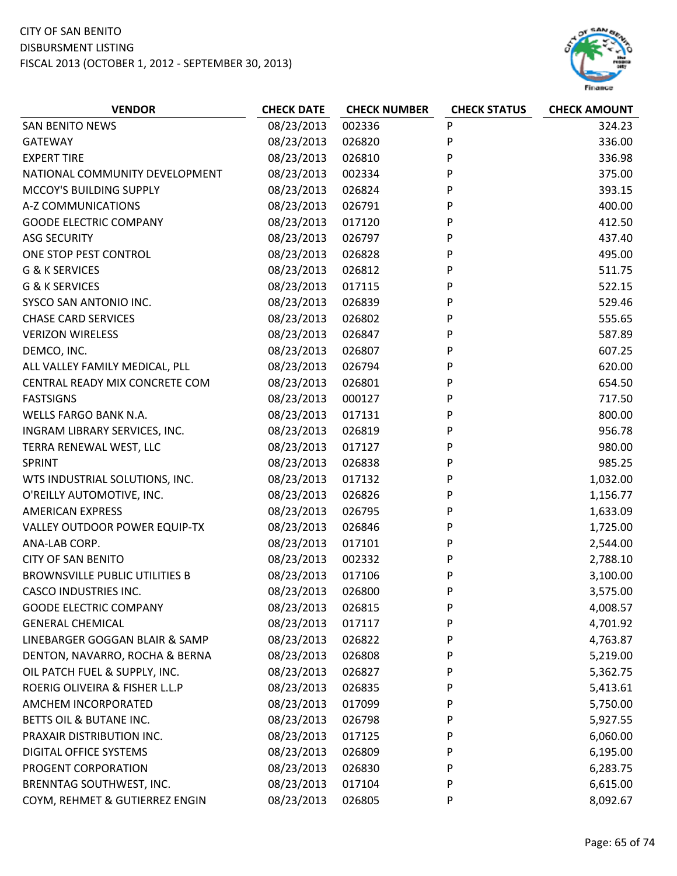

| <b>VENDOR</b>                         | <b>CHECK DATE</b> | <b>CHECK NUMBER</b> | <b>CHECK STATUS</b> | <b>CHECK AMOUNT</b> |
|---------------------------------------|-------------------|---------------------|---------------------|---------------------|
| <b>SAN BENITO NEWS</b>                | 08/23/2013        | 002336              | P                   | 324.23              |
| <b>GATEWAY</b>                        | 08/23/2013        | 026820              | P                   | 336.00              |
| <b>EXPERT TIRE</b>                    | 08/23/2013        | 026810              | P                   | 336.98              |
| NATIONAL COMMUNITY DEVELOPMENT        | 08/23/2013        | 002334              | P                   | 375.00              |
| MCCOY'S BUILDING SUPPLY               | 08/23/2013        | 026824              | P                   | 393.15              |
| A-Z COMMUNICATIONS                    | 08/23/2013        | 026791              | P                   | 400.00              |
| <b>GOODE ELECTRIC COMPANY</b>         | 08/23/2013        | 017120              | P                   | 412.50              |
| <b>ASG SECURITY</b>                   | 08/23/2013        | 026797              | P                   | 437.40              |
| ONE STOP PEST CONTROL                 | 08/23/2013        | 026828              | P                   | 495.00              |
| <b>G &amp; K SERVICES</b>             | 08/23/2013        | 026812              | P                   | 511.75              |
| G & K SERVICES                        | 08/23/2013        | 017115              | P                   | 522.15              |
| SYSCO SAN ANTONIO INC.                | 08/23/2013        | 026839              | P                   | 529.46              |
| <b>CHASE CARD SERVICES</b>            | 08/23/2013        | 026802              | P                   | 555.65              |
| <b>VERIZON WIRELESS</b>               | 08/23/2013        | 026847              | P                   | 587.89              |
| DEMCO, INC.                           | 08/23/2013        | 026807              | P                   | 607.25              |
| ALL VALLEY FAMILY MEDICAL, PLL        | 08/23/2013        | 026794              | Ρ                   | 620.00              |
| CENTRAL READY MIX CONCRETE COM        | 08/23/2013        | 026801              | P                   | 654.50              |
| <b>FASTSIGNS</b>                      | 08/23/2013        | 000127              | P                   | 717.50              |
| WELLS FARGO BANK N.A.                 | 08/23/2013        | 017131              | P                   | 800.00              |
| INGRAM LIBRARY SERVICES, INC.         | 08/23/2013        | 026819              | P                   | 956.78              |
| TERRA RENEWAL WEST, LLC               | 08/23/2013        | 017127              | P                   | 980.00              |
| <b>SPRINT</b>                         | 08/23/2013        | 026838              | P                   | 985.25              |
| WTS INDUSTRIAL SOLUTIONS, INC.        | 08/23/2013        | 017132              | P                   | 1,032.00            |
| O'REILLY AUTOMOTIVE, INC.             | 08/23/2013        | 026826              | P                   | 1,156.77            |
| <b>AMERICAN EXPRESS</b>               | 08/23/2013        | 026795              | P                   | 1,633.09            |
| VALLEY OUTDOOR POWER EQUIP-TX         | 08/23/2013        | 026846              | P                   | 1,725.00            |
| ANA-LAB CORP.                         | 08/23/2013        | 017101              | P                   | 2,544.00            |
| <b>CITY OF SAN BENITO</b>             | 08/23/2013        | 002332              | P                   | 2,788.10            |
| <b>BROWNSVILLE PUBLIC UTILITIES B</b> | 08/23/2013        | 017106              | P                   | 3,100.00            |
| <b>CASCO INDUSTRIES INC.</b>          | 08/23/2013        | 026800              | P                   | 3,575.00            |
| <b>GOODE ELECTRIC COMPANY</b>         | 08/23/2013        | 026815              | P                   | 4,008.57            |
| <b>GENERAL CHEMICAL</b>               | 08/23/2013        | 017117              | P                   | 4,701.92            |
| LINEBARGER GOGGAN BLAIR & SAMP        | 08/23/2013        | 026822              | P                   | 4,763.87            |
| DENTON, NAVARRO, ROCHA & BERNA        | 08/23/2013        | 026808              | P                   | 5,219.00            |
| OIL PATCH FUEL & SUPPLY, INC.         | 08/23/2013        | 026827              | P                   | 5,362.75            |
| ROERIG OLIVEIRA & FISHER L.L.P        | 08/23/2013        | 026835              | P                   | 5,413.61            |
| AMCHEM INCORPORATED                   | 08/23/2013        | 017099              | P                   | 5,750.00            |
| BETTS OIL & BUTANE INC.               | 08/23/2013        | 026798              | P                   | 5,927.55            |
| PRAXAIR DISTRIBUTION INC.             | 08/23/2013        | 017125              | P                   | 6,060.00            |
| <b>DIGITAL OFFICE SYSTEMS</b>         | 08/23/2013        | 026809              | P                   | 6,195.00            |
| PROGENT CORPORATION                   | 08/23/2013        | 026830              | P                   | 6,283.75            |
| BRENNTAG SOUTHWEST, INC.              | 08/23/2013        | 017104              | P                   | 6,615.00            |
| COYM, REHMET & GUTIERREZ ENGIN        | 08/23/2013        | 026805              | P                   | 8,092.67            |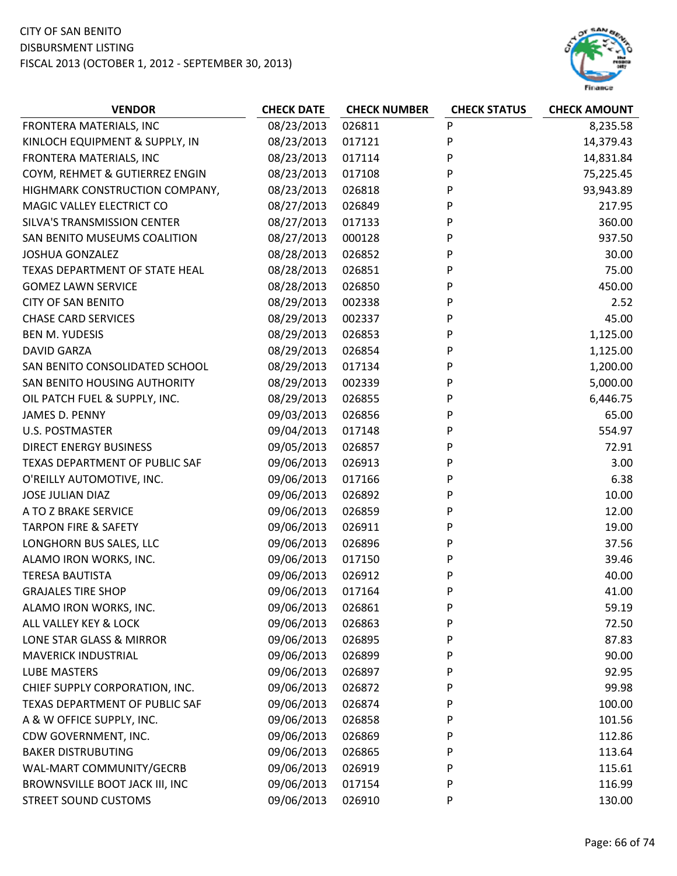

| <b>VENDOR</b>                   | <b>CHECK DATE</b> | <b>CHECK NUMBER</b> | <b>CHECK STATUS</b> | <b>CHECK AMOUNT</b> |
|---------------------------------|-------------------|---------------------|---------------------|---------------------|
| FRONTERA MATERIALS, INC         | 08/23/2013        | 026811              | P                   | 8,235.58            |
| KINLOCH EQUIPMENT & SUPPLY, IN  | 08/23/2013        | 017121              | P                   | 14,379.43           |
| FRONTERA MATERIALS, INC         | 08/23/2013        | 017114              | P                   | 14,831.84           |
| COYM, REHMET & GUTIERREZ ENGIN  | 08/23/2013        | 017108              | P                   | 75,225.45           |
| HIGHMARK CONSTRUCTION COMPANY,  | 08/23/2013        | 026818              | P                   | 93,943.89           |
| MAGIC VALLEY ELECTRICT CO       | 08/27/2013        | 026849              | P                   | 217.95              |
| SILVA'S TRANSMISSION CENTER     | 08/27/2013        | 017133              | P                   | 360.00              |
| SAN BENITO MUSEUMS COALITION    | 08/27/2013        | 000128              | P                   | 937.50              |
| <b>JOSHUA GONZALEZ</b>          | 08/28/2013        | 026852              | P                   | 30.00               |
| TEXAS DEPARTMENT OF STATE HEAL  | 08/28/2013        | 026851              | P                   | 75.00               |
| <b>GOMEZ LAWN SERVICE</b>       | 08/28/2013        | 026850              | P                   | 450.00              |
| <b>CITY OF SAN BENITO</b>       | 08/29/2013        | 002338              | P                   | 2.52                |
| <b>CHASE CARD SERVICES</b>      | 08/29/2013        | 002337              | P                   | 45.00               |
| <b>BEN M. YUDESIS</b>           | 08/29/2013        | 026853              | P                   | 1,125.00            |
| <b>DAVID GARZA</b>              | 08/29/2013        | 026854              | P                   | 1,125.00            |
| SAN BENITO CONSOLIDATED SCHOOL  | 08/29/2013        | 017134              | P                   | 1,200.00            |
| SAN BENITO HOUSING AUTHORITY    | 08/29/2013        | 002339              | P                   | 5,000.00            |
| OIL PATCH FUEL & SUPPLY, INC.   | 08/29/2013        | 026855              | P                   | 6,446.75            |
| JAMES D. PENNY                  | 09/03/2013        | 026856              | P                   | 65.00               |
| <b>U.S. POSTMASTER</b>          | 09/04/2013        | 017148              | P                   | 554.97              |
| <b>DIRECT ENERGY BUSINESS</b>   | 09/05/2013        | 026857              | P                   | 72.91               |
| TEXAS DEPARTMENT OF PUBLIC SAF  | 09/06/2013        | 026913              | P                   | 3.00                |
| O'REILLY AUTOMOTIVE, INC.       | 09/06/2013        | 017166              | P                   | 6.38                |
| <b>JOSE JULIAN DIAZ</b>         | 09/06/2013        | 026892              | P                   | 10.00               |
| A TO Z BRAKE SERVICE            | 09/06/2013        | 026859              | P                   | 12.00               |
| <b>TARPON FIRE &amp; SAFETY</b> | 09/06/2013        | 026911              | P                   | 19.00               |
| LONGHORN BUS SALES, LLC         | 09/06/2013        | 026896              | P                   | 37.56               |
| ALAMO IRON WORKS, INC.          | 09/06/2013        | 017150              | P                   | 39.46               |
| <b>TERESA BAUTISTA</b>          | 09/06/2013        | 026912              | P                   | 40.00               |
| <b>GRAJALES TIRE SHOP</b>       | 09/06/2013        | 017164              | P                   | 41.00               |
| ALAMO IRON WORKS, INC.          | 09/06/2013        | 026861              | P                   | 59.19               |
| ALL VALLEY KEY & LOCK           | 09/06/2013        | 026863              | P                   | 72.50               |
| LONE STAR GLASS & MIRROR        | 09/06/2013        | 026895              | P                   | 87.83               |
| <b>MAVERICK INDUSTRIAL</b>      | 09/06/2013        | 026899              | P                   | 90.00               |
| LUBE MASTERS                    | 09/06/2013        | 026897              | P                   | 92.95               |
| CHIEF SUPPLY CORPORATION, INC.  | 09/06/2013        | 026872              | P                   | 99.98               |
| TEXAS DEPARTMENT OF PUBLIC SAF  | 09/06/2013        | 026874              | P                   | 100.00              |
| A & W OFFICE SUPPLY, INC.       | 09/06/2013        | 026858              | P                   | 101.56              |
| CDW GOVERNMENT, INC.            | 09/06/2013        | 026869              | P                   | 112.86              |
| <b>BAKER DISTRUBUTING</b>       | 09/06/2013        | 026865              | P                   | 113.64              |
| WAL-MART COMMUNITY/GECRB        | 09/06/2013        | 026919              | P                   | 115.61              |
| BROWNSVILLE BOOT JACK III, INC  | 09/06/2013        | 017154              | P                   | 116.99              |
| <b>STREET SOUND CUSTOMS</b>     | 09/06/2013        | 026910              | P                   | 130.00              |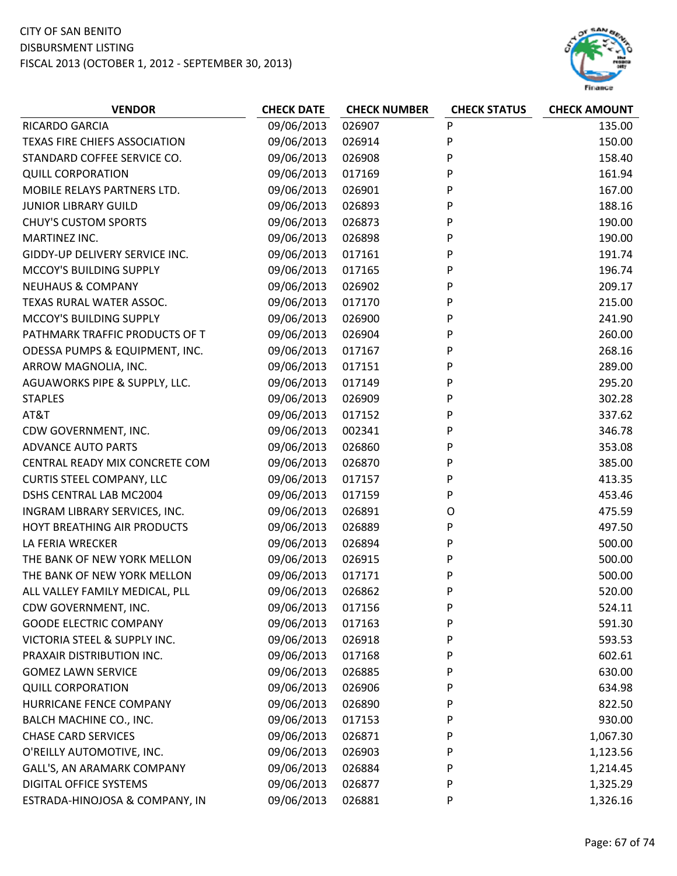

| <b>VENDOR</b>                    | <b>CHECK DATE</b> | <b>CHECK NUMBER</b> | <b>CHECK STATUS</b> | <b>CHECK AMOUNT</b> |
|----------------------------------|-------------------|---------------------|---------------------|---------------------|
| RICARDO GARCIA                   | 09/06/2013        | 026907              | P                   | 135.00              |
| TEXAS FIRE CHIEFS ASSOCIATION    | 09/06/2013        | 026914              | P                   | 150.00              |
| STANDARD COFFEE SERVICE CO.      | 09/06/2013        | 026908              | P                   | 158.40              |
| <b>QUILL CORPORATION</b>         | 09/06/2013        | 017169              | P                   | 161.94              |
| MOBILE RELAYS PARTNERS LTD.      | 09/06/2013        | 026901              | P                   | 167.00              |
| <b>JUNIOR LIBRARY GUILD</b>      | 09/06/2013        | 026893              | P                   | 188.16              |
| <b>CHUY'S CUSTOM SPORTS</b>      | 09/06/2013        | 026873              | P                   | 190.00              |
| MARTINEZ INC.                    | 09/06/2013        | 026898              | P                   | 190.00              |
| GIDDY-UP DELIVERY SERVICE INC.   | 09/06/2013        | 017161              | P                   | 191.74              |
| MCCOY'S BUILDING SUPPLY          | 09/06/2013        | 017165              | P                   | 196.74              |
| <b>NEUHAUS &amp; COMPANY</b>     | 09/06/2013        | 026902              | P                   | 209.17              |
| TEXAS RURAL WATER ASSOC.         | 09/06/2013        | 017170              | P                   | 215.00              |
| MCCOY'S BUILDING SUPPLY          | 09/06/2013        | 026900              | P                   | 241.90              |
| PATHMARK TRAFFIC PRODUCTS OF T   | 09/06/2013        | 026904              | P                   | 260.00              |
| ODESSA PUMPS & EQUIPMENT, INC.   | 09/06/2013        | 017167              | P                   | 268.16              |
| ARROW MAGNOLIA, INC.             | 09/06/2013        | 017151              | P                   | 289.00              |
| AGUAWORKS PIPE & SUPPLY, LLC.    | 09/06/2013        | 017149              | P                   | 295.20              |
| <b>STAPLES</b>                   | 09/06/2013        | 026909              | P                   | 302.28              |
| AT&T                             | 09/06/2013        | 017152              | P                   | 337.62              |
| CDW GOVERNMENT, INC.             | 09/06/2013        | 002341              | P                   | 346.78              |
| <b>ADVANCE AUTO PARTS</b>        | 09/06/2013        | 026860              | P                   | 353.08              |
| CENTRAL READY MIX CONCRETE COM   | 09/06/2013        | 026870              | P                   | 385.00              |
| <b>CURTIS STEEL COMPANY, LLC</b> | 09/06/2013        | 017157              | P                   | 413.35              |
| DSHS CENTRAL LAB MC2004          | 09/06/2013        | 017159              | P                   | 453.46              |
| INGRAM LIBRARY SERVICES, INC.    | 09/06/2013        | 026891              | O                   | 475.59              |
| HOYT BREATHING AIR PRODUCTS      | 09/06/2013        | 026889              | P                   | 497.50              |
| LA FERIA WRECKER                 | 09/06/2013        | 026894              | P                   | 500.00              |
| THE BANK OF NEW YORK MELLON      | 09/06/2013        | 026915              | P                   | 500.00              |
| THE BANK OF NEW YORK MELLON      | 09/06/2013        | 017171              | P                   | 500.00              |
| ALL VALLEY FAMILY MEDICAL, PLL   | 09/06/2013        | 026862              | P                   | 520.00              |
| CDW GOVERNMENT, INC.             | 09/06/2013        | 017156              | P                   | 524.11              |
| <b>GOODE ELECTRIC COMPANY</b>    | 09/06/2013        | 017163              | P                   | 591.30              |
| VICTORIA STEEL & SUPPLY INC.     | 09/06/2013        | 026918              | P                   | 593.53              |
| PRAXAIR DISTRIBUTION INC.        | 09/06/2013        | 017168              | P                   | 602.61              |
| <b>GOMEZ LAWN SERVICE</b>        | 09/06/2013        | 026885              | P                   | 630.00              |
| <b>QUILL CORPORATION</b>         | 09/06/2013        | 026906              | P                   | 634.98              |
| HURRICANE FENCE COMPANY          | 09/06/2013        | 026890              | P                   | 822.50              |
| BALCH MACHINE CO., INC.          | 09/06/2013        | 017153              | P                   | 930.00              |
| <b>CHASE CARD SERVICES</b>       | 09/06/2013        | 026871              | P                   | 1,067.30            |
| O'REILLY AUTOMOTIVE, INC.        | 09/06/2013        | 026903              | P                   | 1,123.56            |
| GALL'S, AN ARAMARK COMPANY       | 09/06/2013        | 026884              | P                   | 1,214.45            |
| DIGITAL OFFICE SYSTEMS           | 09/06/2013        | 026877              | P                   | 1,325.29            |
| ESTRADA-HINOJOSA & COMPANY, IN   | 09/06/2013        | 026881              | P                   | 1,326.16            |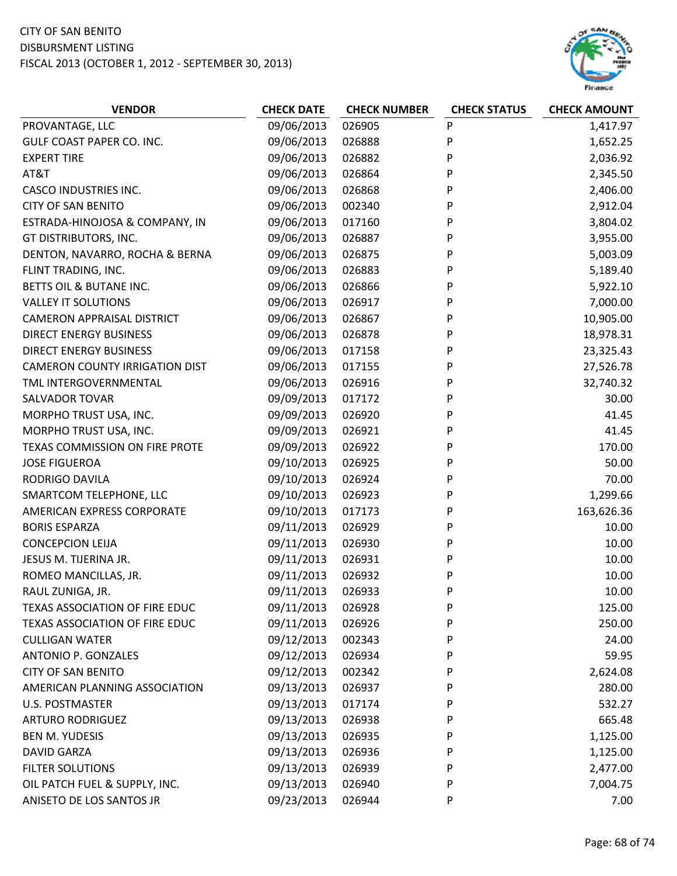

| <b>VENDOR</b>                         | <b>CHECK DATE</b> | <b>CHECK NUMBER</b> | <b>CHECK STATUS</b> | <b>CHECK AMOUNT</b> |
|---------------------------------------|-------------------|---------------------|---------------------|---------------------|
| PROVANTAGE, LLC                       | 09/06/2013        | 026905              | P                   | 1,417.97            |
| GULF COAST PAPER CO. INC.             | 09/06/2013        | 026888              | P                   | 1,652.25            |
| <b>EXPERT TIRE</b>                    | 09/06/2013        | 026882              | P                   | 2,036.92            |
| AT&T                                  | 09/06/2013        | 026864              | P                   | 2,345.50            |
| <b>CASCO INDUSTRIES INC.</b>          | 09/06/2013        | 026868              | P                   | 2,406.00            |
| <b>CITY OF SAN BENITO</b>             | 09/06/2013        | 002340              | P                   | 2,912.04            |
| ESTRADA-HINOJOSA & COMPANY, IN        | 09/06/2013        | 017160              | P                   | 3,804.02            |
| GT DISTRIBUTORS, INC.                 | 09/06/2013        | 026887              | P                   | 3,955.00            |
| DENTON, NAVARRO, ROCHA & BERNA        | 09/06/2013        | 026875              | P                   | 5,003.09            |
| FLINT TRADING, INC.                   | 09/06/2013        | 026883              | P                   | 5,189.40            |
| BETTS OIL & BUTANE INC.               | 09/06/2013        | 026866              | P                   | 5,922.10            |
| <b>VALLEY IT SOLUTIONS</b>            | 09/06/2013        | 026917              | P                   | 7,000.00            |
| <b>CAMERON APPRAISAL DISTRICT</b>     | 09/06/2013        | 026867              | P                   | 10,905.00           |
| <b>DIRECT ENERGY BUSINESS</b>         | 09/06/2013        | 026878              | P                   | 18,978.31           |
| <b>DIRECT ENERGY BUSINESS</b>         | 09/06/2013        | 017158              | P                   | 23,325.43           |
| <b>CAMERON COUNTY IRRIGATION DIST</b> | 09/06/2013        | 017155              | P                   | 27,526.78           |
| TML INTERGOVERNMENTAL                 | 09/06/2013        | 026916              | P                   | 32,740.32           |
| <b>SALVADOR TOVAR</b>                 | 09/09/2013        | 017172              | P                   | 30.00               |
| MORPHO TRUST USA, INC.                | 09/09/2013        | 026920              | P                   | 41.45               |
| MORPHO TRUST USA, INC.                | 09/09/2013        | 026921              | P                   | 41.45               |
| TEXAS COMMISSION ON FIRE PROTE        | 09/09/2013        | 026922              | P                   | 170.00              |
| <b>JOSE FIGUEROA</b>                  | 09/10/2013        | 026925              | P                   | 50.00               |
| RODRIGO DAVILA                        | 09/10/2013        | 026924              | P                   | 70.00               |
| SMARTCOM TELEPHONE, LLC               | 09/10/2013        | 026923              | P                   | 1,299.66            |
| AMERICAN EXPRESS CORPORATE            | 09/10/2013        | 017173              | P                   | 163,626.36          |
| <b>BORIS ESPARZA</b>                  | 09/11/2013        | 026929              | P                   | 10.00               |
| <b>CONCEPCION LEIJA</b>               | 09/11/2013        | 026930              | P                   | 10.00               |
| JESUS M. TIJERINA JR.                 | 09/11/2013        | 026931              | P                   | 10.00               |
| ROMEO MANCILLAS, JR.                  | 09/11/2013        | 026932              | P                   | 10.00               |
| RAUL ZUNIGA, JR.                      | 09/11/2013        | 026933              | P                   | 10.00               |
| <b>TEXAS ASSOCIATION OF FIRE EDUC</b> | 09/11/2013        | 026928              | P                   | 125.00              |
| <b>TEXAS ASSOCIATION OF FIRE EDUC</b> | 09/11/2013        | 026926              | P                   | 250.00              |
| <b>CULLIGAN WATER</b>                 | 09/12/2013        | 002343              | P                   | 24.00               |
| ANTONIO P. GONZALES                   | 09/12/2013        | 026934              | P                   | 59.95               |
| <b>CITY OF SAN BENITO</b>             | 09/12/2013        | 002342              | P                   | 2,624.08            |
| AMERICAN PLANNING ASSOCIATION         | 09/13/2013        | 026937              | P                   | 280.00              |
| <b>U.S. POSTMASTER</b>                | 09/13/2013        | 017174              | P                   | 532.27              |
| <b>ARTURO RODRIGUEZ</b>               | 09/13/2013        | 026938              | P                   | 665.48              |
| <b>BEN M. YUDESIS</b>                 | 09/13/2013        | 026935              | P                   | 1,125.00            |
| <b>DAVID GARZA</b>                    | 09/13/2013        | 026936              | P                   | 1,125.00            |
| <b>FILTER SOLUTIONS</b>               | 09/13/2013        | 026939              | P                   | 2,477.00            |
| OIL PATCH FUEL & SUPPLY, INC.         | 09/13/2013        | 026940              | P                   | 7,004.75            |
| ANISETO DE LOS SANTOS JR              | 09/23/2013        | 026944              | P                   | 7.00                |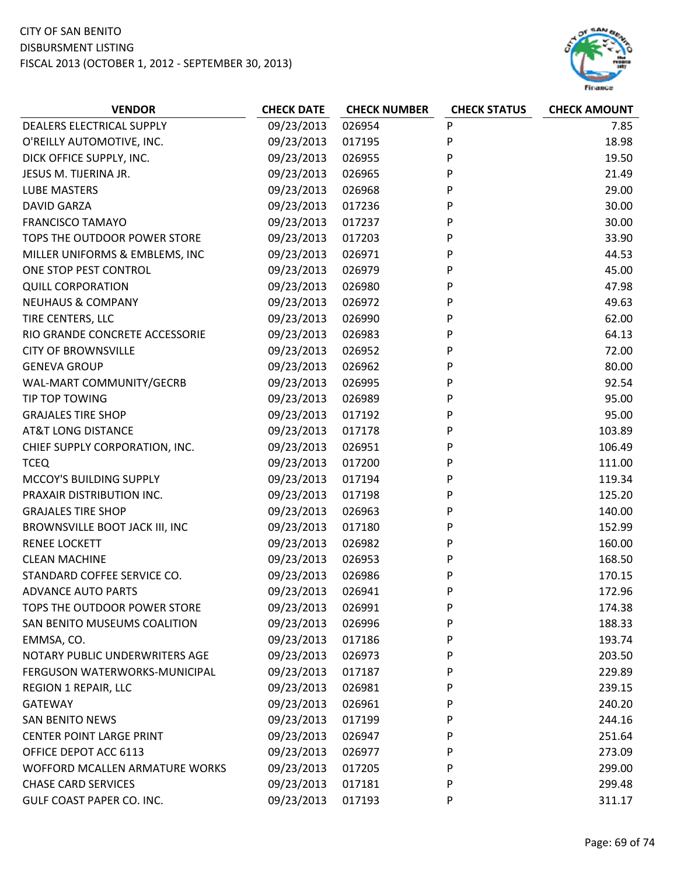

| <b>VENDOR</b>                   | <b>CHECK DATE</b> | <b>CHECK NUMBER</b> | <b>CHECK STATUS</b> | <b>CHECK AMOUNT</b> |
|---------------------------------|-------------------|---------------------|---------------------|---------------------|
| DEALERS ELECTRICAL SUPPLY       | 09/23/2013        | 026954              | P                   | 7.85                |
| O'REILLY AUTOMOTIVE, INC.       | 09/23/2013        | 017195              | P                   | 18.98               |
| DICK OFFICE SUPPLY, INC.        | 09/23/2013        | 026955              | P                   | 19.50               |
| JESUS M. TIJERINA JR.           | 09/23/2013        | 026965              | P                   | 21.49               |
| <b>LUBE MASTERS</b>             | 09/23/2013        | 026968              | P                   | 29.00               |
| <b>DAVID GARZA</b>              | 09/23/2013        | 017236              | P                   | 30.00               |
| <b>FRANCISCO TAMAYO</b>         | 09/23/2013        | 017237              | P                   | 30.00               |
| TOPS THE OUTDOOR POWER STORE    | 09/23/2013        | 017203              | P                   | 33.90               |
| MILLER UNIFORMS & EMBLEMS, INC  | 09/23/2013        | 026971              | P                   | 44.53               |
| ONE STOP PEST CONTROL           | 09/23/2013        | 026979              | P                   | 45.00               |
| <b>QUILL CORPORATION</b>        | 09/23/2013        | 026980              | P                   | 47.98               |
| <b>NEUHAUS &amp; COMPANY</b>    | 09/23/2013        | 026972              | P                   | 49.63               |
| TIRE CENTERS, LLC               | 09/23/2013        | 026990              | P                   | 62.00               |
| RIO GRANDE CONCRETE ACCESSORIE  | 09/23/2013        | 026983              | P                   | 64.13               |
| <b>CITY OF BROWNSVILLE</b>      | 09/23/2013        | 026952              | P                   | 72.00               |
| <b>GENEVA GROUP</b>             | 09/23/2013        | 026962              | P                   | 80.00               |
| WAL-MART COMMUNITY/GECRB        | 09/23/2013        | 026995              | P                   | 92.54               |
| TIP TOP TOWING                  | 09/23/2013        | 026989              | P                   | 95.00               |
| <b>GRAJALES TIRE SHOP</b>       | 09/23/2013        | 017192              | P                   | 95.00               |
| <b>AT&amp;T LONG DISTANCE</b>   | 09/23/2013        | 017178              | P                   | 103.89              |
| CHIEF SUPPLY CORPORATION, INC.  | 09/23/2013        | 026951              | P                   | 106.49              |
| <b>TCEQ</b>                     | 09/23/2013        | 017200              | P                   | 111.00              |
| MCCOY'S BUILDING SUPPLY         | 09/23/2013        | 017194              | P                   | 119.34              |
| PRAXAIR DISTRIBUTION INC.       | 09/23/2013        | 017198              | P                   | 125.20              |
| <b>GRAJALES TIRE SHOP</b>       | 09/23/2013        | 026963              | P                   | 140.00              |
| BROWNSVILLE BOOT JACK III, INC  | 09/23/2013        | 017180              | P                   | 152.99              |
| <b>RENEE LOCKETT</b>            | 09/23/2013        | 026982              | P                   | 160.00              |
| <b>CLEAN MACHINE</b>            | 09/23/2013        | 026953              | P                   | 168.50              |
| STANDARD COFFEE SERVICE CO.     | 09/23/2013        | 026986              | P                   | 170.15              |
| <b>ADVANCE AUTO PARTS</b>       | 09/23/2013        | 026941              | P                   | 172.96              |
| TOPS THE OUTDOOR POWER STORE    | 09/23/2013        | 026991              | P                   | 174.38              |
| SAN BENITO MUSEUMS COALITION    | 09/23/2013        | 026996              | P                   | 188.33              |
| EMMSA, CO.                      | 09/23/2013        | 017186              | P                   | 193.74              |
| NOTARY PUBLIC UNDERWRITERS AGE  | 09/23/2013        | 026973              | P                   | 203.50              |
| FERGUSON WATERWORKS-MUNICIPAL   | 09/23/2013        | 017187              | P                   | 229.89              |
| <b>REGION 1 REPAIR, LLC</b>     | 09/23/2013        | 026981              | P                   | 239.15              |
| <b>GATEWAY</b>                  | 09/23/2013        | 026961              | P                   | 240.20              |
| <b>SAN BENITO NEWS</b>          | 09/23/2013        | 017199              | P                   | 244.16              |
| <b>CENTER POINT LARGE PRINT</b> | 09/23/2013        | 026947              | P                   | 251.64              |
| OFFICE DEPOT ACC 6113           | 09/23/2013        | 026977              | P                   | 273.09              |
| WOFFORD MCALLEN ARMATURE WORKS  | 09/23/2013        | 017205              | P                   | 299.00              |
| <b>CHASE CARD SERVICES</b>      | 09/23/2013        | 017181              | P                   | 299.48              |
| GULF COAST PAPER CO. INC.       | 09/23/2013        | 017193              | P                   | 311.17              |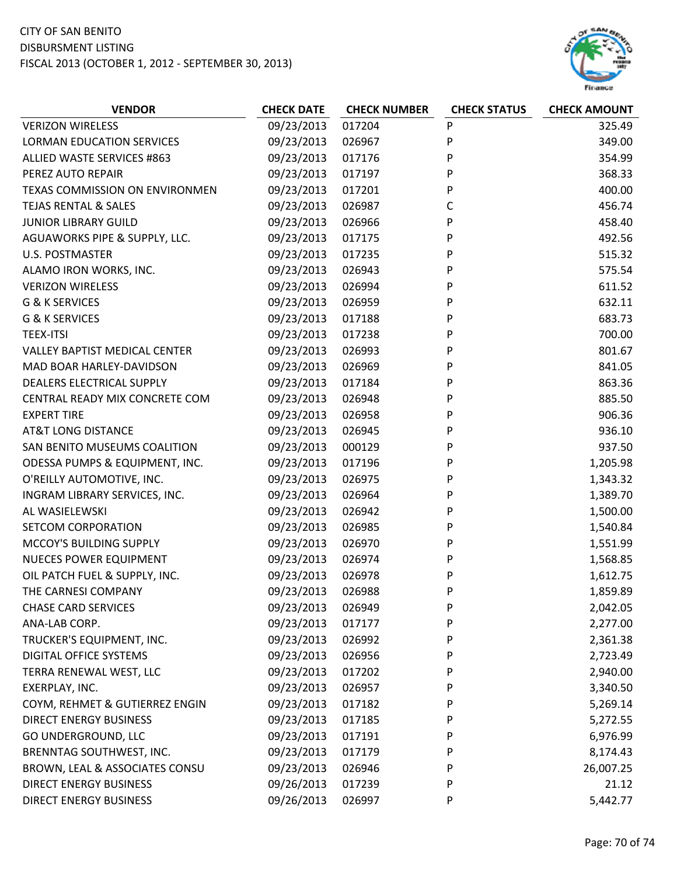

| <b>VERIZON WIRELESS</b><br>09/23/2013<br>017204<br>P<br>325.49<br>09/23/2013<br>P<br><b>LORMAN EDUCATION SERVICES</b><br>026967<br>349.00<br>09/23/2013<br>P<br>ALLIED WASTE SERVICES #863<br>017176<br>354.99<br>09/23/2013<br>P<br>PEREZ AUTO REPAIR<br>017197<br>368.33<br>09/23/2013<br>017201<br>P<br>400.00<br>TEXAS COMMISSION ON ENVIRONMEN<br><b>TEJAS RENTAL &amp; SALES</b><br>09/23/2013<br>026987<br>С<br>456.74<br>09/23/2013<br>P<br><b>JUNIOR LIBRARY GUILD</b><br>026966<br>458.40<br>AGUAWORKS PIPE & SUPPLY, LLC.<br>09/23/2013<br>017175<br>P<br>492.56<br><b>U.S. POSTMASTER</b><br>09/23/2013<br>P<br>017235<br>515.32<br>09/23/2013<br>P<br>ALAMO IRON WORKS, INC.<br>026943<br>575.54<br>026994<br>P<br><b>VERIZON WIRELESS</b><br>09/23/2013<br>611.52<br>09/23/2013<br>G & K SERVICES<br>026959<br>P<br>632.11<br>P<br>G & K SERVICES<br>09/23/2013<br>017188<br>683.73<br>09/23/2013<br>${\sf P}$<br>700.00<br><b>TEEX-ITSI</b><br>017238<br>09/23/2013<br>P<br>801.67<br><b>VALLEY BAPTIST MEDICAL CENTER</b><br>026993<br>09/23/2013<br>P<br>MAD BOAR HARLEY-DAVIDSON<br>026969<br>841.05<br>DEALERS ELECTRICAL SUPPLY<br>09/23/2013<br>P<br>863.36<br>017184<br>CENTRAL READY MIX CONCRETE COM<br>09/23/2013<br>P<br>885.50<br>026948<br>P<br>09/23/2013<br><b>EXPERT TIRE</b><br>026958<br>906.36<br>09/23/2013<br>026945<br>P<br>936.10<br><b>AT&amp;T LONG DISTANCE</b><br>09/23/2013<br>P<br>SAN BENITO MUSEUMS COALITION<br>000129<br>937.50<br>ODESSA PUMPS & EQUIPMENT, INC.<br>09/23/2013<br>017196<br>P<br>1,205.98<br>O'REILLY AUTOMOTIVE, INC.<br>09/23/2013<br>P<br>026975<br>1,343.32<br>09/23/2013<br>026964<br>P<br>1,389.70<br>INGRAM LIBRARY SERVICES, INC.<br>P<br>AL WASIELEWSKI<br>09/23/2013<br>026942<br>1,500.00<br>09/23/2013<br>P<br>SETCOM CORPORATION<br>026985<br>1,540.84<br>MCCOY'S BUILDING SUPPLY<br>09/23/2013<br>026970<br>P<br>1,551.99<br>09/23/2013<br>P<br><b>NUECES POWER EQUIPMENT</b><br>026974<br>1,568.85 |
|------------------------------------------------------------------------------------------------------------------------------------------------------------------------------------------------------------------------------------------------------------------------------------------------------------------------------------------------------------------------------------------------------------------------------------------------------------------------------------------------------------------------------------------------------------------------------------------------------------------------------------------------------------------------------------------------------------------------------------------------------------------------------------------------------------------------------------------------------------------------------------------------------------------------------------------------------------------------------------------------------------------------------------------------------------------------------------------------------------------------------------------------------------------------------------------------------------------------------------------------------------------------------------------------------------------------------------------------------------------------------------------------------------------------------------------------------------------------------------------------------------------------------------------------------------------------------------------------------------------------------------------------------------------------------------------------------------------------------------------------------------------------------------------------------------------------------------------------------------------------------------------------------------------------------------------------------------------------------------|
|                                                                                                                                                                                                                                                                                                                                                                                                                                                                                                                                                                                                                                                                                                                                                                                                                                                                                                                                                                                                                                                                                                                                                                                                                                                                                                                                                                                                                                                                                                                                                                                                                                                                                                                                                                                                                                                                                                                                                                                    |
|                                                                                                                                                                                                                                                                                                                                                                                                                                                                                                                                                                                                                                                                                                                                                                                                                                                                                                                                                                                                                                                                                                                                                                                                                                                                                                                                                                                                                                                                                                                                                                                                                                                                                                                                                                                                                                                                                                                                                                                    |
|                                                                                                                                                                                                                                                                                                                                                                                                                                                                                                                                                                                                                                                                                                                                                                                                                                                                                                                                                                                                                                                                                                                                                                                                                                                                                                                                                                                                                                                                                                                                                                                                                                                                                                                                                                                                                                                                                                                                                                                    |
|                                                                                                                                                                                                                                                                                                                                                                                                                                                                                                                                                                                                                                                                                                                                                                                                                                                                                                                                                                                                                                                                                                                                                                                                                                                                                                                                                                                                                                                                                                                                                                                                                                                                                                                                                                                                                                                                                                                                                                                    |
|                                                                                                                                                                                                                                                                                                                                                                                                                                                                                                                                                                                                                                                                                                                                                                                                                                                                                                                                                                                                                                                                                                                                                                                                                                                                                                                                                                                                                                                                                                                                                                                                                                                                                                                                                                                                                                                                                                                                                                                    |
|                                                                                                                                                                                                                                                                                                                                                                                                                                                                                                                                                                                                                                                                                                                                                                                                                                                                                                                                                                                                                                                                                                                                                                                                                                                                                                                                                                                                                                                                                                                                                                                                                                                                                                                                                                                                                                                                                                                                                                                    |
|                                                                                                                                                                                                                                                                                                                                                                                                                                                                                                                                                                                                                                                                                                                                                                                                                                                                                                                                                                                                                                                                                                                                                                                                                                                                                                                                                                                                                                                                                                                                                                                                                                                                                                                                                                                                                                                                                                                                                                                    |
|                                                                                                                                                                                                                                                                                                                                                                                                                                                                                                                                                                                                                                                                                                                                                                                                                                                                                                                                                                                                                                                                                                                                                                                                                                                                                                                                                                                                                                                                                                                                                                                                                                                                                                                                                                                                                                                                                                                                                                                    |
|                                                                                                                                                                                                                                                                                                                                                                                                                                                                                                                                                                                                                                                                                                                                                                                                                                                                                                                                                                                                                                                                                                                                                                                                                                                                                                                                                                                                                                                                                                                                                                                                                                                                                                                                                                                                                                                                                                                                                                                    |
|                                                                                                                                                                                                                                                                                                                                                                                                                                                                                                                                                                                                                                                                                                                                                                                                                                                                                                                                                                                                                                                                                                                                                                                                                                                                                                                                                                                                                                                                                                                                                                                                                                                                                                                                                                                                                                                                                                                                                                                    |
|                                                                                                                                                                                                                                                                                                                                                                                                                                                                                                                                                                                                                                                                                                                                                                                                                                                                                                                                                                                                                                                                                                                                                                                                                                                                                                                                                                                                                                                                                                                                                                                                                                                                                                                                                                                                                                                                                                                                                                                    |
|                                                                                                                                                                                                                                                                                                                                                                                                                                                                                                                                                                                                                                                                                                                                                                                                                                                                                                                                                                                                                                                                                                                                                                                                                                                                                                                                                                                                                                                                                                                                                                                                                                                                                                                                                                                                                                                                                                                                                                                    |
|                                                                                                                                                                                                                                                                                                                                                                                                                                                                                                                                                                                                                                                                                                                                                                                                                                                                                                                                                                                                                                                                                                                                                                                                                                                                                                                                                                                                                                                                                                                                                                                                                                                                                                                                                                                                                                                                                                                                                                                    |
|                                                                                                                                                                                                                                                                                                                                                                                                                                                                                                                                                                                                                                                                                                                                                                                                                                                                                                                                                                                                                                                                                                                                                                                                                                                                                                                                                                                                                                                                                                                                                                                                                                                                                                                                                                                                                                                                                                                                                                                    |
|                                                                                                                                                                                                                                                                                                                                                                                                                                                                                                                                                                                                                                                                                                                                                                                                                                                                                                                                                                                                                                                                                                                                                                                                                                                                                                                                                                                                                                                                                                                                                                                                                                                                                                                                                                                                                                                                                                                                                                                    |
|                                                                                                                                                                                                                                                                                                                                                                                                                                                                                                                                                                                                                                                                                                                                                                                                                                                                                                                                                                                                                                                                                                                                                                                                                                                                                                                                                                                                                                                                                                                                                                                                                                                                                                                                                                                                                                                                                                                                                                                    |
|                                                                                                                                                                                                                                                                                                                                                                                                                                                                                                                                                                                                                                                                                                                                                                                                                                                                                                                                                                                                                                                                                                                                                                                                                                                                                                                                                                                                                                                                                                                                                                                                                                                                                                                                                                                                                                                                                                                                                                                    |
|                                                                                                                                                                                                                                                                                                                                                                                                                                                                                                                                                                                                                                                                                                                                                                                                                                                                                                                                                                                                                                                                                                                                                                                                                                                                                                                                                                                                                                                                                                                                                                                                                                                                                                                                                                                                                                                                                                                                                                                    |
|                                                                                                                                                                                                                                                                                                                                                                                                                                                                                                                                                                                                                                                                                                                                                                                                                                                                                                                                                                                                                                                                                                                                                                                                                                                                                                                                                                                                                                                                                                                                                                                                                                                                                                                                                                                                                                                                                                                                                                                    |
|                                                                                                                                                                                                                                                                                                                                                                                                                                                                                                                                                                                                                                                                                                                                                                                                                                                                                                                                                                                                                                                                                                                                                                                                                                                                                                                                                                                                                                                                                                                                                                                                                                                                                                                                                                                                                                                                                                                                                                                    |
|                                                                                                                                                                                                                                                                                                                                                                                                                                                                                                                                                                                                                                                                                                                                                                                                                                                                                                                                                                                                                                                                                                                                                                                                                                                                                                                                                                                                                                                                                                                                                                                                                                                                                                                                                                                                                                                                                                                                                                                    |
|                                                                                                                                                                                                                                                                                                                                                                                                                                                                                                                                                                                                                                                                                                                                                                                                                                                                                                                                                                                                                                                                                                                                                                                                                                                                                                                                                                                                                                                                                                                                                                                                                                                                                                                                                                                                                                                                                                                                                                                    |
|                                                                                                                                                                                                                                                                                                                                                                                                                                                                                                                                                                                                                                                                                                                                                                                                                                                                                                                                                                                                                                                                                                                                                                                                                                                                                                                                                                                                                                                                                                                                                                                                                                                                                                                                                                                                                                                                                                                                                                                    |
|                                                                                                                                                                                                                                                                                                                                                                                                                                                                                                                                                                                                                                                                                                                                                                                                                                                                                                                                                                                                                                                                                                                                                                                                                                                                                                                                                                                                                                                                                                                                                                                                                                                                                                                                                                                                                                                                                                                                                                                    |
|                                                                                                                                                                                                                                                                                                                                                                                                                                                                                                                                                                                                                                                                                                                                                                                                                                                                                                                                                                                                                                                                                                                                                                                                                                                                                                                                                                                                                                                                                                                                                                                                                                                                                                                                                                                                                                                                                                                                                                                    |
|                                                                                                                                                                                                                                                                                                                                                                                                                                                                                                                                                                                                                                                                                                                                                                                                                                                                                                                                                                                                                                                                                                                                                                                                                                                                                                                                                                                                                                                                                                                                                                                                                                                                                                                                                                                                                                                                                                                                                                                    |
|                                                                                                                                                                                                                                                                                                                                                                                                                                                                                                                                                                                                                                                                                                                                                                                                                                                                                                                                                                                                                                                                                                                                                                                                                                                                                                                                                                                                                                                                                                                                                                                                                                                                                                                                                                                                                                                                                                                                                                                    |
|                                                                                                                                                                                                                                                                                                                                                                                                                                                                                                                                                                                                                                                                                                                                                                                                                                                                                                                                                                                                                                                                                                                                                                                                                                                                                                                                                                                                                                                                                                                                                                                                                                                                                                                                                                                                                                                                                                                                                                                    |
| 09/23/2013<br>OIL PATCH FUEL & SUPPLY, INC.<br>026978<br>P<br>1,612.75                                                                                                                                                                                                                                                                                                                                                                                                                                                                                                                                                                                                                                                                                                                                                                                                                                                                                                                                                                                                                                                                                                                                                                                                                                                                                                                                                                                                                                                                                                                                                                                                                                                                                                                                                                                                                                                                                                             |
| 09/23/2013<br>026988<br>P<br>1,859.89<br>THE CARNESI COMPANY                                                                                                                                                                                                                                                                                                                                                                                                                                                                                                                                                                                                                                                                                                                                                                                                                                                                                                                                                                                                                                                                                                                                                                                                                                                                                                                                                                                                                                                                                                                                                                                                                                                                                                                                                                                                                                                                                                                       |
| <b>CHASE CARD SERVICES</b><br>09/23/2013<br>026949<br>P<br>2,042.05                                                                                                                                                                                                                                                                                                                                                                                                                                                                                                                                                                                                                                                                                                                                                                                                                                                                                                                                                                                                                                                                                                                                                                                                                                                                                                                                                                                                                                                                                                                                                                                                                                                                                                                                                                                                                                                                                                                |
| 09/23/2013<br>ANA-LAB CORP.<br>017177<br>P<br>2,277.00                                                                                                                                                                                                                                                                                                                                                                                                                                                                                                                                                                                                                                                                                                                                                                                                                                                                                                                                                                                                                                                                                                                                                                                                                                                                                                                                                                                                                                                                                                                                                                                                                                                                                                                                                                                                                                                                                                                             |
| 09/23/2013<br>TRUCKER'S EQUIPMENT, INC.<br>026992<br>P<br>2,361.38                                                                                                                                                                                                                                                                                                                                                                                                                                                                                                                                                                                                                                                                                                                                                                                                                                                                                                                                                                                                                                                                                                                                                                                                                                                                                                                                                                                                                                                                                                                                                                                                                                                                                                                                                                                                                                                                                                                 |
| 09/23/2013<br><b>DIGITAL OFFICE SYSTEMS</b><br>026956<br>P<br>2,723.49                                                                                                                                                                                                                                                                                                                                                                                                                                                                                                                                                                                                                                                                                                                                                                                                                                                                                                                                                                                                                                                                                                                                                                                                                                                                                                                                                                                                                                                                                                                                                                                                                                                                                                                                                                                                                                                                                                             |
| TERRA RENEWAL WEST, LLC<br>09/23/2013<br>P<br>017202<br>2,940.00                                                                                                                                                                                                                                                                                                                                                                                                                                                                                                                                                                                                                                                                                                                                                                                                                                                                                                                                                                                                                                                                                                                                                                                                                                                                                                                                                                                                                                                                                                                                                                                                                                                                                                                                                                                                                                                                                                                   |
| 09/23/2013<br>EXERPLAY, INC.<br>026957<br>P<br>3,340.50                                                                                                                                                                                                                                                                                                                                                                                                                                                                                                                                                                                                                                                                                                                                                                                                                                                                                                                                                                                                                                                                                                                                                                                                                                                                                                                                                                                                                                                                                                                                                                                                                                                                                                                                                                                                                                                                                                                            |
| COYM, REHMET & GUTIERREZ ENGIN<br>09/23/2013<br>017182<br>P<br>5,269.14                                                                                                                                                                                                                                                                                                                                                                                                                                                                                                                                                                                                                                                                                                                                                                                                                                                                                                                                                                                                                                                                                                                                                                                                                                                                                                                                                                                                                                                                                                                                                                                                                                                                                                                                                                                                                                                                                                            |
| 09/23/2013<br><b>DIRECT ENERGY BUSINESS</b><br>017185<br>P<br>5,272.55                                                                                                                                                                                                                                                                                                                                                                                                                                                                                                                                                                                                                                                                                                                                                                                                                                                                                                                                                                                                                                                                                                                                                                                                                                                                                                                                                                                                                                                                                                                                                                                                                                                                                                                                                                                                                                                                                                             |
| 09/23/2013<br>GO UNDERGROUND, LLC<br>017191<br>P<br>6,976.99                                                                                                                                                                                                                                                                                                                                                                                                                                                                                                                                                                                                                                                                                                                                                                                                                                                                                                                                                                                                                                                                                                                                                                                                                                                                                                                                                                                                                                                                                                                                                                                                                                                                                                                                                                                                                                                                                                                       |
| 09/23/2013<br>BRENNTAG SOUTHWEST, INC.<br>P<br>8,174.43<br>017179                                                                                                                                                                                                                                                                                                                                                                                                                                                                                                                                                                                                                                                                                                                                                                                                                                                                                                                                                                                                                                                                                                                                                                                                                                                                                                                                                                                                                                                                                                                                                                                                                                                                                                                                                                                                                                                                                                                  |
| 09/23/2013<br>BROWN, LEAL & ASSOCIATES CONSU<br>026946<br>P<br>26,007.25                                                                                                                                                                                                                                                                                                                                                                                                                                                                                                                                                                                                                                                                                                                                                                                                                                                                                                                                                                                                                                                                                                                                                                                                                                                                                                                                                                                                                                                                                                                                                                                                                                                                                                                                                                                                                                                                                                           |
| 09/26/2013<br><b>DIRECT ENERGY BUSINESS</b><br>017239<br>P<br>21.12                                                                                                                                                                                                                                                                                                                                                                                                                                                                                                                                                                                                                                                                                                                                                                                                                                                                                                                                                                                                                                                                                                                                                                                                                                                                                                                                                                                                                                                                                                                                                                                                                                                                                                                                                                                                                                                                                                                |
| 09/26/2013<br><b>DIRECT ENERGY BUSINESS</b><br>026997<br>P<br>5,442.77                                                                                                                                                                                                                                                                                                                                                                                                                                                                                                                                                                                                                                                                                                                                                                                                                                                                                                                                                                                                                                                                                                                                                                                                                                                                                                                                                                                                                                                                                                                                                                                                                                                                                                                                                                                                                                                                                                             |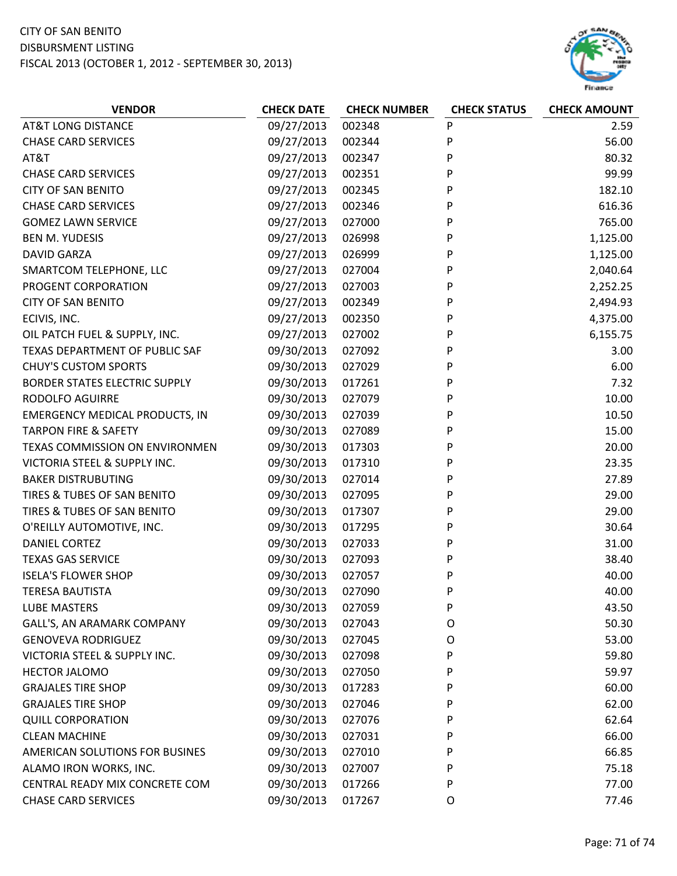#### CITY OF SAN BENITO DISBURSMENT LISTING

FISCAL 2013 (OCTOBER 1, 2012 ‐ SEPTEMBER 30, 2013)



| <b>AT&amp;T LONG DISTANCE</b><br>09/27/2013<br>002348<br>P<br>2.59<br>P<br>09/27/2013<br>56.00<br><b>CHASE CARD SERVICES</b><br>002344<br>P<br>09/27/2013<br>002347<br>80.32<br>AT&T<br>P<br><b>CHASE CARD SERVICES</b><br>09/27/2013<br>002351<br>99.99<br>P<br><b>CITY OF SAN BENITO</b><br>09/27/2013<br>002345<br>182.10<br><b>CHASE CARD SERVICES</b><br>09/27/2013<br>002346<br>P<br>616.36<br>P<br><b>GOMEZ LAWN SERVICE</b><br>09/27/2013<br>027000<br>765.00<br>09/27/2013<br>026998<br>P<br>1,125.00<br><b>BEN M. YUDESIS</b><br>P<br><b>DAVID GARZA</b><br>09/27/2013<br>026999<br>1,125.00<br>P<br>09/27/2013<br>027004<br>SMARTCOM TELEPHONE, LLC<br>2,040.64<br>P<br>PROGENT CORPORATION<br>09/27/2013<br>027003<br>2,252.25<br>Ρ<br>09/27/2013<br>002349<br><b>CITY OF SAN BENITO</b><br>2,494.93<br>09/27/2013<br>002350<br>P<br>4,375.00<br>ECIVIS, INC.<br>P<br>OIL PATCH FUEL & SUPPLY, INC.<br>09/27/2013<br>6,155.75<br>027002<br>TEXAS DEPARTMENT OF PUBLIC SAF<br>09/30/2013<br>P<br>027092<br>3.00<br>Ρ<br><b>CHUY'S CUSTOM SPORTS</b><br>09/30/2013<br>027029<br>6.00<br>P<br><b>BORDER STATES ELECTRIC SUPPLY</b><br>09/30/2013<br>7.32<br>017261<br><b>RODOLFO AGUIRRE</b><br>09/30/2013<br>P<br>10.00<br>027079<br>P<br>09/30/2013<br>027039<br><b>EMERGENCY MEDICAL PRODUCTS, IN</b><br>10.50<br><b>TARPON FIRE &amp; SAFETY</b><br>09/30/2013<br>027089<br>P<br>15.00<br>P<br>09/30/2013<br>20.00<br>TEXAS COMMISSION ON ENVIRONMEN<br>017303<br>VICTORIA STEEL & SUPPLY INC.<br>09/30/2013<br>017310<br>P<br>23.35<br><b>BAKER DISTRUBUTING</b><br>09/30/2013<br>027014<br>P<br>27.89<br>P<br>TIRES & TUBES OF SAN BENITO<br>09/30/2013<br>027095<br>29.00<br>TIRES & TUBES OF SAN BENITO<br>09/30/2013<br>017307<br>P<br>29.00<br>P<br>09/30/2013<br>30.64<br>O'REILLY AUTOMOTIVE, INC.<br>017295<br>09/30/2013<br><b>DANIEL CORTEZ</b><br>027033<br>P<br>31.00<br>09/30/2013<br>P<br>38.40<br><b>TEXAS GAS SERVICE</b><br>027093<br><b>ISELA'S FLOWER SHOP</b><br>09/30/2013<br>027057<br>P<br>40.00<br>09/30/2013<br>027090<br>P<br>40.00<br><b>TERESA BAUTISTA</b><br>09/30/2013<br><b>LUBE MASTERS</b><br>027059<br>P<br>43.50<br>09/30/2013<br>50.30<br>GALL'S, AN ARAMARK COMPANY<br>027043<br>O<br>09/30/2013<br><b>GENOVEVA RODRIGUEZ</b><br>027045<br>$\circ$<br>53.00<br>09/30/2013<br>VICTORIA STEEL & SUPPLY INC.<br>P<br>59.80<br>027098<br>09/30/2013<br>P<br><b>HECTOR JALOMO</b><br>027050<br>59.97<br>09/30/2013<br>P<br><b>GRAJALES TIRE SHOP</b><br>017283<br>60.00<br><b>GRAJALES TIRE SHOP</b><br>09/30/2013<br>62.00<br>027046<br>P<br>09/30/2013<br>P<br><b>QUILL CORPORATION</b><br>027076<br>62.64<br><b>CLEAN MACHINE</b><br>09/30/2013<br>027031<br>66.00<br>P<br>09/30/2013<br>66.85<br>AMERICAN SOLUTIONS FOR BUSINES<br>027010<br>P | <b>VENDOR</b>          | <b>CHECK DATE</b> | <b>CHECK NUMBER</b> | <b>CHECK STATUS</b> | <b>CHECK AMOUNT</b> |
|---------------------------------------------------------------------------------------------------------------------------------------------------------------------------------------------------------------------------------------------------------------------------------------------------------------------------------------------------------------------------------------------------------------------------------------------------------------------------------------------------------------------------------------------------------------------------------------------------------------------------------------------------------------------------------------------------------------------------------------------------------------------------------------------------------------------------------------------------------------------------------------------------------------------------------------------------------------------------------------------------------------------------------------------------------------------------------------------------------------------------------------------------------------------------------------------------------------------------------------------------------------------------------------------------------------------------------------------------------------------------------------------------------------------------------------------------------------------------------------------------------------------------------------------------------------------------------------------------------------------------------------------------------------------------------------------------------------------------------------------------------------------------------------------------------------------------------------------------------------------------------------------------------------------------------------------------------------------------------------------------------------------------------------------------------------------------------------------------------------------------------------------------------------------------------------------------------------------------------------------------------------------------------------------------------------------------------------------------------------------------------------------------------------------------------------------------------------------------------------------------------------------------------------------------------------------------------------------------------------------------------------------------------------------------------------------------------------------------------------------------------------------------------------------------|------------------------|-------------------|---------------------|---------------------|---------------------|
|                                                                                                                                                                                                                                                                                                                                                                                                                                                                                                                                                                                                                                                                                                                                                                                                                                                                                                                                                                                                                                                                                                                                                                                                                                                                                                                                                                                                                                                                                                                                                                                                                                                                                                                                                                                                                                                                                                                                                                                                                                                                                                                                                                                                                                                                                                                                                                                                                                                                                                                                                                                                                                                                                                                                                                                                   |                        |                   |                     |                     |                     |
|                                                                                                                                                                                                                                                                                                                                                                                                                                                                                                                                                                                                                                                                                                                                                                                                                                                                                                                                                                                                                                                                                                                                                                                                                                                                                                                                                                                                                                                                                                                                                                                                                                                                                                                                                                                                                                                                                                                                                                                                                                                                                                                                                                                                                                                                                                                                                                                                                                                                                                                                                                                                                                                                                                                                                                                                   |                        |                   |                     |                     |                     |
|                                                                                                                                                                                                                                                                                                                                                                                                                                                                                                                                                                                                                                                                                                                                                                                                                                                                                                                                                                                                                                                                                                                                                                                                                                                                                                                                                                                                                                                                                                                                                                                                                                                                                                                                                                                                                                                                                                                                                                                                                                                                                                                                                                                                                                                                                                                                                                                                                                                                                                                                                                                                                                                                                                                                                                                                   |                        |                   |                     |                     |                     |
|                                                                                                                                                                                                                                                                                                                                                                                                                                                                                                                                                                                                                                                                                                                                                                                                                                                                                                                                                                                                                                                                                                                                                                                                                                                                                                                                                                                                                                                                                                                                                                                                                                                                                                                                                                                                                                                                                                                                                                                                                                                                                                                                                                                                                                                                                                                                                                                                                                                                                                                                                                                                                                                                                                                                                                                                   |                        |                   |                     |                     |                     |
|                                                                                                                                                                                                                                                                                                                                                                                                                                                                                                                                                                                                                                                                                                                                                                                                                                                                                                                                                                                                                                                                                                                                                                                                                                                                                                                                                                                                                                                                                                                                                                                                                                                                                                                                                                                                                                                                                                                                                                                                                                                                                                                                                                                                                                                                                                                                                                                                                                                                                                                                                                                                                                                                                                                                                                                                   |                        |                   |                     |                     |                     |
|                                                                                                                                                                                                                                                                                                                                                                                                                                                                                                                                                                                                                                                                                                                                                                                                                                                                                                                                                                                                                                                                                                                                                                                                                                                                                                                                                                                                                                                                                                                                                                                                                                                                                                                                                                                                                                                                                                                                                                                                                                                                                                                                                                                                                                                                                                                                                                                                                                                                                                                                                                                                                                                                                                                                                                                                   |                        |                   |                     |                     |                     |
|                                                                                                                                                                                                                                                                                                                                                                                                                                                                                                                                                                                                                                                                                                                                                                                                                                                                                                                                                                                                                                                                                                                                                                                                                                                                                                                                                                                                                                                                                                                                                                                                                                                                                                                                                                                                                                                                                                                                                                                                                                                                                                                                                                                                                                                                                                                                                                                                                                                                                                                                                                                                                                                                                                                                                                                                   |                        |                   |                     |                     |                     |
|                                                                                                                                                                                                                                                                                                                                                                                                                                                                                                                                                                                                                                                                                                                                                                                                                                                                                                                                                                                                                                                                                                                                                                                                                                                                                                                                                                                                                                                                                                                                                                                                                                                                                                                                                                                                                                                                                                                                                                                                                                                                                                                                                                                                                                                                                                                                                                                                                                                                                                                                                                                                                                                                                                                                                                                                   |                        |                   |                     |                     |                     |
|                                                                                                                                                                                                                                                                                                                                                                                                                                                                                                                                                                                                                                                                                                                                                                                                                                                                                                                                                                                                                                                                                                                                                                                                                                                                                                                                                                                                                                                                                                                                                                                                                                                                                                                                                                                                                                                                                                                                                                                                                                                                                                                                                                                                                                                                                                                                                                                                                                                                                                                                                                                                                                                                                                                                                                                                   |                        |                   |                     |                     |                     |
|                                                                                                                                                                                                                                                                                                                                                                                                                                                                                                                                                                                                                                                                                                                                                                                                                                                                                                                                                                                                                                                                                                                                                                                                                                                                                                                                                                                                                                                                                                                                                                                                                                                                                                                                                                                                                                                                                                                                                                                                                                                                                                                                                                                                                                                                                                                                                                                                                                                                                                                                                                                                                                                                                                                                                                                                   |                        |                   |                     |                     |                     |
|                                                                                                                                                                                                                                                                                                                                                                                                                                                                                                                                                                                                                                                                                                                                                                                                                                                                                                                                                                                                                                                                                                                                                                                                                                                                                                                                                                                                                                                                                                                                                                                                                                                                                                                                                                                                                                                                                                                                                                                                                                                                                                                                                                                                                                                                                                                                                                                                                                                                                                                                                                                                                                                                                                                                                                                                   |                        |                   |                     |                     |                     |
|                                                                                                                                                                                                                                                                                                                                                                                                                                                                                                                                                                                                                                                                                                                                                                                                                                                                                                                                                                                                                                                                                                                                                                                                                                                                                                                                                                                                                                                                                                                                                                                                                                                                                                                                                                                                                                                                                                                                                                                                                                                                                                                                                                                                                                                                                                                                                                                                                                                                                                                                                                                                                                                                                                                                                                                                   |                        |                   |                     |                     |                     |
|                                                                                                                                                                                                                                                                                                                                                                                                                                                                                                                                                                                                                                                                                                                                                                                                                                                                                                                                                                                                                                                                                                                                                                                                                                                                                                                                                                                                                                                                                                                                                                                                                                                                                                                                                                                                                                                                                                                                                                                                                                                                                                                                                                                                                                                                                                                                                                                                                                                                                                                                                                                                                                                                                                                                                                                                   |                        |                   |                     |                     |                     |
|                                                                                                                                                                                                                                                                                                                                                                                                                                                                                                                                                                                                                                                                                                                                                                                                                                                                                                                                                                                                                                                                                                                                                                                                                                                                                                                                                                                                                                                                                                                                                                                                                                                                                                                                                                                                                                                                                                                                                                                                                                                                                                                                                                                                                                                                                                                                                                                                                                                                                                                                                                                                                                                                                                                                                                                                   |                        |                   |                     |                     |                     |
|                                                                                                                                                                                                                                                                                                                                                                                                                                                                                                                                                                                                                                                                                                                                                                                                                                                                                                                                                                                                                                                                                                                                                                                                                                                                                                                                                                                                                                                                                                                                                                                                                                                                                                                                                                                                                                                                                                                                                                                                                                                                                                                                                                                                                                                                                                                                                                                                                                                                                                                                                                                                                                                                                                                                                                                                   |                        |                   |                     |                     |                     |
|                                                                                                                                                                                                                                                                                                                                                                                                                                                                                                                                                                                                                                                                                                                                                                                                                                                                                                                                                                                                                                                                                                                                                                                                                                                                                                                                                                                                                                                                                                                                                                                                                                                                                                                                                                                                                                                                                                                                                                                                                                                                                                                                                                                                                                                                                                                                                                                                                                                                                                                                                                                                                                                                                                                                                                                                   |                        |                   |                     |                     |                     |
|                                                                                                                                                                                                                                                                                                                                                                                                                                                                                                                                                                                                                                                                                                                                                                                                                                                                                                                                                                                                                                                                                                                                                                                                                                                                                                                                                                                                                                                                                                                                                                                                                                                                                                                                                                                                                                                                                                                                                                                                                                                                                                                                                                                                                                                                                                                                                                                                                                                                                                                                                                                                                                                                                                                                                                                                   |                        |                   |                     |                     |                     |
|                                                                                                                                                                                                                                                                                                                                                                                                                                                                                                                                                                                                                                                                                                                                                                                                                                                                                                                                                                                                                                                                                                                                                                                                                                                                                                                                                                                                                                                                                                                                                                                                                                                                                                                                                                                                                                                                                                                                                                                                                                                                                                                                                                                                                                                                                                                                                                                                                                                                                                                                                                                                                                                                                                                                                                                                   |                        |                   |                     |                     |                     |
|                                                                                                                                                                                                                                                                                                                                                                                                                                                                                                                                                                                                                                                                                                                                                                                                                                                                                                                                                                                                                                                                                                                                                                                                                                                                                                                                                                                                                                                                                                                                                                                                                                                                                                                                                                                                                                                                                                                                                                                                                                                                                                                                                                                                                                                                                                                                                                                                                                                                                                                                                                                                                                                                                                                                                                                                   |                        |                   |                     |                     |                     |
|                                                                                                                                                                                                                                                                                                                                                                                                                                                                                                                                                                                                                                                                                                                                                                                                                                                                                                                                                                                                                                                                                                                                                                                                                                                                                                                                                                                                                                                                                                                                                                                                                                                                                                                                                                                                                                                                                                                                                                                                                                                                                                                                                                                                                                                                                                                                                                                                                                                                                                                                                                                                                                                                                                                                                                                                   |                        |                   |                     |                     |                     |
|                                                                                                                                                                                                                                                                                                                                                                                                                                                                                                                                                                                                                                                                                                                                                                                                                                                                                                                                                                                                                                                                                                                                                                                                                                                                                                                                                                                                                                                                                                                                                                                                                                                                                                                                                                                                                                                                                                                                                                                                                                                                                                                                                                                                                                                                                                                                                                                                                                                                                                                                                                                                                                                                                                                                                                                                   |                        |                   |                     |                     |                     |
|                                                                                                                                                                                                                                                                                                                                                                                                                                                                                                                                                                                                                                                                                                                                                                                                                                                                                                                                                                                                                                                                                                                                                                                                                                                                                                                                                                                                                                                                                                                                                                                                                                                                                                                                                                                                                                                                                                                                                                                                                                                                                                                                                                                                                                                                                                                                                                                                                                                                                                                                                                                                                                                                                                                                                                                                   |                        |                   |                     |                     |                     |
|                                                                                                                                                                                                                                                                                                                                                                                                                                                                                                                                                                                                                                                                                                                                                                                                                                                                                                                                                                                                                                                                                                                                                                                                                                                                                                                                                                                                                                                                                                                                                                                                                                                                                                                                                                                                                                                                                                                                                                                                                                                                                                                                                                                                                                                                                                                                                                                                                                                                                                                                                                                                                                                                                                                                                                                                   |                        |                   |                     |                     |                     |
|                                                                                                                                                                                                                                                                                                                                                                                                                                                                                                                                                                                                                                                                                                                                                                                                                                                                                                                                                                                                                                                                                                                                                                                                                                                                                                                                                                                                                                                                                                                                                                                                                                                                                                                                                                                                                                                                                                                                                                                                                                                                                                                                                                                                                                                                                                                                                                                                                                                                                                                                                                                                                                                                                                                                                                                                   |                        |                   |                     |                     |                     |
|                                                                                                                                                                                                                                                                                                                                                                                                                                                                                                                                                                                                                                                                                                                                                                                                                                                                                                                                                                                                                                                                                                                                                                                                                                                                                                                                                                                                                                                                                                                                                                                                                                                                                                                                                                                                                                                                                                                                                                                                                                                                                                                                                                                                                                                                                                                                                                                                                                                                                                                                                                                                                                                                                                                                                                                                   |                        |                   |                     |                     |                     |
|                                                                                                                                                                                                                                                                                                                                                                                                                                                                                                                                                                                                                                                                                                                                                                                                                                                                                                                                                                                                                                                                                                                                                                                                                                                                                                                                                                                                                                                                                                                                                                                                                                                                                                                                                                                                                                                                                                                                                                                                                                                                                                                                                                                                                                                                                                                                                                                                                                                                                                                                                                                                                                                                                                                                                                                                   |                        |                   |                     |                     |                     |
|                                                                                                                                                                                                                                                                                                                                                                                                                                                                                                                                                                                                                                                                                                                                                                                                                                                                                                                                                                                                                                                                                                                                                                                                                                                                                                                                                                                                                                                                                                                                                                                                                                                                                                                                                                                                                                                                                                                                                                                                                                                                                                                                                                                                                                                                                                                                                                                                                                                                                                                                                                                                                                                                                                                                                                                                   |                        |                   |                     |                     |                     |
|                                                                                                                                                                                                                                                                                                                                                                                                                                                                                                                                                                                                                                                                                                                                                                                                                                                                                                                                                                                                                                                                                                                                                                                                                                                                                                                                                                                                                                                                                                                                                                                                                                                                                                                                                                                                                                                                                                                                                                                                                                                                                                                                                                                                                                                                                                                                                                                                                                                                                                                                                                                                                                                                                                                                                                                                   |                        |                   |                     |                     |                     |
|                                                                                                                                                                                                                                                                                                                                                                                                                                                                                                                                                                                                                                                                                                                                                                                                                                                                                                                                                                                                                                                                                                                                                                                                                                                                                                                                                                                                                                                                                                                                                                                                                                                                                                                                                                                                                                                                                                                                                                                                                                                                                                                                                                                                                                                                                                                                                                                                                                                                                                                                                                                                                                                                                                                                                                                                   |                        |                   |                     |                     |                     |
|                                                                                                                                                                                                                                                                                                                                                                                                                                                                                                                                                                                                                                                                                                                                                                                                                                                                                                                                                                                                                                                                                                                                                                                                                                                                                                                                                                                                                                                                                                                                                                                                                                                                                                                                                                                                                                                                                                                                                                                                                                                                                                                                                                                                                                                                                                                                                                                                                                                                                                                                                                                                                                                                                                                                                                                                   |                        |                   |                     |                     |                     |
|                                                                                                                                                                                                                                                                                                                                                                                                                                                                                                                                                                                                                                                                                                                                                                                                                                                                                                                                                                                                                                                                                                                                                                                                                                                                                                                                                                                                                                                                                                                                                                                                                                                                                                                                                                                                                                                                                                                                                                                                                                                                                                                                                                                                                                                                                                                                                                                                                                                                                                                                                                                                                                                                                                                                                                                                   |                        |                   |                     |                     |                     |
|                                                                                                                                                                                                                                                                                                                                                                                                                                                                                                                                                                                                                                                                                                                                                                                                                                                                                                                                                                                                                                                                                                                                                                                                                                                                                                                                                                                                                                                                                                                                                                                                                                                                                                                                                                                                                                                                                                                                                                                                                                                                                                                                                                                                                                                                                                                                                                                                                                                                                                                                                                                                                                                                                                                                                                                                   |                        |                   |                     |                     |                     |
|                                                                                                                                                                                                                                                                                                                                                                                                                                                                                                                                                                                                                                                                                                                                                                                                                                                                                                                                                                                                                                                                                                                                                                                                                                                                                                                                                                                                                                                                                                                                                                                                                                                                                                                                                                                                                                                                                                                                                                                                                                                                                                                                                                                                                                                                                                                                                                                                                                                                                                                                                                                                                                                                                                                                                                                                   |                        |                   |                     |                     |                     |
|                                                                                                                                                                                                                                                                                                                                                                                                                                                                                                                                                                                                                                                                                                                                                                                                                                                                                                                                                                                                                                                                                                                                                                                                                                                                                                                                                                                                                                                                                                                                                                                                                                                                                                                                                                                                                                                                                                                                                                                                                                                                                                                                                                                                                                                                                                                                                                                                                                                                                                                                                                                                                                                                                                                                                                                                   |                        |                   |                     |                     |                     |
|                                                                                                                                                                                                                                                                                                                                                                                                                                                                                                                                                                                                                                                                                                                                                                                                                                                                                                                                                                                                                                                                                                                                                                                                                                                                                                                                                                                                                                                                                                                                                                                                                                                                                                                                                                                                                                                                                                                                                                                                                                                                                                                                                                                                                                                                                                                                                                                                                                                                                                                                                                                                                                                                                                                                                                                                   |                        |                   |                     |                     |                     |
|                                                                                                                                                                                                                                                                                                                                                                                                                                                                                                                                                                                                                                                                                                                                                                                                                                                                                                                                                                                                                                                                                                                                                                                                                                                                                                                                                                                                                                                                                                                                                                                                                                                                                                                                                                                                                                                                                                                                                                                                                                                                                                                                                                                                                                                                                                                                                                                                                                                                                                                                                                                                                                                                                                                                                                                                   |                        |                   |                     |                     |                     |
|                                                                                                                                                                                                                                                                                                                                                                                                                                                                                                                                                                                                                                                                                                                                                                                                                                                                                                                                                                                                                                                                                                                                                                                                                                                                                                                                                                                                                                                                                                                                                                                                                                                                                                                                                                                                                                                                                                                                                                                                                                                                                                                                                                                                                                                                                                                                                                                                                                                                                                                                                                                                                                                                                                                                                                                                   |                        |                   |                     |                     |                     |
|                                                                                                                                                                                                                                                                                                                                                                                                                                                                                                                                                                                                                                                                                                                                                                                                                                                                                                                                                                                                                                                                                                                                                                                                                                                                                                                                                                                                                                                                                                                                                                                                                                                                                                                                                                                                                                                                                                                                                                                                                                                                                                                                                                                                                                                                                                                                                                                                                                                                                                                                                                                                                                                                                                                                                                                                   |                        |                   |                     |                     |                     |
|                                                                                                                                                                                                                                                                                                                                                                                                                                                                                                                                                                                                                                                                                                                                                                                                                                                                                                                                                                                                                                                                                                                                                                                                                                                                                                                                                                                                                                                                                                                                                                                                                                                                                                                                                                                                                                                                                                                                                                                                                                                                                                                                                                                                                                                                                                                                                                                                                                                                                                                                                                                                                                                                                                                                                                                                   |                        |                   |                     |                     |                     |
|                                                                                                                                                                                                                                                                                                                                                                                                                                                                                                                                                                                                                                                                                                                                                                                                                                                                                                                                                                                                                                                                                                                                                                                                                                                                                                                                                                                                                                                                                                                                                                                                                                                                                                                                                                                                                                                                                                                                                                                                                                                                                                                                                                                                                                                                                                                                                                                                                                                                                                                                                                                                                                                                                                                                                                                                   |                        |                   |                     |                     |                     |
| P                                                                                                                                                                                                                                                                                                                                                                                                                                                                                                                                                                                                                                                                                                                                                                                                                                                                                                                                                                                                                                                                                                                                                                                                                                                                                                                                                                                                                                                                                                                                                                                                                                                                                                                                                                                                                                                                                                                                                                                                                                                                                                                                                                                                                                                                                                                                                                                                                                                                                                                                                                                                                                                                                                                                                                                                 | ALAMO IRON WORKS, INC. | 09/30/2013        | 027007              |                     | 75.18               |
| CENTRAL READY MIX CONCRETE COM<br>09/30/2013<br>P<br>77.00<br>017266                                                                                                                                                                                                                                                                                                                                                                                                                                                                                                                                                                                                                                                                                                                                                                                                                                                                                                                                                                                                                                                                                                                                                                                                                                                                                                                                                                                                                                                                                                                                                                                                                                                                                                                                                                                                                                                                                                                                                                                                                                                                                                                                                                                                                                                                                                                                                                                                                                                                                                                                                                                                                                                                                                                              |                        |                   |                     |                     |                     |
| 09/30/2013<br><b>CHASE CARD SERVICES</b><br>017267<br>77.46<br>O                                                                                                                                                                                                                                                                                                                                                                                                                                                                                                                                                                                                                                                                                                                                                                                                                                                                                                                                                                                                                                                                                                                                                                                                                                                                                                                                                                                                                                                                                                                                                                                                                                                                                                                                                                                                                                                                                                                                                                                                                                                                                                                                                                                                                                                                                                                                                                                                                                                                                                                                                                                                                                                                                                                                  |                        |                   |                     |                     |                     |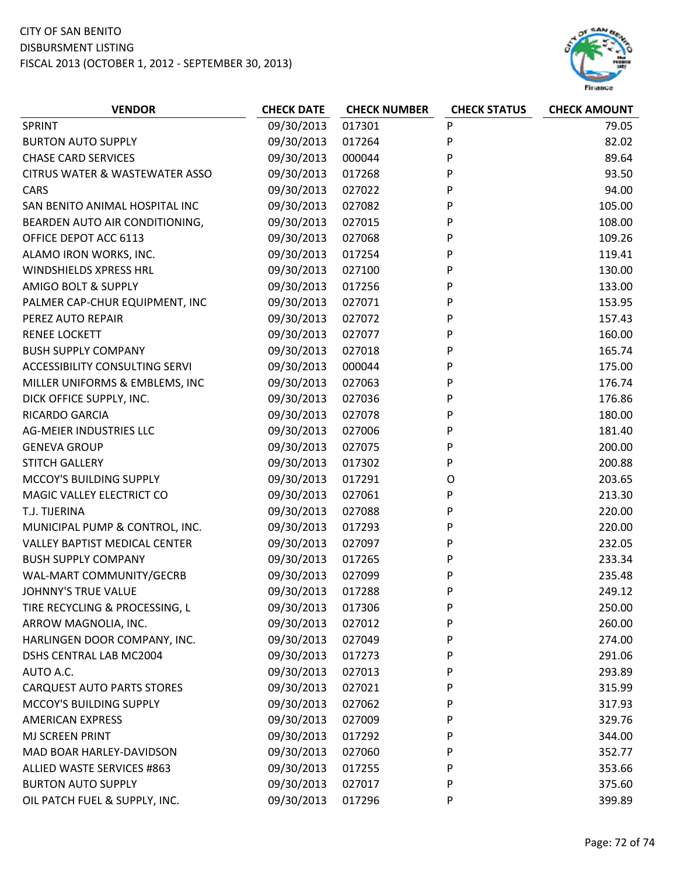

| 09/30/2013<br>017301<br>P<br><b>SPRINT</b><br>P<br>09/30/2013<br><b>BURTON AUTO SUPPLY</b><br>017264<br>P<br><b>CHASE CARD SERVICES</b><br>09/30/2013<br>000044 | 79.05<br>82.02<br>89.64 |
|-----------------------------------------------------------------------------------------------------------------------------------------------------------------|-------------------------|
|                                                                                                                                                                 |                         |
|                                                                                                                                                                 |                         |
|                                                                                                                                                                 |                         |
| P<br>09/30/2013<br><b>CITRUS WATER &amp; WASTEWATER ASSO</b><br>017268                                                                                          | 93.50                   |
| P<br>09/30/2013<br>027022<br>CARS                                                                                                                               | 94.00                   |
| 105.00<br>09/30/2013<br>027082<br>P<br>SAN BENITO ANIMAL HOSPITAL INC                                                                                           |                         |
| P<br>09/30/2013<br>108.00<br>BEARDEN AUTO AIR CONDITIONING,<br>027015                                                                                           |                         |
| OFFICE DEPOT ACC 6113<br>09/30/2013<br>027068<br>P<br>109.26                                                                                                    |                         |
| P<br>119.41<br>ALAMO IRON WORKS, INC.<br>09/30/2013<br>017254                                                                                                   |                         |
| P<br><b>WINDSHIELDS XPRESS HRL</b><br>09/30/2013<br>130.00<br>027100                                                                                            |                         |
| <b>AMIGO BOLT &amp; SUPPLY</b><br>09/30/2013<br>P<br>133.00<br>017256                                                                                           |                         |
| 09/30/2013<br>027071<br>P<br>153.95<br>PALMER CAP-CHUR EQUIPMENT, INC                                                                                           |                         |
| 09/30/2013<br>PEREZ AUTO REPAIR<br>027072<br>P<br>157.43                                                                                                        |                         |
| P<br><b>RENEE LOCKETT</b><br>09/30/2013<br>160.00<br>027077                                                                                                     |                         |
| P<br>09/30/2013<br>027018<br>165.74<br><b>BUSH SUPPLY COMPANY</b>                                                                                               |                         |
| P<br><b>ACCESSIBILITY CONSULTING SERVI</b><br>09/30/2013<br>000044<br>175.00                                                                                    |                         |
| P<br>MILLER UNIFORMS & EMBLEMS, INC<br>09/30/2013<br>027063<br>176.74                                                                                           |                         |
| DICK OFFICE SUPPLY, INC.<br>09/30/2013<br>027036<br>P<br>176.86                                                                                                 |                         |
| P<br>RICARDO GARCIA<br>09/30/2013<br>180.00<br>027078                                                                                                           |                         |
| <b>AG-MEIER INDUSTRIES LLC</b><br>09/30/2013<br>027006<br>P<br>181.40                                                                                           |                         |
| P<br><b>GENEVA GROUP</b><br>09/30/2013<br>200.00<br>027075                                                                                                      |                         |
| <b>STITCH GALLERY</b><br>09/30/2013<br>P<br>200.88<br>017302                                                                                                    |                         |
| MCCOY'S BUILDING SUPPLY<br>09/30/2013<br>203.65<br>017291<br>O                                                                                                  |                         |
| P<br>MAGIC VALLEY ELECTRICT CO<br>09/30/2013<br>027061<br>213.30                                                                                                |                         |
| 09/30/2013<br>P<br>220.00<br>T.J. TIJERINA<br>027088                                                                                                            |                         |
| P<br>09/30/2013<br>220.00<br>MUNICIPAL PUMP & CONTROL, INC.<br>017293                                                                                           |                         |
| 09/30/2013<br><b>VALLEY BAPTIST MEDICAL CENTER</b><br>027097<br>P<br>232.05                                                                                     |                         |
| <b>BUSH SUPPLY COMPANY</b><br>09/30/2013<br>P<br>233.34<br>017265                                                                                               |                         |
| 09/30/2013<br>P<br>WAL-MART COMMUNITY/GECRB<br>027099<br>235.48                                                                                                 |                         |
| <b>JOHNNY'S TRUE VALUE</b><br>09/30/2013<br>P<br>249.12<br>017288                                                                                               |                         |
| P<br>TIRE RECYCLING & PROCESSING, L<br>09/30/2013<br>017306<br>250.00                                                                                           |                         |
| 09/30/2013<br>ARROW MAGNOLIA, INC.<br>027012<br>P<br>260.00                                                                                                     |                         |
| 09/30/2013<br>P<br>HARLINGEN DOOR COMPANY, INC.<br>027049<br>274.00                                                                                             |                         |
| 09/30/2013<br>P<br>291.06<br>DSHS CENTRAL LAB MC2004<br>017273                                                                                                  |                         |
| 09/30/2013<br>P<br>AUTO A.C.<br>027013<br>293.89                                                                                                                |                         |
| 09/30/2013<br><b>CARQUEST AUTO PARTS STORES</b><br>027021<br>P<br>315.99                                                                                        |                         |
| MCCOY'S BUILDING SUPPLY<br>09/30/2013<br>027062<br>P<br>317.93                                                                                                  |                         |
| 09/30/2013<br>P<br><b>AMERICAN EXPRESS</b><br>027009<br>329.76                                                                                                  |                         |
| MJ SCREEN PRINT<br>09/30/2013<br>017292<br>P<br>344.00                                                                                                          |                         |
| MAD BOAR HARLEY-DAVIDSON<br>09/30/2013<br>027060<br>P<br>352.77                                                                                                 |                         |
| 09/30/2013<br>353.66<br><b>ALLIED WASTE SERVICES #863</b><br>017255<br>P                                                                                        |                         |
| 09/30/2013<br><b>BURTON AUTO SUPPLY</b><br>027017<br>P<br>375.60                                                                                                |                         |
| OIL PATCH FUEL & SUPPLY, INC.<br>09/30/2013<br>017296<br>P<br>399.89                                                                                            |                         |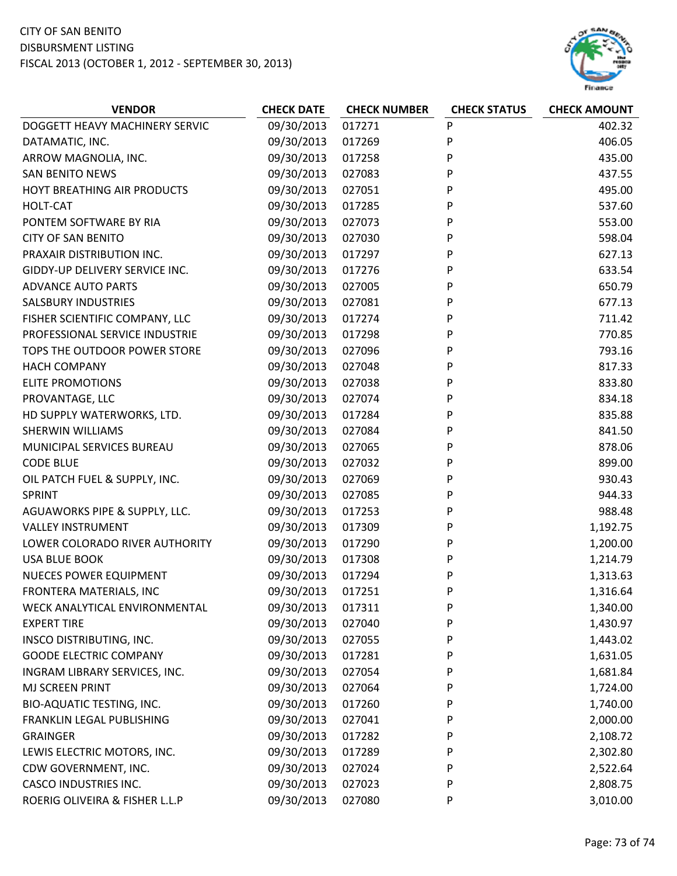## CITY OF SAN BENITO DISBURSMENT LISTING FISCAL 2013 (OCTOBER 1, 2012 ‐ SEPTEMBER 30, 2013)



| <b>VENDOR</b>                    | <b>CHECK DATE</b> | <b>CHECK NUMBER</b> | <b>CHECK STATUS</b> | <b>CHECK AMOUNT</b> |
|----------------------------------|-------------------|---------------------|---------------------|---------------------|
| DOGGETT HEAVY MACHINERY SERVIC   | 09/30/2013        | 017271              | P                   | 402.32              |
| DATAMATIC, INC.                  | 09/30/2013        | 017269              | P                   | 406.05              |
| ARROW MAGNOLIA, INC.             | 09/30/2013        | 017258              | P                   | 435.00              |
| <b>SAN BENITO NEWS</b>           | 09/30/2013        | 027083              | P                   | 437.55              |
| HOYT BREATHING AIR PRODUCTS      | 09/30/2013        | 027051              | P                   | 495.00              |
| HOLT-CAT                         | 09/30/2013        | 017285              | P                   | 537.60              |
| PONTEM SOFTWARE BY RIA           | 09/30/2013        | 027073              | P                   | 553.00              |
| <b>CITY OF SAN BENITO</b>        | 09/30/2013        | 027030              | P                   | 598.04              |
| PRAXAIR DISTRIBUTION INC.        | 09/30/2013        | 017297              | P                   | 627.13              |
| GIDDY-UP DELIVERY SERVICE INC.   | 09/30/2013        | 017276              | P                   | 633.54              |
| <b>ADVANCE AUTO PARTS</b>        | 09/30/2013        | 027005              | P                   | 650.79              |
| <b>SALSBURY INDUSTRIES</b>       | 09/30/2013        | 027081              | P                   | 677.13              |
| FISHER SCIENTIFIC COMPANY, LLC   | 09/30/2013        | 017274              | P                   | 711.42              |
| PROFESSIONAL SERVICE INDUSTRIE   | 09/30/2013        | 017298              | P                   | 770.85              |
| TOPS THE OUTDOOR POWER STORE     | 09/30/2013        | 027096              | P                   | 793.16              |
| <b>HACH COMPANY</b>              | 09/30/2013        | 027048              | P                   | 817.33              |
| <b>ELITE PROMOTIONS</b>          | 09/30/2013        | 027038              | P                   | 833.80              |
| PROVANTAGE, LLC                  | 09/30/2013        | 027074              | P                   | 834.18              |
| HD SUPPLY WATERWORKS, LTD.       | 09/30/2013        | 017284              | P                   | 835.88              |
| SHERWIN WILLIAMS                 | 09/30/2013        | 027084              | P                   | 841.50              |
| MUNICIPAL SERVICES BUREAU        | 09/30/2013        | 027065              | P                   | 878.06              |
| <b>CODE BLUE</b>                 | 09/30/2013        | 027032              | P                   | 899.00              |
| OIL PATCH FUEL & SUPPLY, INC.    | 09/30/2013        | 027069              | P                   | 930.43              |
| SPRINT                           | 09/30/2013        | 027085              | P                   | 944.33              |
| AGUAWORKS PIPE & SUPPLY, LLC.    | 09/30/2013        | 017253              | P                   | 988.48              |
| <b>VALLEY INSTRUMENT</b>         | 09/30/2013        | 017309              | P                   | 1,192.75            |
| LOWER COLORADO RIVER AUTHORITY   | 09/30/2013        | 017290              | P                   | 1,200.00            |
| <b>USA BLUE BOOK</b>             | 09/30/2013        | 017308              | P                   | 1,214.79            |
| <b>NUECES POWER EQUIPMENT</b>    | 09/30/2013        | 017294              | P                   | 1,313.63            |
| FRONTERA MATERIALS, INC          | 09/30/2013        | 017251              | P                   | 1,316.64            |
| WECK ANALYTICAL ENVIRONMENTAL    | 09/30/2013        | 017311              | P                   | 1,340.00            |
| <b>EXPERT TIRE</b>               | 09/30/2013        | 027040              | P                   | 1,430.97            |
| INSCO DISTRIBUTING, INC.         | 09/30/2013        | 027055              | P                   | 1,443.02            |
| <b>GOODE ELECTRIC COMPANY</b>    | 09/30/2013        | 017281              | P                   | 1,631.05            |
| INGRAM LIBRARY SERVICES, INC.    | 09/30/2013        | 027054              | P                   | 1,681.84            |
| MJ SCREEN PRINT                  | 09/30/2013        | 027064              | P                   | 1,724.00            |
| <b>BIO-AQUATIC TESTING, INC.</b> | 09/30/2013        | 017260              | P                   | 1,740.00            |
| FRANKLIN LEGAL PUBLISHING        | 09/30/2013        | 027041              | P                   | 2,000.00            |
| <b>GRAINGER</b>                  | 09/30/2013        | 017282              | P                   | 2,108.72            |
| LEWIS ELECTRIC MOTORS, INC.      | 09/30/2013        | 017289              | P                   | 2,302.80            |
| CDW GOVERNMENT, INC.             | 09/30/2013        | 027024              | P                   | 2,522.64            |
| <b>CASCO INDUSTRIES INC.</b>     | 09/30/2013        | 027023              | P                   | 2,808.75            |
| ROERIG OLIVEIRA & FISHER L.L.P   | 09/30/2013        | 027080              | P                   | 3,010.00            |